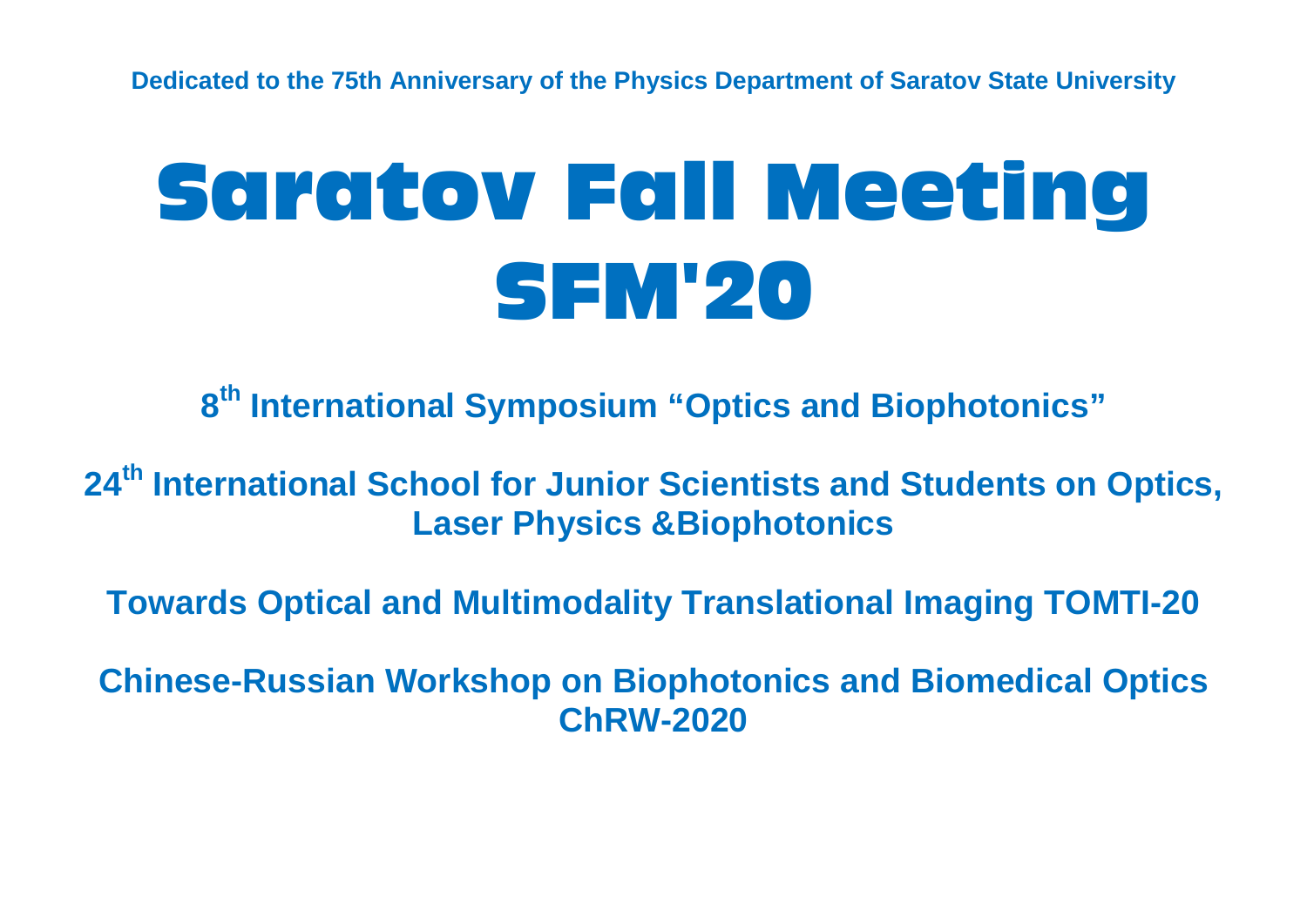**Dedicated to the 75th Anniversary of the Physics Department of Saratov State University**

# Saratov Fall Meeting SFM'20

**8th International Symposium "Optics and Biophotonics"**

**24th International School for Junior Scientists and Students on Optics, Laser Physics &Biophotonics**

**Towards Optical and Multimodality Translational Imaging TOMTI-20**

**Chinese-Russian Workshop on Biophotonics and Biomedical Optics ChRW-2020**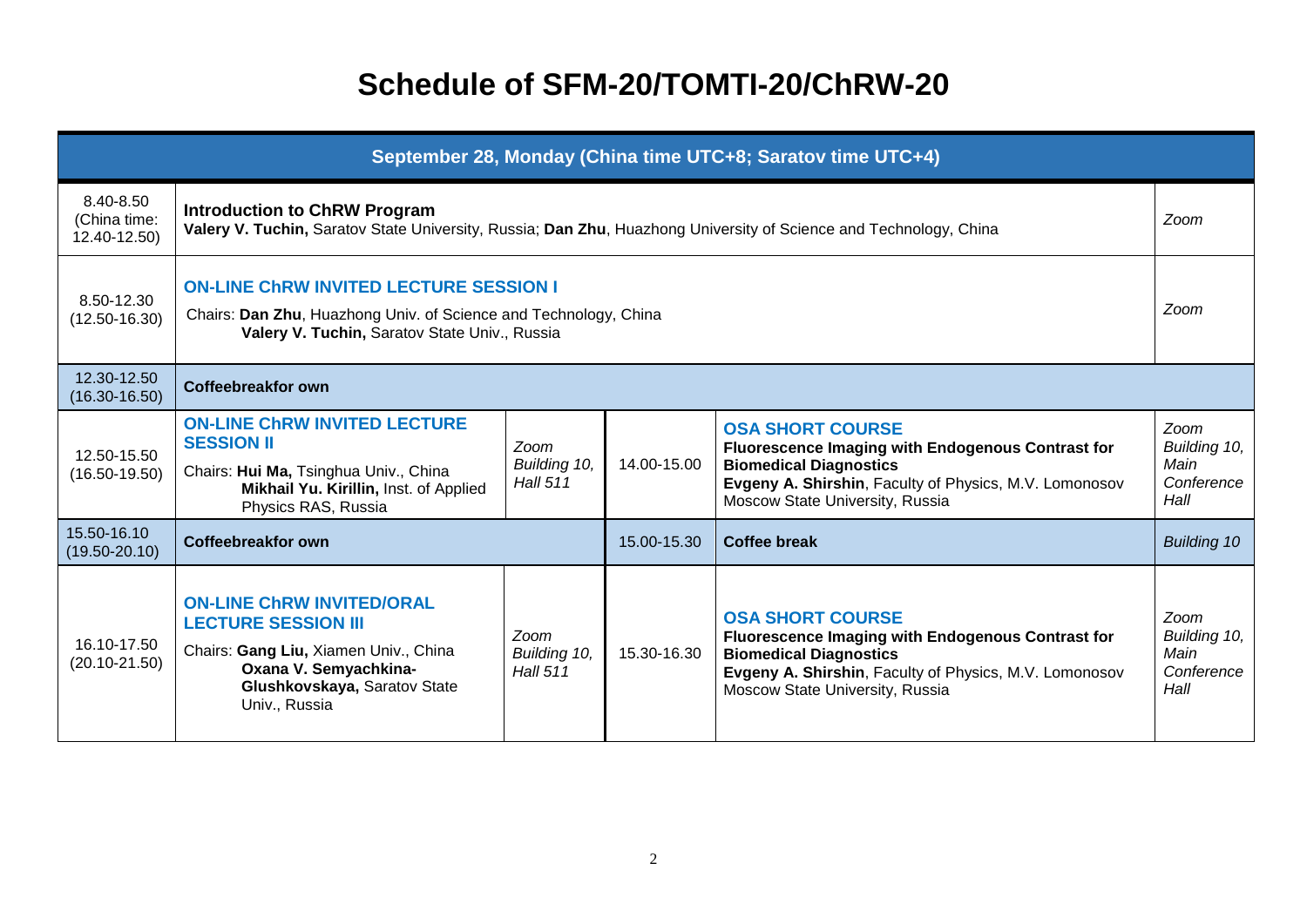### **Schedule of SFM-20/TOMTI-20/ChRW-20**

| September 28, Monday (China time UTC+8; Saratov time UTC+4) |                                                                                                                                                                                   |                                         |             |                                                                                                                                                                                                            |                                                    |  |  |
|-------------------------------------------------------------|-----------------------------------------------------------------------------------------------------------------------------------------------------------------------------------|-----------------------------------------|-------------|------------------------------------------------------------------------------------------------------------------------------------------------------------------------------------------------------------|----------------------------------------------------|--|--|
| 8.40-8.50<br>(China time:<br>12.40-12.50)                   | <b>Introduction to ChRW Program</b><br>Zoom<br>Valery V. Tuchin, Saratov State University, Russia; Dan Zhu, Huazhong University of Science and Technology, China                  |                                         |             |                                                                                                                                                                                                            |                                                    |  |  |
| 8.50-12.30<br>$(12.50 - 16.30)$                             | <b>ON-LINE CHRW INVITED LECTURE SESSION I</b><br>Zoom<br>Chairs: Dan Zhu, Huazhong Univ. of Science and Technology, China<br>Valery V. Tuchin, Saratov State Univ., Russia        |                                         |             |                                                                                                                                                                                                            |                                                    |  |  |
| 12.30-12.50<br>$(16.30 - 16.50)$                            | <b>Coffeebreakfor own</b>                                                                                                                                                         |                                         |             |                                                                                                                                                                                                            |                                                    |  |  |
| 12.50-15.50<br>$(16.50 - 19.50)$                            | <b>ON-LINE CHRW INVITED LECTURE</b><br><b>SESSION II</b><br>Chairs: Hui Ma, Tsinghua Univ., China<br>Mikhail Yu. Kirillin, Inst. of Applied<br>Physics RAS, Russia                | Zoom<br>Building 10,<br><b>Hall 511</b> | 14.00-15.00 | <b>OSA SHORT COURSE</b><br>Fluorescence Imaging with Endogenous Contrast for<br><b>Biomedical Diagnostics</b><br>Evgeny A. Shirshin, Faculty of Physics, M.V. Lomonosov<br>Moscow State University, Russia | Zoom<br>Building 10,<br>Main<br>Conference<br>Hall |  |  |
| 15.50-16.10<br>$(19.50 - 20.10)$                            | <b>Coffeebreakfor own</b>                                                                                                                                                         |                                         | 15.00-15.30 | <b>Coffee break</b>                                                                                                                                                                                        | <b>Building 10</b>                                 |  |  |
| 16.10-17.50<br>$(20.10 - 21.50)$                            | <b>ON-LINE CHRW INVITED/ORAL</b><br><b>LECTURE SESSION III</b><br>Chairs: Gang Liu, Xiamen Univ., China<br>Oxana V. Semyachkina-<br>Glushkovskaya, Saratov State<br>Univ., Russia | Zoom<br>Building 10,<br><b>Hall 511</b> | 15.30-16.30 | <b>OSA SHORT COURSE</b><br>Fluorescence Imaging with Endogenous Contrast for<br><b>Biomedical Diagnostics</b><br>Evgeny A. Shirshin, Faculty of Physics, M.V. Lomonosov<br>Moscow State University, Russia | Zoom<br>Building 10,<br>Main<br>Conference<br>Hall |  |  |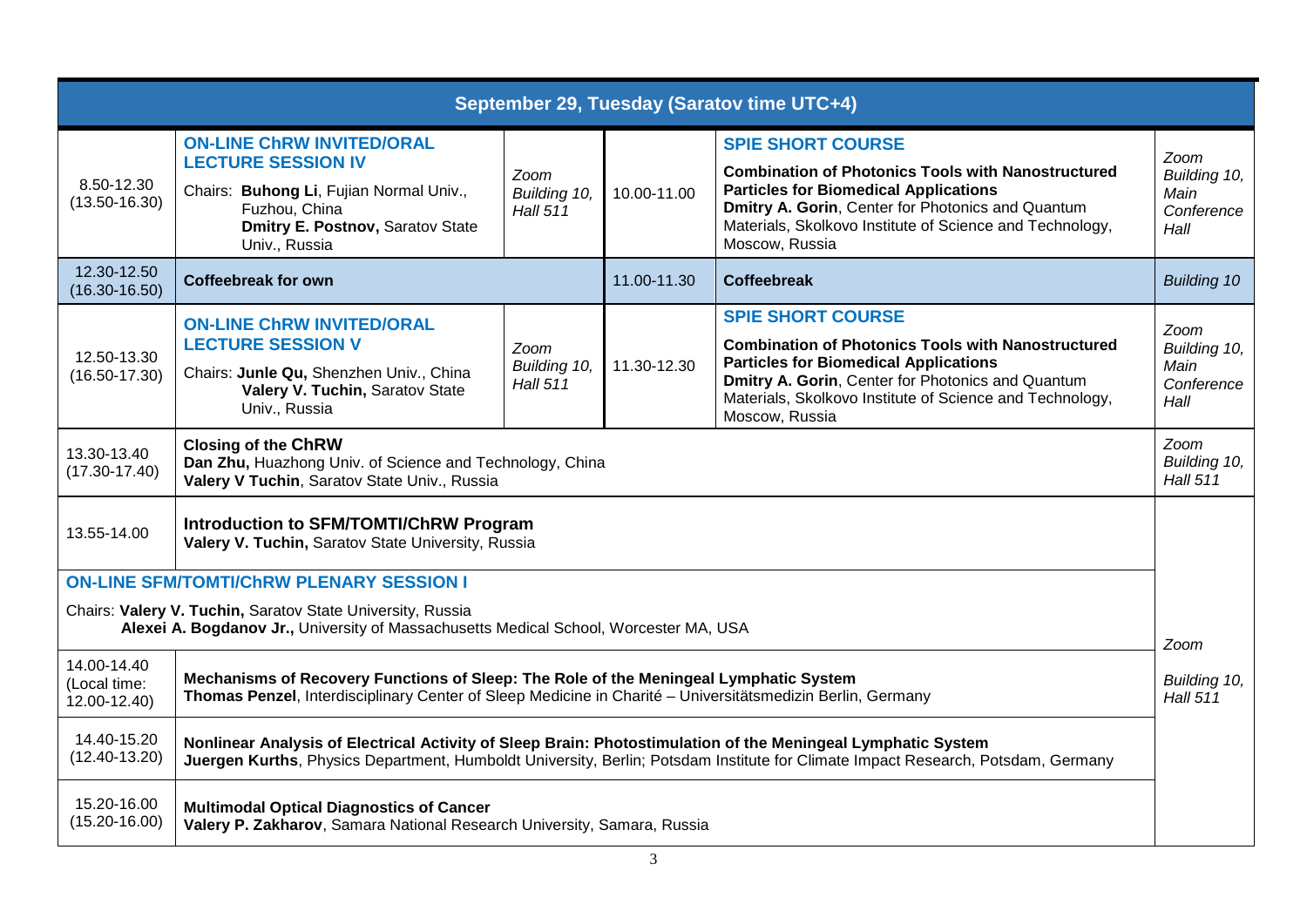| September 29, Tuesday (Saratov time UTC+4)                                                                                                                     |                                                                                                                                                                                                                                                  |                                         |             |                                                                                                                                                                                                                                                                          |                                                    |  |
|----------------------------------------------------------------------------------------------------------------------------------------------------------------|--------------------------------------------------------------------------------------------------------------------------------------------------------------------------------------------------------------------------------------------------|-----------------------------------------|-------------|--------------------------------------------------------------------------------------------------------------------------------------------------------------------------------------------------------------------------------------------------------------------------|----------------------------------------------------|--|
| 8.50-12.30<br>$(13.50 - 16.30)$                                                                                                                                | <b>ON-LINE CHRW INVITED/ORAL</b><br><b>LECTURE SESSION IV</b><br>Chairs: Buhong Li, Fujian Normal Univ.,<br>Fuzhou, China<br>Dmitry E. Postnov, Saratov State<br>Univ., Russia                                                                   | Zoom<br>Building 10,<br><b>Hall 511</b> | 10.00-11.00 | <b>SPIE SHORT COURSE</b><br><b>Combination of Photonics Tools with Nanostructured</b><br><b>Particles for Biomedical Applications</b><br>Dmitry A. Gorin, Center for Photonics and Quantum<br>Materials, Skolkovo Institute of Science and Technology,<br>Moscow, Russia | Zoom<br>Building 10,<br>Main<br>Conference<br>Hall |  |
| 12.30-12.50<br>$(16.30 - 16.50)$                                                                                                                               | <b>Coffeebreak for own</b>                                                                                                                                                                                                                       |                                         | 11.00-11.30 | <b>Coffeebreak</b>                                                                                                                                                                                                                                                       | <b>Building 10</b>                                 |  |
| 12.50-13.30<br>$(16.50 - 17.30)$                                                                                                                               | <b>ON-LINE CHRW INVITED/ORAL</b><br><b>LECTURE SESSION V</b><br>Chairs: Junle Qu, Shenzhen Univ., China<br>Valery V. Tuchin, Saratov State<br>Univ., Russia                                                                                      | Zoom<br>Building 10,<br><b>Hall 511</b> | 11.30-12.30 | <b>SPIE SHORT COURSE</b><br><b>Combination of Photonics Tools with Nanostructured</b><br><b>Particles for Biomedical Applications</b><br>Dmitry A. Gorin, Center for Photonics and Quantum<br>Materials, Skolkovo Institute of Science and Technology,<br>Moscow, Russia | Zoom<br>Building 10,<br>Main<br>Conference<br>Hall |  |
| 13.30-13.40<br>$(17.30 - 17.40)$                                                                                                                               | <b>Closing of the ChRW</b><br>Zoom<br>Dan Zhu, Huazhong Univ. of Science and Technology, China<br>Building 10,<br>Valery V Tuchin, Saratov State Univ., Russia<br><b>Hall 511</b>                                                                |                                         |             |                                                                                                                                                                                                                                                                          |                                                    |  |
| Introduction to SFM/TOMTI/ChRW Program<br>13.55-14.00<br>Valery V. Tuchin, Saratov State University, Russia                                                    |                                                                                                                                                                                                                                                  |                                         |             |                                                                                                                                                                                                                                                                          |                                                    |  |
|                                                                                                                                                                | <b>ON-LINE SFM/TOMTI/CHRW PLENARY SESSION I</b>                                                                                                                                                                                                  |                                         |             |                                                                                                                                                                                                                                                                          |                                                    |  |
| Chairs: Valery V. Tuchin, Saratov State University, Russia<br>Alexei A. Bogdanov Jr., University of Massachusetts Medical School, Worcester MA, USA            |                                                                                                                                                                                                                                                  |                                         |             |                                                                                                                                                                                                                                                                          | Zoom                                               |  |
| 14.00-14.40<br>(Local time:<br>12.00-12.40)                                                                                                                    | Mechanisms of Recovery Functions of Sleep: The Role of the Meningeal Lymphatic System<br>Thomas Penzel, Interdisciplinary Center of Sleep Medicine in Charité - Universitätsmedizin Berlin, Germany                                              |                                         |             |                                                                                                                                                                                                                                                                          |                                                    |  |
| 14.40-15.20<br>$(12.40 - 13.20)$                                                                                                                               | Nonlinear Analysis of Electrical Activity of Sleep Brain: Photostimulation of the Meningeal Lymphatic System<br>Juergen Kurths, Physics Department, Humboldt University, Berlin; Potsdam Institute for Climate Impact Research, Potsdam, Germany |                                         |             |                                                                                                                                                                                                                                                                          |                                                    |  |
| 15.20-16.00<br><b>Multimodal Optical Diagnostics of Cancer</b><br>$(15.20 - 16.00)$<br>Valery P. Zakharov, Samara National Research University, Samara, Russia |                                                                                                                                                                                                                                                  |                                         |             |                                                                                                                                                                                                                                                                          |                                                    |  |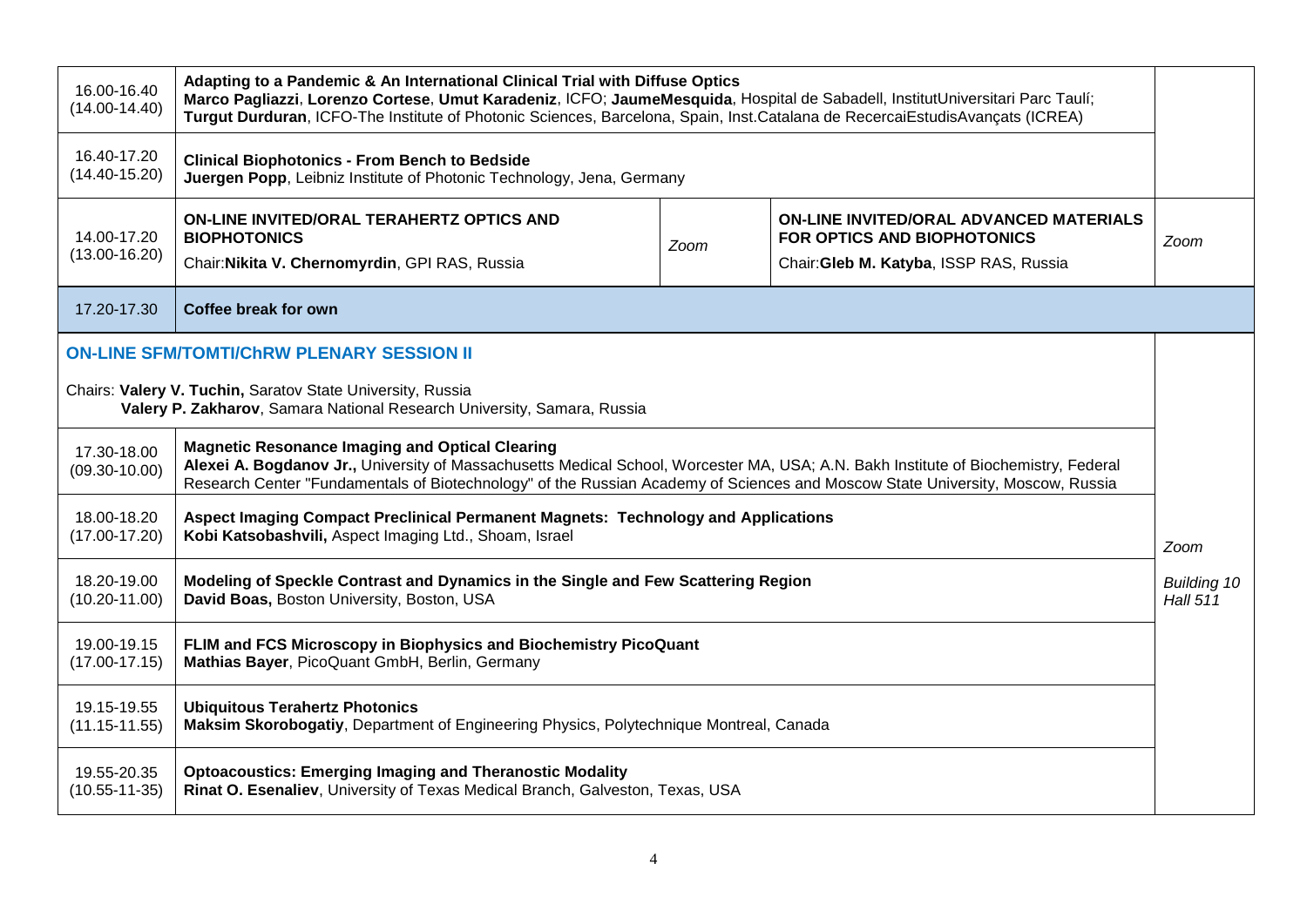| 16.00-16.40<br>$(14.00 - 14.40)$                                                                                                      | Adapting to a Pandemic & An International Clinical Trial with Diffuse Optics<br>Marco Pagliazzi, Lorenzo Cortese, Umut Karadeniz, ICFO; JaumeMesquida, Hospital de Sabadell, InstitutUniversitari Parc Taulí;<br>Turgut Durduran, ICFO-The Institute of Photonic Sciences, Barcelona, Spain, Inst.Catalana de RecercaiEstudisAvançats (ICREA) |      |                                                                                                                          |      |  |  |
|---------------------------------------------------------------------------------------------------------------------------------------|-----------------------------------------------------------------------------------------------------------------------------------------------------------------------------------------------------------------------------------------------------------------------------------------------------------------------------------------------|------|--------------------------------------------------------------------------------------------------------------------------|------|--|--|
| 16.40-17.20<br>$(14.40 - 15.20)$                                                                                                      | <b>Clinical Biophotonics - From Bench to Bedside</b><br>Juergen Popp, Leibniz Institute of Photonic Technology, Jena, Germany                                                                                                                                                                                                                 |      |                                                                                                                          |      |  |  |
| 14.00-17.20<br>$(13.00 - 16.20)$                                                                                                      | ON-LINE INVITED/ORAL TERAHERTZ OPTICS AND<br><b>BIOPHOTONICS</b><br>Chair: Nikita V. Chernomyrdin, GPI RAS, Russia                                                                                                                                                                                                                            | Zoom | <b>ON-LINE INVITED/ORAL ADVANCED MATERIALS</b><br>FOR OPTICS AND BIOPHOTONICS<br>Chair: Gleb M. Katyba, ISSP RAS, Russia | Zoom |  |  |
| 17.20-17.30                                                                                                                           | Coffee break for own                                                                                                                                                                                                                                                                                                                          |      |                                                                                                                          |      |  |  |
|                                                                                                                                       | <b>ON-LINE SFM/TOMTI/CHRW PLENARY SESSION II</b>                                                                                                                                                                                                                                                                                              |      |                                                                                                                          |      |  |  |
| Chairs: Valery V. Tuchin, Saratov State University, Russia<br>Valery P. Zakharov, Samara National Research University, Samara, Russia |                                                                                                                                                                                                                                                                                                                                               |      |                                                                                                                          |      |  |  |
| 17.30-18.00<br>$(09.30 - 10.00)$                                                                                                      | <b>Magnetic Resonance Imaging and Optical Clearing</b><br>Alexei A. Bogdanov Jr., University of Massachusetts Medical School, Worcester MA, USA; A.N. Bakh Institute of Biochemistry, Federal<br>Research Center "Fundamentals of Biotechnology" of the Russian Academy of Sciences and Moscow State University, Moscow, Russia               |      |                                                                                                                          |      |  |  |
| 18.00-18.20<br>$(17.00 - 17.20)$                                                                                                      | Aspect Imaging Compact Preclinical Permanent Magnets: Technology and Applications<br>Kobi Katsobashvili, Aspect Imaging Ltd., Shoam, Israel<br>Zoom                                                                                                                                                                                           |      |                                                                                                                          |      |  |  |
| 18.20-19.00<br>$(10.20 - 11.00)$                                                                                                      | Modeling of Speckle Contrast and Dynamics in the Single and Few Scattering Region<br><b>Building 10</b><br>David Boas, Boston University, Boston, USA<br><b>Hall 511</b>                                                                                                                                                                      |      |                                                                                                                          |      |  |  |
| 19.00-19.15<br>$(17.00 - 17.15)$                                                                                                      | FLIM and FCS Microscopy in Biophysics and Biochemistry PicoQuant<br>Mathias Bayer, PicoQuant GmbH, Berlin, Germany                                                                                                                                                                                                                            |      |                                                                                                                          |      |  |  |
| 19.15-19.55<br>$(11.15 - 11.55)$                                                                                                      | <b>Ubiquitous Terahertz Photonics</b><br>Maksim Skorobogatiy, Department of Engineering Physics, Polytechnique Montreal, Canada                                                                                                                                                                                                               |      |                                                                                                                          |      |  |  |
| 19.55-20.35<br>$(10.55 - 11 - 35)$                                                                                                    | <b>Optoacoustics: Emerging Imaging and Theranostic Modality</b><br>Rinat O. Esenaliev, University of Texas Medical Branch, Galveston, Texas, USA                                                                                                                                                                                              |      |                                                                                                                          |      |  |  |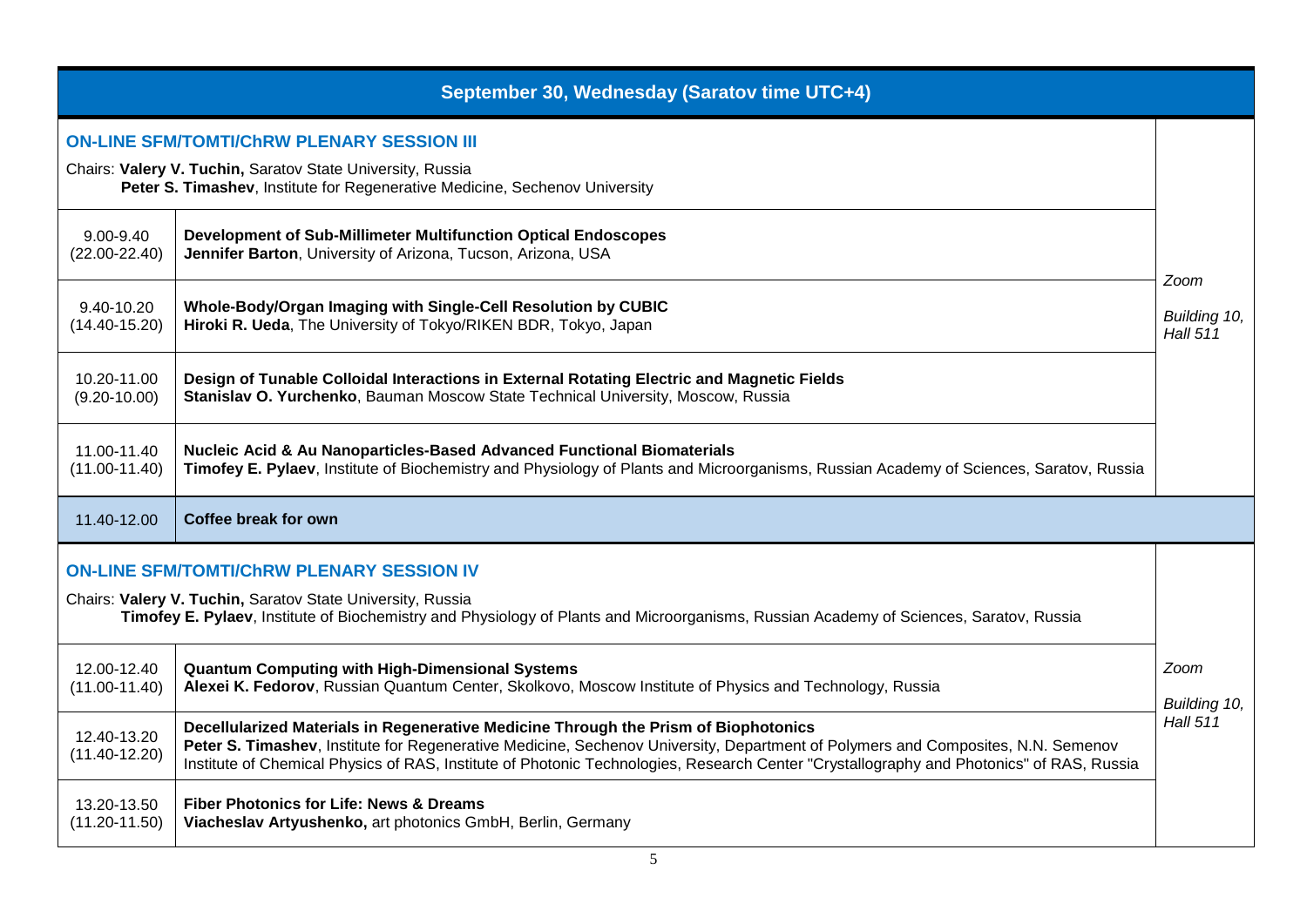| September 30, Wednesday (Saratov time UTC+4)                                                                                                                                                         |                                                                                                                                                                                                                                                                                                                                                                                                                                                                                                                                          |                                 |  |  |  |  |  |
|------------------------------------------------------------------------------------------------------------------------------------------------------------------------------------------------------|------------------------------------------------------------------------------------------------------------------------------------------------------------------------------------------------------------------------------------------------------------------------------------------------------------------------------------------------------------------------------------------------------------------------------------------------------------------------------------------------------------------------------------------|---------------------------------|--|--|--|--|--|
| <b>ON-LINE SFM/TOMTI/CHRW PLENARY SESSION III</b><br>Chairs: Valery V. Tuchin, Saratov State University, Russia                                                                                      |                                                                                                                                                                                                                                                                                                                                                                                                                                                                                                                                          |                                 |  |  |  |  |  |
|                                                                                                                                                                                                      | Peter S. Timashev, Institute for Regenerative Medicine, Sechenov University                                                                                                                                                                                                                                                                                                                                                                                                                                                              |                                 |  |  |  |  |  |
| 9.00-9.40<br>$(22.00 - 22.40)$                                                                                                                                                                       | Development of Sub-Millimeter Multifunction Optical Endoscopes<br>Jennifer Barton, University of Arizona, Tucson, Arizona, USA                                                                                                                                                                                                                                                                                                                                                                                                           | Zoom                            |  |  |  |  |  |
| 9.40-10.20<br>$(14.40 - 15.20)$                                                                                                                                                                      | Whole-Body/Organ Imaging with Single-Cell Resolution by CUBIC<br>Hiroki R. Ueda, The University of Tokyo/RIKEN BDR, Tokyo, Japan                                                                                                                                                                                                                                                                                                                                                                                                         | Building 10,<br><b>Hall 511</b> |  |  |  |  |  |
| 10.20-11.00<br>$(9.20 - 10.00)$                                                                                                                                                                      | Design of Tunable Colloidal Interactions in External Rotating Electric and Magnetic Fields<br>Stanislav O. Yurchenko, Bauman Moscow State Technical University, Moscow, Russia                                                                                                                                                                                                                                                                                                                                                           |                                 |  |  |  |  |  |
| 11.00-11.40<br>$(11.00 - 11.40)$                                                                                                                                                                     | <b>Nucleic Acid &amp; Au Nanoparticles-Based Advanced Functional Biomaterials</b><br>Timofey E. Pylaev, Institute of Biochemistry and Physiology of Plants and Microorganisms, Russian Academy of Sciences, Saratov, Russia                                                                                                                                                                                                                                                                                                              |                                 |  |  |  |  |  |
| 11.40-12.00                                                                                                                                                                                          | Coffee break for own                                                                                                                                                                                                                                                                                                                                                                                                                                                                                                                     |                                 |  |  |  |  |  |
|                                                                                                                                                                                                      | <b>ON-LINE SFM/TOMTI/CHRW PLENARY SESSION IV</b>                                                                                                                                                                                                                                                                                                                                                                                                                                                                                         |                                 |  |  |  |  |  |
| Chairs: Valery V. Tuchin, Saratov State University, Russia<br>Timofey E. Pylaev, Institute of Biochemistry and Physiology of Plants and Microorganisms, Russian Academy of Sciences, Saratov, Russia |                                                                                                                                                                                                                                                                                                                                                                                                                                                                                                                                          |                                 |  |  |  |  |  |
| 12.00-12.40<br>$(11.00 - 11.40)$                                                                                                                                                                     | <b>Quantum Computing with High-Dimensional Systems</b><br>Alexei K. Fedorov, Russian Quantum Center, Skolkovo, Moscow Institute of Physics and Technology, Russia<br>Decellularized Materials in Regenerative Medicine Through the Prism of Biophotonics<br>Peter S. Timashev, Institute for Regenerative Medicine, Sechenov University, Department of Polymers and Composites, N.N. Semenov<br>Institute of Chemical Physics of RAS, Institute of Photonic Technologies, Research Center "Crystallography and Photonics" of RAS, Russia |                                 |  |  |  |  |  |
| 12.40-13.20<br>$(11.40 - 12.20)$                                                                                                                                                                     |                                                                                                                                                                                                                                                                                                                                                                                                                                                                                                                                          |                                 |  |  |  |  |  |
| 13.20-13.50<br>$(11.20 - 11.50)$                                                                                                                                                                     | <b>Fiber Photonics for Life: News &amp; Dreams</b><br>Viacheslav Artyushenko, art photonics GmbH, Berlin, Germany                                                                                                                                                                                                                                                                                                                                                                                                                        |                                 |  |  |  |  |  |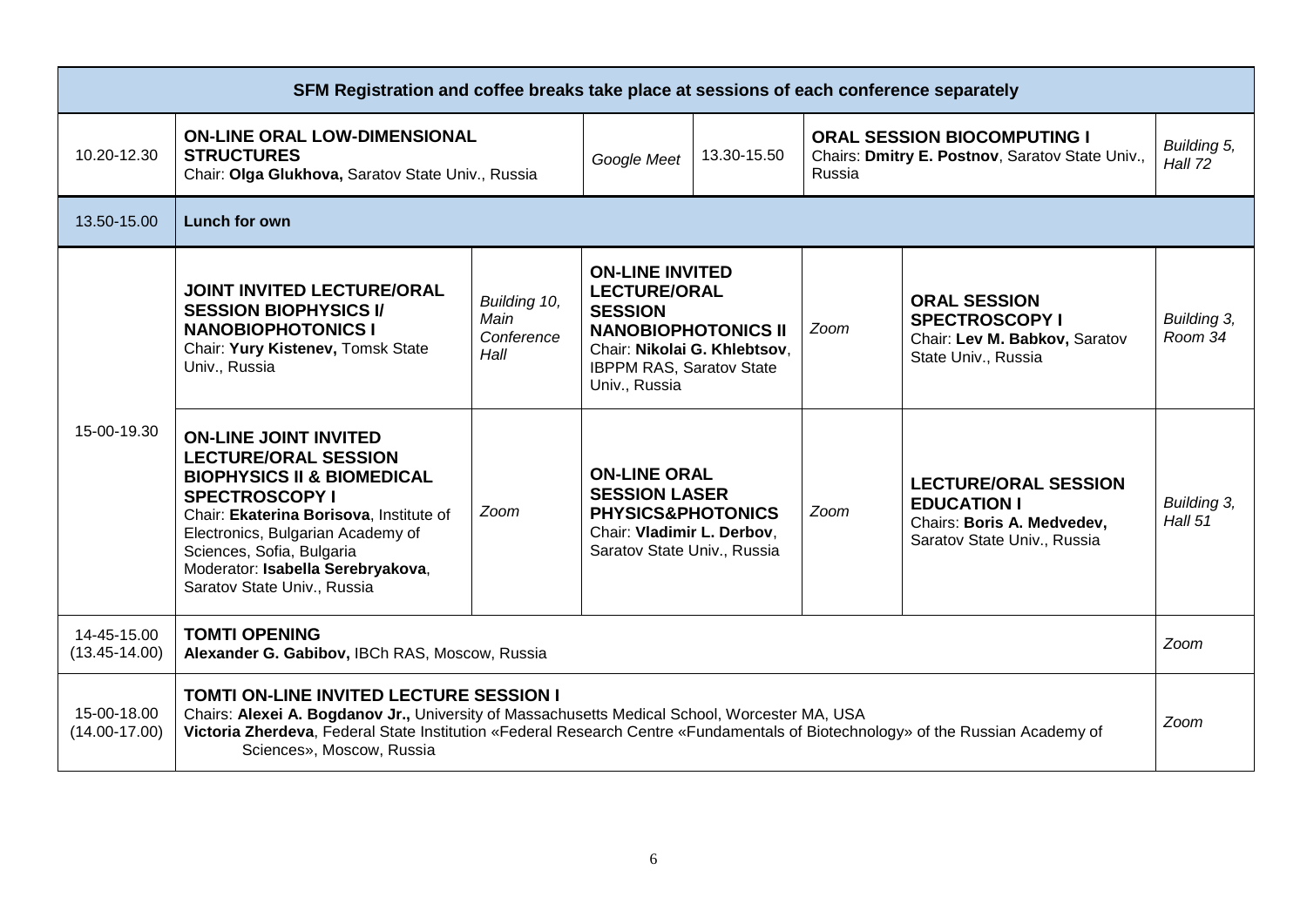| SFM Registration and coffee breaks take place at sessions of each conference separately |                                                                                                                                                                                                                                                                                                                 |                                            |                                                                                                                                                                                   |             |        |                                                                                                                |                        |
|-----------------------------------------------------------------------------------------|-----------------------------------------------------------------------------------------------------------------------------------------------------------------------------------------------------------------------------------------------------------------------------------------------------------------|--------------------------------------------|-----------------------------------------------------------------------------------------------------------------------------------------------------------------------------------|-------------|--------|----------------------------------------------------------------------------------------------------------------|------------------------|
| 10.20-12.30                                                                             | <b>ON-LINE ORAL LOW-DIMENSIONAL</b><br><b>STRUCTURES</b><br>Chair: Olga Glukhova, Saratov State Univ., Russia                                                                                                                                                                                                   |                                            | Google Meet                                                                                                                                                                       | 13.30-15.50 | Russia | <b>ORAL SESSION BIOCOMPUTING I</b><br>Chairs: Dmitry E. Postnov, Saratov State Univ.,                          | Building 5,<br>Hall 72 |
| 13.50-15.00                                                                             | Lunch for own                                                                                                                                                                                                                                                                                                   |                                            |                                                                                                                                                                                   |             |        |                                                                                                                |                        |
| 15-00-19.30                                                                             | <b>JOINT INVITED LECTURE/ORAL</b><br><b>SESSION BIOPHYSICS I/</b><br><b>NANOBIOPHOTONICS I</b><br>Chair: Yury Kistenev, Tomsk State<br>Univ., Russia                                                                                                                                                            | Building 10,<br>Main<br>Conference<br>Hall | <b>ON-LINE INVITED</b><br><b>LECTURE/ORAL</b><br><b>SESSION</b><br><b>NANOBIOPHOTONICS II</b><br>Chair: Nikolai G. Khlebtsov,<br><b>IBPPM RAS, Saratov State</b><br>Univ., Russia |             | Zoom   | <b>ORAL SESSION</b><br><b>SPECTROSCOPY I</b><br>Chair: Lev M. Babkov, Saratov<br>State Univ., Russia           | Building 3,<br>Room 34 |
|                                                                                         | <b>ON-LINE JOINT INVITED</b><br><b>LECTURE/ORAL SESSION</b><br><b>BIOPHYSICS II &amp; BIOMEDICAL</b><br><b>SPECTROSCOPY I</b><br>Chair: Ekaterina Borisova, Institute of<br>Electronics, Bulgarian Academy of<br>Sciences, Sofia, Bulgaria<br>Moderator: Isabella Serebryakova,<br>Saratov State Univ., Russia  | Zoom                                       | <b>ON-LINE ORAL</b><br><b>SESSION LASER</b><br><b>PHYSICS&amp;PHOTONICS</b><br>Chair: Vladimir L. Derbov,<br>Saratov State Univ., Russia                                          |             | Zoom   | <b>LECTURE/ORAL SESSION</b><br><b>EDUCATION I</b><br>Chairs: Boris A. Medvedev,<br>Saratov State Univ., Russia | Building 3,<br>Hall 51 |
| 14-45-15.00<br>$(13.45 - 14.00)$                                                        | <b>TOMTI OPENING</b><br>Alexander G. Gabibov, IBCh RAS, Moscow, Russia                                                                                                                                                                                                                                          |                                            |                                                                                                                                                                                   |             |        |                                                                                                                | Zoom                   |
| 15-00-18.00<br>$(14.00 - 17.00)$                                                        | <b>TOMTI ON-LINE INVITED LECTURE SESSION I</b><br>Chairs: Alexei A. Bogdanov Jr., University of Massachusetts Medical School, Worcester MA, USA<br>Victoria Zherdeva, Federal State Institution «Federal Research Centre «Fundamentals of Biotechnology» of the Russian Academy of<br>Sciences», Moscow, Russia |                                            |                                                                                                                                                                                   |             |        |                                                                                                                | Zoom                   |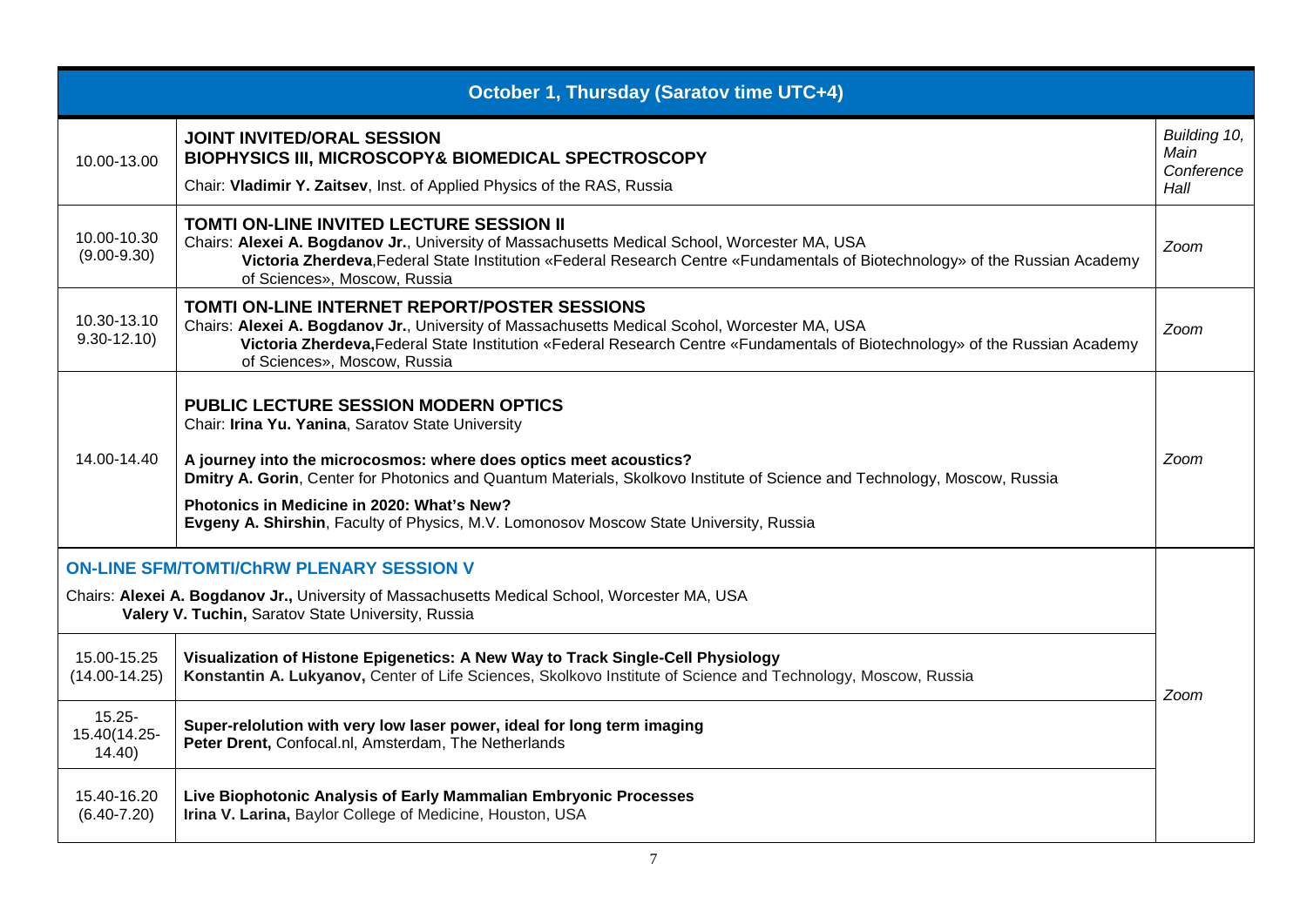|                                                                                                                                                                                                        | October 1, Thursday (Saratov time UTC+4)                                                                                                                                                                                                                                                                                                                                                                                                   |                                            |  |
|--------------------------------------------------------------------------------------------------------------------------------------------------------------------------------------------------------|--------------------------------------------------------------------------------------------------------------------------------------------------------------------------------------------------------------------------------------------------------------------------------------------------------------------------------------------------------------------------------------------------------------------------------------------|--------------------------------------------|--|
| 10.00-13.00                                                                                                                                                                                            | <b>JOINT INVITED/ORAL SESSION</b><br>BIOPHYSICS III, MICROSCOPY& BIOMEDICAL SPECTROSCOPY<br>Chair: Vladimir Y. Zaitsev, Inst. of Applied Physics of the RAS, Russia                                                                                                                                                                                                                                                                        | Building 10,<br>Main<br>Conference<br>Hall |  |
| 10.00-10.30<br>$(9.00 - 9.30)$                                                                                                                                                                         | TOMTI ON-LINE INVITED LECTURE SESSION II<br>Chairs: Alexei A. Bogdanov Jr., University of Massachusetts Medical School, Worcester MA, USA<br>Victoria Zherdeva, Federal State Institution «Federal Research Centre «Fundamentals of Biotechnology» of the Russian Academy<br>of Sciences», Moscow, Russia                                                                                                                                  | Zoom                                       |  |
| 10.30-13.10<br>$9.30 - 12.10$                                                                                                                                                                          | TOMTI ON-LINE INTERNET REPORT/POSTER SESSIONS<br>Chairs: Alexei A. Bogdanov Jr., University of Massachusetts Medical Scohol, Worcester MA, USA<br>Victoria Zherdeva, Federal State Institution «Federal Research Centre «Fundamentals of Biotechnology» of the Russian Academy<br>of Sciences», Moscow, Russia                                                                                                                             | Zoom                                       |  |
| 14.00-14.40                                                                                                                                                                                            | <b>PUBLIC LECTURE SESSION MODERN OPTICS</b><br>Chair: Irina Yu. Yanina, Saratov State University<br>A journey into the microcosmos: where does optics meet acoustics?<br>Dmitry A. Gorin, Center for Photonics and Quantum Materials, Skolkovo Institute of Science and Technology, Moscow, Russia<br>Photonics in Medicine in 2020: What's New?<br>Evgeny A. Shirshin, Faculty of Physics, M.V. Lomonosov Moscow State University, Russia | Zoom                                       |  |
| <b>ON-LINE SFM/TOMTI/CHRW PLENARY SESSION V</b><br>Chairs: Alexei A. Bogdanov Jr., University of Massachusetts Medical School, Worcester MA, USA<br>Valery V. Tuchin, Saratov State University, Russia |                                                                                                                                                                                                                                                                                                                                                                                                                                            |                                            |  |
| 15.00-15.25<br>$(14.00 - 14.25)$                                                                                                                                                                       | Visualization of Histone Epigenetics: A New Way to Track Single-Cell Physiology<br>Konstantin A. Lukyanov, Center of Life Sciences, Skolkovo Institute of Science and Technology, Moscow, Russia                                                                                                                                                                                                                                           | Zoom                                       |  |
| $15.25 -$<br>15.40(14.25-<br>14.40                                                                                                                                                                     | Super-relolution with very low laser power, ideal for long term imaging<br>Peter Drent, Confocal.nl, Amsterdam, The Netherlands                                                                                                                                                                                                                                                                                                            |                                            |  |
| 15.40-16.20<br>$(6.40 - 7.20)$                                                                                                                                                                         | Live Biophotonic Analysis of Early Mammalian Embryonic Processes<br>Irina V. Larina, Baylor College of Medicine, Houston, USA                                                                                                                                                                                                                                                                                                              |                                            |  |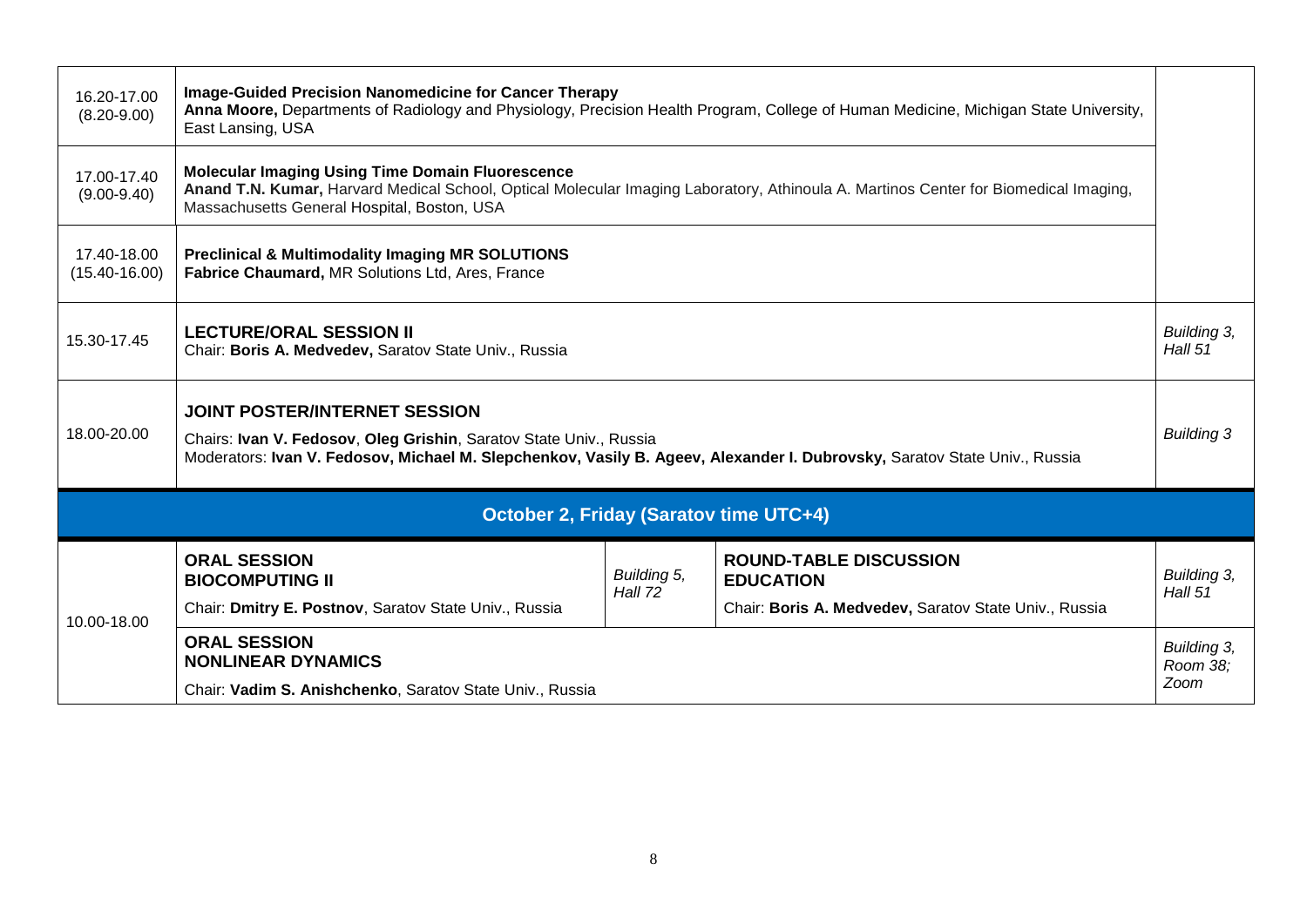| 16.20-17.00<br>$(8.20 - 9.00)$                | Image-Guided Precision Nanomedicine for Cancer Therapy<br>Anna Moore, Departments of Radiology and Physiology, Precision Health Program, College of Human Medicine, Michigan State University,<br>East Lansing, USA                                          |                        |                                                                                                            |                        |  |  |
|-----------------------------------------------|--------------------------------------------------------------------------------------------------------------------------------------------------------------------------------------------------------------------------------------------------------------|------------------------|------------------------------------------------------------------------------------------------------------|------------------------|--|--|
| 17.00-17.40<br>$(9.00 - 9.40)$                | <b>Molecular Imaging Using Time Domain Fluorescence</b><br>Anand T.N. Kumar, Harvard Medical School, Optical Molecular Imaging Laboratory, Athinoula A. Martinos Center for Biomedical Imaging,<br>Massachusetts General Hospital, Boston, USA               |                        |                                                                                                            |                        |  |  |
| 17.40-18.00<br>$(15.40 - 16.00)$              | <b>Preclinical &amp; Multimodality Imaging MR SOLUTIONS</b><br>Fabrice Chaumard, MR Solutions Ltd, Ares, France                                                                                                                                              |                        |                                                                                                            |                        |  |  |
| 15.30-17.45                                   | <b>LECTURE/ORAL SESSION II</b><br>Building 3,<br>Hall 51<br>Chair: Boris A. Medvedev, Saratov State Univ., Russia                                                                                                                                            |                        |                                                                                                            |                        |  |  |
| 18.00-20.00                                   | <b>JOINT POSTER/INTERNET SESSION</b><br><b>Building 3</b><br>Chairs: Ivan V. Fedosov, Oleg Grishin, Saratov State Univ., Russia<br>Moderators: Ivan V. Fedosov, Michael M. Slepchenkov, Vasily B. Ageev, Alexander I. Dubrovsky, Saratov State Univ., Russia |                        |                                                                                                            |                        |  |  |
| <b>October 2, Friday (Saratov time UTC+4)</b> |                                                                                                                                                                                                                                                              |                        |                                                                                                            |                        |  |  |
| 10.00-18.00                                   | <b>ORAL SESSION</b><br><b>BIOCOMPUTING II</b><br>Chair: Dmitry E. Postnov, Saratov State Univ., Russia                                                                                                                                                       | Building 5,<br>Hall 72 | <b>ROUND-TABLE DISCUSSION</b><br><b>EDUCATION</b><br>Chair: Boris A. Medvedev, Saratov State Univ., Russia | Building 3,<br>Hall 51 |  |  |
|                                               | <b>ORAL SESSION</b><br>Building 3,<br><b>NONLINEAR DYNAMICS</b><br>Room 38;<br>Zoom<br>Chair: Vadim S. Anishchenko, Saratov State Univ., Russia                                                                                                              |                        |                                                                                                            |                        |  |  |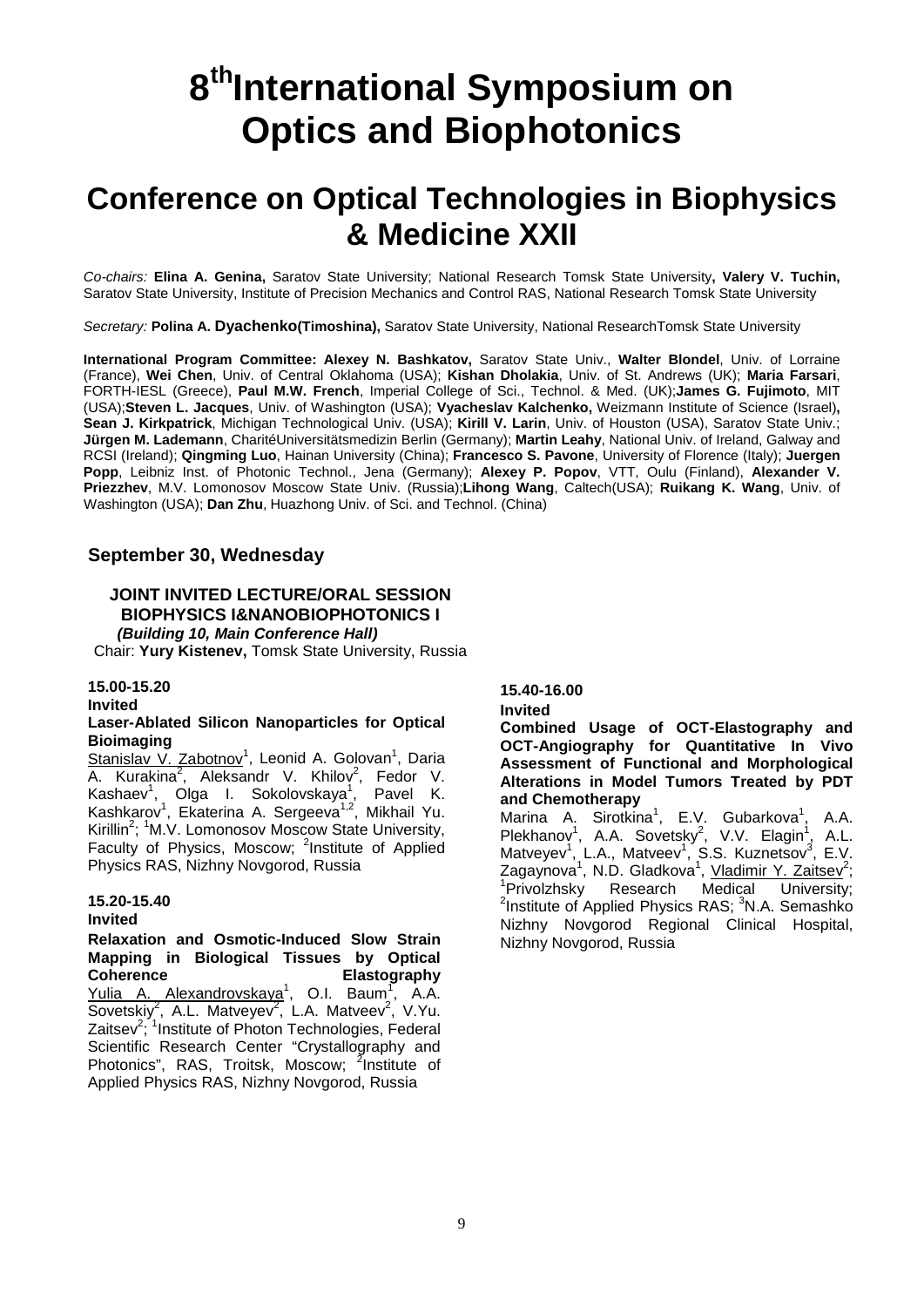# **8<sup>th</sup>International Symposium on Optics and Biophotonics**

### **Conference on Optical Technologies in Biophysics & Medicine XXII**

*Co-chairs:* **Elina A. Genina,** Saratov State University; National Research Tomsk State University**, Valery V. Tuchin,**  Saratov State University, Institute of Precision Mechanics and Control RAS, National Research Tomsk State University

*Secretary:* **Polina A. Dyachenko(Timoshina),** Saratov State University, National ResearchTomsk State University

**International Program Committee: Alexey N. Bashkatov,** Saratov State Univ., **Walter Blondel**, Univ. of Lorraine (France), **Wei Chen**, Univ. of Central Oklahoma (USA); **Kishan Dholakia**, Univ. of St. Andrews (UK); **Maria Farsari**, FORTH-IESL (Greece), **Paul M.W. French**, Imperial College of Sci., Technol. & Med. (UK);**James G. Fujimoto**, MIT (USA);**Steven L. Jacques**, Univ. of Washington (USA); **Vyacheslav Kalchenko,** Weizmann Institute of Science (Israel)**, Sean J. Kirkpatrick**, Michigan Technological Univ. (USA); **Kirill V. Larin**, Univ. of Houston (USA), Saratov State Univ.; **Jürgen M. Lademann**, CharitéUniversitätsmedizin Berlin (Germany); **Martin Leahy**, National Univ. of Ireland, Galway and RCSI (Ireland); **Qingming Luo**, Hainan University (China); **Francesco S. Pavone**, University of Florence (Italy); **Juergen Popp**, Leibniz Inst. of Photonic Technol., Jena (Germany); **Alexey P. Popov**, VTT, Oulu (Finland), **Alexander V. Priezzhev**, M.V. Lomonosov Moscow State Univ. (Russia);**Lihong Wang**, Caltech(USA); **Ruikang K. Wang**, Univ. of Washington (USA); **Dan Zhu**, Huazhong Univ. of Sci. and Technol. (China)

#### **September 30, Wednesday**

#### **JOINT INVITED LECTURE/ORAL SESSION BIOPHYSICS I&NANOBIOPHOTONICS I**

*(Building 10, Main Conference Hall)* Chair: **Yury Kistenev,** Tomsk State University, Russia

#### **15.00-15.20**

**Invited**

#### **Laser-Ablated Silicon Nanoparticles for Optical Bioimaging**

Stanislav V. Zabotnov<sup>1</sup>, Leonid A. Golovan<sup>1</sup>, Daria A. Kurakina<sup>2</sup>, Aleksandr V. Khilov<sup>2</sup>, Fedor V. Kashaev<sup>1</sup>, Olga I. Sokolovskaya<sup>1</sup>, Pavel K. Kashkarov<sup>1</sup>, Ekaterina A. Sergeeva<sup>1,2</sup>, Mikhail Yu. Kirillin<sup>2</sup>; <sup>1</sup>M.V. Lomonosov Moscow State University, Faculty of Physics, Moscow; <sup>2</sup>Institute of Applied Physics RAS, Nizhny Novgorod, Russia

#### **15.20-15.40**

#### **Invited**

**Relaxation and Osmotic-Induced Slow Strain Mapping in Biological Tissues by Optical Coherence Elastography** Yulia A. Alexandrovskaya<sup>1</sup>, O.I. Baum<sup>1</sup>, A.A. Sovetskiy<sup>2</sup>, A.L. Matveyev<sup>2</sup>, L.A. Matveev<sup>2</sup>, V.Yu. Zaitsev<sup>2</sup>; <sup>1</sup>Institute of Photon Technologies, Federal Scientific Research Center "Crystallography and Photonics", RAS, Troitsk, Moscow; <sup>2</sup>Institute of Applied Physics RAS, Nizhny Novgorod, Russia

**15.40-16.00**

#### **Invited**

**Сombined Usage of OCT-Elastography and OCT-Angiography for Quantitative In Vivo Assessment of Functional and Morphological Alterations in Model Tumors Treated by PDT and Chemotherapy**

Marina A. Sirotkina<sup>1</sup>, E.V. Gubarkova<sup>1</sup>, A.A. Plekhanov<sup>1</sup>, A.A. Sovetsky<sup>2</sup>, V.V. Elagin<sup>1</sup>, A.L. Matveyev<sup>1</sup>, L.A., Matveev<sup>1</sup>, S.S. Kuznetsov<sup>3</sup>, E.V. Zagaynova<sup>1</sup>, N.D. Gladkova<sup>1</sup>, <u>Vladimir Y. Zaitsev<sup>2</sup>;</u><br><sup>1</sup>Privolzhsky Research Medical University; <sup>2</sup>Institute of Applied Physics RAS; <sup>3</sup>N.A. Semashko Nizhny Novgorod Regional Clinical Hospital, Nizhny Novgorod, Russia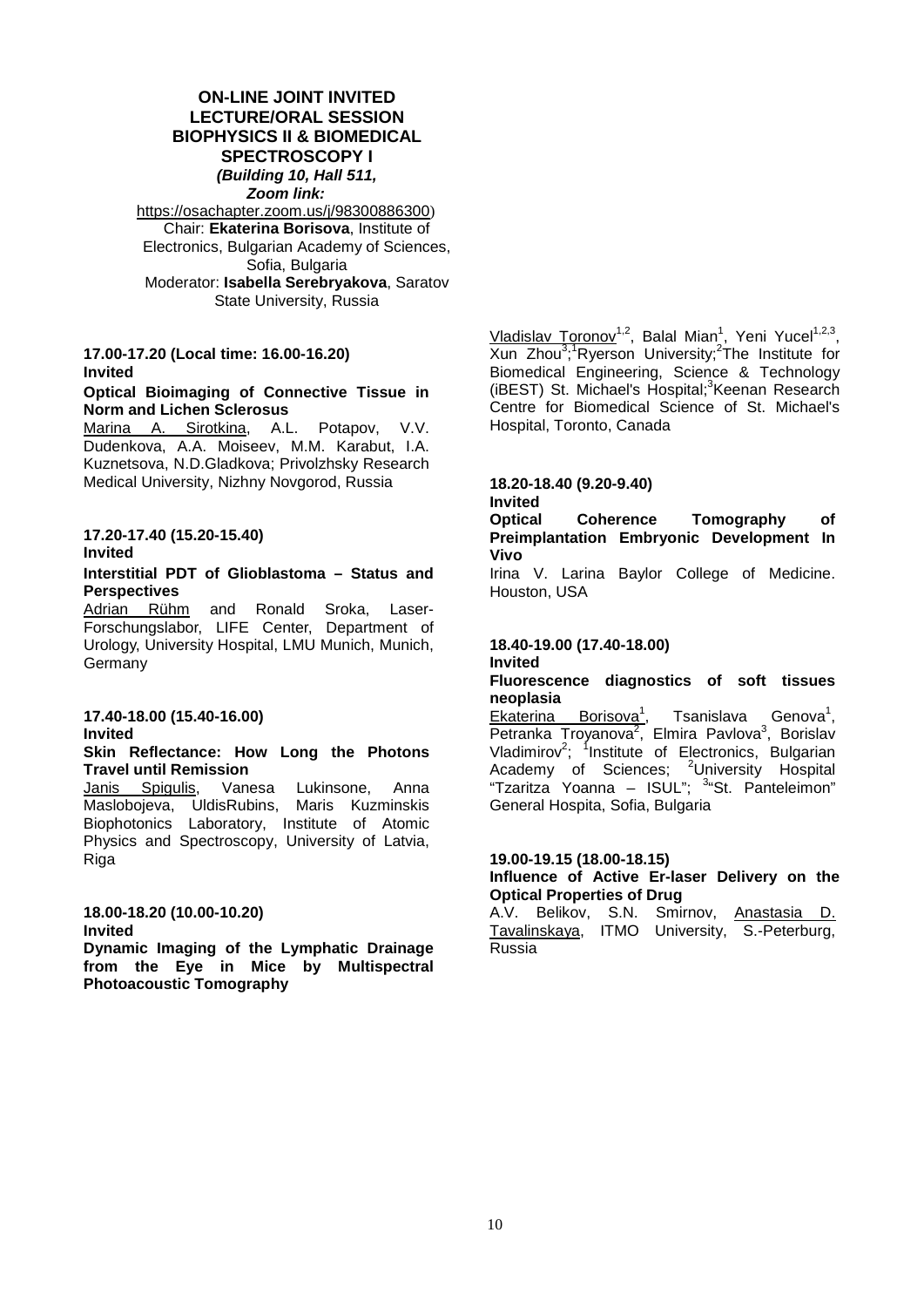#### **ON-LINE JOINT INVITED LECTURE/ORAL SESSION BIOPHYSICS II & BIOMEDICAL SPECTROSCOPY I** *(Building 10, Hall 511, Zoom link:*

<https://osachapter.zoom.us/j/98300886300>) Chair: **Ekaterina Borisova**, Institute of Electronics, Bulgarian Academy of Sciences, Sofia, Bulgaria Moderator: **Isabella Serebryakova**, Saratov State University, Russia

#### **17.00-17.20 (Local time: 16.00-16.20) Invited**

### **Optical Bioimaging of Connective Tissue in Norm and Lichen Sclerosus**<br>Marina A. Sirotkina. A.L. Potapov. V.V.

Marina A. Sirotkina, Dudenkova, A.A. Moiseev, M.M. Karabut, I.A. Kuznetsova, N.D.Gladkova; Privolzhsky Research Medical University, Nizhny Novgorod, Russia

#### **17.20-17.40 (15.20-15.40) Invited**

#### **Interstitial PDT of Glioblastoma – Status and Perspectives**

<u>Adrian Rühm</u> and Ronald Sroka, Laser-Forschungslabor, LIFE Center, Department of Urology, University Hospital, LMU Munich, Munich, Germany

#### **17.40-18.00 (15.40-16.00) Invited**

#### **Skin Reflectance: How Long the Photons Travel until Remission**

Janis Spigulis, Vanesa Lukinsone, Anna Maslobojeva, UldisRubins, Maris Kuzminskis Biophotonics Laboratory, Institute of Atomic Physics and Spectroscopy, University of Latvia, **Riga** 

#### **18.00-18.20 (10.00-10.20) Invited**

**Dynamic Imaging of the Lymphatic Drainage from the Eye in Mice by Multispectral Photoacoustic Tomography**

Vladislav Toronov<sup>1,2</sup>, Balal Mian<sup>1</sup>, Yeni Yucel<sup>1,2,3</sup>,  $X$ un Zhou<sup>3</sup>;<sup>1</sup>Ryerson University;<sup>2</sup>The Institute for Biomedical Engineering, Science & Technology (iBEST) St. Michael's Hospital;<sup>3</sup>Keenan Research Centre for Biomedical Science of St. Michael's Hospital, Toronto, Canada

#### **18.20-18.40 (9.20-9.40)**

### **Invited**

Coherence Tomography of **Preimplantation Embryonic Development In Vivo**

Irina V. Larina Baylor College of Medicine. Houston, USA

#### **18.40-19.00 (17.40-18.00)**

#### **Invited**

### **Fluorescence diagnostics of soft tissues**

**neoplasia** Borisova<sup>1</sup>, , Tsanislava Genova<sup>1</sup>, Petranka Troyanova<sup>2</sup>, Elmira Pavlova<sup>3</sup>, Borislav Vladimirov<sup>2</sup>; <sup>1</sup>Institute of Electronics, Bulgarian Academy of Sciences; <sup>2</sup>University Hospital "Tzaritza Yoanna - ISUL"; <sup>3</sup> "St. Panteleimon" General Hospita, Sofia, Bulgaria

#### **19.00-19.15 (18.00-18.15)**

**Influence of Active Er-laser Delivery on the Optical Properties of Drug**

A.V. Belikov, S.N. Smirnov, Anastasia D. Tavalinskaya, ITMO University, S.-Peterburg, Russia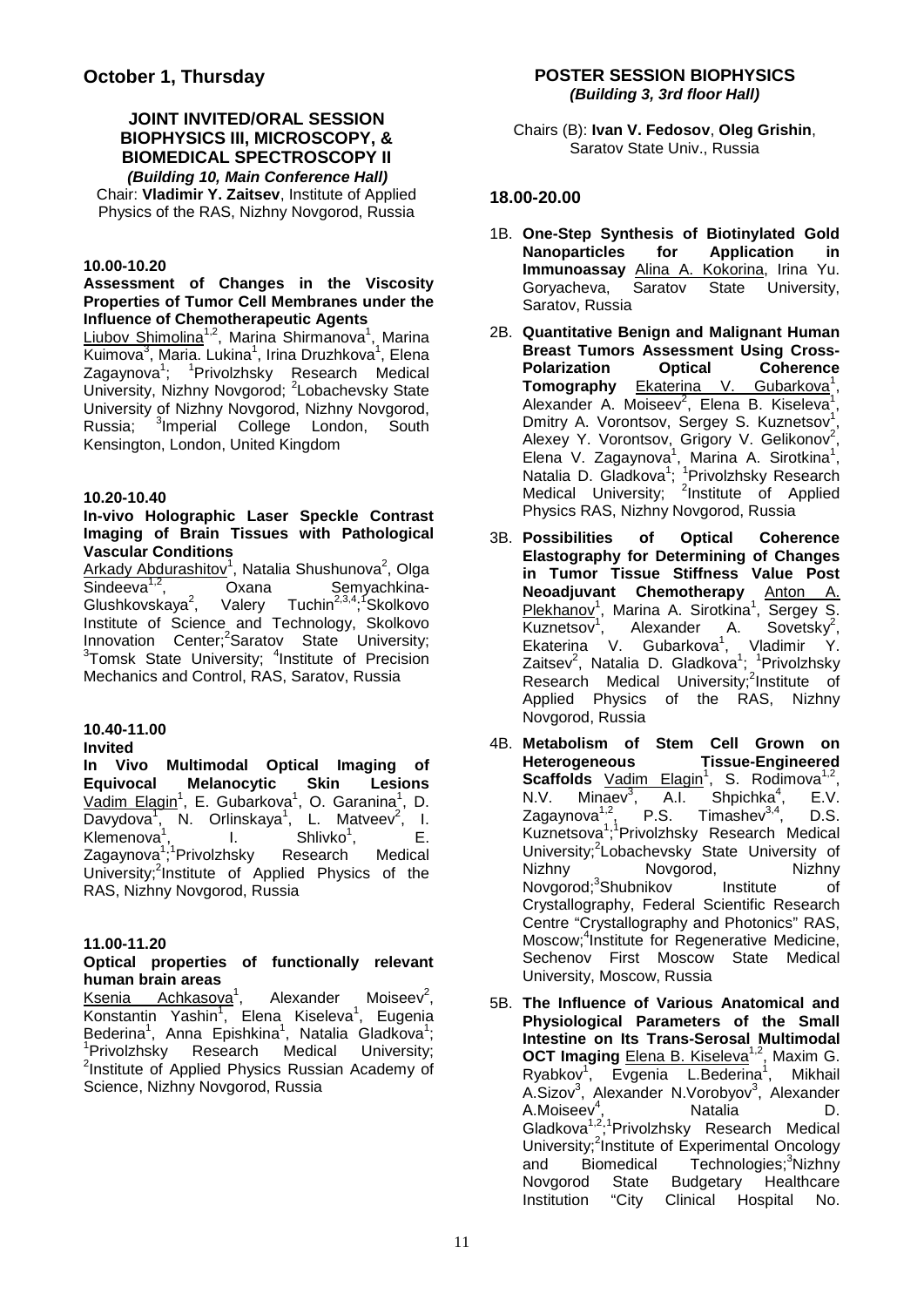#### **JOINT INVITED/ORAL SESSION BIOPHYSICS III, MICROSCOPY, & BIOMEDICAL SPECTROSCOPY II** *(Building 10, Main Conference Hall)*

Chair: **Vladimir Y. Zaitsev**, Institute of Applied Physics of the RAS, Nizhny Novgorod, Russia

#### **10.00-10.20**

#### **Assessment of Changes in the Viscosity Properties of Tumor Cell Membranes under the Influence of Chemotherapeutic Agents**

Liubov Shimolina<sup>1,2</sup>, Marina Shirmanova<sup>1</sup>, Marina Kuimova<sup>3</sup>, Maria. Lukina<sup>1</sup>, Irina Druzhkova<sup>1</sup>, Elena Zagaynova<sup>1</sup>; <sup>1</sup>Privolzhsky Research Medical University, Nizhny Novgorod; <sup>2</sup>Lobachevsky State University of Nizhny Novgorod, Nizhny Novgorod, Russia: <sup>3</sup>Imperial College London, South Kensington, London, United Kingdom

#### **10.20-10.40**

#### **In-vivo Holographic Laser Speckle Contrast Imaging of Brain Tissues with Pathological Vascular Conditions**

Arkady Abdurashitov<sup>1</sup>, Natalia Shushunova<sup>2</sup>, Olga Sindeeva<sup>1,2</sup>, Oxana Semyachkina-Glushkovskava $2$ . , Valery Tuchin<sup>2,3,4</sup>;<sup>1</sup>Skolkovo Institute of Science and Technology, Skolkovo Innovation Center;<sup>2</sup>Saratov State University;<br><sup>3</sup>Tomak State University: <sup>4</sup>Institute of Procision Tomsk State University; <sup>4</sup>Institute of Precision Mechanics and Control, RAS, Saratov, Russia

#### **10.40-11.00**

#### **Invited**

**In Vivo Multimodal Optical Imaging of Equivocal Melanocytic Skin Lesions** Vadim Elagin<sup>1</sup>, E. Gubarkova<sup>1</sup>, O. Garanina<sup>1</sup>, D. Davydova<sup>1</sup>, N. Orlinskaya<sup>1</sup>, L. Matveev<sup>2</sup>, I. Klemenova<sup>1</sup>, I. Shlivko<sup>1</sup>, E. Zagaynova<sup>1</sup>;<sup>1</sup>Privolzhsky Research Medical University;<sup>2</sup>Institute of Applied Physics of the RAS, Nizhny Novgorod, Russia

#### **11.00-11.20**

#### **Optical properties of functionally relevant human brain areas**

Ksenia Achkasova<sup>1</sup>, Alexander Moiseev $2$ . Konstantin Yashin<sup>1</sup>, Elena Kiseleva<sup>1</sup>, Eugenia Bederina<sup>1</sup>, Anna Epishkina<sup>1</sup>, Natalia Gladkova<sup>1</sup>; 1 Privolzhsky Research Medical University; <sup>2</sup>Institute of Applied Physics Russian Academy of Science, Nizhny Novgorod, Russia

Chairs (B): **Ivan V. Fedosov**, **Oleg Grishin**, Saratov State Univ., Russia

#### **18.00-20.00**

- 1B. **One-Step Synthesis of Biotinylated Gold Nanoparticles for Application in Immunoassay** Alina A. Kokorina, Irina Yu.<br>Gorvacheva. Saratov State University. Goryacheva, Saratov State University, Saratov, Russia
- 2B. **Quantitative Benign and Malignant Human Breast Tumors Assessment Using Cross-Polarization Tomography Ekaterina** V. Gubarkova<sup>1</sup>, Alexander A. Moiseev<sup>2</sup>, Elena B. Kiseleva<sup>1</sup>, Dmitry A. Vorontsov, Sergey S. Kuznetsov<sup>1</sup>, Alexey Y. Vorontsov, Grigory V. Gelikonov<sup>2</sup>, Elena V. Zagaynova<sup>1</sup>, Marina A. Sirotkina<sup>1</sup>, Natalia D. Gladkova<sup>1</sup>; <sup>1</sup> Privolzhsky Research Medical University; <sup>2</sup>Institute of Applied Physics RAS, Nizhny Novgorod, Russia
- 3B. **Possibilities of Optical Coherence Elastography for Determining of Changes in Tumor Tissue Stiffness Value Post Neoadjuvant Chemotherapy** Anton A. Plekhanov<sup>1</sup>, Marina A. Sirotkina<sup>1</sup>, Sergey S.  $Kuznetsov<sup>1</sup>$ , Alexander A. Sovetsky<sup>2</sup> , Ekaterina V. Gubarkova<sup>1</sup>, Vladimir Y. Zaitsev<sup>2</sup>, Natalia D. Gladkova<sup>1</sup>; <sup>1</sup>Privolzhsky Research Medical University;<sup>2</sup>Institute of Applied Physics of the RAS, Nizhny Novgorod, Russia
- 4B. **Metabolism of Stem Cell Grown on Heterogeneous Tissue-Engineered**  Scaffolds Vadim Elagin<sup>1</sup>, S. Rodimova<sup>1,2</sup>, N.V. Minaev<sup>3</sup>, A.I. Shpichka<sup>4</sup> Shpichka<sup>4</sup>, E.V.<br>Timashev<sup>3,4</sup>, D.S. Zagaynova<sup>1,2</sup>, P.S. Timashev<sup>3,4</sup>, D.S. Kuznetsova<sup>1</sup>;<sup>1</sup>Privolzhsky Research Medical University;<sup>2</sup>Lobachevsky State University of Nizhny Novgorod, Nizhny Novgorod;<sup>3</sup>Shubnikov Institute of Crystallography, Federal Scientific Research Centre "Crystallography and Photonics" RAS, Moscow;<sup>4</sup>Institute for Regenerative Medicine, Sechenov First Moscow State Medical University, Moscow, Russia
- 5B. **The Influence of Various Anatomical and Physiological Parameters of the Small Intestine on Its Trans-Serosal Multimodal OCT Imaging Elena B. Kiseleva<sup>1,2</sup>, Maxim G.** Ryabkov<sup>1</sup>, Evgenia L.Bederina<sup>1</sup> , Mikhail A.Sizov<sup>3</sup>, Alexander N.Vorobyov<sup>3</sup>, Alexander A.Moiseev<sup>4</sup> , Natalia D. Gladkova<sup>1,2</sup>;<sup>1</sup>Privolzhsky Research Medical University;<sup>2</sup>Institute of Experimental Oncology and Biomedical Technologies;<sup>3</sup>Nizhny Novgorod State Budgetary Healthcare<br>Institution "City Clinical Hospital No. Clinical Hospital No.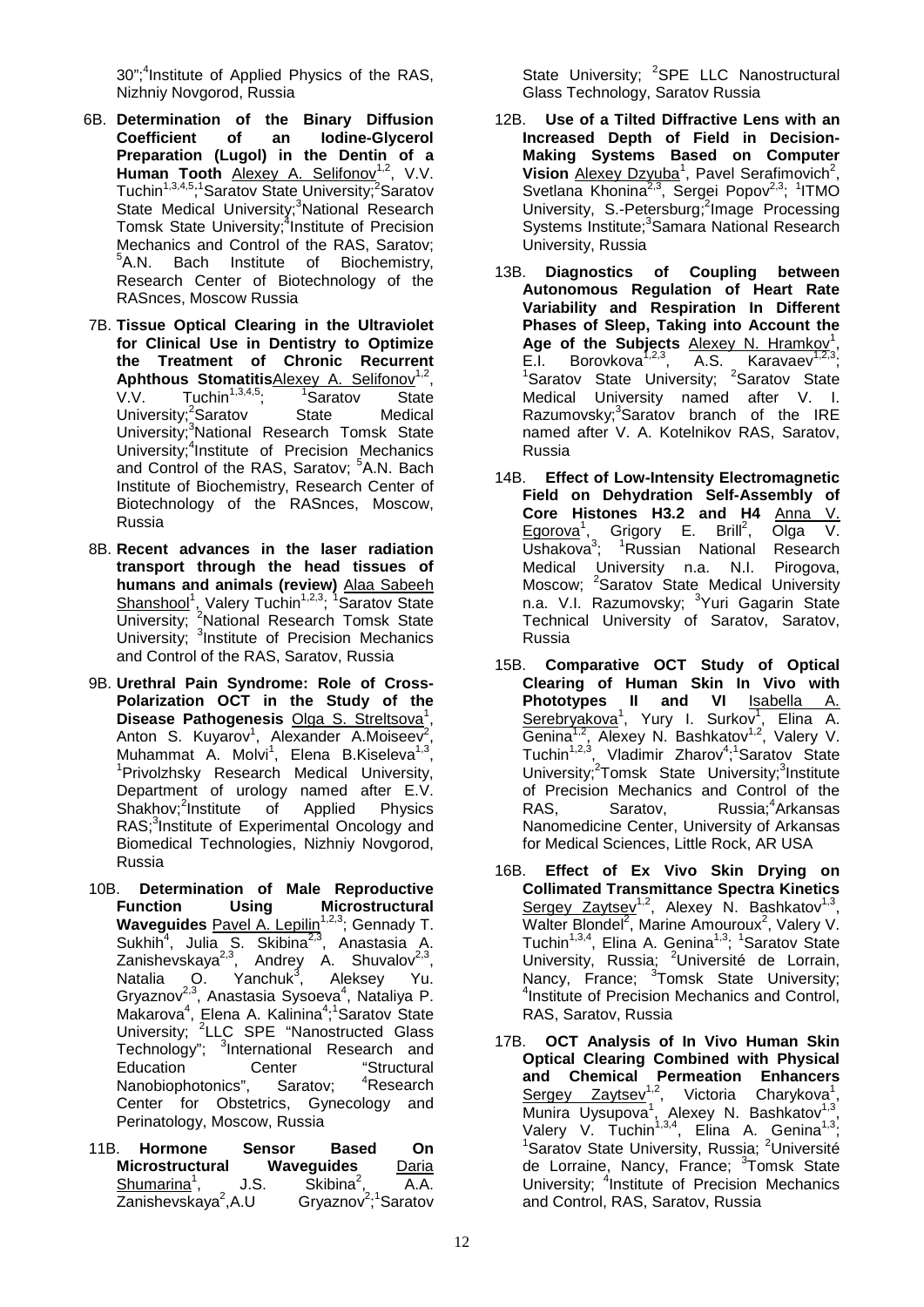30";<sup>4</sup>Institute of Applied Physics of the RAS, Nizhniy Novgorod, Russia

- 6B. **Determination of the Binary Diffusion Coefficient of an Iodine-Glycerol Preparation (Lugol) in the Dentin of a**  Human Tooth Alexey A. Selifonov<sup>1,2</sup>, V.V. Tuchin<sup>1,3,4,5</sup>;<sup>1</sup>Saratov State University;<sup>2</sup>Saratov State Medical University;<sup>3</sup>National Research Tomsk State University;<sup>4</sup>Institute of Precision Mechanics and Control of the RAS, Saratov; <sup>5</sup>A.N. Bach Institute of Biochemistry, Research Center of Biotechnology of the RASnces, Moscow Russia
- 7B. **Tissue Optical Clearing in the Ultraviolet for Clinical Use in Dentistry to Optimize the Treatment of Chronic Recurrent Aphthous Stomatitis**Alexey A. Selifonov<sup>1,2</sup>,<br>V.V. Tuchin<sup>1,3,4,5</sup>: <sup>1</sup>Saratov State Sournames web the Tuchin<sup>1,3,4,5</sup>; 1 Sara<br>
V. <sup>2</sup>Saratov State  $^{\text{7}}$ Saratov University;<sup>2</sup>Saratov State Medical University;<sup>3</sup>National Research Tomsk State University;<sup>4</sup>Institute of Precision Mechanics and Control of the RAS, Saratov; <sup>5</sup>A.N. Bach Institute of Biochemistry, Research Center of Biotechnology of the RASnces, Moscow, Russia
- 8B. **Recent advances in the laser radiation transport through the head tissues of humans and animals (review)** Alaa Sabeeh Shanshool<sup>1</sup>, Valery Tuchin<sup>1,2,3</sup>; <sup>1</sup>Saratov State University; <sup>2</sup>National Research Tomsk State University; <sup>3</sup>Institute of Precision Mechanics and Control of the RAS, Saratov, Russia
- 9B. **Urethral Pain Syndrome: Role of Cross-Polarization OCT in the Study of the**  Disease Pathogenesis Olga S. Streltsova<sup>1</sup>, Anton S. Kuyarov<sup>1</sup>, Alexander A.Moiseev<sup>2</sup> , Muhammat A. Molvi<sup>1</sup>, Elena B.Kiseleva<sup>1,3</sup>,<br><sup>1</sup>Privolzhsky Bossarsh Medical University <sup>1</sup>Privolzhsky Research Medical University, Department of urology named after E.V. Shakhov;<sup>2</sup>Institute of Applied Physics RAS;<sup>3</sup>Institute of Experimental Oncology and Biomedical Technologies, Nizhniy Novgorod, Russia
- 10B. **Determination of Male Reproductive Function Using Microstructural Waveguides** Pavel A. Lepilin<sup>1,2,3</sup>; Gennady T. Sukhih<sup>4</sup>, Julia S. Skibina<sup>2,3</sup>, Anastasia A. Zanishevskaya<sup>2,3</sup>, Andrey A. Shuvalov<sup>2,3</sup>, Natalia O. Yanchuk<sup>3</sup>. , Aleksey Yu. Gryaznov<sup>2,3</sup>, Anastasia Sysoeva<sup>4</sup>, Nataliya P. Makarova<sup>4</sup>, Elena A. Kalinina<sup>4</sup>;<sup>1</sup>Saratov State University; <sup>2</sup>LLC SPE "Nanostructed Glass Technology"; <sup>3</sup>International Research and Education Center "Structural Nanobiophotonics", Saratov: Research Center for Obstetrics, Gynecology and Perinatology, Moscow, Russia
- 11B. **Hormone Sensor Based On Microstructural Waveguides** Daria<br>Shumarina<sup>1</sup>, J.S. Skibina<sup>2</sup>, A.A. Shumarina<sup>1</sup>,  $,$  J.S. Skibina<sup>2</sup>, A.A.  $\overline{\mathsf{Zanishevskava}}^2$ .A.U ,A.U Gryaznov<sup>2</sup>;<sup>1</sup>Saratov

State University; <sup>2</sup>SPE LLC Nanostructural Glass Technology, Saratov Russia

- 12B. **Use of a Tilted Diffractive Lens with an Increased Depth of Field in Decision-Making Systems Based on Computer**  Vision Alexey Dzyuba<sup>1</sup>, Pavel Serafimovich<sup>2</sup>, Svetlana Khonina<sup>2,3</sup>, Sergei Popov<sup>2,3</sup>; <sup>1</sup>ITMO University, S.-Petersburg;<sup>2</sup>Image Processing Systems Institute;<sup>3</sup> Samara National Research University, Russia
- 13B. **Diagnostics of Coupling between Autonomous Regulation of Heart Rate Variability and Respiration In Different Phases of Sleep, Taking into Account the**  Age of the Subjects **Alexey N. Hramkov**<sup>1</sup>, E.I. Borovkova<sup>1,2,3</sup>, A.S. Karavaev<sup>1,2,3</sup>; <sup>1</sup>Saratov State University; <sup>2</sup>Saratov State Medical University named after V. I. Razumovsky;<sup>3</sup>Saratov branch of the IRE named after V. A. Kotelnikov RAS, Saratov, Russia
- 14B. **Effect of Low-Intensity Electromagnetic Field on Dehydration Self-Assembly of Core Histones H3.2 and H4** Anna V. Egorova<sup>1</sup>, Grigory E. Brill<sup>2</sup>, Olga V. Ushakova<sup>3</sup>; <sup>1</sup>Russian National Research Medical University n.a. N.I. Pirogova, Moscow; <sup>2</sup>Saratov State Medical University n.a. V.I. Razumovsky; <sup>3</sup>Yuri Gagarin State Technical University of Saratov, Saratov, Russia
- 15B. **Comparative OCT Study of Optical Clearing of Human Skin In Vivo with Phototypes II and VI** Isabella A. Serebryakova<sup>1</sup>, Yury I. Surkov<sup>1</sup>, Elina A. Genina<sup>1,2</sup>, Alexey N. Bashkatov<sup>1,2</sup>, Valery V. Tuchin<sup>1,2,3</sup>, Vladimir Zharov<sup>4</sup>;<sup>1</sup>Saratov State University;<sup>2</sup>Tomsk State University;<sup>3</sup>Institute of Precision Mechanics and Control of the<br>RAS. Saratov. Russia:<sup>4</sup>Arkansas Saratov, Russia: <sup>4</sup> Arkansas Nanomedicine Center, University of Arkansas for Medical Sciences, Little Rock, AR USA
- 16B. **Effect of Ex Vivo Skin Drying on Collimated Transmittance Spectra Kinetics**  Sergey Zaytsev<sup>1,2</sup>, Alexey N. Bashkatov<sup>1,3</sup>, Walter Blondel<sup>2</sup>, Marine Amouroux<sup>2</sup>, Valery V. Tuchin<sup>1,3,4</sup>, Elina A. Genina<sup>1,3</sup>; <sup>1</sup>Saratov State University, Russia; <sup>2</sup>Université de Lorrain, Nancy, France; <sup>3</sup>Tomsk State University;<br><sup>4</sup>lostitute of Procision Mochanics and Control <sup>4</sup>Institute of Precision Mechanics and Control, RAS, Saratov, Russia
- 17B. **OCT Analysis of In Vivo Human Skin Optical Clearing Combined with Physical and Chemical Permeation Enhancers**  Sergey Zaytsev<sup>1,2</sup>, Victoria Charykova<sup>1</sup>, Munira Uysupova<sup>1</sup>, Alexey N. Bashkatov<sup>1,3</sup>, Valery V. Tuchin<sup>1,3,4</sup>, Elina A. Genina<sup>1,3</sup>; <sup>1</sup>Saratov State University, Russia; <sup>2</sup>Université de Lorraine, Nancy, France; <sup>3</sup>Tomsk State University; <sup>4</sup>Institute of Precision Mechanics and Control, RAS, Saratov, Russia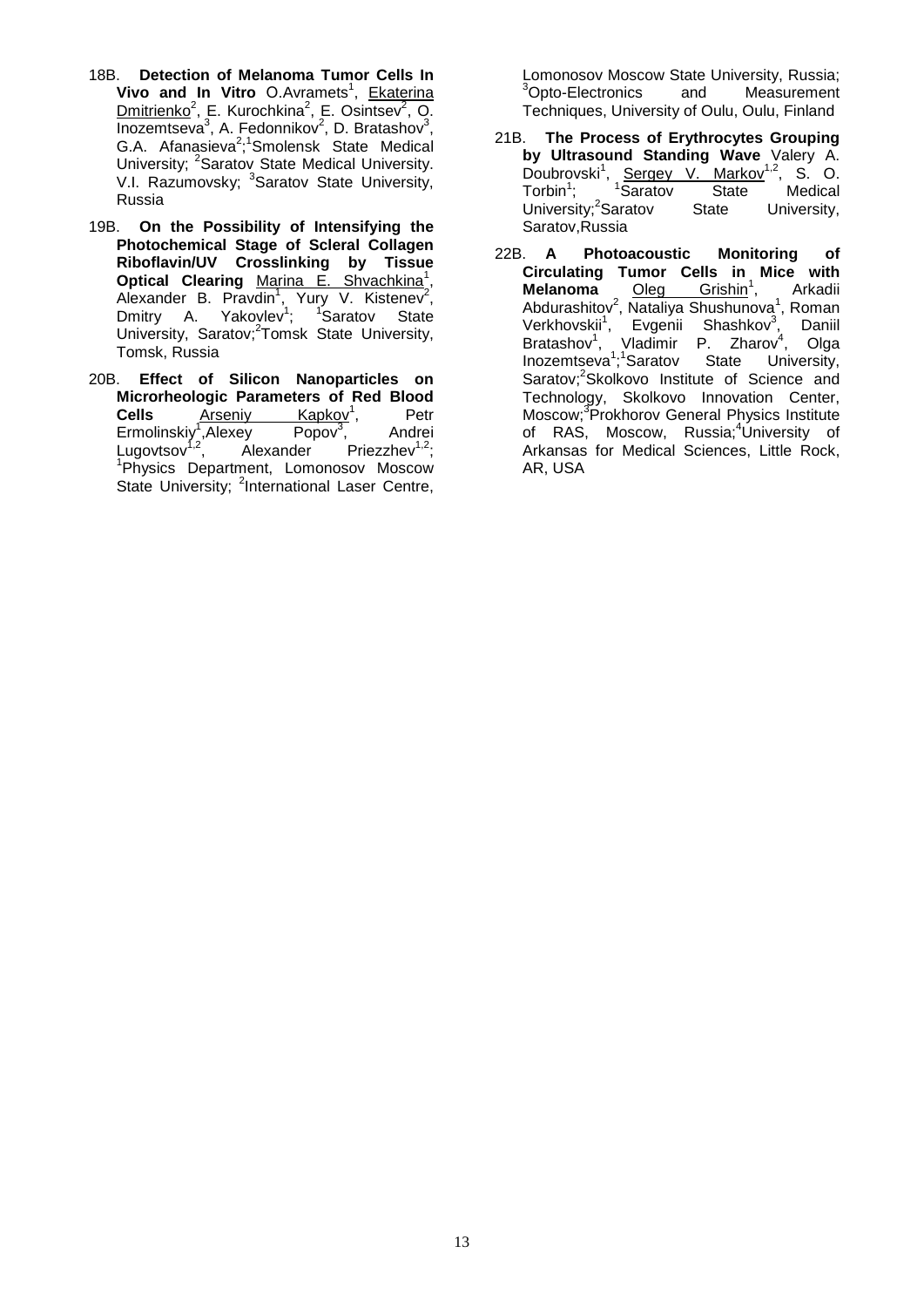- 18B. **Detection of Melanoma Tumor Cells In Vivo and In Vitro** O.Avramets<sup>1</sup>, Ekaterina Dmitrienko<sup>2</sup>, E. Kurochkina<sup>2</sup>, E. Osintsev<sup>2</sup>, O. Inozemtseva<sup>3</sup>, A. Fedonnikov<sup>2</sup>, D. Bratashov<sup>3</sup>, G.A. Afanasieva<sup>2</sup>;<sup>1</sup>Smolensk State Medical University; <sup>2</sup>Saratov State Medical University. V.I. Razumovsky; <sup>3</sup>Saratov State University, Russia
- 19B. **On the Possibility of Intensifying the Photochemical Stage of Scleral Collagen Riboflavin/UV Crosslinking by Tissue Optical Clearing Marina E. Shvachkina**<sup>1</sup>, Alexander B. Pravdin<sup>1</sup>, Yury V. Kistenev<sup>2</sup>, Dmitry A. Yakovlev<sup>1</sup>; <sup>1</sup>Saratov State University, Saratov;<sup>2</sup>Tomsk State University, Tomsk, Russia
- 20B. **Effect of Silicon Nanoparticles on Microrheologic Parameters of Red Blood Cells** Arseniy Kapkov<sup>1</sup>, Petr A<u>rseniy Kapkov</u><sup>1</sup>,<br>v<sup>1</sup>.Alexev Popov<sup>3</sup>, Petr<br>Andrei Ermolinskiy<sup>1</sup>, Alexey Popov<sup>3</sup> , Andrei Lugovtsov<sup>1,2</sup>, Alexander Priezzhev<sup>1,2</sup>; 1 Physics Department, Lomonosov Moscow State University; <sup>2</sup>International Laser Centre,

Lomonosov Moscow State University, Russia;<br><sup>3</sup>Opto-Electronics and Measurement <sup>3</sup>Opto-Electronics and Measurement Techniques, University of Oulu, Oulu, Finland

- 21B. **The Process of Erythrocytes Grouping by Ultrasound Standing Wave** Valery A. Doubrovski<sup>1</sup>, Sergey V. Markov<sup>1,2</sup>, S. O. Torbin<sup>1</sup>; <sup>1</sup>Saratov State Medical University:<sup>2</sup>Saratov State University, Saratov,Russia
- 22B. **A Photoacoustic Monitoring of Circulating Tumor Cells in Mice with Melanoma Oleg Grishin<sup>1</sup>, Arkadii** Abdurashitov<sup>2</sup>, Nataliya Shushunova<sup>1</sup>, Roman Verkhovskii<sup>1</sup>, Evgenii Shashkov<sup>3</sup>, Daniil Bratashov<sup>1</sup>, Vladimir P. Zharov<sup>4</sup>, Olga Inozemtseva<sup>1</sup>,<sup>1</sup>Saratov State University, Saratov;<sup>2</sup>Skolkovo Institute of Science and Technology, Skolkovo Innovation Center, Moscow;3 Prokhorov General Physics Institute of RAS, Moscow, Russia;<sup>4</sup>University of Arkansas for Medical Sciences, Little Rock, AR, USA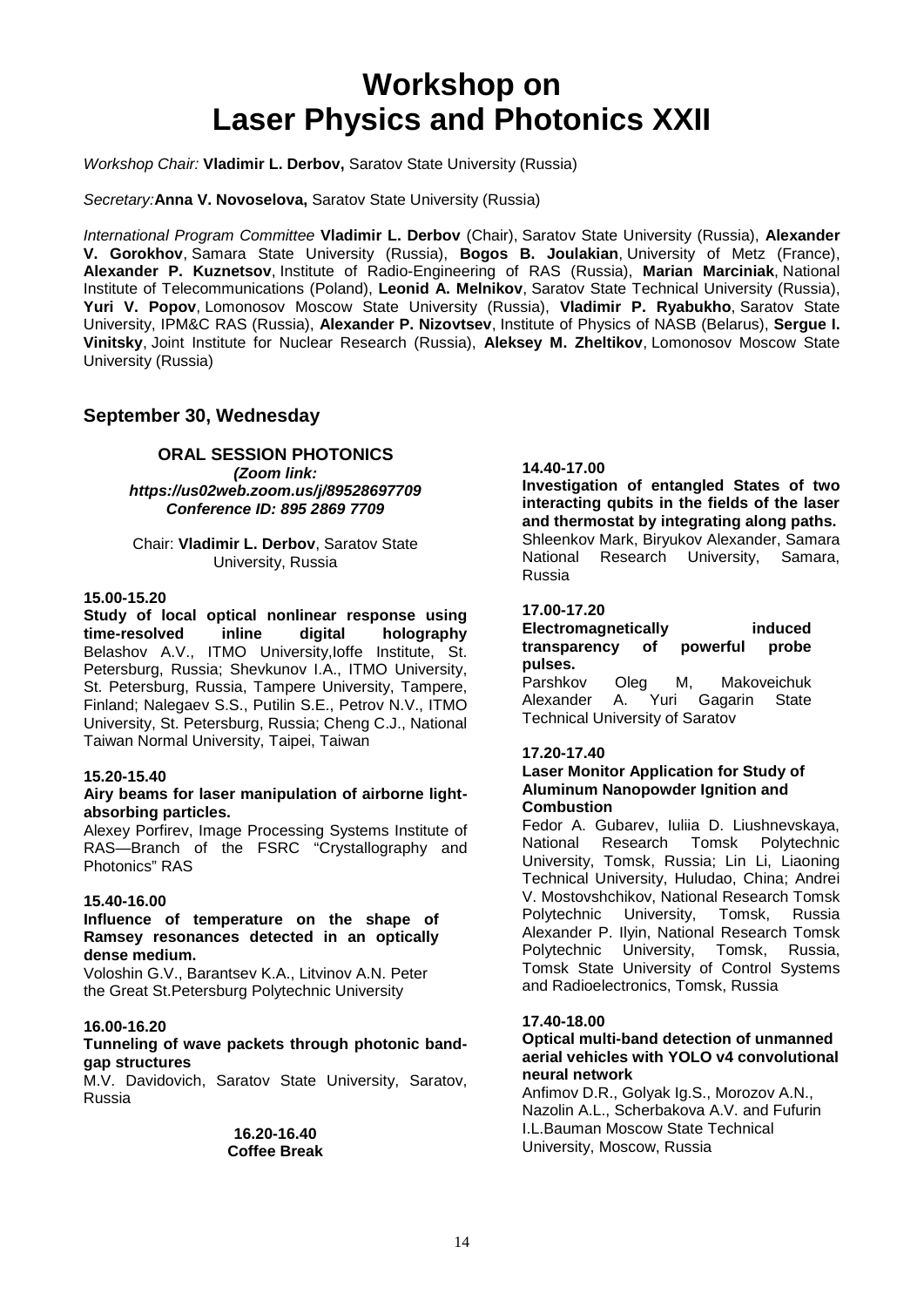### **Workshop on Laser Physics and Photonics XXII**

#### *Workshop Chair:* **Vladimir L. Derbov,** Saratov State University (Russia)

*Secretary:***Anna V. Novoselova,** Saratov State University (Russia)

*International Program Committee* **Vladimir L. Derbov** (Chair), Saratov State University (Russia), **Alexander V. Gorokhov**, Samara State University (Russia), **Bogos B. Joulakian**, University of Metz (France), **Alexander P. Kuznetsov**, Institute of Radio-Engineering of RAS (Russia), **Marian Marciniak**, National Institute of Telecommunications (Poland), **Leonid A. Melnikov**, Saratov State Technical University (Russia), **Yuri V. Popov**, Lomonosov Moscow State University (Russia), **Vladimir P. Ryabukho**, Saratov State University, IPM&C RAS (Russia), **Alexander P. Nizovtsev**, Institute of Physics of NASB (Belarus), **Sergue I. Vinitsky**, Joint Institute for Nuclear Research (Russia), **Aleksey M. Zheltikov**, Lomonosov Moscow State University (Russia)

#### **September 30, Wednesday**

#### **ORAL SESSION PHOTONICS** *(Zoom link:*

*https://us02web.zoom.us/j/89528697709 Conference ID: 895 2869 7709*

#### Chair: **Vladimir L. Derbov**, Saratov State University, Russia

#### **15.00-15.20**

**[Study of local optical nonlinear response using](https://sfmconference.org/sfm/20/workshops/laser-physics-and-photonics-xxii/preliminary/248/)  [time-resolved inline digital holography](https://sfmconference.org/sfm/20/workshops/laser-physics-and-photonics-xxii/preliminary/248/)** Belashov A.V., ITMO University,Ioffe Institute, St. Petersburg, Russia; Shevkunov I.A., ITMO University, St. Petersburg, Russia, Tampere University, Tampere, Finland; Nalegaev S.S., Putilin S.E., Petrov N.V., ITMO University, St. Petersburg, Russia; Cheng C.J., National Taiwan Normal University, Taipei, Taiwan

#### **15.20-15.40**

#### **[Airy beams for laser manipulation of airborne light](https://sfmconference.org/sfm/20/workshops/laser-physics-and-photonics-xxii/preliminary/110/)[absorbing particles.](https://sfmconference.org/sfm/20/workshops/laser-physics-and-photonics-xxii/preliminary/110/)**

Alexey Porfirev, Image Processing Systems Institute of RAS—Branch of the FSRC "Crystallography and Photonics" RAS

#### **15.40-16.00**

#### **[Influence of temperature on the shape of](https://sfmconference.org/sfm/20/workshops/laser-physics-and-photonics-xxii/preliminary/308/)  [Ramsey resonances detected in an optically](https://sfmconference.org/sfm/20/workshops/laser-physics-and-photonics-xxii/preliminary/308/)  [dense medium.](https://sfmconference.org/sfm/20/workshops/laser-physics-and-photonics-xxii/preliminary/308/)**

Voloshin G.V., Barantsev K.A., Litvinov A.N. Peter the Great St.Petersburg Polytechnic University

#### **16.00-16.20**

#### **[Tunneling of wave packets through photonic band](https://sfmconference.org/sfm/20/workshops/laser-physics-and-photonics-xxii/preliminary/61/)[gap structures](https://sfmconference.org/sfm/20/workshops/laser-physics-and-photonics-xxii/preliminary/61/)**

M.V. Davidovich, Saratov State University, Saratov, Russia

#### **16.20-16.40 Coffee Break**

#### **14.40-17.00**

**[Investigation of entangled States of two](https://sfmconference.org/sfm/20/workshops/laser-physics-and-photonics-xxii/preliminary/72/)  [interacting qubits in the fields of the laser](https://sfmconference.org/sfm/20/workshops/laser-physics-and-photonics-xxii/preliminary/72/)  [and thermostat by integrating along paths.](https://sfmconference.org/sfm/20/workshops/laser-physics-and-photonics-xxii/preliminary/72/)** Shleenkov Mark, Biryukov Alexander, Samara National Research University, Samara, Russia

#### **17.00-17.20**

#### **Electromagnetically induced**<br> **transparency of powerful probe** transparency of powerful **pulses.**

Oleg M, Makoveichuk Alexander A. Yuri Gagarin State Technical University of Saratov

#### **17.20-17.40**

#### **Laser Monitor Application for Study of Aluminum Nanopowder Ignition and Combustion**

Fedor A. Gubarev, Iuliia D. Liushnevskaya, National Research Tomsk Polytechnic University, Tomsk, Russia; Lin Li, Liaoning Technical University, Huludao, China; Andrei V. Mostovshchikov, National Research Tomsk Polytechnic University, Tomsk, Russia Alexander P. Ilyin, National Research Tomsk Polytechnic University, Tomsk, Russia, Tomsk State University of Control Systems and Radioelectronics, Tomsk, Russia

#### **17.40-18.00**

#### **Optical multi-band detection of unmanned aerial vehicles with YOLO v4 convolutional neural network**

Anfimov D.R., Golyak Ig.S., Morozov A.N., Nazolin A.L., Scherbakova A.V. and Fufurin I.L.Bauman Moscow State Technical University, Moscow, Russia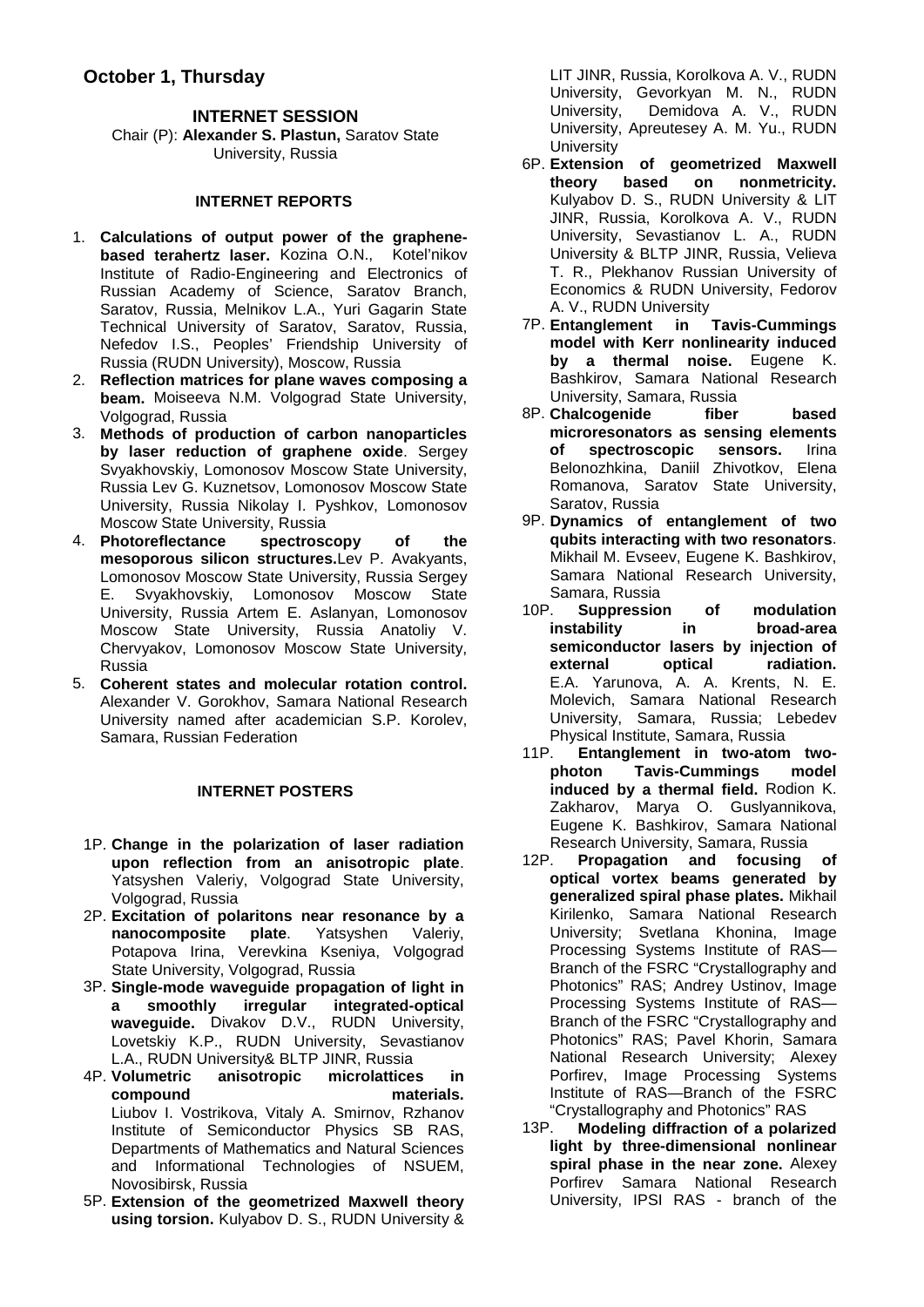#### **INTERNET SESSION**

Chair (P): **Alexander S. Plastun,** Saratov State University, Russia

#### **INTERNET REPORTS**

- 1. **[Calculations of output power of the graphene](https://sfmconference.org/sfm/20/workshops/laser-physics-and-photonics-xxii/preliminary/278/)[based terahertz laser.](https://sfmconference.org/sfm/20/workshops/laser-physics-and-photonics-xxii/preliminary/278/)** Kozina O.N., Kotel'nikov Institute of Radio-Engineering and Electronics of Russian Academy of Science, Saratov Branch, Saratov, Russia, Melnikov L.A., Yuri Gagarin State Technical University of Saratov, Saratov, Russia, Nefedov I.S., Peoples' Friendship University of Russia (RUDN University), Moscow, Russia
- 2. **[Reflection matrices for plane waves composing a](https://sfmconference.org/sfm/20/workshops/laser-physics-and-photonics-xxii/preliminary/301/)  [beam.](https://sfmconference.org/sfm/20/workshops/laser-physics-and-photonics-xxii/preliminary/301/)** Moiseeva N.M. Volgograd State University, Volgograd, Russia
- 3. **[Methods of production of carbon nanoparticles](https://sfmconference.org/sfm/20/workshops/laser-physics-and-photonics-xxii/preliminary/343/)  [by laser reduction of graphene oxide](https://sfmconference.org/sfm/20/workshops/laser-physics-and-photonics-xxii/preliminary/343/)**. Sergey Svyakhovskiy, Lomonosov Moscow State University, Russia Lev G. Kuznetsov, Lomonosov Moscow State University, Russia Nikolay I. Pyshkov, Lomonosov Moscow State University, Russia
- 4. **[Photoreflectance spectroscopy of the](https://sfmconference.org/sfm/20/workshops/laser-physics-and-photonics-xxii/preliminary/360/)  [mesoporous silicon structures.](https://sfmconference.org/sfm/20/workshops/laser-physics-and-photonics-xxii/preliminary/360/)**Lev P. Avakyants, Lomonosov Moscow State University, Russia Sergey E. Svyakhovskiy, Lomonosov Moscow State University, Russia Artem E. Aslanyan, Lomonosov Moscow State University, Russia Anatoliy V. Chervyakov, Lomonosov Moscow State University, Russia
- 5. **[Coherent states and molecular rotation control.](https://sfmconference.org/sfm/20/workshops/laser-physics-and-photonics-xxii/preliminary/153/)**  Alexander V. Gorokhov, Samara National Research University named after academician S.P. Korolev, Samara, Russian Federation

#### **INTERNET POSTERS**

- 1P. **Change in the polarization of laser radiation upon reflection from an anisotropic plate**. Yatsyshen Valeriy, Volgograd State University, Volgograd, Russia
- 2P. **Excitation of polaritons near resonance by a nanocomposite plate**. Yatsyshen Valeriy, Potapova Irina, Verevkina Kseniya, Volgograd State University, Volgograd, Russia
- 3P. **Single-mode waveguide propagation of light in a smoothly irregular integrated-optical waveguide.** Divakov D.V., RUDN University, Lovetskiy K.P., RUDN University, Sevastianov
- L.A., RUDN University & BLTP JINR, Russia<br>4P. Volumetric anisotropic microlattice anisotropic microlattices in<br>materials. compound Liubov I. Vostrikova, Vitaly A. Smirnov, Rzhanov Institute of Semiconductor Physics SB RAS, Departments of Mathematics and Natural Sciences and Informational Technologies of NSUEM, Novosibirsk, Russia
- 5P. **Extension of the geometrized Maxwell theory using torsion.** Kulyabov D. S., RUDN University &

LIT JINR, Russia, Korolkova A. V., RUDN University, Gevorkyan M. N., RUDN University, Demidova A. V., RUDN University, Apreutesey A. M. Yu., RUDN **University** 

- 6P. **Extension of geometrized Maxwell**  theory based on Kulyabov D. S., RUDN University & LIT JINR, Russia, Korolkova A. V., RUDN University, Sevastianov L. A., RUDN University & BLTP JINR, Russia, Velieva T. R., Plekhanov Russian University of Economics & RUDN University, Fedorov A. V., RUDN University
- 7P. **Entanglement in Tavis-Cummings model with Kerr nonlinearity induced by a thermal noise.** Eugene K. Bashkirov, Samara National Research University, Samara, Russia
- 8P. **Chalcogenide fiber based microresonators as sensing elements**  of spectroscopic Belonozhkina, Daniil Zhivotkov, Elena Romanova, Saratov State University, Saratov, Russia
- 9P. **Dynamics of entanglement of two qubits interacting with two resonators**. Mikhail M. Evseev, Eugene K. Bashkirov, Samara National Research University, Samara, Russia<br>10P. Suppressio
- Suppression of modulation **instability in broad-area semiconductor lasers by injection of external** E.A. Yarunova, A. A. Krents, N. E. Molevich, Samara National Research University, Samara, Russia; Lebedev Physical Institute, Samara, Russia<br>11P. Entanglement in two-atom
- **Entanglement in two-atom two-**<br>bton Tavis-Cummings model photon Tavis-Cummings **induced by a thermal field.** Rodion K. Zakharov, Marya O. Guslyannikova, Eugene K. Bashkirov, Samara National Research University, Samara, Russia<br>12P. **Propagation and focusing**
- Propagation and focusing of **optical vortex beams generated by generalized spiral phase plates.** Mikhail Kirilenko, Samara National Research University; Svetlana Khonina, Image Processing Systems Institute of RAS— Branch of the FSRC "Crystallography and Photonics" RAS; Andrey Ustinov, Image Processing Systems Institute of RAS— Branch of the FSRC "Crystallography and Photonics" RAS; Pavel Khorin, Samara National Research University; Alexey Porfirev, Image Processing Systems Institute of RAS—Branch of the FSRC
- "Crystallography and Photonics" RAS 13P. **Modeling diffraction of a polarized light by three-dimensional nonlinear spiral phase in the near zone.** Alexey Porfirev Samara National Research University, IPSI RAS - branch of the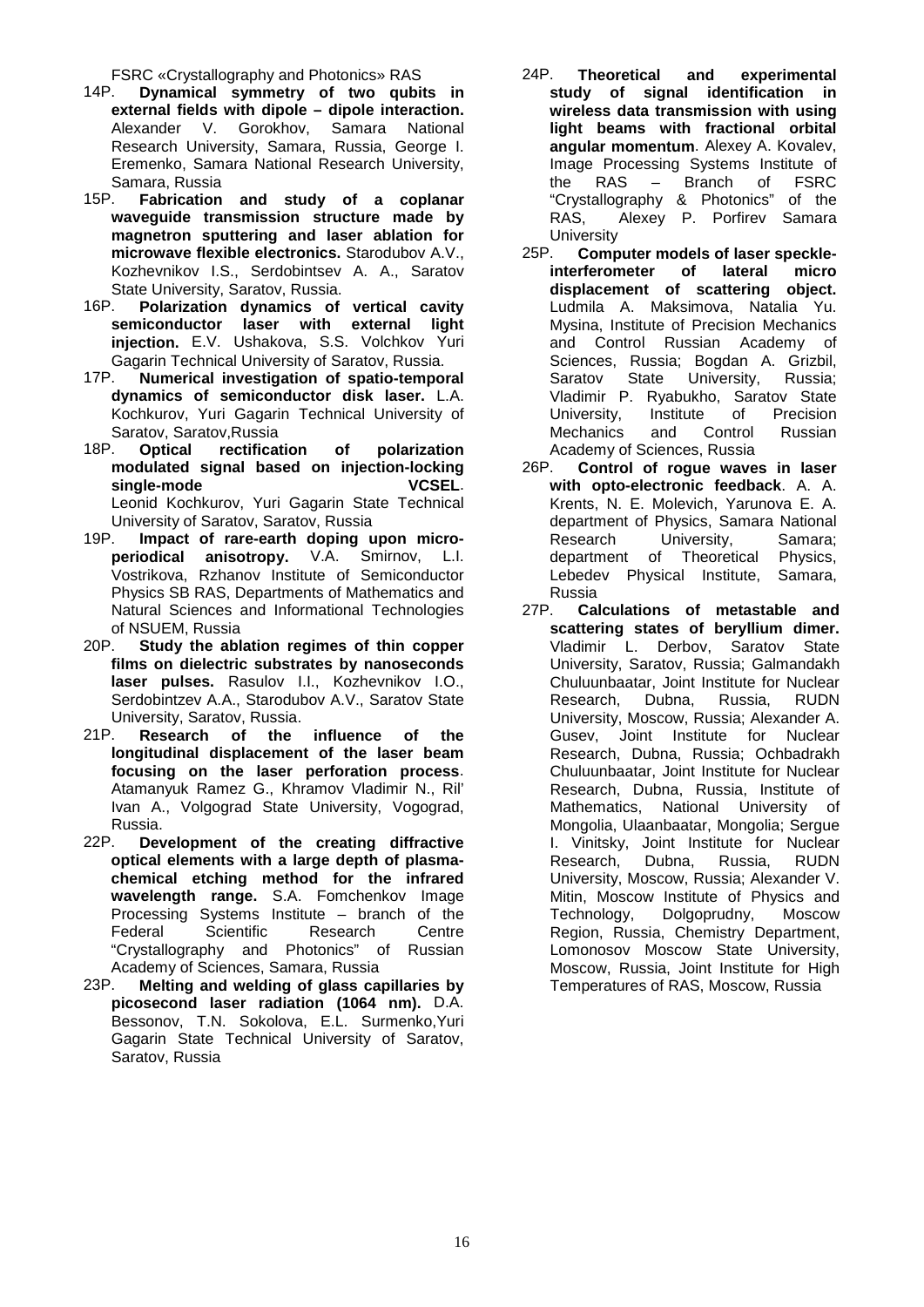FSRC «Crystallography and Photonics» RAS<br>14P. **Dynamical symmetry of two qubi** 

- Dynamical symmetry of two qubits in **[external fields with dipole –](https://sfmconference.org/sfm/20/workshops/laser-physics-and-photonics-xxii/preliminary/154/) dipole interaction.** Alexander V. Gorokhov, Samara National Research University, Samara, Russia, George I. Eremenko, Samara National Research University, Samara, Russia<br>15P. **Fabrication**
- 15P. **Fabrication and study of a coplanar waveguide transmission structure made by magnetron sputtering and laser ablation for microwave flexible electronics.** Starodubov A.V., Kozhevnikov I.S., Serdobintsev A. A., Saratov State University, Saratov, Russia.
- 16P. **Polarization dynamics of vertical cavity semiconductor laser with external light injection.** E.V. Ushakova, S.S. Volchkov Yuri Gagarin Technical University of Saratov, Russia.<br>17P Numerical investigation of spatio-tempor
- **Numerical investigation of spatio-temporal dynamics of semiconductor disk laser.** L.A. Kochkurov, Yuri Gagarin Technical University of Saratov, Saratov, Russia<br>18P. **Optical rectificat**
- rectification of polarization **modulated signal based on injection-locking single-mode VCSEL**. Leonid Kochkurov, Yuri Gagarin State Technical University of Saratov, Saratov, Russia
- 19P. **Impact of rare-earth doping upon microperiodical anisotropy.** V.A. Smirnov, L.I. Vostrikova, Rzhanov Institute of Semiconductor Physics SB RAS, Departments of Mathematics and Natural Sciences and Informational Technologies of NSUEM, Russia<br>20P. Study the abl
- Study the ablation regimes of thin copper **[films on dielectric substrates by nanoseconds](https://sfmconference.org/sfm/20/workshops/laser-physics-and-photonics-xxii/preliminary/216/)  [laser pulses.](https://sfmconference.org/sfm/20/workshops/laser-physics-and-photonics-xxii/preliminary/216/)** Rasulov I.I., Kozhevnikov I.O., Serdobintzev A.A., Starodubov A.V., Saratov State
- University, Saratov, Russia.<br>21P. Research of the Research of the influence of the **longitudinal displacement of the laser beam focusing on the laser perforation process**. Atamanyuk Ramez G., Khramov Vladimir N., Ril' Ivan A., Volgograd State University, Vogograd, Russia.<br>22P. Dev
- Development of the creating diffractive **optical elements with a large depth of plasmachemical etching method for the infrared wavelength range.** S.A. Fomchenkov Image Processing Systems Institute – branch of the Federal Scientific Research Centre "Crystallography and Photonics" of Russian Academy of Sciences, Samara, Russia
- 23P. **[Melting and welding of glass capillaries by](https://sfmconference.org/sfm/20/workshops/laser-physics-and-photonics-xxii/preliminary/309/)  [picosecond laser radiation \(1064 nm\).](https://sfmconference.org/sfm/20/workshops/laser-physics-and-photonics-xxii/preliminary/309/)** D.A. Bessonov, T.N. Sokolova, E.L. Surmenko,Yuri Gagarin State Technical University of Saratov, Saratov, Russia
- 24P. **Theoretical and experimental study of signal identification in wireless data transmission with using light beams with fractional orbital angular momentum**. Alexey A. Kovalev, Image Processing Systems Institute of the RAS – Branch of FSRC "Crystallography & Photonics" of the RAS, Alexey P. Porfirev Samara University<br>25P. Comp
- **Computer models of laser speckleinterferometer of lateral micro displacement of scattering object.** Ludmila A. Maksimova, Natalia Yu. Mysina, Institute of Precision Mechanics and Control Russian Academy of Sciences, Russia; Bogdan A. Grizbil, Saratov State University, Russia; Vladimir P. Ryabukho, Saratov State University, Institute of Precision<br>Mechanics and Control Russian **Mechanics**
- Academy of Sciences, Russia<br>26P. Control of roque wave 26P. **Сontrol of rogue waves in laser with opto-electronic feedback**. A. A. Krents, N. E. Molevich, Yarunova E. A. department of Physics, Samara National Research University, Samara; department of Theoretical Physics, Lebedev Physical Institute, Samara,
- Russia<br>27P. Ca Calculations of metastable and **[scattering states of beryllium dimer.](https://sfmconference.org/sfm/20/workshops/laser-physics-and-photonics-xxii/preliminary/85/)**  Vladimir L. Derbov, Saratov State University, Saratov, Russia; Galmandakh Chuluunbaatar, Joint Institute for Nuclear Research, Dubna, Russia, RUDN University, Moscow, Russia; Alexander A. Gusev, Joint Institute for Nuclear Research, Dubna, Russia; Ochbadrakh Chuluunbaatar, Joint Institute for Nuclear Research, Dubna, Russia, Institute of Mathematics, National University of Mongolia, Ulaanbaatar, Mongolia; Sergue I. Vinitsky, Joint Institute for Nuclear Research, Dubna, Russia, RUDN University, Moscow, Russia; Alexander V. Mitin, Moscow Institute of Physics and Technology, Dolgoprudny, Moscow Region, Russia, Chemistry Department, Lomonosov Moscow State University, Moscow, Russia, Joint Institute for High Temperatures of RAS, Moscow, Russia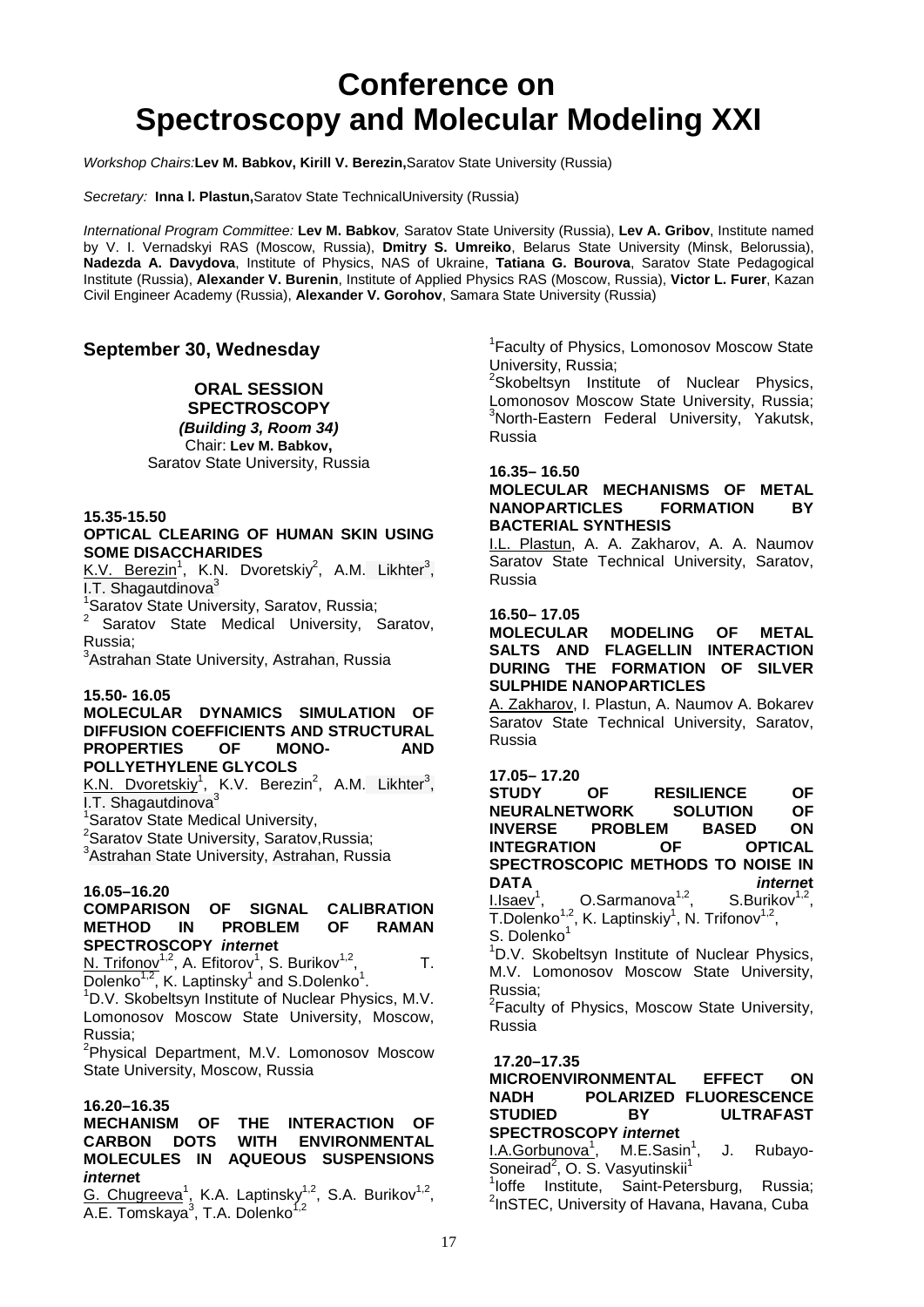### **Conference on Spectroscopy and Molecular Modeling XXI**

*Workshop Chairs:***Lev M. Babkov, Kirill V. Berezin,**Saratov State University (Russia)

*Secretary:* **Inna l. Plastun,**Saratov State TechnicalUniversity (Russia)

*International Program Committee:* **Lev M. Babkov***,* Saratov State University (Russia), **Lev A. Gribov**, Institute named by V. I. Vernadskyi RAS (Moscow, Russia), **Dmitry S. Umreiko**, Belarus State University (Minsk, Belorussia), **Nadezda A. Davydova**, Institute of Physics, NAS of Ukraine, **Tatiana G. Bourova**, Saratov State Pedagogical Institute (Russia), **Alexander V. Burenin**, Institute of Applied Physics RAS (Moscow, Russia), **Victor L. Furer**, Kazan Civil Engineer Academy (Russia), **Alexander V. Gorohov**, Samara State University (Russia)

#### **September 30, Wednesday**

#### **ORAL SESSION**

**SPECTROSCOPY**  *(Building 3, Room 34)* Chair: **Lev M. Babkov,** Saratov State University, Russia

#### **15.35-15.50**

#### **OPTICAL CLEARING OF HUMAN SKIN USING SOME DISACCHARIDES**

K.V. Berezin<sup>1</sup>, K.N. Dvoretskiy<sup>2</sup>, A.M. Likhter<sup>3</sup>, I.T. Shagautdinova $3$ 

1 Saratov State University, Saratov, Russia;

<sup>2</sup> Saratov State Medical University, Saratov, Russia;

<sup>3</sup>Astrahan State University, Astrahan, Russia

#### **15.50- 16.05**

#### **MOLECULAR DYNAMICS SIMULATION OF DIFFUSION COEFFICIENTS AND STRUCTURAL PROPERTIES OF MONO- AND POLLYETHYLENE GLYCOLS**

K.N. Dvoretskiy<sup>1</sup>, K.V. Berezin<sup>2</sup>, A.M. Likhter<sup>3</sup>, I.T. Shagautdinova<sup>3</sup>

1 Saratov State Medical University,

<sup>2</sup> Saratov State University, Saratov, Russia;

<sup>3</sup>Astrahan State University, Astrahan, Russia

#### **16.05–16.20 COMPTARISON OF SIGNAL CALIBRATION<br>IN PROBLEM OF RAMAN METHOD IN PROBLEM SPECTROSCOPY** *interne***t**

N. Trifonov<sup>1,2</sup>, A. Efitorov<sup>1</sup>, S. Burikov<sup>1,2</sup>, T.  $\overline{\text{Dolenko}^{1,2}}$ , K. Laptinsky<sup>1</sup> and S.Dolenko<sup>1</sup>.<br><sup>1</sup>D.V. Skebeltevn lastitute of Nuclear Bhyg

<sup>1</sup>D.V. Skobeltsyn Institute of Nuclear Physics, M.V. Lomonosov Moscow State University, Moscow, Russia;

<sup>2</sup>Physical Department, M.V. Lomonosov Moscow State University, Moscow, Russia

#### **16.20–16.35**

#### **MECHANISM OF THE INTERACTION OF CARBON DOTS WITH ENVIRONMENTAL MOLECULES IN AQUEOUS SUSPENSIONS**  *interne***t**

G. Chugreeva<sup>1</sup>, K.A. Laptinsky<sup>1,2</sup>, S.A. Burikov<sup>1,2</sup>, A.E. Tomskaya<sup>3</sup>, T.A. Dolenko<sup>1,2</sup>

<sup>1</sup> Faculty of Physics, Lomonosov Moscow State University, Russia;

<sup>2</sup>Skobeltsyn Institute of Nuclear Physics, Lomonosov Moscow State University, Russia; <sup>3</sup>North-Eastern Federal University, Yakutsk, Russia

#### **16.35– 16.50**

#### **MOLECULAR MECHANISMS OF METAL NANOPARTICLES BACTERIAL SYNTHESIS**

I.L. Plastun, A. A. Zakharov, A. A. Naumov Saratov State Technical University, Saratov, Russia

#### **16.50– 17.05**

**MOLECULAR MODELING OF METAL SALTS AND FLAGELLIN INTERACTION DURING THE FORMATION OF SILVER SULPHIDE NANOPARTICLES**

A. Zakharov, I. Plastun, A. Naumov A. Bokarev Saratov State Technical University, Saratov, Russia

### **17.05– 17.20**

**OF RESILIENCE OF**<br>WORK SOLUTION OF **NEURALNETWORK SOLUTION OF INVERSE PROBLEM BASED ON**<br>N OF OPTICAL **INTEGRATION SPECTROSCOPIC METHODS TO NOISE IN DATA** *interne***t**  $1.1$ saev<sup>1</sup>, O.Sarmanova<sup>1,2</sup>, S.Burikov<sup>1,2</sup>,  $\overline{T}$ .Dolenko<sup>1,2</sup>, K. Laptinskiy<sup>1</sup>, N. Trifonov<sup>1,2</sup>,

S. Dolenko<sup>1</sup><br><sup>1</sup>D.V. Skob

<sup>1</sup>D.V. Skobeltsyn Institute of Nuclear Physics, M.V. Lomonosov Moscow State University, Russia;

<sup>2</sup> Faculty of Physics, Moscow State University, Russia

**17.20–17.35**

**MICROENVIRONMENTAL EFFECT ON NADH POLARIZED FLUORESCENCE STUDIED BY ULTRAFAST SPECTROSCOPY** *interne***t**

<u>I.A.Gorbunova<sup>1</sup>,</u> M.E.Sasin<sup>1</sup> , J. Rubayo-Soneirad<sup>2</sup>, O. S. Vasyutinskii<sup>1</sup>

<sup>1</sup>loffe Institute, Saint-Petersburg, Russia;<br><sup>2</sup>leSTEC University of Hovena Hovena Cube  $2$ InSTEC, University of Havana, Havana, Cuba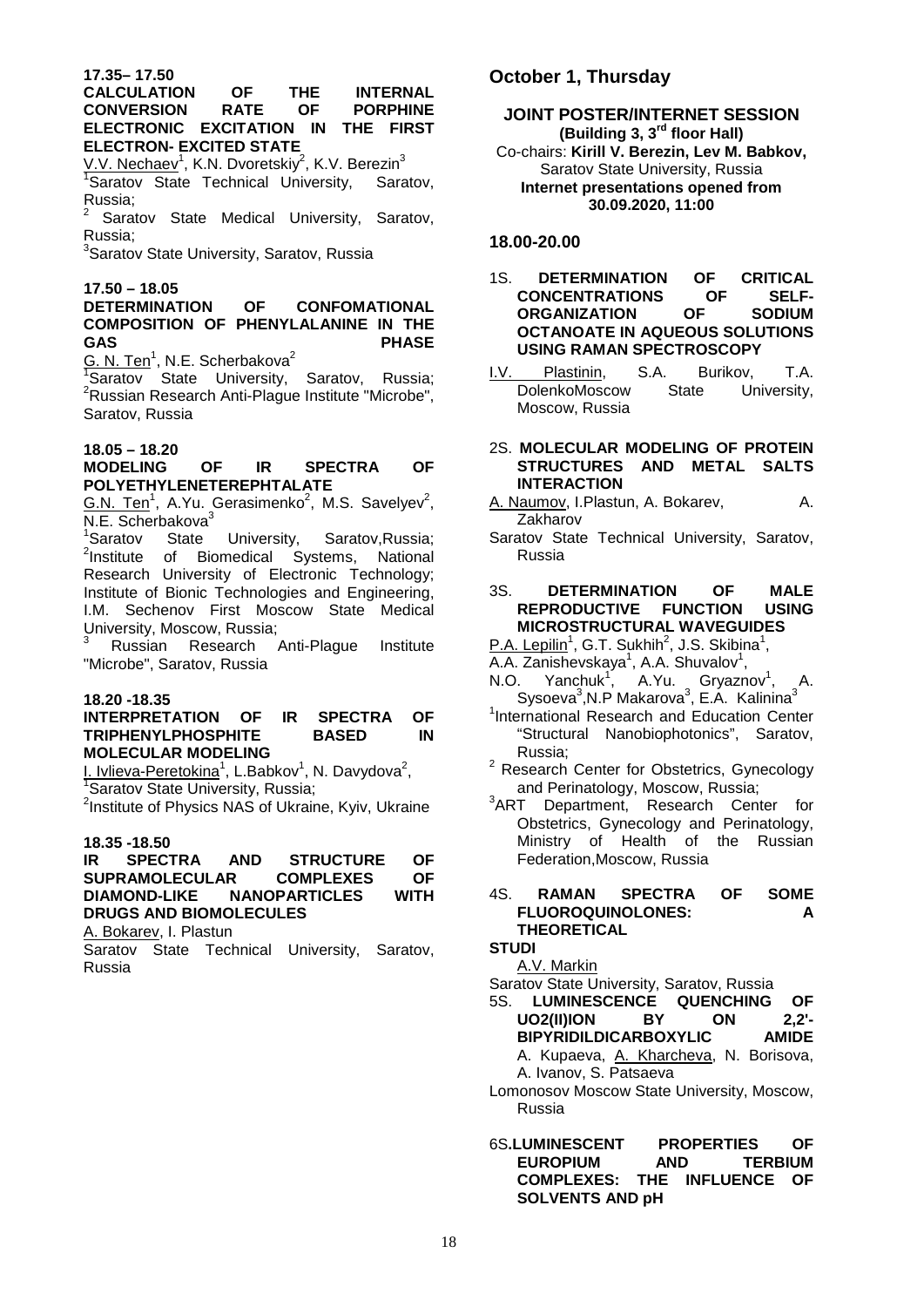#### **CALCULATION OF THE INTERNAL CONVERSION RATE OF PORPHINE ELECTRONIC EXCITATION IN THE FIRST ELECTRON- EXCITED STATE**

<u>V.V. Nechaev</u><sup>1</sup>, K.N. Dvoretskiy<sup>2</sup>, K.V. Berezin<sup>3</sup> 1 Saratov State Technical University, Saratov, Russia;

Saratov State Medical University, Saratov, Russia;

<sup>3</sup>Saratov State University, Saratov, Russia

**17.50 – 18.05** 

#### **DETERMINATION OF CONFOMATIONAL COMPOSITION OF PHENYLALANINE IN THE GAS PHASE**

<u>G. N. Ten<sup>1</sup>, N.E. Scherbakova<sup>2</sup></u>

<sup>1</sup>Saratov State University, Saratov, Russia; <sup>2</sup>Russian Research Anti-Plague Institute "Microbe", Saratov, Russia

#### **18.05 – 18.20**

#### **MODELING OF IR SPECTRA OF POLYETHYLENETEREPHTALATE**

 $G.N.$  Ten<sup>1</sup>, A.Yu. Gerasimenko<sup>2</sup>, M.S. Savelyev<sup>2</sup>,  $N.E.$  Scherbakova $3$ 

<sup>1</sup>Saratov State University, Saratov, Russia; <sup>2</sup>Institute of Biomedical Systems, National Research University of Electronic Technology; Institute of Bionic Technologies and Engineering, I.M. Sechenov First Moscow State Medical University, Moscow, Russia;

<sup>3</sup> Russian Research Anti-Plague Institute "Microbe", Saratov, Russia

#### **18.20 -18.35**

#### **INTERPRETATION OF IR SPECTRA OF TRIPHENYLPHOSPHITE BASED IN MOLECULAR MODELING**

I. Ivlieva-Peretokina<sup>1</sup>, L.Babkov<sup>1</sup>, N. Davydova<sup>2</sup>,<br><sup>1</sup>Saratov State University, Bussia: <sup>1</sup>Saratov State University, Russia;

 $2$ Institute of Physics NAS of Ukraine, Kyiv, Ukraine

### **18.35 -18.50**

#### **IR SPECTRA AND STRUCTURE OF SUPRAMOLECULAR DIAMOND-LIKE NANOPARTICLES WITH DRUGS AND BIOMOLECULES**

A. Bokarev, I. Plastun

Saratov State Technical University, Saratov, Russia

#### **October 1, Thursday**

#### **JOINT POSTER/INTERNET SESSION (Building 3, 3rd floor Hall)** Co-chairs: **Kirill V. Berezin, Lev M. Babkov,** Saratov State University, Russia **Internet presentations opened from 30.09.2020, 11:00**

#### **18.00-20.00**

#### 1S. **DETERMINATION OF CRITICAL CONCENTRATIONS ORGANIZATION OF ORGANIZATION OF SODIUM OCTANOATE IN AQUEOUS SOLUTIONS USING RAMAN SPECTROSCOPY**

- I.V. Plastinin, S.A. Burikov, T.A.<br>DolenkoMoscow State University, DolenkoMoscow State University, Moscow, Russia
- 2S. **MOLECULAR MODELING OF PROTEIN STRUCTURES AND METAL SALTS INTERACTION**
- A. Naumov, I.Plastun, A. Bokarev, A. Zakharov
- Saratov State Technical University, Saratov, Russia

#### 3S. **DETERMINATION OF MALE REPRODUCTIVE FUNCTION USING MICROSTRUCTURAL WAVEGUIDES**

P.A. Lepilin<sup>1</sup>, G.T. Sukhih<sup>2</sup>, J.S. Skibina<sup>1</sup>,

- A.A. Zanishevskaya<sup>1</sup>, A.A. Shuvalov<sup>1</sup>,
- N.O. Yanchuk<sup>1</sup>, A.Yu. Gryaznov<sup>1</sup>, A. Sysoeva<sup>3</sup>, N.P Makarova<sup>3</sup>, E.A. Kalinina<sup>3</sup>
- <sup>1</sup>International Research and Education Center "Structural Nanobiophotonics", Saratov, Russia;
- <sup>2</sup> Research Center for Obstetrics, Gynecology
- and Perinatology, Moscow, Russia;<br><sup>3</sup>ART Department, Research Cent Department, Research Center for Obstetrics, Gynecology and Perinatology, Ministry of Health of the Russian Federation,Moscow, Russia

#### 4S. **RAMAN SPECTRA OF SOME FLUOROQUINOLONES: A THEORETICAL**

**STUDI** 

A.V. Markin

- Saratov State University, Saratov, Russia
- 5S. **LUMINESCENCE QUENCHING OF UO2(II)ION BY ON 2,2'-**
	- **BIPYRIDILDICARBOXYLIC AMIDE** A. Kupaeva, A. Kharcheva, N. Borisova, A. Ivanov, S. Patsaeva
- Lomonosov Moscow State University, Moscow, Russia
- 6S**.LUMINESCENT PROPERTIES OF EUROPIUM COMPLEXES: THE INFLUENCE OF SOLVENTS AND pH**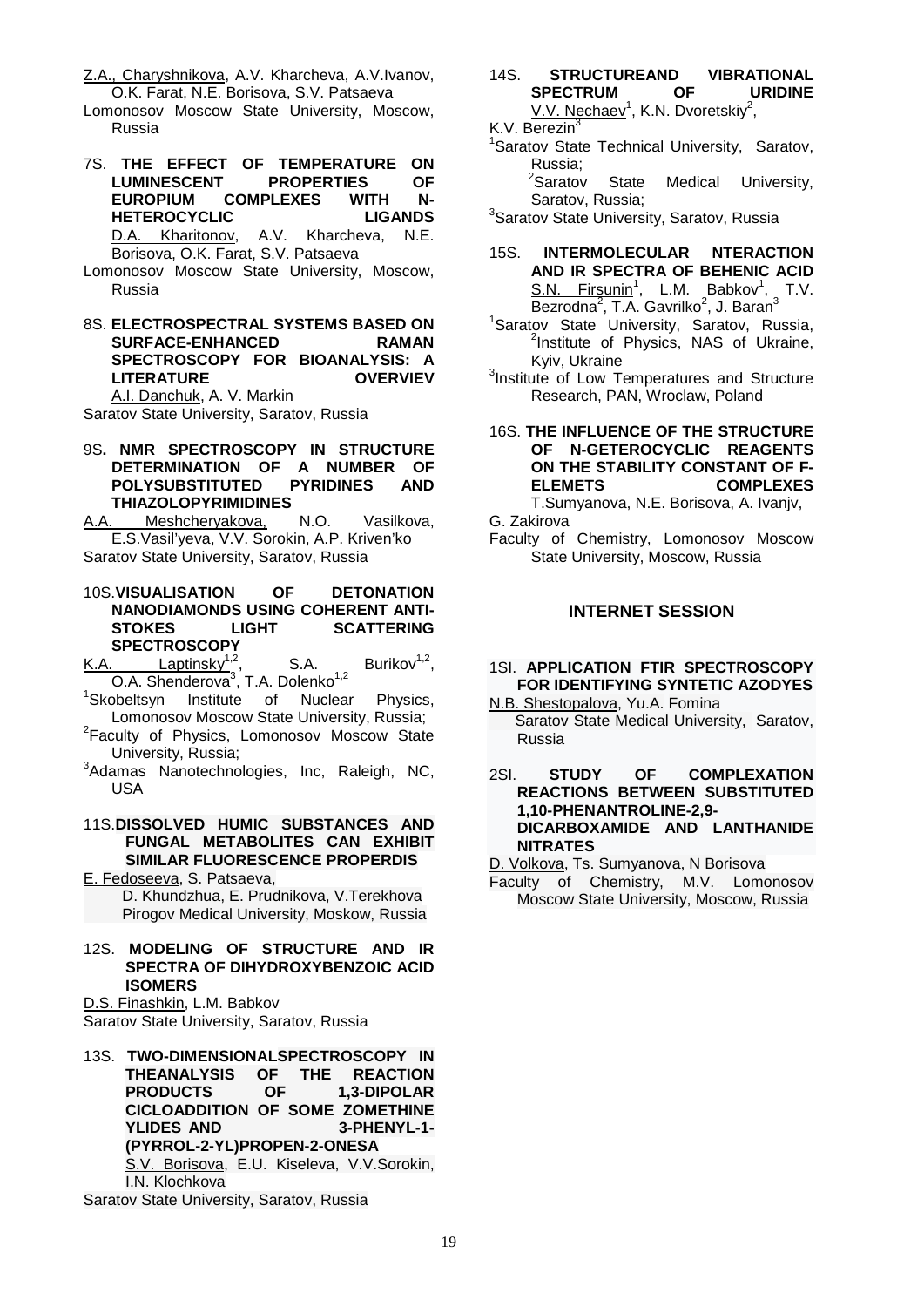Z.A., Charyshnikova, A.V. Kharcheva, A.V.Ivanov. O.K. Farat, N.E. Borisova, S.V. Patsaeva

Lomonosov Moscow State University, Moscow, Russia

- 7S. **THE EFFECT OF TEMPERATURE ON LUMINESCENT EUROPIUM COMPLEXES WITH N-HETEROCYCLIC LIGANDS**  D.A. Kharitonov, A.V. Kharcheva, N.E. Borisova, O.K. Farat, S.V. Patsaeva Lomonosov Moscow State University, Moscow,
- Russia
- 8S. **ELECTROSPECTRAL SYSTEMS BASED ON SURFACE-ENHANCED SPECTROSCOPY FOR BIOANALYSIS: A LITERATURE OVERVIEV** A.I. Danchuk, A. V. Markin

Saratov State University, Saratov, Russia

9S**. NMR SPECTROSCOPY IN STRUCTURE DETERMINATION OF A NUMBER OF POLYSUBSTITUTED THIAZOLOPYRIMIDINES**

A.A. Meshcheryakova, N.O. Vasilkova, E.S.Vasil'yeva, V.V. Sorokin, A.P. Kriven'ko Saratov State University, Saratov, Russia

- 10S.**VISUALISATION OF DETONATION NANODIAMONDS USING COHERENT ANTI-STOKES LIGHT SCATTERING SPECTROSCOPY**
- K.A. Laptinsky<sup>1,2</sup>, S.A. Burikov<sup>1,2</sup>, O.A. Shenderova<sup>3</sup>, T.A. Dolenko<sup>1,2</sup>
- <sup>1</sup>Skobeltsyn Institute of Nuclear Physics, Lomonosov Moscow State University, Russia; 2
- <sup>2</sup>Faculty of Physics, Lomonosov Moscow State University, Russia; 3
- $3$ Adamas Nanotechnologies, Inc, Raleigh, NC, USA

#### 11S.**DISSOLVED HUMIC SUBSTANCES AND FUNGAL METABOLITES CAN EXHIBIT SIMILAR FLUORESCENCE PROPERDIS**

E. Fedoseeva, S. Patsaeva, D. Khundzhua, E. Prudnikova, V.Terekhova Pirogov Medical University, Moskow, Russia

#### 12S. **MODELING OF STRUCTURE AND IR SPECTRA OF DIHYDROXYBENZOIC ACID ISOMERS**

D.S. Finashkin, L.M. Babkov

Saratov State University, Saratov, Russia

13S. **TWO-DIMENSIONALSPECTROSCOPY IN THEANALYSIS OF THE REACTION PRODUCTS OF 1,3-DIPOLAR CICLOADDITION OF SOME ZOMETHINE YLIDES AND (PYRROL-2-YL)PROPEN-2-ONESA**  S.V. Borisova, E.U. Kiseleva, V.V.Sorokin, I.N. Klochkova

#### 14S. **STRUCTUREAND VIBRATIONAL SPECTRUM** V.V. Nechaev<sup>1</sup>, K.N. Dvoretskiy<sup>2</sup>,

#### K.V. Berezin<sup>3</sup>

<sup>1</sup>Saratov State Technical University, Saratov,

Russia;<br><sup>2</sup>Saratov State Medical University, Saratov, Russia;

<sup>3</sup>Saratov State University, Saratov, Russia

- 15S. **INTERMOLECULAR NTERACTION AND IR SPECTRA OF BEHENIC ACID**  S.N. Firsunin<sup>1</sup>, L.M. Babkov<sup>1</sup>, T.V.  $\overline{\mathsf{Bez}$ rodna<sup>2</sup>, T.A. Gavrilko<sup>2</sup>, J. Baran<sup>3</sup>
- <sup>1</sup>Saratov State University, Saratov, Russia, <sup>2</sup>Institute of Physics, NAS of Ukraine,
- Kyiv, Ukraine<br><sup>3</sup>Institute of Low Temperatures and Structure Research, PAN, Wroclaw, Poland

#### 16S. **THE INFLUENCE OF THE STRUCTURE OF N-GETEROCYCLIC REAGENTS ON THE STABILITY CONSTANT OF F-ELEMETS COMPLEXES** T.Sumyanova, N.E. Borisova, A. Ivanjv,

G. Zakirova

Faculty of Chemistry, Lomonosov Moscow State University, Moscow, Russia

#### **INTERNET SESSION**

1SI. **APPLICATION FTIR SPECTROSCOPY FOR IDENTIFYING SYNTETIC AZODYES**

#### N.B. Shestopalova, Yu.A. Fomina

 Saratov State Medical University, Saratov, Russia

2SI. **STUDY OF COMPLEXATION REACTIONS BETWEEN SUBSTITUTED 1,10-PHENANTROLINE-2,9- DICARBOXAMIDE AND LANTHANIDE NITRATES**

D. Volkova, Ts. Sumyanova, N Borisova

Faculty of Chemistry, M.V. Lomonosov Moscow State University, Moscow, Russia

Saratov State University, Saratov, Russia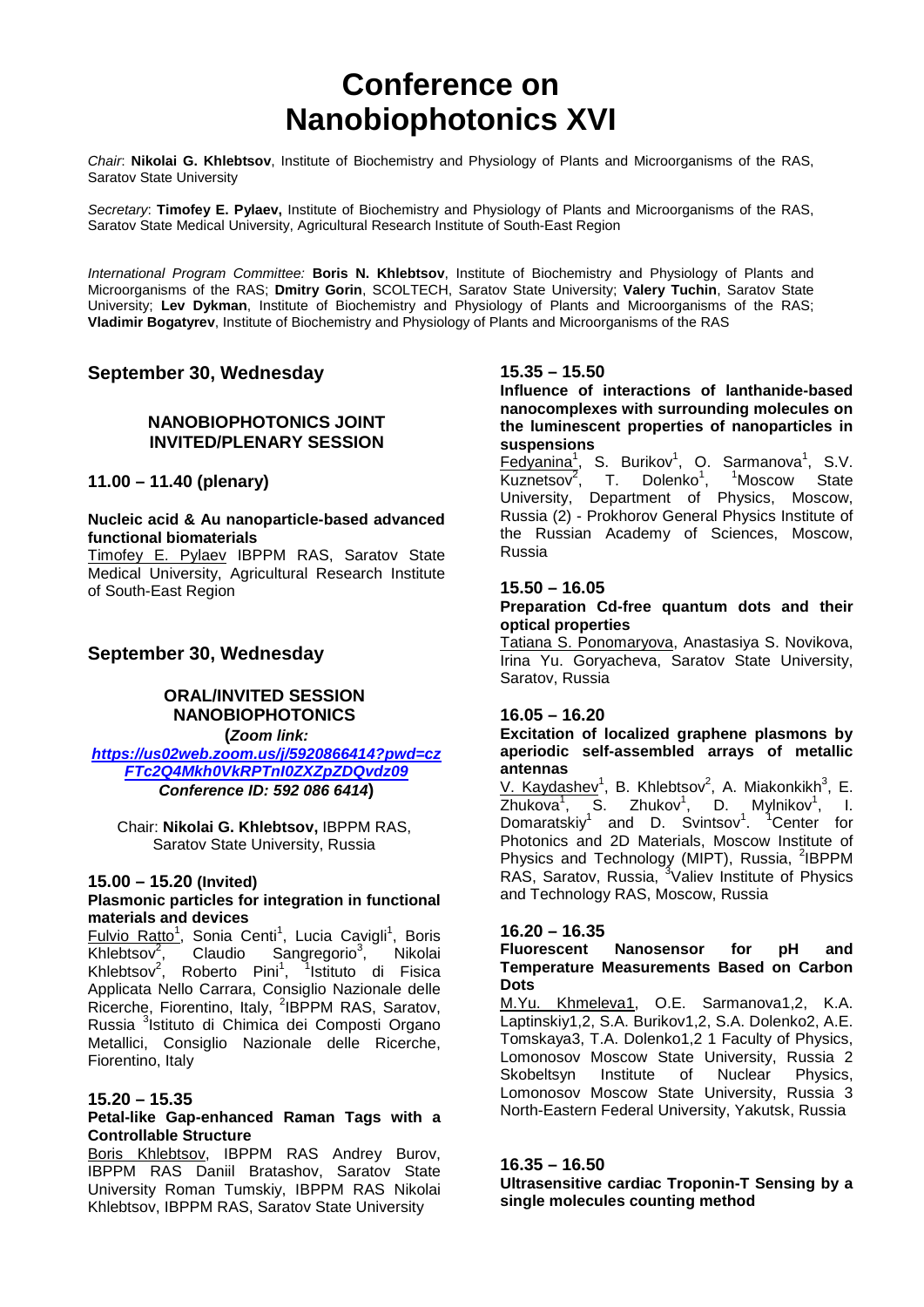### **Conference on Nanobiophotonics XVI**

*Chair*: **Nikolai G. Khlebtsov**, Institute of Biochemistry and Physiology of Plants and Microorganisms of the RAS, Saratov State University

*Secretary*: **Timofey E. Pylaev,** Institute of Biochemistry and Physiology of Plants and Microorganisms of the RAS, Saratov State Medical University, Agricultural Research Institute of South-East Region

*International Program Committee:* **Boris N. Khlebtsov**, Institute of Biochemistry and Physiology of Plants and Microorganisms of the RAS; **Dmitry Gorin**, SCOLTECH, Saratov State University; **Valery Tuchin**, Saratov State University; **Lev Dykman**, Institute of Biochemistry and Physiology of Plants and Microorganisms of the RAS; **Vladimir Bogatyrev**, Institute of Biochemistry and Physiology of Plants and Microorganisms of the RAS

#### **September 30, Wednesday**

#### **NANOBIOPHOTONICS JOINT INVITED/PLENARY SESSION**

**11.00 – 11.40 (plenary)**

#### **Nucleic acid & Au nanoparticle-based advanced functional biomaterials**

Timofey E. Pylaev IBPPM RAS, Saratov State Medical University, Agricultural Research Institute of South-East Region

#### **September 30, Wednesday**

#### **ORAL/INVITED SESSION NANOBIOPHOTONICS**

**(***Zoom link:* 

*[https://us02web.zoom.us/j/5920866414?pwd=cz](https://us02web.zoom.us/j/5920866414?pwd=czFTc2Q4Mkh0VkRPTnI0ZXZpZDQvdz09) [FTc2Q4Mkh0VkRPTnI0ZXZpZDQvdz09](https://us02web.zoom.us/j/5920866414?pwd=czFTc2Q4Mkh0VkRPTnI0ZXZpZDQvdz09) Conference ID: 592 086 6414***)**

Chair: **Nikolai G. Khlebtsov,** IBPPM RAS, Saratov State University, Russia

#### **15.00 – 15.20 (Invited)**

#### **Plasmonic particles for integration in functional materials and devices**

Fulvio Ratto<sup>1</sup>, Sonia Centi<sup>1</sup>, Lucia Cavigli<sup>1</sup>, Boris  $K$ hlebtsov<sup>2</sup>, Claudio Sangregorio<sup>3</sup>, Nikolai Khlebtsov<sup>2</sup>, Roberto Pini<sup>1</sup>, <sup>1</sup>Istituto di Fisica Applicata Nello Carrara, Consiglio Nazionale delle Ricerche, Fiorentino, Italy, <sup>2</sup>IBPPM RAS, Saratov, Russia <sup>3</sup>Istituto di Chimica dei Composti Organo Metallici, Consiglio Nazionale delle Ricerche, Fiorentino, Italy

#### **15.20 – 15.35**

#### **Petal-like Gap-enhanced Raman Tags with a Controllable Structure**

Boris Khlebtsov, IBPPM RAS Andrey Burov, IBPPM RAS Daniil Bratashov, Saratov State University Roman Tumskiy, IBPPM RAS Nikolai Khlebtsov, IBPPM RAS, Saratov State University

#### **15.35 – 15.50**

**Influence of interactions of lanthanide-based nanocomplexes with surrounding molecules on the luminescent properties of nanoparticles in suspensions**

Fedyanina<sup>1</sup>, S. Burikov<sup>1</sup>, O. Sarmanova<sup>1</sup>, S.V.  $Kuznetsov<sup>2</sup>$ , T. Dolenko<sup>1</sup>, <sup>1</sup>Moscow State University, Department of Physics, Moscow, Russia (2) - Prokhorov General Physics Institute of the Russian Academy of Sciences, Moscow, Russia

#### **15.50 – 16.05**

#### **Preparation Cd-free quantum dots and their optical properties**

Tatiana S. Ponomaryova, Anastasiya S. Novikova, Irina Yu. Goryacheva, Saratov State University, Saratov, Russia

#### **16.05 – 16.20**

#### **Excitation of localized graphene plasmons by aperiodic self-assembled arrays of metallic antennas**

 $V.$  Kaydashev<sup>1</sup>, B. Khlebtsov<sup>2</sup>, A. Miakonkikh<sup>3</sup>, E.  $\overline{\mathsf{Z}}$ hukova<sup>1</sup>, S. Zhukov<sup>1</sup> D. Mylnikov $1$ , , I. Domaratskiy<sup>1</sup> and D. Svintsov<sup>1</sup>.<sup>1</sup> <sup>1</sup>Center for Photonics and 2D Materials, Moscow Institute of Physics and Technology (MIPT), Russia, <sup>2</sup>IBPPM RAS, Saratov, Russia, <sup>3</sup>Valiev Institute of Physics and Technology RAS, Moscow, Russia

#### **16.20 – 16.35**

#### **Fluorescent Nanosensor for pH and Temperature Measurements Based on Carbon Dots**

M.Yu. Khmeleva1, O.E. Sarmanova1,2, K.A. Laptinskiy1,2, S.A. Burikov1,2, S.A. Dolenko2, A.E. Tomskaya3, T.A. Dolenko1,2 1 Faculty of Physics, Lomonosov Moscow State University, Russia 2 Skobeltsyn Institute of Nuclear Physics, Lomonosov Moscow State University, Russia 3 North-Eastern Federal University, Yakutsk, Russia

#### **16.35 – 16.50**

**Ultrasensitive cardiac Troponin-T Sensing by a single molecules counting method**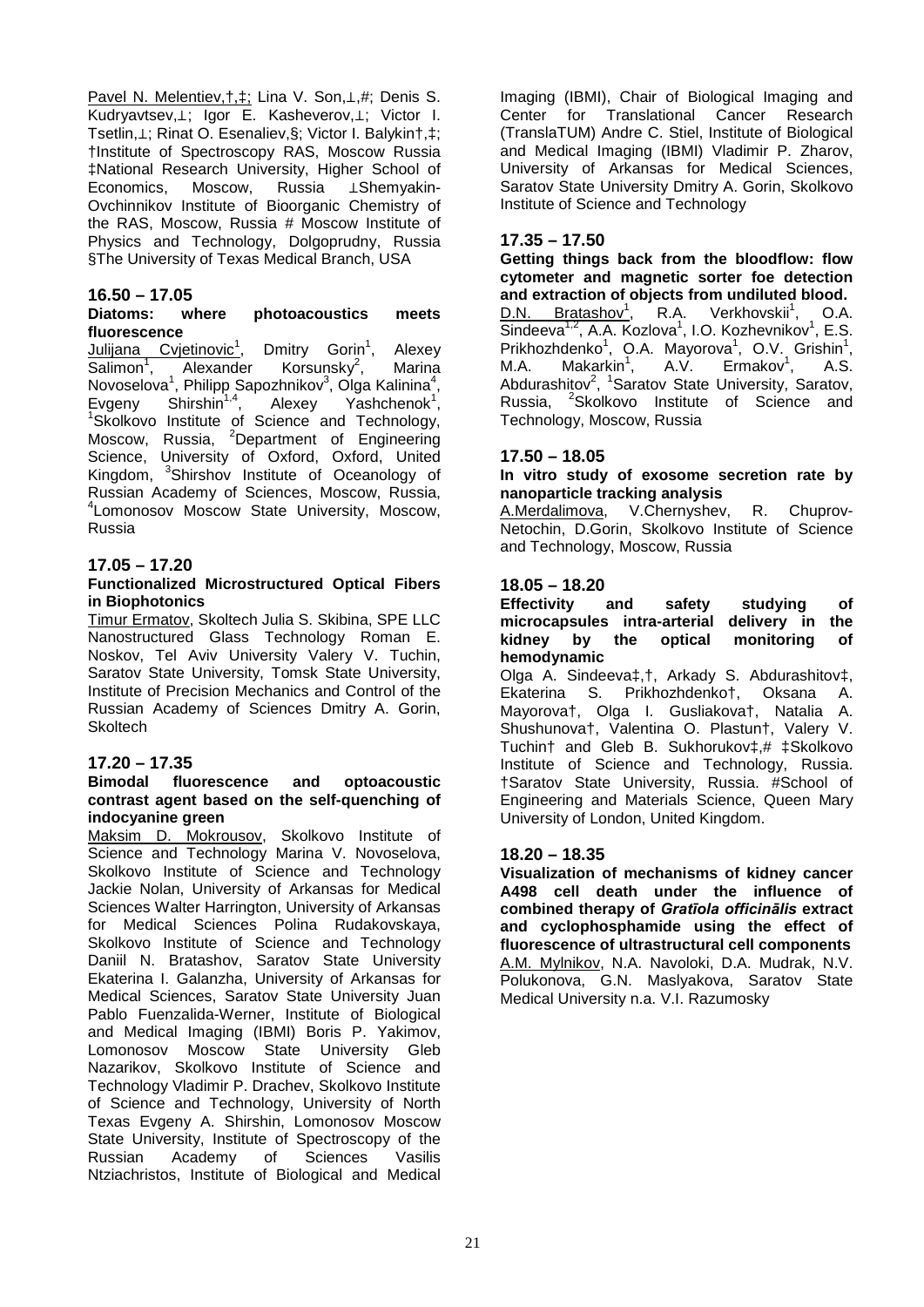Pavel N. Melentiev,†,‡; Lina V. Son,⊥,#; Denis S. Kudryavtsev,⊥; Igor E. Kasheverov,⊥; Victor I. Tsetlin,⊥; Rinat O. Esenaliev,§; Victor I. Balykin†,‡; †Institute of Spectroscopy RAS, Moscow Russia ‡National Research University, Higher School of Economics, Moscow, Russia ⊥Shemyakin-Ovchinnikov Institute of Bioorganic Chemistry of the RAS, Moscow, Russia # Moscow Institute of Physics and Technology, Dolgoprudny, Russia §The University of Texas Medical Branch, USA

#### **16.50 – 17.05** photoacoustics meets **fluorescence**

Julijana Cvjetinovic<sup>1</sup>, Dmitry Gorin<sup>1</sup> , Alexey  $S$ alimon<sup>1</sup>, Alexander Korsunsky<sup>2</sup>, **Marina** Novoselova<sup>1</sup>, Philipp Sapozhnikov<sup>3</sup>, Olga Kalinina<sup>4</sup>, Evgeny Shirshin<sup>1,4</sup>, Alexey Yashchenok<sup>1</sup>, Evgeny Shirshin'<sup>,</sup>", Alexey Yashchenok',<br><sup>1</sup>Skolkovo Institute of Science and Technology, Moscow, Russia, <sup>2</sup>Department of Engineering Science, University of Oxford, Oxford, United Kingdom, <sup>3</sup>Shirshov Institute of Oceanology of Russian Academy of Sciences, Moscow, Russia, 4 Lomonosov Moscow State University, Moscow, Russia

#### **17.05 – 17.20**

#### **Functionalized Microstructured Optical Fibers in Biophotonics**

Timur Ermatov, Skoltech Julia S. Skibina, SPE LLC Nanostructured Glass Technology Roman E. Noskov, Tel Aviv University Valery V. Tuchin, Saratov State University, Tomsk State University, Institute of Precision Mechanics and Control of the Russian Academy of Sciences Dmitry A. Gorin, **Skoltech** 

#### **17.20 – 17.35**

#### **Bimodal fluorescence and optoacoustic contrast agent based on the self-quenching of indocyanine green**

Maksim D. Mokrousov, Skolkovo Institute of Science and Technology Marina V. Novoselova, Skolkovo Institute of Science and Technology Jackie Nolan, University of Arkansas for Medical Sciences Walter Harrington, University of Arkansas for Medical Sciences Polina Rudakovskaya, Skolkovo Institute of Science and Technology Daniil N. Bratashov, Saratov State University Ekaterina I. Galanzha, University of Arkansas for Medical Sciences, Saratov State University Juan Pablo Fuenzalida-Werner, Institute of Biological and Medical Imaging (IBMI) Boris P. Yakimov, Lomonosov Moscow State University Gleb Nazarikov, Skolkovo Institute of Science and Technology Vladimir P. Drachev, Skolkovo Institute of Science and Technology, University of North Texas Evgeny A. Shirshin, Lomonosov Moscow State University, Institute of Spectroscopy of the Russian Academy of Sciences Vasilis Ntziachristos, Institute of Biological and Medical

Imaging (IBMI), Chair of Biological Imaging and<br>Center for Translational Cancer Research Translational Cancer Research (TranslaTUM) Andre C. Stiel, Institute of Biological and Medical Imaging (IBMI) Vladimir P. Zharov, University of Arkansas for Medical Sciences, Saratov State University Dmitry A. Gorin, Skolkovo Institute of Science and Technology

#### **17.35 – 17.50**

**Getting things back from the bloodflow: flow cytometer and magnetic sorter foe detection and extraction of objects from undiluted blood.**  $D.N.$  Bratashov<sup>1</sup>, R.A. Verkhovskii<sup>1</sup>, O.A.  $\overline{\text{S}}$ indeeva<sup>1,2</sup>, A.A. Kozlova<sup>1</sup>, I.O. Kozhevnikov<sup>1</sup>, E.S. Prikhozhdenko<sup>1</sup>, O.A. Mayorova<sup>1</sup>, O.V. Grishin<sup>1</sup>,  $M.A.$  Makarkin<sup>1</sup>. A.V. Ermakov<sup>1</sup>, , A.S. Abdurashitov<sup>2</sup>, <sup>1</sup>Saratov State University, Saratov, Russia, <sup>2</sup>Skolkovo Institute of Science and Technology, Moscow, Russia

#### **17.50 – 18.05**

**In vitro study of exosome secretion rate by nanoparticle tracking analysis**

A.Merdalimova, V.Chernyshev, R. Chuprov-Netochin, D.Gorin, Skolkovo Institute of Science and Technology, Moscow, Russia

#### **18.05 – 18.20**

**Effectivity and safety studying of microcapsules intra-arterial delivery in the kidney by the optical monitoring of hemodynamic**

Olga A. Sindeeva‡,†, Arkady S. Abdurashitov‡, Ekaterina S. Prikhozhdenko†, Oksana A. Mayorova†, Olga I. Gusliakova†, Natalia A. Shushunova†, Valentina O. Plastun†, Valery V. Tuchin† and Gleb B. Sukhorukov‡,# ‡Skolkovo Institute of Science and Technology, Russia. †Saratov State University, Russia. #School of Engineering and Materials Science, Queen Mary University of London, United Kingdom.

#### **18.20 – 18.35**

**Visualization of mechanisms of kidney cancer A498 cell death under the influence of combined therapy of** *Gratīola officinālis* **extract and cyclophosphamide using the effect of fluorescence of ultrastructural cell components** A.M. Mylnikov, N.A. Navoloki, D.A. Mudrak, N.V. Polukonova, G.N. Maslyakova, Saratov State Medical University n.a. V.I. Razumosky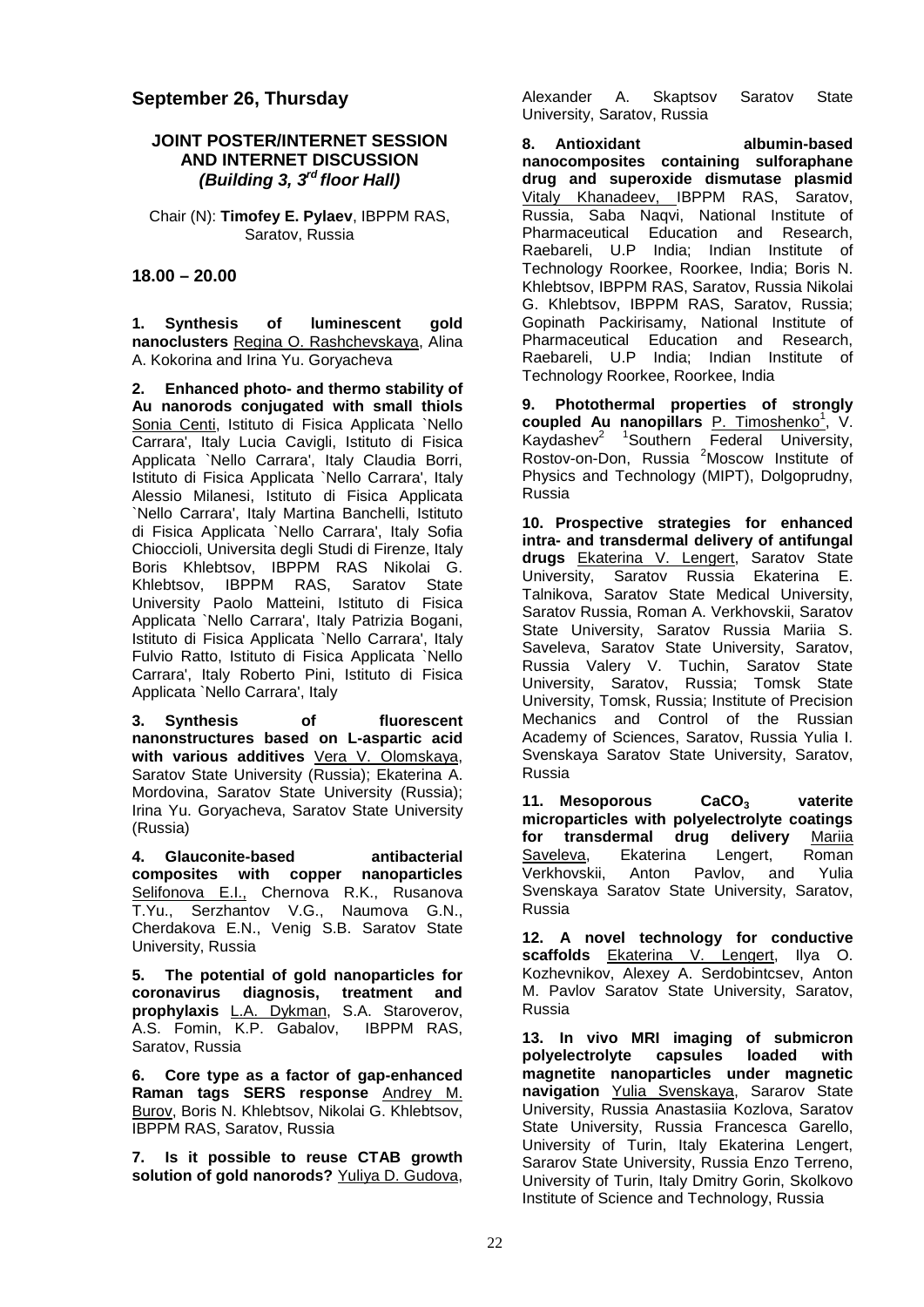#### **September 26, Thursday**

#### **JOINT POSTER/INTERNET SESSION AND INTERNET DISCUSSION** *(Building 3, 3rd floor Hall)*

Chair (N): **Timofey E. Pylaev**, IBPPM RAS, Saratov, Russia

#### **18.00 – 20.00**

**1. Synthesis of luminescent gold nanoclusters** Regina O. Rashchevskaya, Alina A. Kokorina and Irina Yu. Goryacheva

**2. Enhanced photo- and thermo stability of Au nanorods conjugated with small thiols** Sonia Centi, Istituto di Fisica Applicata `Nello Carrara', Italy Lucia Cavigli, Istituto di Fisica Applicata `Nello Carrara', Italy Claudia Borri, Istituto di Fisica Applicata `Nello Carrara', Italy Alessio Milanesi, Istituto di Fisica Applicata `Nello Carrara', Italy Martina Banchelli, Istituto di Fisica Applicata `Nello Carrara', Italy Sofia Chioccioli, Universita degli Studi di Firenze, Italy Boris Khlebtsov, IBPPM RAS Nikolai G.<br>Khlebtsov, IBPPM RAS, Saratov State IBPPM RAS, Saratov University Paolo Matteini, Istituto di Fisica Applicata `Nello Carrara', Italy Patrizia Bogani, Istituto di Fisica Applicata `Nello Carrara', Italy Fulvio Ratto, Istituto di Fisica Applicata `Nello Carrara', Italy Roberto Pini, Istituto di Fisica Applicata `Nello Carrara', Italy

**3. Synthesis of fluorescent nanonstructures based on L-aspartic acid with various additives** Vera V. Olomskaya, Saratov State University (Russia); Ekaterina A. Mordovina, Saratov State University (Russia); Irina Yu. Goryacheva, Saratov State University (Russia)

**4. Glauconite-based antibacterial composites with copper nanoparticles** Selifonova E.I., Chernova R.K., Rusanova T.Yu., Serzhantov V.G., Naumova G.N., Cherdakova E.N., Venig S.B. Saratov State University, Russia

**5. The potential of gold nanoparticles for coronavirus diagnosis, treatment and prophylaxis** L.A. Dykman, S.A. Staroverov, A.S. Fomin, K.P. Gabalov, IBPPM RAS, Saratov, Russia

**6. Core type as a factor of gap-enhanced Raman tags SERS response** Andrey M. Burov, Boris N. Khlebtsov, Nikolai G. Khlebtsov, IBPPM RAS, Saratov, Russia

**7. Is it possible to reuse CTAB growth solution of gold nanorods?** Yuliya D. Gudova, Alexander A. Skaptsov Saratov State University, Saratov, Russia

**8. Antioxidant albumin-based nanocomposites containing sulforaphane drug and superoxide dismutase plasmid**  Vitaly Khanadeev, IBPPM RAS, Saratov, Russia, Saba Naqvi, National Institute of Pharmaceutical Education and Research, Raebareli, U.P India; Indian Institute of Technology Roorkee, Roorkee, India; Boris N. Khlebtsov, IBPPM RAS, Saratov, Russia Nikolai G. Khlebtsov, IBPPM RAS, Saratov, Russia; Gopinath Packirisamy, National Institute of Pharmaceutical Education and Research, Raebareli, U.P India; Indian Institute of Technology Roorkee, Roorkee, India

**9. Photothermal properties of strongly**  coupled Au nanopillars **P. Timoshenko<sup>1</sup>**, V. Kaydashev<sup>2</sup> <sup>1</sup>Southern Federal University, Rostov-on-Don, Russia <sup>2</sup>Moscow Institute of Physics and Technology (MIPT), Dolgoprudny, Russia

**10. Prospective strategies for enhanced intra- and transdermal delivery of antifungal drugs** Ekaterina V. Lengert, Saratov State University, Saratov Russia Ekaterina E. Talnikova, Saratov State Medical University, Saratov Russia, Roman A. Verkhovskii, Saratov State University, Saratov Russia Mariia S. Saveleva, Saratov State University, Saratov, Russia Valery V. Tuchin, Saratov State University, Saratov, Russia; Tomsk State University, Tomsk, Russia; Institute of Precision Mechanics and Control of the Russian Academy of Sciences, Saratov, Russia Yulia I. Svenskaya Saratov State University, Saratov, Russia

11. Mesoporous CaCO<sub>3</sub> vaterite **microparticles with polyelectrolyte coatings for transdermal drug delivery** Mariia Saveleva, Ekaterina Lengert, Roman<br>Verkhovskii, Anton Pavlov, and Yulia Verkhovskii, Anton Pavlov, and Svenskaya Saratov State University, Saratov, Russia

**12. A novel technology for conductive scaffolds** Ekaterina V. Lengert, Ilya O. Kozhevnikov, Alexey A. Serdobintcsev, Anton M. Pavlov Saratov State University, Saratov, Russia

**13. In vivo MRI imaging of submicron polyelectrolyte capsules loaded with magnetite nanoparticles under magnetic navigation** Yulia Svenskaya, Sararov State University, Russia Anastasiia Kozlova, Saratov State University, Russia Francesca Garello, University of Turin, Italy Ekaterina Lengert, Sararov State University, Russia Enzo Terreno, University of Turin, Italy Dmitry Gorin, Skolkovo Institute of Science and Technology, Russia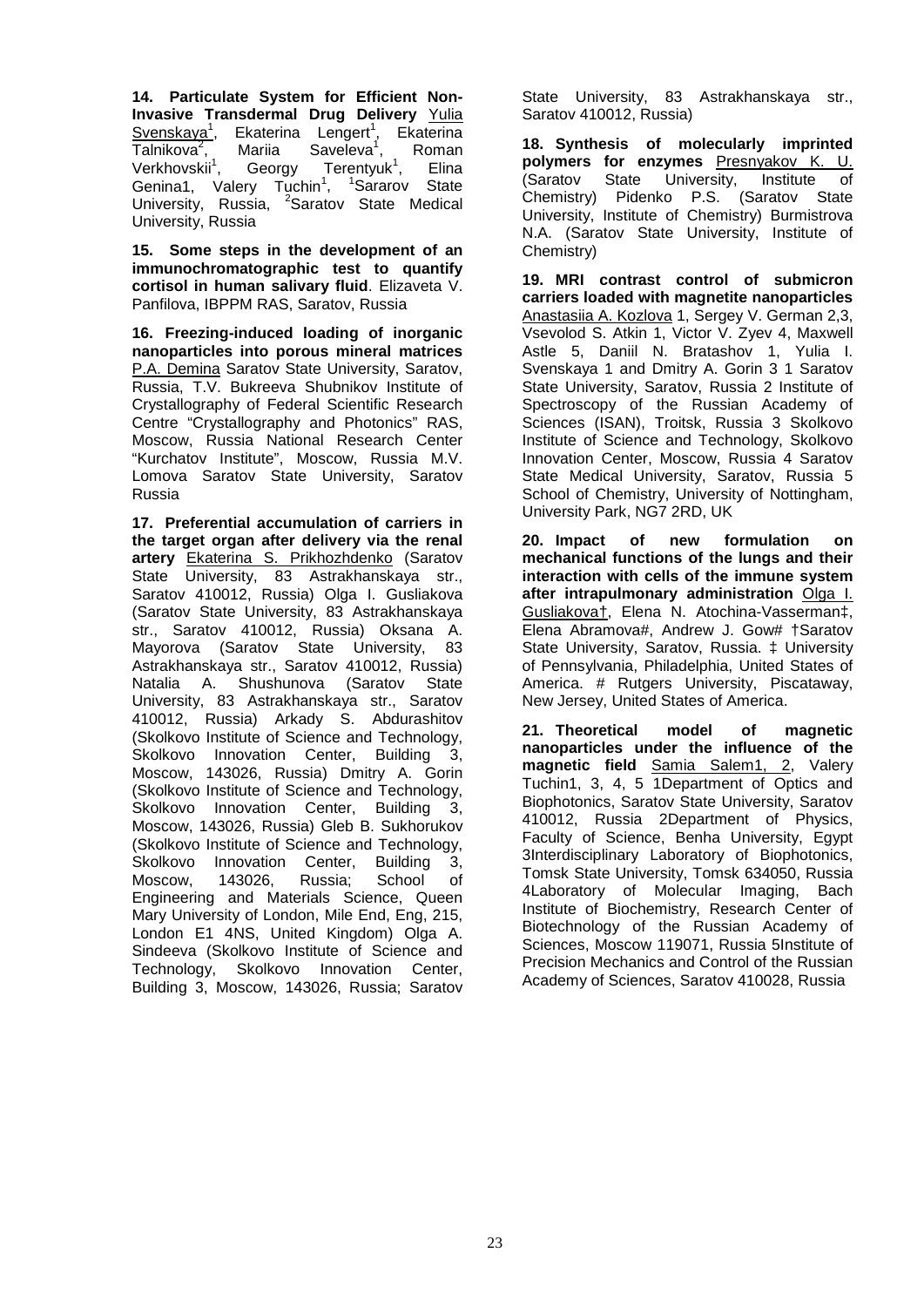**14. Particulate System for Efficient Non-Invasive Transdermal Drug Delivery** Yulia Svenskaya<sup>1</sup>, Ekaterina Lengert<sup>1</sup>, Ekaterina Talnikova<sup>2</sup>, Mariia Saveleva<sup>1</sup>,<br>Georgy Terentyu , Roman Verkhovskii<sup>1</sup>. Terentyuk $1$ . , Elina Genina1, Valery  $Tuchin<sup>1</sup>$ ,  $1$ <sup>1</sup>Sararov State University, Russia, <sup>2</sup>Saratov State Medical University, Russia

**15. Some steps in the development of an immunochromatographic test to quantify cortisol in human salivary fluid**. Elizaveta V. Panfilova, IBPPM RAS, Saratov, Russia

**16. Freezing-induced loading of inorganic nanoparticles into porous mineral matrices** P.A. Demina Saratov State University, Saratov, Russia, T.V. Bukreeva Shubnikov Institute of Crystallography of Federal Scientific Research Centre "Crystallography and Photonics" RAS, Moscow, Russia National Research Center "Kurchatov Institute", Moscow, Russia M.V. Lomova Saratov State University, Saratov Russia

**17. Preferential accumulation of carriers in the target organ after delivery via the renal artery** Ekaterina S. Prikhozhdenko (Saratov State University, 83 Astrakhanskaya str., Saratov 410012, Russia) Olga I. Gusliakova (Saratov State University, 83 Astrakhanskaya str., Saratov 410012, Russia) Oksana A. Mayorova (Saratov State University, 83 Astrakhanskaya str., Saratov 410012, Russia) Natalia A. Shushunova (Saratov State University, 83 Astrakhanskaya str., Saratov 410012, Russia) Arkady S. Abdurashitov (Skolkovo Institute of Science and Technology, Skolkovo Innovation Center, Building 3, Moscow, 143026, Russia) Dmitry A. Gorin (Skolkovo Institute of Science and Technology, Skolkovo Innovation Center, Building 3, Moscow, 143026, Russia) Gleb B. Sukhorukov (Skolkovo Institute of Science and Technology, Skolkovo Innovation Center, Building 3, Moscow, 143026, Russia; School of Engineering and Materials Science, Queen Mary University of London, Mile End, Eng, 215, London E1 4NS, United Kingdom) Olga A. Sindeeva (Skolkovo Institute of Science and Technology, Skolkovo Innovation Center, Building 3, Moscow, 143026, Russia; Saratov

State University, 83 Astrakhanskaya str., Saratov 410012, Russia)

**18. Synthesis of molecularly imprinted polymers for enzymes** Presnyakov K. U. (Saratov State University, Institute of Chemistry) Pidenko P.S. (Saratov State University, Institute of Chemistry) Burmistrova N.A. (Saratov State University, Institute of Chemistry)

**19. MRI contrast control of submicron carriers loaded with magnetite nanoparticles** Anastasiia A. Kozlova 1, Sergey V. German 2,3, Vsevolod S. Atkin 1, Victor V. Zyev 4, Maxwell Astle 5, Daniil N. Bratashov 1, Yulia I. Svenskaya 1 and Dmitry A. Gorin 3 1 Saratov State University, Saratov, Russia 2 Institute of Spectroscopy of the Russian Academy of Sciences (ISAN), Troitsk, Russia 3 Skolkovo Institute of Science and Technology, Skolkovo Innovation Center, Moscow, Russia 4 Saratov State Medical University, Saratov, Russia 5 School of Chemistry, University of Nottingham, University Park, NG7 2RD, UK

**20. Impact of new formulation on mechanical functions of the lungs and their interaction with cells of the immune system after intrapulmonary administration** Olga I. Gusliakova†, Elena N. Atochina-Vasserman‡, Elena Abramova#, Andrew J. Gow# †Saratov State University, Saratov, Russia. ‡ University of Pennsylvania, Philadelphia, United States of America. # Rutgers University, Piscataway, New Jersey, United States of America.

**21. Theoretical model of magnetic nanoparticles under the influence of the magnetic field** Samia Salem1, 2, Valery Tuchin1, 3, 4, 5 1Department of Optics and Biophotonics, Saratov State University, Saratov 410012, Russia 2Department of Physics, Faculty of Science, Benha University, Egypt 3Interdisciplinary Laboratory of Biophotonics, Tomsk State University, Tomsk 634050, Russia 4Laboratory of Molecular Imaging, Bach Institute of Biochemistry, Research Center of Biotechnology of the Russian Academy of Sciences, Moscow 119071, Russia 5Institute of Precision Mechanics and Control of the Russian Academy of Sciences, Saratov 410028, Russia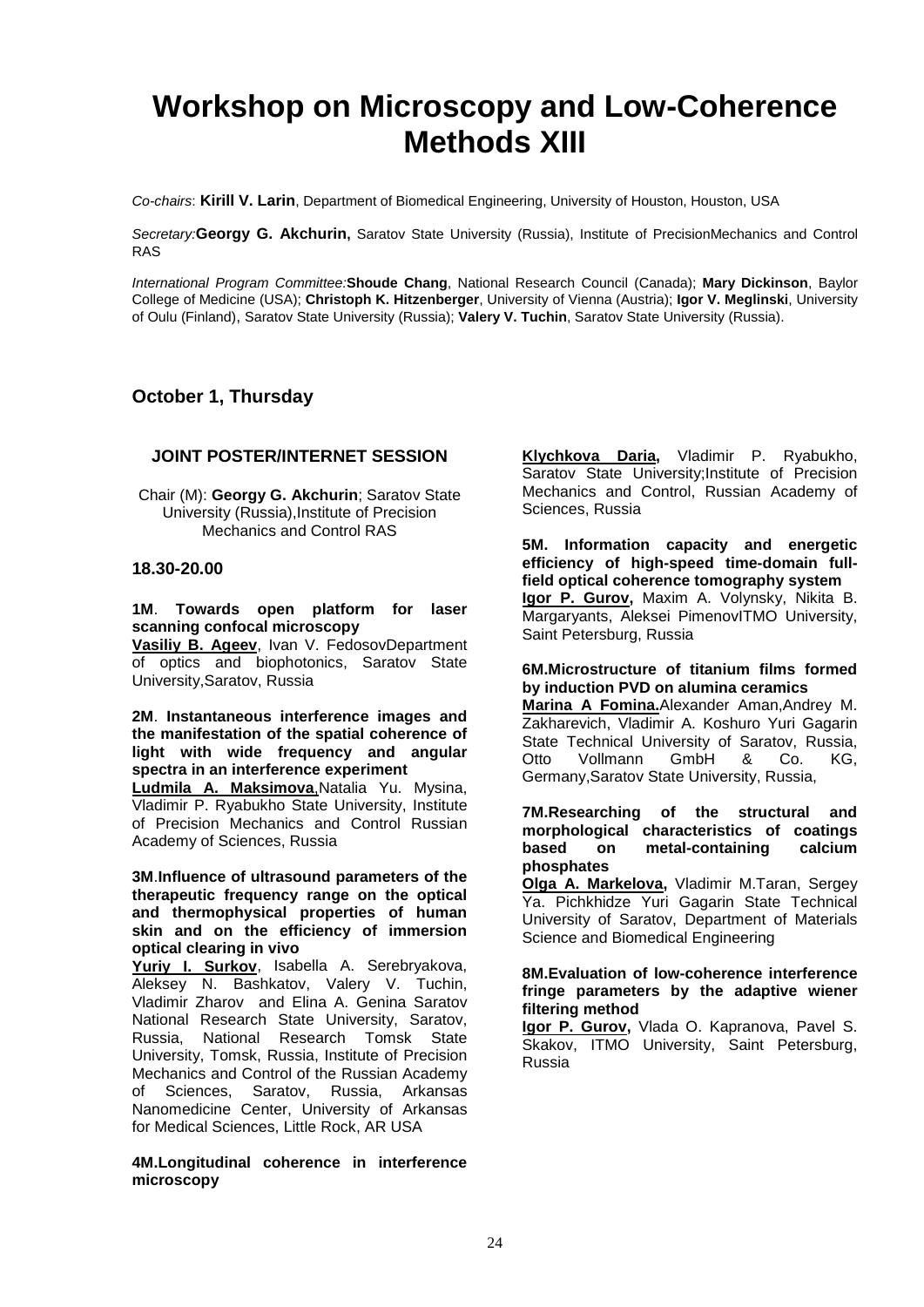### **Workshop on Microscopy and Low-Coherence Methods XIII**

*Co-chairs*: **Kirill V. Larin**, Department of Biomedical Engineering, University of Houston, Houston, USA

*Secretary:***Georgy G. Akchurin,** Saratov State University (Russia), Institute of PrecisionMechanics and Control RAS

*International Program Committee:***Shoude Chang**, National Research Council (Canada); **Mary Dickinson**, Baylor College of Medicine (USA); **Christoph K. Hitzenberger**, University of Vienna (Austria); **Igor V. Meglinski**, University of Oulu (Finland), Saratov State University (Russia); **Valery V. Tuchin**, Saratov State University (Russia).

#### **October 1, Thursday**

#### **JOINT POSTER/INTERNET SESSION**

Chair (M): **Georgy G. Akchurin**; Saratov State University (Russia),Institute of Precision Mechanics and Control RAS

#### **18.30-20.00**

#### **1M**. **Towards open platform for laser scanning confocal microscopy**

**Vasiliy B. Ageev**, Ivan V. FedosovDepartment of optics and biophotonics, Saratov State University,Saratov, Russia

**2M**. **Instantaneous interference images and the manifestation of the spatial coherence of light with wide frequency and angular spectra in an interference experiment**

**Ludmila A. Maksimova**,Natalia Yu. Mysina, Vladimir P. Ryabukho State University, Institute of Precision Mechanics and Control Russian Academy of Sciences, Russia

**3M**.**Influence of ultrasound parameters of the therapeutic frequency range on the optical and thermophysical properties of human skin and on the efficiency of immersion optical clearing in vivo**

**Yuriy I. Surkov**, Isabella A. Serebryakova, Aleksey N. Bashkatov, Valery V. Tuchin, Vladimir Zharov and Elina A. Genina Saratov National Research State University, Saratov, Russia, National Research Tomsk State University, Tomsk, Russia, Institute of Precision Mechanics and Control of the Russian Academy of Sciences, Saratov, Russia, Arkansas Nanomedicine Center, University of Arkansas for Medical Sciences, Little Rock, AR USA

**4M.Longitudinal coherence in interference microscopy**

**Klychkova Daria,** Vladimir P. Ryabukho, Saratov State University;Institute of Precision Mechanics and Control, Russian Academy of Sciences, Russia

**5M. Information capacity and energetic efficiency of high-speed time-domain fullfield optical coherence tomography system Igor P. Gurov,** Maxim A. Volynsky, Nikita B. Margaryants, Aleksei PimenovITMO University, Saint Petersburg, Russia

#### **6M.Microstructure of titanium films formed by induction PVD on alumina ceramics**

**Marina A Fomina.**Alexander Aman,Andrey M. Zakharevich, Vladimir A. Koshuro Yuri Gagarin State Technical University of Saratov, Russia, Otto Vollmann GmbH & Co. KG, Germany,Saratov State University, Russia,

#### **7M.Researching of the structural and morphological characteristics of coatings based on metal-containing calcium phosphates**

**Olga A. Markelova,** Vladimir M.Taran, Sergey Ya. Pichkhidze Yuri Gagarin State Technical University of Saratov, Department of Materials Science and Biomedical Engineering

#### **8M.Evaluation of low-coherence interference fringe parameters by the adaptive wiener filtering method**

**Igor P. Gurov,** Vlada O. Kapranova, Pavel S. Skakov, ITMO University, Saint Petersburg, Russia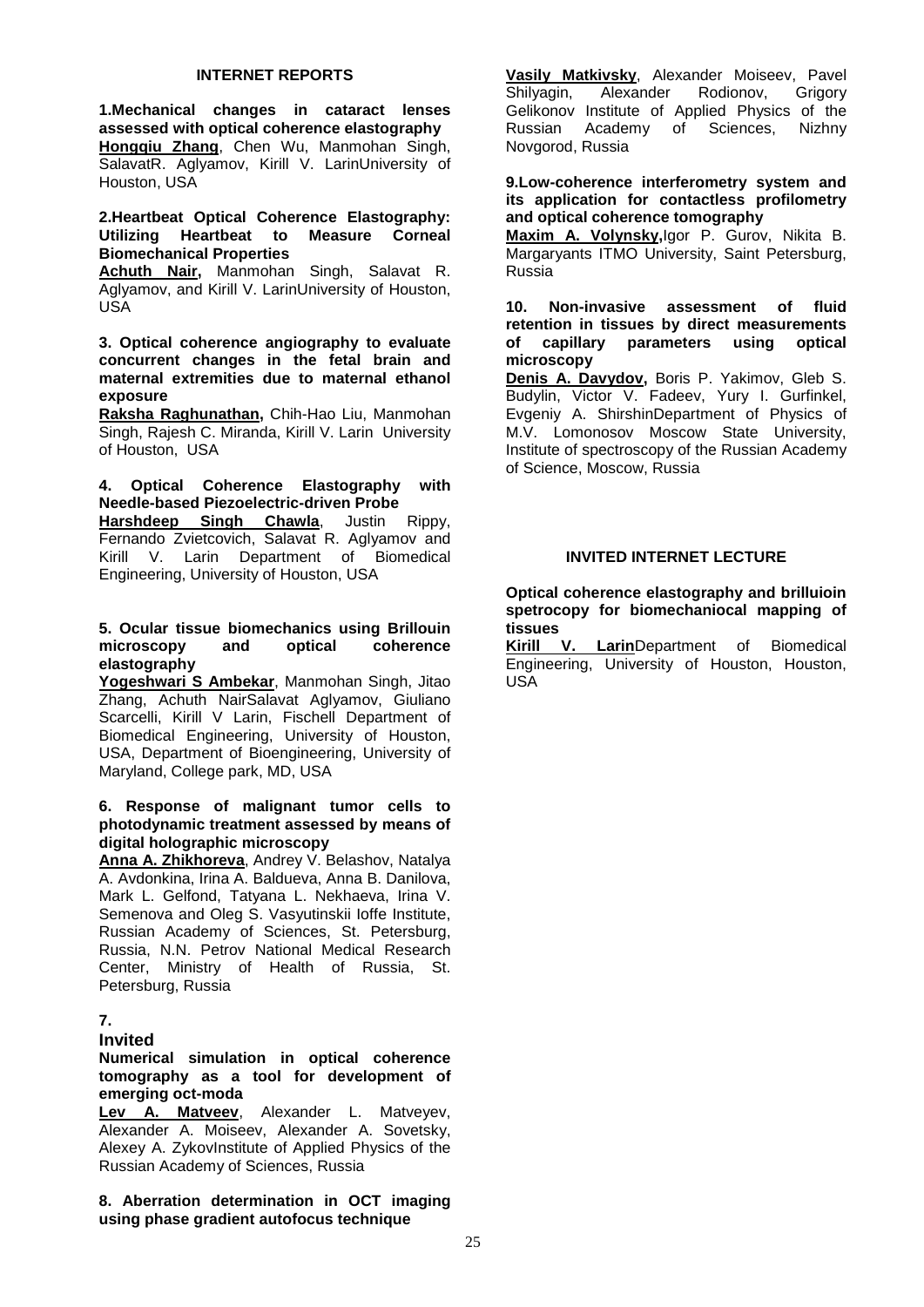#### **INTERNET REPORTS**

**1.Mechanical changes in cataract lenses assessed with optical coherence elastography Hongqiu Zhang**, Chen Wu, Manmohan Singh, SalavatR. Aglyamov, Kirill V. LarinUniversity of Houston, USA

#### **2.Heartbeat Optical Coherence Elastography: Utilizing Heartbeat to Measure Corneal Biomechanical Properties**

**Achuth Nair,** Manmohan Singh, Salavat R. Aglyamov, and Kirill V. LarinUniversity of Houston, USA

**3. Optical coherence angiography to evaluate concurrent changes in the fetal brain and maternal extremities due to maternal ethanol exposure**

**Raksha Raghunathan,** Chih-Hao Liu, Manmohan Singh, Rajesh C. Miranda, Kirill V. Larin University of Houston, USA

#### **4. Optical Coherence Elastography with Needle-based Piezoelectric-driven Probe**

**Harshdeep Singh Chawla**, Justin Rippy, Fernando Zvietcovich, Salavat R. Aglyamov and Kirill V. Larin Department of Biomedical Engineering, University of Houston, USA

#### **5. Ocular tissue biomechanics using Brillouin**  microscopy **elastography**

**Yogeshwari S Ambekar**, Manmohan Singh, Jitao Zhang, Achuth NairSalavat Aglyamov, Giuliano Scarcelli, Kirill V Larin, Fischell Department of Biomedical Engineering, University of Houston, USA, Department of Bioengineering, University of Maryland, College park, MD, USA

#### **6. Response of malignant tumor cells to photodynamic treatment assessed by means of digital holographic microscopy**

**Anna A. Zhikhoreva**, Andrey V. Belashov, Natalya A. Avdonkina, Irina A. Baldueva, Anna B. Danilova, Mark L. Gelfond, Tatyana L. Nekhaeva, Irina V. Semenova and Oleg S. Vasyutinskii Ioffe Institute, Russian Academy of Sciences, St. Petersburg, Russia, N.N. Petrov National Medical Research Center, Ministry of Health of Russia, St. Petersburg, Russia

#### **7.**

#### **Invited**

#### **Numerical simulation in optical coherence tomography as a tool for development of emerging oct-moda**

**Lev A. Matveev**, Alexander L. Matveyev, Alexander A. Moiseev, Alexander A. Sovetsky, Alexey A. ZykovInstitute of Applied Physics of the Russian Academy of Sciences, Russia

**8. Aberration determination in OCT imaging using phase gradient autofocus technique**

**Vasily Matkivsky**, Alexander Moiseev, Pavel Shilyagin, Gelikonov Institute of Applied Physics of the<br>Russian Academy of Sciences, Nizhny Russian Academy of Sciences, Novgorod, Russia

**9.Low-coherence interferometry system and its application for contactless profilometry and optical coherence tomography**

**Maxim A. Volynsky,**Igor P. Gurov, Nikita B. Margaryants ITMO University, Saint Petersburg, Russia

#### **10. Non-invasive assessment of fluid retention in tissues by direct measurements of capillary parameters using optical microscopy**

**Denis A. Davydov,** Boris P. Yakimov, Gleb S. Budylin, Victor V. Fadeev, Yury I. Gurfinkel, Evgeniy A. ShirshinDepartment of Physics of M.V. Lomonosov Moscow State University, Institute of spectroscopy of the Russian Academy of Science, Moscow, Russia

#### **INVITED INTERNET LECTURE**

**Optical coherence elastography and brilluioin spetrocopy for biomechaniocal mapping of tissues**

**Larin**Department of Biomedical Engineering, University of Houston, Houston, USA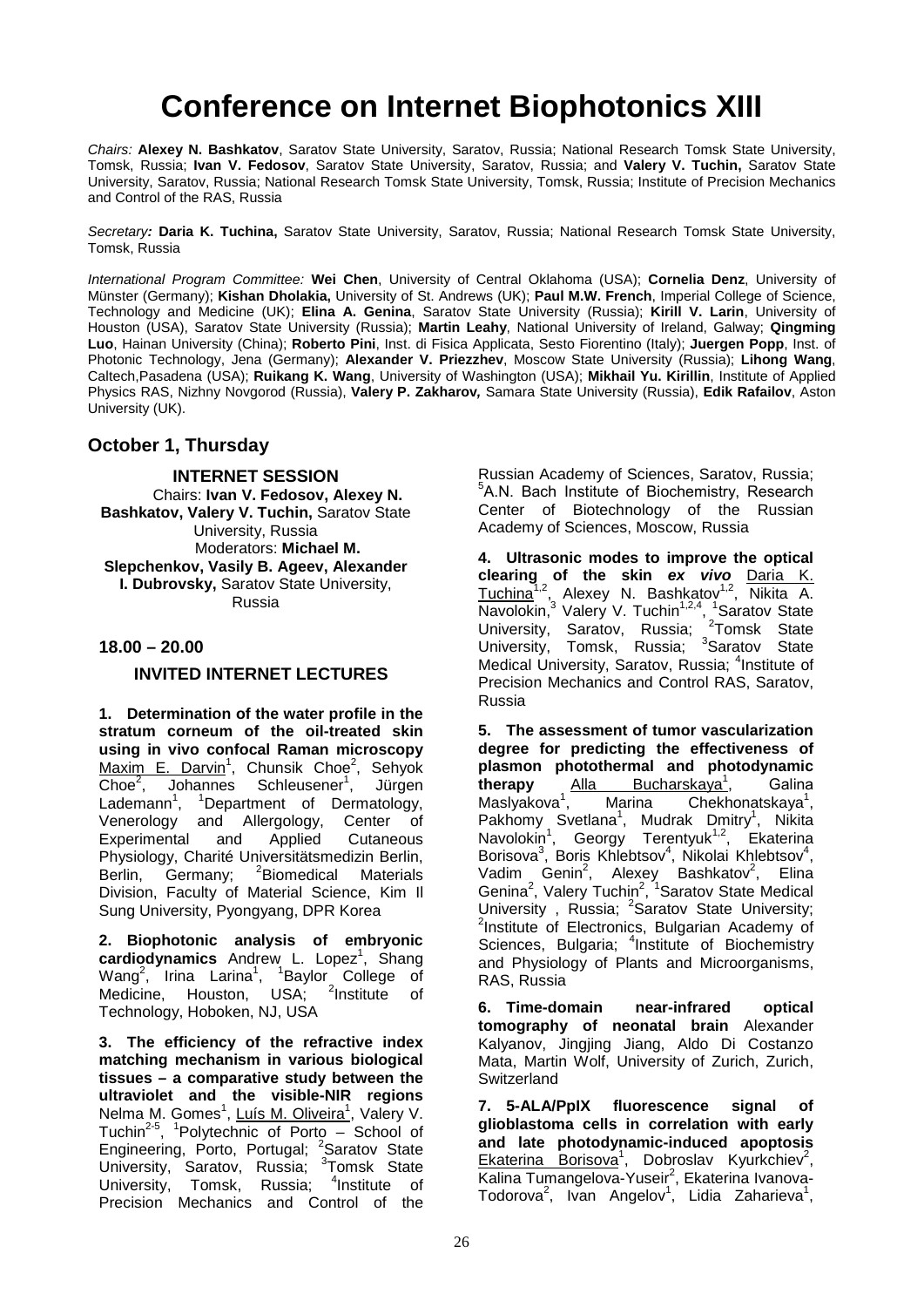### **Conference on Internet Biophotonics XIII**

*Chairs:* **Alexey N. Bashkatov**, Saratov State University, Saratov, Russia; National Research Tomsk State University, Tomsk, Russia; **Ivan V. Fedosov**, Saratov State University, Saratov, Russia; and **Valery V. Tuchin,** Saratov State University, Saratov, Russia; National Research Tomsk State University, Tomsk, Russia; Institute of Precision Mechanics and Control of the RAS, Russia

*Secretary:* **Daria K. Tuchina,** Saratov State University, Saratov, Russia; National Research Tomsk State University, Tomsk, Russia

*International Program Committee:* **Wei Chen**, University of Central Oklahoma (USA); **Cornelia Denz**, University of Münster (Germany); **Kishan Dholakia,** University of St. Andrews (UK); **Paul M.W. French**, Imperial College of Science, Technology and Medicine (UK); **Elina A. Genina**, Saratov State University (Russia); **Kirill V. Larin**, University of Houston (USA), Saratov State University (Russia); **Martin Leahy**, National University of Ireland, Galway; **Qingming Luo**, Hainan University (China); **Roberto Pini**, Inst. di Fisica Applicata, Sesto Fiorentino (Italy); **Juergen Popp**, Inst. of Photonic Technology, Jena (Germany); **Alexander V. Priezzhev**, Moscow State University (Russia); **Lihong Wang**, Caltech,Pasadena (USA); **Ruikang K. Wang**, University of Washington (USA); **Mikhail Yu. Kirillin**, Institute of Applied Physics RAS, Nizhny Novgorod (Russia), **Valery P. Zakharov***,* Samara State University (Russia), **Edik Rafailov**, Aston University (UK).

#### **October 1, Thursday**

**INTERNET SESSION** Chairs: **Ivan V. Fedosov, Alexey N. Bashkatov, Valery V. Tuchin,** Saratov State University, Russia Moderators: **Michael M. Slepchenkov, Vasily B. Ageev, Alexander I. Dubrovsky,** Saratov State University, Russia

#### **18.00 – 20.00**

#### **INVITED INTERNET LECTURES**

**1. Determination of the water profile in the stratum corneum of the oil-treated skin using in vivo confocal Raman microscopy**  Maxim E. Darvin<sup>1</sup>, Chunsik Choe<sup>2</sup>, Sehyok  $\overline{\mathsf{Choe}}^2$ , , Johannes Schleusener<sup>1</sup>, Jürgen Lademann<sup>1</sup>, <sup>1</sup>Department of Dermatology, Venerology and Allergology, Center of Experimental and Applied Cutaneous Physiology, Charité Universitätsmedizin Berlin, Berlin, Germany; <sup>2</sup>Biomedical Materials Division, Faculty of Material Science, Kim Il Sung University, Pyongyang, DPR Korea

**2. Biophotonic analysis of embryonic**  cardiodynamics Andrew L. Lopez<sup>1</sup>, Shang Wang<sup>2</sup>, Irina Larina<sup>1</sup>, <sup>1</sup>Baylor College of Medicine, Houston, USA; <sup>2</sup>Institute of Technology, Hoboken, NJ, USA

**3. The efficiency of the refractive index matching mechanism in various biological tissues – a comparative study between the ultraviolet and the visible-NIR regions**  Nelma M. Gomes<sup>1</sup>, Luís M. Oliveira<sup>1</sup>, Valery V. Tuchin<sup>2-5</sup>, <sup>1</sup>Polytechnic of Porto – School of Engineering, Porto, Portugal; <sup>2</sup>Saratov State University, Saratov, Russia; <sup>3</sup>Tomsk State University, Tomsk, Russia; <sup>4</sup>  $4$ Institute of Precision Mechanics and Control of the

Russian Academy of Sciences, Saratov, Russia; 5 А.N. Bach Institute of Biochemistry, Research Center of Biotechnology of the Russian Academy of Sciences, Moscow, Russia

**4. Ultrasonic modes to improve the optical clearing of the skin** *ex vivo* Daria K. Tuchina<sup>1,2</sup>, Alexey N. Bashkatov<sup>1,2</sup>, Nikita A. Navolokin,<sup>3</sup> Valery V. Tuchin<sup>1,2,4</sup>, <sup>1</sup>Saratov State University, Saratov, Russia; <sup>2</sup>Tomsk State University, Tomsk, Russia; <sup>3</sup>Saratov State Medical University, Saratov, Russia; <sup>4</sup>Institute of Precision Mechanics and Control RAS, Saratov, Russia

**5. The assessment of tumor vascularization degree for predicting the effectiveness of plasmon photothermal and photodynamic<br>therapy** Alla Bucharskaya<sup>1</sup>, Galina **therapy** Alla Bucharskaya<sup>1</sup> , Gаlina Maslyakova<sup>1</sup> , Marina Chekhonatskaya<sup>1</sup>, Pakhomy Svetlana<sup>1</sup>, Mudrak Dmitry<sup>1</sup>, Nikita Navolokin<sup>1</sup>, Georgy Terentyuk<sup>1,2</sup>, Ekaterina Borisova<sup>3</sup>, Boris Khlebtsov<sup>4</sup>, Nikolai Khlebtsov<sup>4</sup>, Vadim Genin<sup>2</sup>, Alexey Bashkatov<sup>2</sup>, Elina Genina<sup>2</sup>, Valery Tuchin<sup>2</sup>, <sup>1</sup>Saratov State Medical University, Russia; <sup>2</sup>Saratov State University;<br><sup>2</sup>Institute of Electronics, Bulgarian Academy of  $2$ Institute of Electronics, Bulgarian Academy of Sciences, Bulgaria; <sup>4</sup>Institute of Biochemistry and Physiology of Plants and Microorganisms, RAS, Russia

**6. Time-domain near-infrared optical tomography of neonatal brain** Alexander Kalyanov, Jingjing Jiang, Aldo Di Costanzo Mata, Martin Wolf, University of Zurich, Zurich, **Switzerland** 

**7. 5-ALA/PpIX fluorescence signal of glioblastoma cells in correlation with early and late photodynamic-induced apoptosis**  Ekaterina Borisova<sup>1</sup>, Dobroslav Kyurkchiev<sup>2</sup>, Kalina Tumangelova-Yuseir<sup>2</sup>, Ekaterina Ivanova-Todorova<sup>2</sup>, Ivan Angelov<sup>1</sup>, Lidia Zaharieva<sup>1</sup>,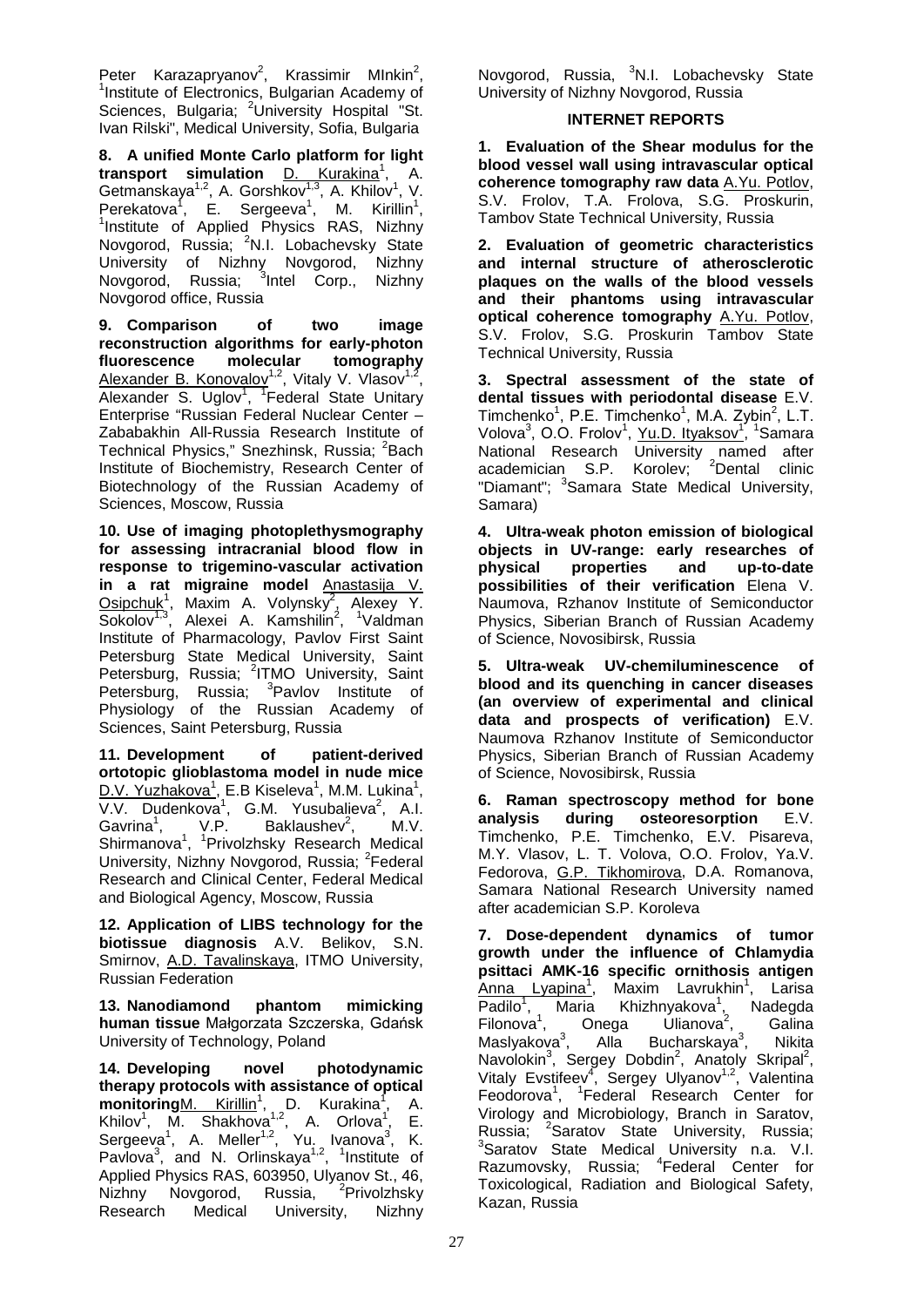Peter Karazapryanov<sup>2</sup>, Krassimir Mlnkin<sup>2</sup>,<br><sup>1</sup>leatitute of Electronics Bulgarian Asademy of <sup>1</sup> Institute of Electronics, Bulgarian Academy of Sciences, Bulgaria; <sup>2</sup>University Hospital "St. Ivan Rilski", Medical University, Sofia, Bulgaria

**8. A unified Monte Carlo platform for light transport simulation D. Kurakina<sup>1</sup>, A.** Getmanskaya<sup>1,2</sup>, A. Gorshkov<sup>1,3</sup>, A. Khilov<sup>1</sup>, V. Perekatova<sup>1</sup>, E. Sergeeva<sup>1</sup>, M. Kirillin<sup>1</sup>,<br><sup>1</sup>Institute of Applied Physics RAS, Nizhny Novgorod, Russia; <sup>2</sup>N.I. Lobachevsky State University of Nizhny Novgorod, Nizhny Novgorod, Russia; <sup>3</sup>Intel Corp., Nizhny Novgorod office, Russia

**9. Comparison of two image reconstruction algorithms for early-photon fluorescence molecular tomography**  Alexander B. Konovalov<sup>1,2</sup>, Vitaly V. Vlasov<sup>1,2</sup>, Alexander S. Uglov<sup>1</sup>, <sup>T</sup>Federal State Unitary Enterprise "Russian Federal Nuclear Center – Zababakhin All-Russia Research Institute of Technical Physics," Snezhinsk, Russia; <sup>2</sup>Bach Institute of Biochemistry, Research Center of Biotechnology of the Russian Academy of Sciences, Moscow, Russia

**10. Use of imaging photoplethysmography for assessing intracranial blood flow in response to trigemino-vascular activation in a rat migraine model** Anastasija V.  $O$ sipchu $k^1$ , Maxim A. Volynsk $\overline{y^2}$ , Alexey Y. Sokolov<sup>1,3</sup>, Alexei A. Kamshilin<sup>2</sup>, <sup>1</sup>Valdman Institute of Pharmacology, Pavlov First Saint Petersburg State Medical University, Saint Petersburg, Russia; <sup>2</sup>ITMO University, Saint Petersburg, Russia; <sup>3</sup>Pavlov Institute of Physiology of the Russian Academy of Sciences, Saint Petersburg, Russia

**11. Development of patient-derived ortotopic glioblastoma model in nude mice**  D.V. Yuzhakova<sup>1</sup>, E.B Kiseleva<sup>1</sup>, M.M. Lukina<sup>1</sup>,  $V.V.$  Dudenkova<sup>1</sup>, G.M. Yusubalieva<sup>2</sup>, A.I.  $G$ avrina<sup>1</sup>,  $V.P.$  Baklaushev<sup>2</sup>, , M.V. Shirmanova<sup>1</sup>, <sup>1</sup>Privolzhsky Research Medical University, Nizhny Novgorod, Russia; <sup>2</sup>Federal Research and Clinical Center, Federal Medical and Biological Agency, Moscow, Russia

**12. Application of LIBS technology for the biotissue diagnosis** A.V. Belikov, S.N. Smirnov, A.D. Tavalinskaya, ITMO University, Russian Federation

**13. Nanodiamond phantom mimicking human tissue** Małgorzata Szczerska, Gdańsk University of Technology, Poland

**14. Developing novel photodynamic therapy protocols with assistance of optical**  monitoring <u>M. Kirillin<sup>1</sup>,</u> D. Kurakina<sup>1</sup>, A. Khilov<sup>1</sup>, M. Shakhova<sup>1,2</sup>, A. Orlova<sup>1</sup>, E. Sergeeva<sup>1</sup>, A. Meller<sup>1,2</sup>, Yu. Ivanova<sup>3</sup>, K. Pavlova<sup>3</sup>, and N. Orlinskaya<sup>1,2</sup>, <sup>1</sup>Institute of Applied Physics RAS, 603950, Ulyanov St., 46, Nizhny Novgorod, Russia, <sup>2</sup> <sup>2</sup>Privolzhsky Research Medical University, Nizhny

Novgorod, Russia, <sup>3</sup>N.I. Lobachevsky State University of Nizhny Novgorod, Russia

#### **INTERNET REPORTS**

**1. Evaluation of the Shear modulus for the blood vessel wall using intravascular optical coherence tomography raw data** A.Yu. Potlov, S.V. Frolov, T.A. Frolova, S.G. Proskurin, Tambov State Technical University, Russia

**2. Evaluation of geometric characteristics and internal structure of atherosclerotic plaques on the walls of the blood vessels and their phantoms using intravascular optical coherence tomography** A.Yu. Potlov, S.V. Frolov, S.G. Proskurin Tambov State Technical University, Russia

**3. Spectral assessment of the state of dental tissues with periodontal disease** E.V. Timchenko<sup>1</sup>, P.E. Timchenko<sup>1</sup>, M.A. Zybin<sup>2</sup>, L.T. Volova<sup>3</sup>, O.O. Frolov<sup>1</sup>, Yu.D. Ityaksov<sup>1</sup>, <sup>1</sup>Samara National Research University named after academician S.P. Korolev; <sup>2</sup>Dental clinic "Diamant"; <sup>3</sup>Samara State Medical University, Samara)

**4. Ultra-weak photon emission of biological objects in UV-range: early researches of**  properties **possibilities of their verification** Elena V. Naumova, Rzhanov Institute of Semiconductor Physics, Siberian Branch of Russian Academy of Science, Novosibirsk, Russia

**5. Ultra-weak UV-chemiluminescence of blood and its quenching in cancer diseases (an overview of experimental and clinical data and prospects of verification)** E.V. Naumova Rzhanov Institute of Semiconductor Physics, Siberian Branch of Russian Academy of Science, Novosibirsk, Russia

**6. Raman spectroscopy method for bone analysis during osteoresorption** E.V. Timchenko, P.E. Timchenko, E.V. Pisareva, M.Y. Vlasov, L. T. Volova, O.O. Frolov, Ya.V. Fedorova, G.P. Tikhomirova, D.A. Romanova, Samara National Research University named after academician S.P. Koroleva

**7. Dose-dependent dynamics of tumor growth under the influence of Chlamydia psittaci AMK-16 specific ornithosis antigen**  Anna Lyapina<sup>1</sup>, Maxim Lavrukhin<sup>1</sup>, Larisa Padilo<sup>1</sup>, Maria Khizhnyakova<sup>1</sup>, Nadegda Filonova<sup>1</sup>, Onega Ulianova<sup>2</sup>, Galina Maslyakova<sup>3</sup>, Alla Bucharskaya<sup>3</sup> , Nikita Navolokin<sup>3</sup>, Sergey Dobdin<sup>2</sup>, Anatoly Skripal<sup>2</sup>, Vitaly Evstifeev<sup>4</sup>, Sergey Ulyanov<sup>1,2</sup>, Valentina Feodorova<sup>1</sup>, <sup>1</sup>Federal Research Center for Virology and Microbiology, Branch in Saratov, Russia; <sup>2</sup>Saratov State University, Russia;<br><sup>3</sup>Saratov State Medical University n.a. V.I. Razumovsky, Russia; <sup>4</sup>Federal Center for Toxicological, Radiation and Biological Safety, Kazan, Russia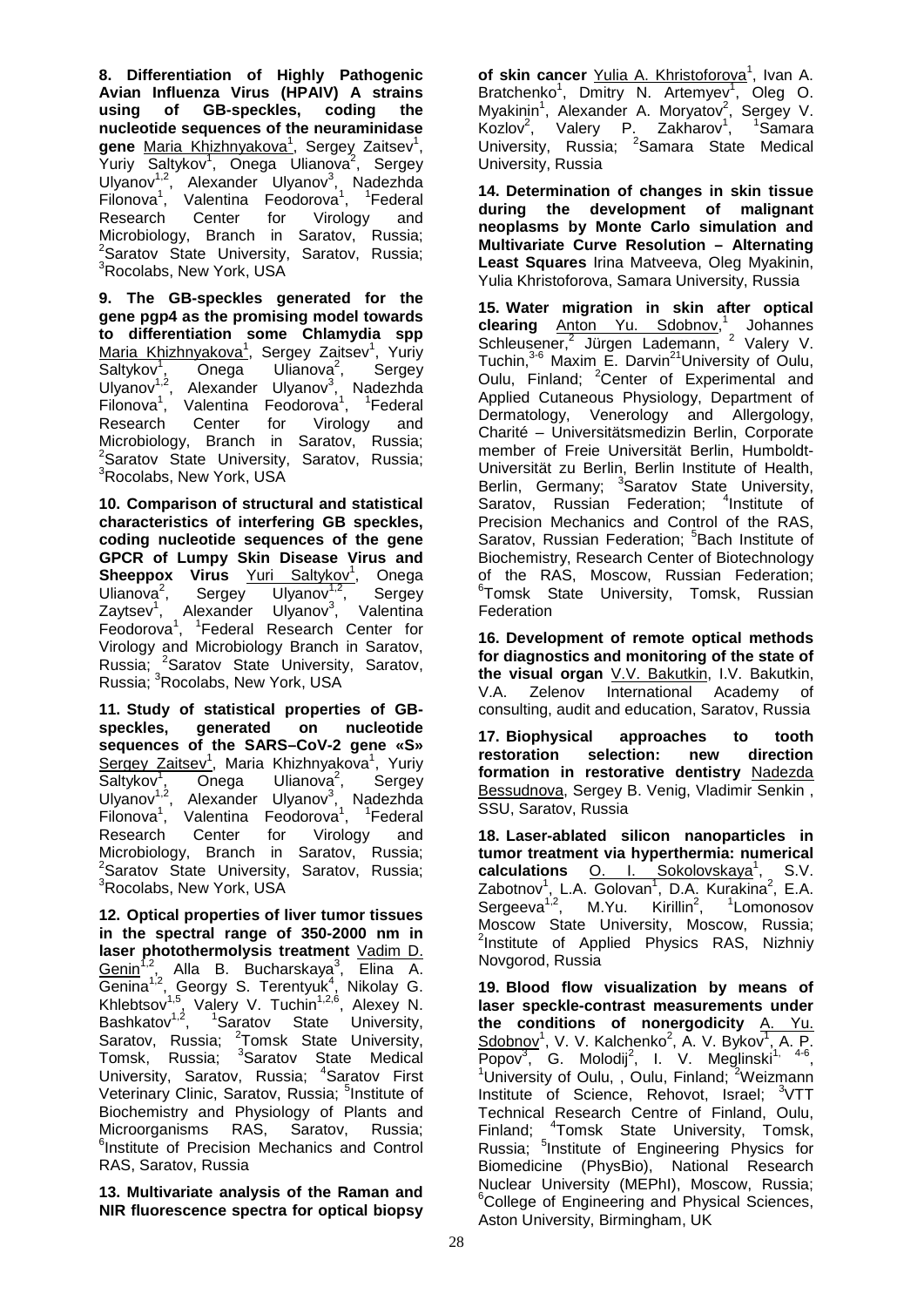**8. Differentiation of Highly Pathogenic Avian Influenza Virus (HPAIV) A strains using of GB-speckles, coding the nucleotide sequences of the neuraminidase gene** Maria Khizhnyakova<sup>1</sup>, Sergey Zaitsev<sup>1</sup>, Yuriy Saltykov<sup>1</sup>, Onega Ulianova<sup>2</sup>, Sergey Ulyanov<sup>1,2</sup>, Alexander Ulyanov<sup>3</sup>, Nadezhda Filonova<sup>1</sup>, Valentina Feodorova<sup>1</sup>, <sup>1</sup>Federal Research Center for Virology and Microbiology, Branch in Saratov, Russia;<br><sup>2</sup>Saratov State University, Saratov, Russia; <sup>3</sup>Rocolabs, New York, USA

**9. The GB-speckles generated for the gene pgp4 as the promising model towards to differentiation some Chlamydia spp**  Maria Khizhnyakova<sup>1</sup>, Sergey Zaitsev<sup>1</sup>, Yuriy Saltykov<sup>1</sup>, Onega Ulianova<sup>2</sup>, Sergey Ulyanov<sup>1,2</sup>, Alexander Ulyanov<sup>3</sup>, Nadezhda Filonova<sup>1</sup>, Valentina Feodorova<sup>1</sup>, <sup>1</sup>Federal Research Center for Virology and Microbiology, Branch in Saratov, Russia; <sup>2</sup>Saratov Štate University, Saratov, Russia;<br><sup>3</sup>Bocolabs Now York USA <sup>3</sup>Rocolabs, New York, USA

**10. Comparison of structural and statistical characteristics of interfering GB speckles, coding nucleotide sequences of the gene GPCR of Lumpy Skin Disease Virus and**  Sheeppox Virus Yuri Saltykov<sup>1</sup>, Onega Ulianova $2$ , , Sergey Ulyanov<sup>1,2</sup>, Sergey Zaytsev<sup>1</sup>, Alexander Ulyanov<sup>3</sup>, Valentina Feodorova<sup>1</sup>, <sup>1</sup>Federal Research Center for Virology and Microbiology Branch in Saratov, Russia; <sup>2</sup>Saratov State University, Saratov, Russia; <sup>3</sup>Rocolabs, New York, USA

**11. Study of statistical properties of GBspeckles, generated on nucleotide sequences of the SARS–CoV-2 gene «S»**  Sergey Zaitsev<sup>1</sup>, Maria Khizhnyakova<sup>1</sup>, Yuriy Saltykov<sup>1</sup>, Onega Ulianova<sup>2</sup>, Sergey Ulyanov<sup>1,2</sup>, Alexander Ulyanov<sup>3</sup>, Nadezhda Filonova<sup>1</sup>, Valentina Feodorova<sup>1</sup>, <sup>1</sup>Federal Research Center for Virology and Microbiology, Branch in Saratov, Russia; <sup>2</sup>Saratov State University, Saratov, Russia; <sup>3</sup>Rocolabs, New York, USA

**12. Optical properties of liver tumor tissues in the spectral range of 350-2000 nm in laser photothermolysis treatment** Vadim D. Genin<sup>1,2</sup>, Alla B. Bucharskaya<sup>3</sup>, Elina A. Genina<sup>1,2</sup>, Georgy S. Terentyuk<sup>4</sup>, Nikolay G. Khlebtsov<sup>1,5</sup>, Valery V. Tuchin<sup>1,2,6</sup>, Alexey N. Bashkatov<sup>1,2</sup>, <sup>1</sup>Saratov State University, Saratov, Russia; <sup>2</sup>Tomsk State University, Tomsk, Russia; <sup>3</sup>Saratov State Medical University, Saratov, Russia; <sup>4</sup>Saratov First Veterinary Clinic, Saratov, Russia; <sup>5</sup>Institute of Biochemistry and Physiology of Plants and Microorganisms RAS, Saratov, Russia; 6 Institute of Precision Mechanics and Control RAS, Saratov, Russia

**13. Multivariate analysis of the Raman and NIR fluorescence spectra for optical biopsy** 

of skin cancer Yulia A. Khristoforova<sup>1</sup>, Ivan A. Bratchenko<sup>1</sup>, Dmitry N. Artemyev<sup>1</sup>, Oleg O. Myakinin<sup>1</sup>, Alexander A. Moryatov<sup>2</sup>, Sergey V. Kozlov<sup>2</sup>, Valery P. Zakharov<sup>1</sup>, <sup>1</sup>Samara University, Russia; <sup>2</sup>Samara State Medical University, Russia

**14. Determination of changes in skin tissue during the development of malignant neoplasms by Monte Carlo simulation and Multivariate Curve Resolution – Alternating Least Squares** Irina Matveeva, Oleg Myakinin, Yulia Khristoforova, Samara University, Russia

**15. Water migration in skin after optical clearing** Anton Yu. Sdobnov, <sup>1</sup> Johannes Schleusener,<sup>2</sup> Jürgen Lademann, <sup>2</sup> Valery V. Tuchin,<sup>3-6</sup> Maxim E. Darvin<sup>21</sup>University of Oulu, Oulu, Finland; <sup>2</sup>Center of Experimental and Applied Cutaneous Physiology, Department of Dermatology, Venerology and Allergology, Charité – Universitätsmedizin Berlin, Corporate member of Freie Universität Berlin, Humboldt-Universität zu Berlin, Berlin Institute of Health, Berlin, Germany; <sup>3</sup>Saratov State University, Saratov, Russian Federation; <sup>4</sup>Institute of Precision Mechanics and Control of the RAS, Saratov, Russian Federation; <sup>5</sup> Bach Institute of Biochemistry, Research Center of Biotechnology of the RAS, Moscow, Russian Federation; 6 Tomsk State University, Tomsk, Russian **Federation** 

**16. Development of remote optical methods for diagnostics and monitoring of the state of the visual organ** V.V. Bakutkin, I.V. Bakutkin, V.A. Zelenov International Academy of consulting, audit and education, Saratov, Russia

**17. Biophysical approaches to tooth**  selection: new direction **formation in restorative dentistry** Nadezda Bessudnova, Sergey B. Venig, Vladimir Senkin , SSU, Saratov, Russia

**18. Laser-ablated silicon nanoparticles in tumor treatment via hyperthermia: numerical**  calculations O. I. Sokolovskaya<sup>1</sup>, S.V. Zabotnov<sup>1</sup>, L.A. Golovan<sup>1</sup>, D.A. Kurakina<sup>2</sup>, E.A. Sergeeva<sup>1,2</sup>, M.Yu. Kirillin<sup>2</sup>, <sup>1</sup>Lomonosov Moscow State University, Moscow, Russia; <sup>2</sup>Institute of Applied Physics RAS, Nizhniy Novgorod, Russia

**19. Blood flow visualization by means of laser speckle-contrast measurements under the conditions of nonergodicity** A. Yu. Sdobnov<sup>1</sup>, V. V. Kalchenko<sup>2</sup>, A. V. Bykov<sup>1</sup>, A. P.  $\overline{Popov}^3$ , G. Molodij<sup>2</sup>, I. V. Meglinski<sup>1, 4-6</sup>, University of Oulu, , Oulu, Finland; <sup>2</sup>Weizmann Institute of Science, Rehovot, Israel; <sup>3</sup>VTT Technical Research Centre of Finland, Oulu, Finland; <sup>4</sup>Tomsk State University, Tomsk, Russia; <sup>5</sup>Institute of Engineering Physics for Biomedicine (PhysBio), National Research Nuclear University (MEPhI), Moscow, Russia; <sup>6</sup>College of Engineering and Physical Sciences, Aston University, Birmingham, UK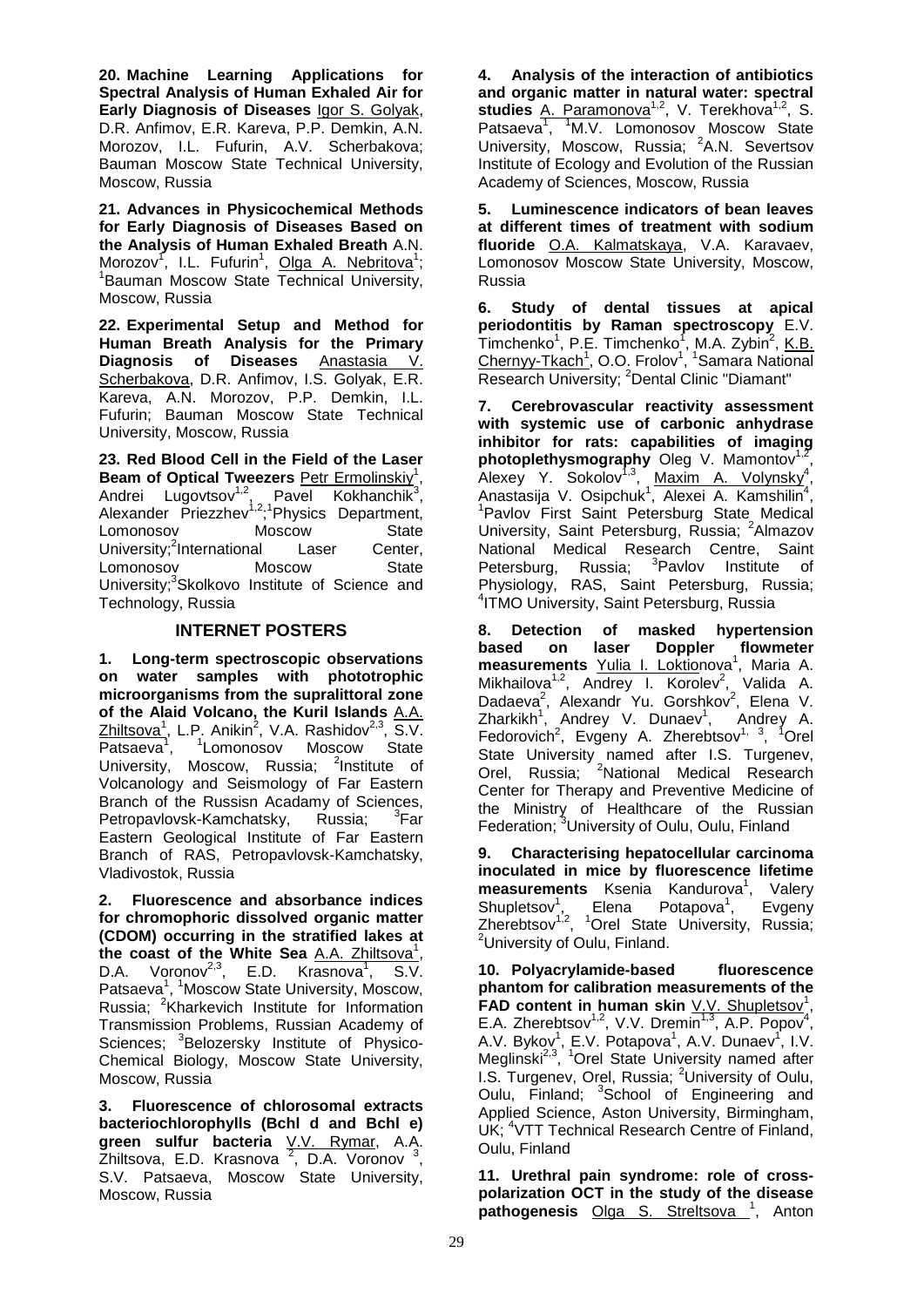**20. Machine Learning Applications for Spectral Analysis of Human Exhaled Air for Early Diagnosis of Diseases** Igor S. Golyak, D.R. Anfimov, E.R. Kareva, P.P. Demkin, A.N. Morozov, I.L. Fufurin, A.V. Scherbakova; Bauman Moscow State Technical University, Moscow, Russia

**21. Advances in Physicochemical Methods for Early Diagnosis of Diseases Based on the Analysis of Human Exhaled Breath** A.N. Morozov<sup>1</sup>, I.L. Fufurin<sup>1</sup>, Olga A. Nebritova<sup>1</sup>; 1 Bauman Moscow State Technical University, Moscow, Russia

**22. Experimental Setup and Method for Human Breath Analysis for the Primary Diagnosis of Diseases** Anastasia V. Scherbakova, D.R. Anfimov, I.S. Golyak, E.R. Kareva, A.N. Morozov, P.P. Demkin, I.L. Fufurin; Bauman Moscow State Technical University, Moscow, Russia

**23. Red Blood Cell in the Field of the Laser**  Beam of Optical Tweezers **Petr Ermolinskiy<sup>1</sup>**, Andrei Lugovtsov<sup>1,2</sup>, Pavel Kokhanchik<sup>3</sup>, Alexander Priezzhev<sup>1,2</sup>;<sup>1</sup>Physics Department, Lomonosov Moscow State University;<sup>2</sup>International Laser Center, Lomonosov Moscow State University;<sup>3</sup>Skolkovo Institute of Science and Technology, Russia

#### **INTERNET POSTERS**

**1. Long-term spectroscopic observations on water samples with phototrophic microorganisms from the supralittoral zone of the Alaid Volcano, the Kuril Islands** A.A. Zhiltsova<sup>1</sup>, L.P. Anikin<sup>2</sup>, V.A. Rashidov<sup>2,3</sup>, S.V. Patsaeva<sup>1</sup>, <sup>1</sup>Lomonosov Moscow State University, Moscow, Russia; <sup>2</sup>Institute of Volcanology and Seismology of Far Eastern Branch of the Russisn Acadamy of Sciences, Petropavlovsk-Kamchatsky, Russia;  $\mathrm{Far}$ Eastern Geological Institute of Far Eastern Branch of RAS, Petropavlovsk-Kamchatsky, Vladivostok, Russia

**2. Fluorescence and absorbance indices for chromophoric dissolved organic matter (CDOM) occurring in the stratified lakes at**  the coast of the White Sea A.A. Zhiltsova<sup>1</sup>, D.A. Voronov<sup>2,3</sup>, E.D. Krasnova<sup>1</sup>, S.V. Patsaeva<sup>1</sup>, <sup>1</sup>Moscow State University, Moscow, Russia; <sup>2</sup>Kharkevich Institute for Information Transmission Problems, Russian Academy of Sciences; <sup>3</sup>Belozersky Institute of Physico-Chemical Biology, Moscow State University, Moscow, Russia

**3. Fluorescence of chlorosomal extracts bacteriochlorophylls (Bchl d and Bchl e) green sulfur bacteria** V.V. Rymar, A.A.  $\overline{Z}$ hiltsova, E.D. Krasnova<sup>2</sup>, D.A. Voronov<sup>3</sup>, S.V. Patsaeva, Moscow State University, Moscow, Russia

**4. Analysis of the interaction of antibiotics and organic matter in natural water: spectral**  studies A. Paramonova<sup>1,2</sup>, V. Terekhova<sup>1,2</sup>, S. Patsaeva<sup>1</sup>, <sup>1</sup>M.V. Lomonosov Moscow State University, Moscow, Russia; <sup>2</sup>A.N. Severtsov Institute of Ecology and Evolution of the Russian Academy of Sciences, Moscow, Russia

**5. Luminescence indicators of bean leaves at different times of treatment with sodium fluoride** O.A. Kalmatskaya, V.A. Karavaev, Lomonosov Moscow State University, Moscow, Russia

**6. Study of dental tissues at apical periodontitis by Raman spectroscopy** E.V. Timchenko<sup>1</sup>, P.E. Timchenko<sup>1</sup>, M.A. Zybin<sup>2</sup>, K.B. Chernyy-Tkach<sup>1</sup>, O.O. Frolov<sup>1</sup>, <sup>1</sup>Samara National Research University; <sup>2</sup>Dental Clinic "Diamant"

**7. Cerebrovascular reactivity assessment with systemic use of carbonic anhydrase inhibitor for rats: capabilities of imaging photoplethysmography** Oleg V. Mamontov<sup>1,2</sup>, Alexey Y. Sokolov<sup>1,3</sup>, Maxim A. Volynsky<sup>4</sup>, Anastasija V. Osipchuk<sup>1</sup>, Alexei A. Kamshilin<sup>4</sup>, <sup>1</sup>Pavlov First Saint Petersburg State Medical University, Saint Petersburg, Russia; <sup>2</sup>Almazov National Medical Research Centre, Saint Petersburg, Russia; <sup>3</sup> <sup>3</sup>Pavlov Institute of Physiology, RAS, Saint Petersburg, Russia; 4 ITMO University, Saint Petersburg, Russia

**8. Detection of masked hypertension based on laser Doppler flowmeter**  measurements Yulia I. Loktionova<sup>1</sup>, Maria A. Mikhailova<sup>1,2</sup>, Andrey I. Korolev<sup>2</sup>, Valida A. Dadaeva<sup>2</sup>, Alexandr Yu. Gorshkov<sup>2</sup>, Elena V. Zharkikh<sup>1</sup>, Andrey V. Dunaev<sup>1</sup>, Andrey A. Fedorovich<sup>2</sup>, Evgeny A. Zherebtsov<sup>1, 3</sup>, <sup>1</sup>Orel State University named after I.S. Turgenev, Orel, Russia; <sup>2</sup>National Medical Research Center for Therapy and Preventive Medicine of the Ministry of Healthcare of the Russian Federation; <sup>3</sup>University of Oulu, Oulu, Finland

**9. Characterising hepatocellular carcinoma inoculated in mice by fluorescence lifetime**  measurements Ksenia Kandurova<sup>1</sup>, Valery Shupletsov<sup>1</sup>, Elena Potapova<sup>1</sup>, Evgeny Zherebtsov<sup>1,2</sup>, <sup>1</sup>Orel State University, Russia; <sup>2</sup>University of Oulu, Finland.

**10. Polyacrylamide-based fluorescence phantom for calibration measurements of the**  FAD content in human skin V.V. Shupletsov<sup>1</sup>, E.A. Zherebtsov<sup>1,2</sup>, V.V. Dremin<sup>1,3</sup>, A.P. Popov<sup>4</sup>, A.V. Bykov<sup>1</sup>, E.V. Potapova<sup>1</sup>, A.V. Dunaev<sup>1</sup>, I.V. Meglinski<sup>2,3</sup>, <sup>1</sup>Orel State University named after I.S. Turgenev, Orel, Russia; <sup>2</sup>University of Oulu, Oulu, Finland; <sup>3</sup>School of Engineering and Applied Science, Aston University, Birmingham, UK; <sup>4</sup>VTT Technical Research Centre of Finland, Oulu, Finland

**11. Urethral pain syndrome: role of crosspolarization OCT in the study of the disease pathogenesis** Olga S. Streltsova <sup>1</sup>, Anton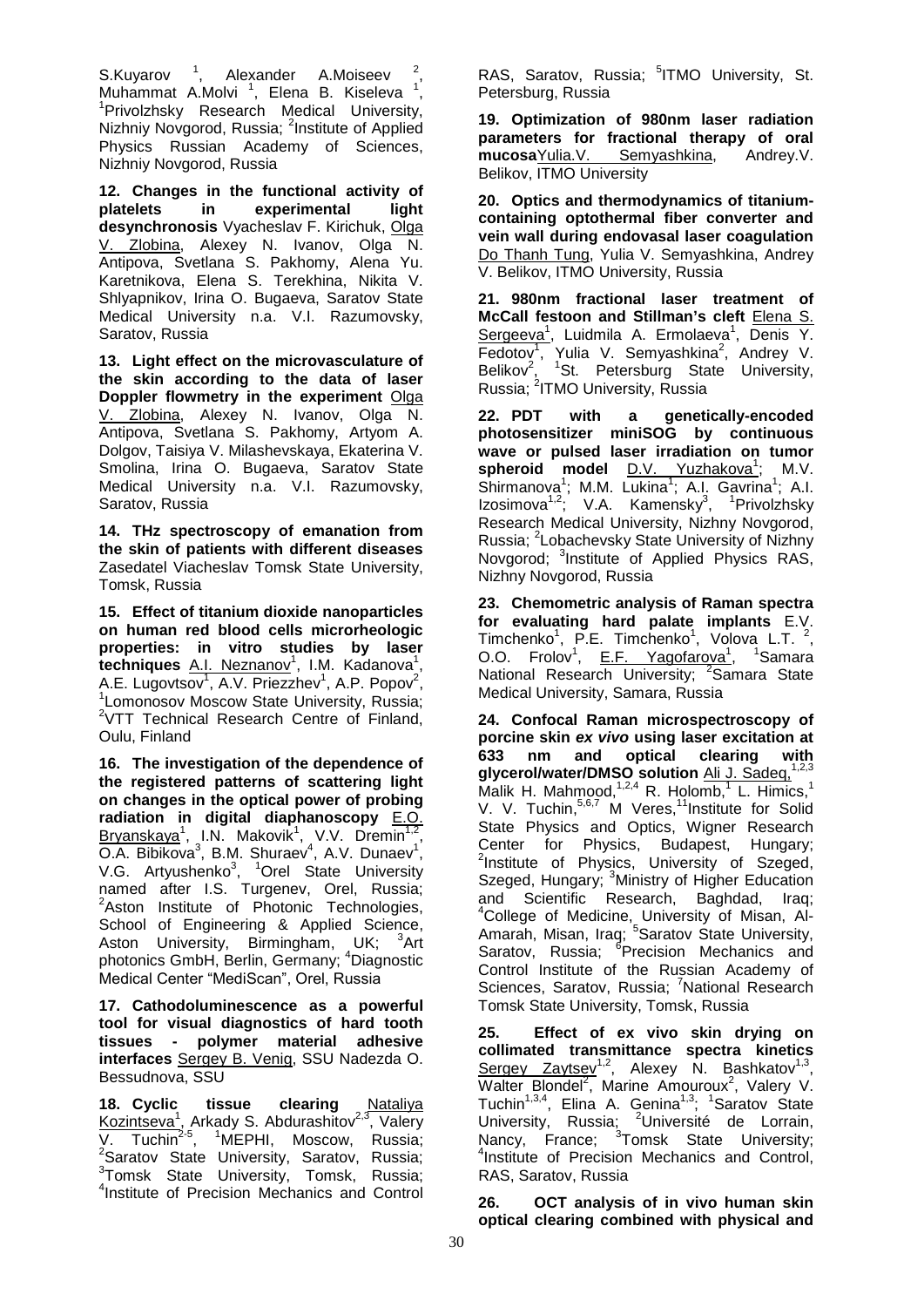S.Kuyarov  $1$ , Alexander A.Moiseev  $2$ , Muhammat A.Molvi<sup>1</sup>, Elena B. Kiseleva<sup>1</sup>,<br><sup>1</sup> Privolzheky, Besearch Medical University <sup>1</sup>Privolzhsky Research Medical University, Nizhniy Novgorod, Russia; <sup>2</sup>Institute of Applied Physics Russian Academy of Sciences, Nizhniy Novgorod, Russia

**12. Changes in the functional activity of platelets in experimental light desynchronosis** Vyacheslav F. Kirichuk, Olga V. Zlobina, Alexey N. Ivanov, Olga N. Antipova, Svetlana S. Pakhomy, Alena Yu. Karetnikova, Elena S. Terekhina, Nikita V. Shlyapnikov, Irina O. Bugaeva, Saratov State Medical University n.a. V.I. Razumovsky, Saratov, Russia

**13. Light effect on the microvasculature of the skin according to the data of laser Doppler flowmetry in the experiment** Olga V. Zlobina, Alexey N. Ivanov, Olga N. Antipova, Svetlana S. Pakhomy, Artyom A. Dolgov, Taisiya V. Milashevskaya, Ekaterina V. Smolina, Irina O. Bugaeva, Saratov State Medical University n.a. V.I. Razumovsky, Saratov, Russia

**14. THz spectroscopy of emanation from the skin of patients with different diseases**  Zasedatel Viacheslav Tomsk State University, Tomsk, Russia

**15. Effect of titanium dioxide nanoparticles on human red blood cells microrheologic properties: in vitro studies by laser techniques** A.I. Neznanov<sup>1</sup>, I.M. Kadanova<sup>1</sup>, A.E. Lugovtsov<sup>1</sup>, A.V. Priezzhev<sup>1</sup>, A.P. Popov<sup>2</sup>, 1.<br><sup>1</sup>1 omenegou Moscouy State University, Bussie: Lomonosov Moscow State University, Russia; <sup>2</sup>VTT Technical Research Centre of Finland, Oulu, Finland

**16. The investigation of the dependence of the registered patterns of scattering light on changes in the optical power of probing radiation in digital diaphanoscopy** E.O. Bryanskaya<sup>1</sup>, I.N. Makovik<sup>1</sup>, V.V. Dremin<sup>1,2</sup>, O.A. Bibikova<sup>3</sup>, B.M. Shuraev<sup>4</sup>, A.V. Dunaev<sup>1</sup>, V.G. Artyushenko<sup>3</sup>, <sup>1</sup>Orel State University named after I.S. Turgenev, Orel, Russia; <sup>2</sup>Aston Institute of Photonic Technologies, School of Engineering & Applied Science, Aston University, Birmingham, UK; <sup>3</sup>Art photonics GmbH, Berlin, Germany; <sup>4</sup>Diagnostic Medical Center "MediSсan", Orel, Russia

**17. Cathodoluminescence as a powerful tool for visual diagnostics of hard tooth tissues - polymer material adhesive interfaces** Sergey B. Venig, SSU Nadezda O. Bessudnova, SSU

**18. Cyclic tissue clearing** Nataliya Kozintseva<sup>1</sup>, Arkady S. Abdurashitov<sup>2,3</sup>, Valery V. Tuchin<sup>2-5</sup>, <sup>1</sup>MEPHI, Moscow, Russia;<br><sup>2</sup>Saratov State University, Saratov, Russia; <sup>3</sup>Tomsk State University, Tomsk, Russia; 4 Institute of Precision Mechanics and Control

RAS, Saratov, Russia; <sup>5</sup>ITMO University, St. Petersburg, Russia

**19. Optimization of 980nm laser radiation parameters for fractional therapy of oral mucosaYulia.V.** Semyashkina, Andrey.V. **mucosa**Yulia.V. Semyashkina, Belikov, ITMO University

**20. Optics and thermodynamics of titaniumcontaining optothermal fiber converter and vein wall during endovasal laser coagulation**  Do Thanh Tung, Yulia V. Semyashkina, Andrey V. Belikov, ITMO University, Russia

**21. 980nm fractional laser treatment of McCall festoon and Stillman's cleft** Elena S. Sergeeva<sup>1</sup>, Luidmila A. Ermolaeva<sup>1</sup>, Denis Y.  $Fedotov<sup>1</sup>$ , Yulia V. Semyashkina<sup>2</sup>, Andrey V. Belikov<sup>2</sup>, <sup>1</sup>St. Petersburg State University, Russia; <sup>2</sup>ITMO University, Russia

**22. PDT with a genetically-encoded photosensitizer miniSOG by continuous wave or pulsed laser irradiation on tumor**  spheroid model <u>D.V. Yuzhakova<sup>1</sup></u>; M.V. Shirmanova<sup>1</sup>; M.M. Lukina<sup>1</sup>; A.I. Gavrina<sup>1</sup>; A.I. Izosimova<sup>1,2</sup>; V.A. Kamensky<sup>3</sup>, <sup>1</sup>Privolzhsky Research Medical University, Nizhny Novgorod, Russia; <sup>2</sup>Lobachevsky State University of Nizhny Novgorod; <sup>3</sup>Institute of Applied Physics RAS, Nizhny Novgorod, Russia

**23. Chemometric analysis of Raman spectra for evaluating hard palate implants** E.V. Timchenko<sup>1</sup>, P.E. Timchenko<sup>1</sup>, Volova L.T.<sup>2</sup>, O.O. Frolov<sup>1</sup>, E.F. Yagofarova<sup>1</sup>, <sup>1</sup> <sup>1</sup>Samara National Research University; <sup>2</sup>Samara State Medical University, Samara, Russia

**24. Confocal Raman microspectroscopy of porcine skin** *ex vivo* **using laser excitation at 633 nm and optical clearing with glycerol/water/DMSO solution** Ali J. Sadeq,1,2,3 Malik H. Mahmood, $1,2,4}$  R. Holomb,<sup>1</sup> L. Himics,<sup>1</sup> V. V. Tuchin,<sup>5,6,7</sup> M Veres,<sup>11</sup>Institute for Solid State Physics and Optics, Wigner Research Center for Physics, Budapest, Hungary; 2 Institute of Physics, University of Szeged, Szeged, Hungary; <sup>3</sup>Ministry of Higher Education and Scientific Research, Baghdad, Iraq; 4 College of Medicine, University of Misan, Al-Amarah, Misan, Iraq; <sup>5</sup>Saratov State University, Saratov, Russia; <sup>6</sup>Precision Mechanics and Control Institute of the Russian Academy of Sciences, Saratov, Russia; <sup>7</sup>National Research Tomsk State University, Tomsk, Russia

**25. Effect of ex vivo skin drying on collimated transmittance spectra kinetics**  Sergey Zaytsev<sup>1,2</sup>, Alexey N. Bashkatov<sup>1,3</sup>, Walter Blondel<sup>2</sup>, Marine Amouroux<sup>2</sup>, Valery V. Tuchin<sup>1,3,4</sup>, Elina A. Genina<sup>1,3</sup>; <sup>1</sup>Saratov State University, Russia; <sup>2</sup>Université de Lorrain, Nancy, France; <sup>3</sup>Tomsk State University;<br><sup>4</sup>lectitute of Procision Mechanics and Control <sup>4</sup>Institute of Precision Mechanics and Control, RAS, Saratov, Russia

**26. OCT analysis of in vivo human skin optical clearing combined with physical and**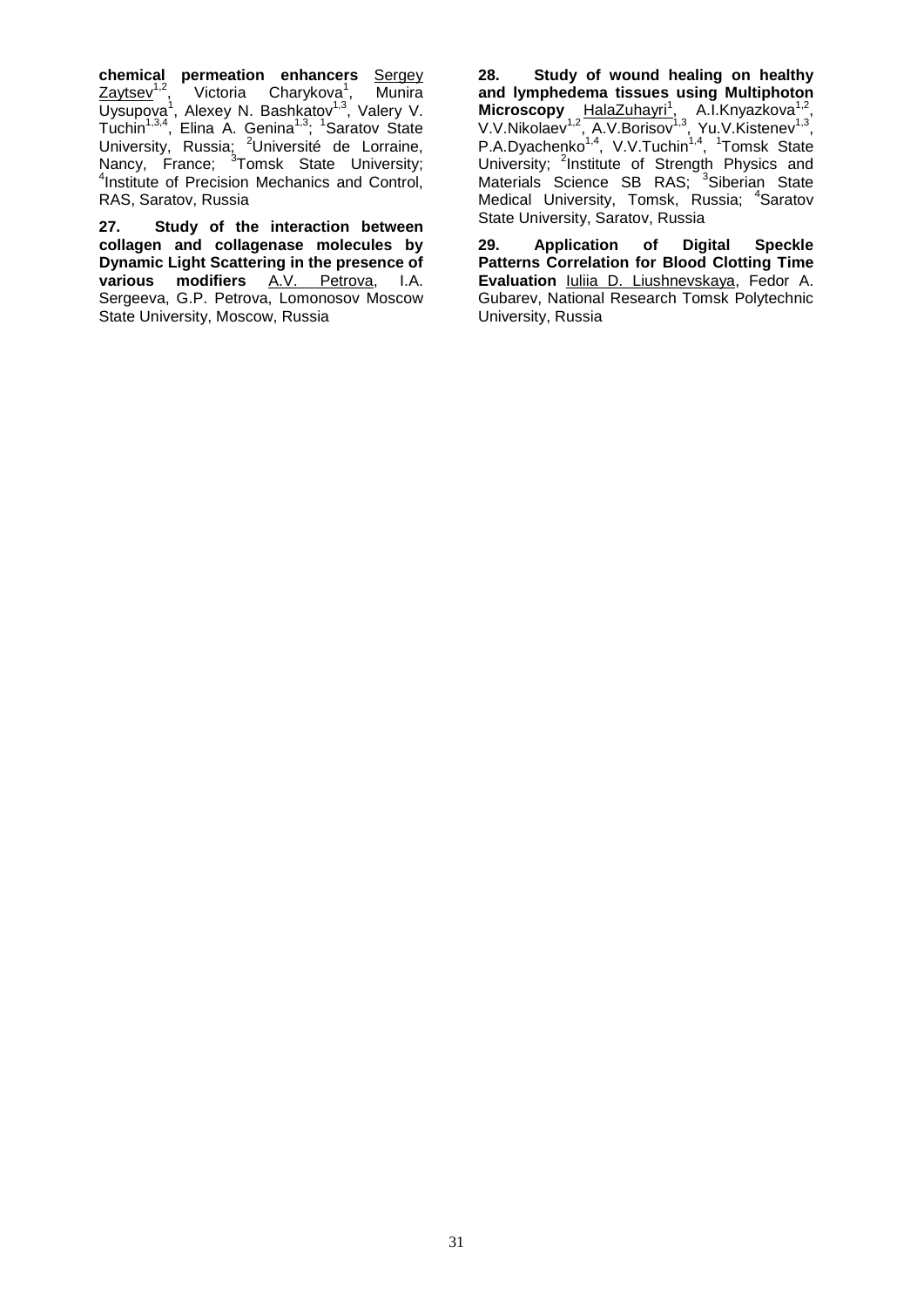**chemical permeation enhancers** Sergey Zaytsev<sup>1,2</sup>, Victoria Charykova<sup>1</sup>, Munira Uysupova<sup>1</sup>, Alexey N. Bashkatov<sup>1,3</sup>, Valery V. Tuchin<sup>1,3,4</sup>, Elina A. Genina<sup>1,3</sup>; <sup>1</sup>Saratov State University, Russia; <sup>2</sup>Université de Lorraine, Nancy, France; <sup>3</sup>Tomsk State University;<br><sup>4</sup>lostitute of Procision Mochanics and Control Institute of Precision Mechanics and Control, RAS, Saratov, Russia

**27. Study of the interaction between collagen and collagenase molecules by Dynamic Light Scattering in the presence of various modifiers** A.V. Petrova, I.A. Sergeeva, G.P. Petrova, Lomonosov Moscow State University, Moscow, Russia

**28. Study of wound healing on healthy and lymphedema tissues using Multiphoton**  Microscopy HalaZuhayri<sup>1</sup>, A.I.Knyazkova<sup>1,2</sup>, V.V.Nikolaev<sup>1,2</sup>, A.V.Borisov<sup>1,3</sup>, Yu.V.Kistenev<sup>1,3</sup>, P.A.Dyachenko<sup>1,4</sup>, V.V.Tuchin<sup>1,4</sup>, <sup>1</sup>Tomsk State University; <sup>2</sup>Institute of Strength Physics and Materials Science SB RAS; <sup>3</sup>Siberian State Medical University, Tomsk, Russia; <sup>4</sup>Saratov State University, Saratov, Russia

**29. Application of Digital Speckle Patterns Correlation for Blood Clotting Time Evaluation** Iuliia D. Liushnevskaya, Fedor A. Gubarev, National Research Tomsk Polytechnic University, Russia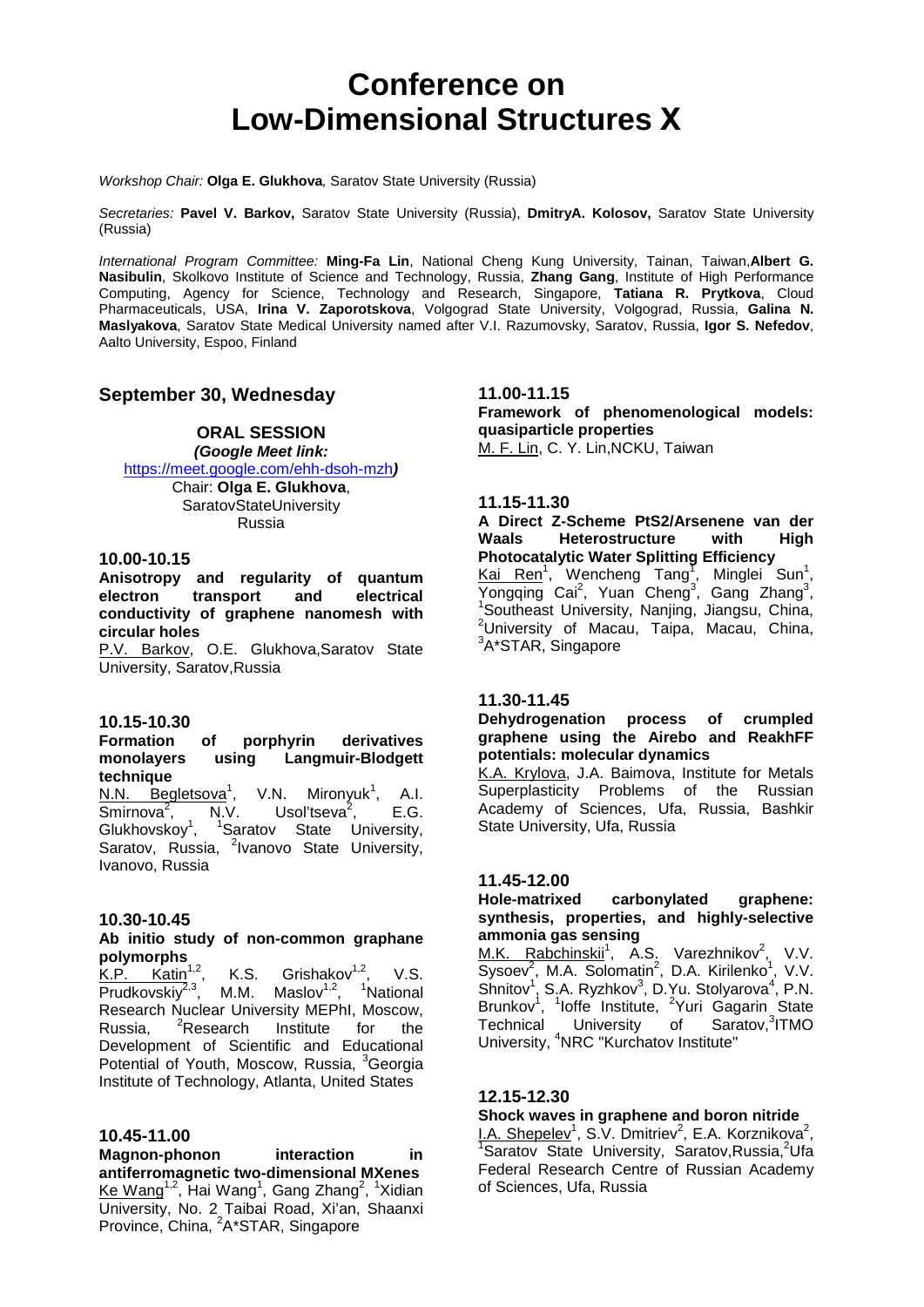### **Conference on Low-Dimensional Structures Х**

*Workshop Chair:* **Olga E. Glukhova***,* Saratov State University (Russia)

*Secretaries:* **Pavel V. Barkov,** Saratov State University (Russia), **DmitryA. Kolosov,** Saratov State University (Russia)

*International Program Committee:* **Ming-Fa Lin**, National Cheng Kung University, Tainan, Taiwan,**Albert G. Nasibulin**, Skolkovo Institute of Science and Technology, Russia, **Zhang Gang**, Institute of High Performance Computing, Agency for Science, Technology and Research, Singapore, **Tatiana R. Prytkova**, Cloud Pharmaceuticals, USA, **Irina V. Zaporotskova**, Volgograd State University, Volgograd, Russia, **Galina N. Maslyakova**, Saratov State Medical University named after V.I. Razumovsky, Saratov, Russia, **Igor S. Nefedov**, Aalto University, Espoo, Finland

#### **September 30, Wednesday**

#### **ORAL SESSION**  *(Google Meet link:*

<https://meet.google.com/ehh-dsoh-mzh>*)*

Chair: **Olga E. Glukhova**, SaratovStateUniversity Russia

#### **10.00-10.15**

**Anisotropy and regularity of quantum electron transport and electrical conductivity of graphene nanomesh with circular holes**

P.V. Barkov, O.E. Glukhova,Saratov State University, Saratov,Russia

#### **10.15-10.30**

#### **Formation of porphyrin derivatives monolayers using Langmuir-Blodgett technique**

N.N. Begletsova<sup>1</sup>,<br>Smirnova<sup>2</sup>, N.V. , V.N. Mironyuk<sup>1</sup>, A.I. Smirnova<sup>2</sup>, Usol'tseva $2$ , , E.G. Glukhovskoy $\frac{1}{1}$ , , <sup>1</sup>Saratov State University, Saratov, Russia, <sup>2</sup>Ivanovo State University, Ivanovo, Russia

#### **10.30-10.45**

### **Ab initio study of non-common graphane**

**polymorphs**<br>K.P. Katin<sup>1,2</sup>, K.S. Grishakov $1,2$ , V.S. Prudkovskiy<sup>2,3</sup>, M.M. Maslov<sup>1,2</sup>, <sup>1</sup>National Research Nuclear University MEPhI, Moscow,<br>Russia. <sup>2</sup>Research Institute for the Russia, <sup>2</sup>Research Institute for the Development of Scientific and Educational Potential of Youth, Moscow, Russia, <sup>3</sup>Georgia Institute of Technology, Atlanta, United States

#### **10.45-11.00**

**Magnon-phonon interaction in antiferromagnetic two-dimensional MXenes**  $\textsf{Ke Wang}^{\textup{1,2}},$  Hai Wang $^{\textup{1}}$ , Gang Zhang $^{\textup{2}}, \ ^{\textup{1}}$ Xidian . University, No. 2 Taibai Road, Xi'an, Shaanxi Province, China, <sup>2</sup>A\*STAR, Singapore

**11.00-11.15**

**Framework of phenomenological models: quasiparticle properties** M. F. Lin, C. Y. Lin,NCKU, Taiwan

#### **11.15-11.30**

**A Direct Z-Scheme PtS2/Arsenene van der Waals Heterostructure with High Photocatalytic Water Splitting Efficiency** Kai Ren<sup>1</sup>, Wencheng Tang<sup>T</sup>, Minglei Sun<sup>1</sup>, Yongqing Cai<sup>2</sup>, Yuan Cheng<sup>3</sup>, Gang Zhang<sup>3</sup>, <sup>1</sup>Southeast University, Nanjing, Jiangsu, China, 2 University of Macau, Taipa, Macau, China, <sup>3</sup>A\*STAR, Singapore

#### **11.30-11.45**

**Dehydrogenation process of crumpled graphene using the Airebo and ReakhFF potentials: molecular dynamics**

K.A. Krylova, J.A. Baimova, Institute for Metals Superplasticity Problems of the Russian Academy of Sciences, Ufa, Russia, Bashkir State University, Ufa, Russia

#### **11.45-12.00**

#### **Hole-matrixed carbonylated graphene: synthesis, properties, and highly-selective ammonia gas sensing**

M.K. Rabchinskii<sup>1</sup>, A.S. Varezhnikov<sup>2</sup>, V.V.  $Sysoev^2$ , M.A. Solomatin<sup>2</sup>, D.A. Kirilenko<sup>1</sup>, V.V.  $Shnitov<sup>1</sup>, S.A. Ryzhkov<sup>3</sup>, D.Yu. Stolyarova<sup>4</sup>, P.N.$ Brunkov<sup>1</sup>, <sup>1</sup>loffe Institute, <sup>2</sup>Yuri Gagarin State Technical University of Saratov,<sup>3</sup>ITMO University, <sup>4</sup>NRC "Kurchatov Institute"

#### **12.15-12.30**

#### **Shock waves in graphene and boron nitride**

 $\frac{I.A. \text{Shepeler}^1}{1 \text{Sorto}}$ , S.V. Dmitriev<sup>2</sup>, E.A. Korznikova<sup>2</sup>, 15 Saratov State University, Saratov, Russia, <sup>2</sup>Ufa Federal Research Centre of Russian Academy of Sciences, Ufa, Russia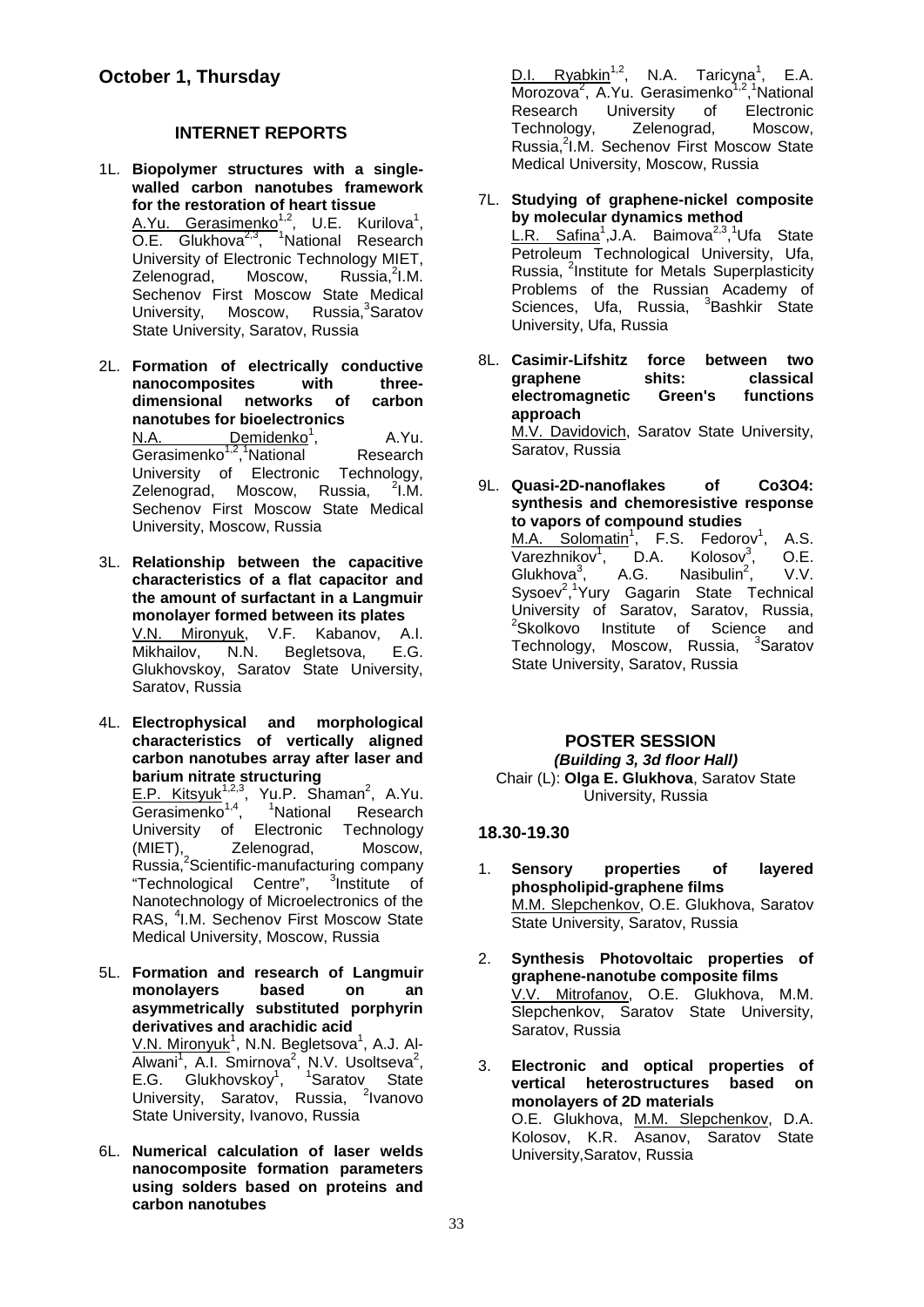#### **INTERNET REPORTS**

1L. **Biopolymer structures with a singlewalled carbon nanotubes framework for the restoration of heart tissue** A.Yu. Gerasimenko<sup>1,2</sup>, U.E. Kurilova<sup>1</sup>, O.E. Glukhova<sup>2,3</sup>, <sup>1</sup>National Research University of Electronic Technology MIET, Zelenograd, Moscow, Russia, 2I.M. Sechenov First Moscow State Medical University, Moscow, Russia,<sup>3</sup>Saratov State University, Saratov, Russia

2L. **Formation of electrically conductive nanocomposites with three**dimensional networks of **nanotubes for bioelectronics** <u>N.A. Demidenko</u><sup>1</sup> , A.Yu. Gerasimenko<sup>1,2</sup>,<sup>1</sup>National Research University of Electronic Technology, Zelenograd, Moscow, Russia,  $2$ I.M. Sechenov First Moscow State Medical University, Moscow, Russia

- 3L. **Relationship between the capacitive characteristics of a flat capacitor and the amount of surfactant in a Langmuir monolayer formed between its plates** V.N. Mironyuk, V.F. Kabanov, A.I. Mikhailov, N.N. Begletsova, E.G. Glukhovskoy, Saratov State University, Saratov, Russia
- 4L. **Electrophysical and morphological characteristics of vertically aligned carbon nanotubes array after laser and barium nitrate structuring**

E.P. Kitsyuk<sup>1,2,3</sup>, Yu.P. Shaman<sup>2</sup>, A.Yu. Gerasimenko<sup>1,4</sup>, <sup>1</sup>National Research University of Electronic Technology (MIET), Zelenograd, Moscow, Russia,<sup>2</sup>Scientific-manufacturing company "Technological Centre", <sup>3</sup>Institute of Nanotechnology of Microelectronics of the RAS, <sup>4</sup>I.M. Sechenov First Moscow State Medical University, Moscow, Russia

- 5L. **Formation and research of Langmuir monolayers based on an asymmetrically substituted porphyrin derivatives and arachidic acid** <u>V.N. Mironyuk</u><sup>1</sup>, N.N. Begletsova<sup>1</sup>, A.J. Al-Alwani<sup>1</sup>, A.I. Smirnova<sup>2</sup>, N.V. Usoltseva<sup>2</sup>, E.G. Glukhovskoy<sup>1</sup>, <sup>1</sup>Saratov State University, Saratov, Russia, <sup>2</sup>lvanovo State University, Ivanovo, Russia
- 6L. **Numerical calculation of laser welds nanocomposite formation parameters using solders based on proteins and carbon nanotubes**

D.I. Ryabkin<sup>1,2</sup>, N.A. Taricyna<sup>1</sup>, E.A. Morozova<sup>2</sup>, A.Yu. Gerasimenko<sup>1,2</sup>,<sup>1</sup>National Research University of Electronic<br>Technology, Zelenograd, Moscow, Technology, Russia,<sup>2</sup>I.M. Sechenov First Moscow State Medical University, Moscow, Russia

- 7L. **Studying of graphene-nickel composite by molecular dynamics method** L.R. Safina<sup>1</sup>, J.A. Baimova<sup>2,3</sup>, <sup>1</sup>Ufa State Petroleum Technological University, Ufa, Russia, <sup>2</sup>Institute for Metals Superplasticity Problems of the Russian Academy of Sciences, Ufa, Russia, <sup>3</sup>Bashkir State University, Ufa, Russia
- 8L. **Casimir-Lifshitz force between two graphene shits: classical electromagnetic Green's functions approach** M.V. Davidovich, Saratov State University, Saratov, Russia
- 9L. **Quasi-2D-nanoflakes of Co3O4: synthesis and chemoresistive response to vapors of compound studies**

M.A. Solomatin<sup>1</sup>, F.S. Fedorov<sup>1</sup> , A.S. Varezhnikov $1$ , D.A.  $\overline{\phantom{a}}$  D.A. Kolosov<sup>3</sup>,<br>A.G. Nasibulin<sup>2</sup>.  $O.E.$  $G$ lukhova $3$ , Nasibulin<sup>2</sup>, , V.V. Sysoev<sup>2</sup>,<sup>1</sup>Yury Gagarin State Technical University of Saratov, Saratov, Russia, <sup>2</sup>Skolkovo Institute of Science and Technology, Moscow, Russia, <sup>3</sup>Saratov State University, Saratov, Russia

#### **POSTER SESSION** *(Building 3, 3d floor Hall)* Chair (L): **Olga E. Glukhova**, Saratov State University, Russia

#### **18.30-19.30**

- 1. **Sensory properties of layered phospholipid-graphene films** M.M. Slepchenkov, O.E. Glukhova, Saratov State University, Saratov, Russia
- 2. **Synthesis Photovoltaic properties of graphene-nanotube composite films** V.V. Mitrofanov, O.E. Glukhova, M.M. Slepchenkov, Saratov State University, Saratov, Russia
- 3. **Electronic and optical properties of vertical heterostructures based on monolayers of 2D materials** O.E. Glukhova, M.M. Slepchenkov, D.A. Kolosov, K.R. Asanov, Saratov State University,Saratov, Russia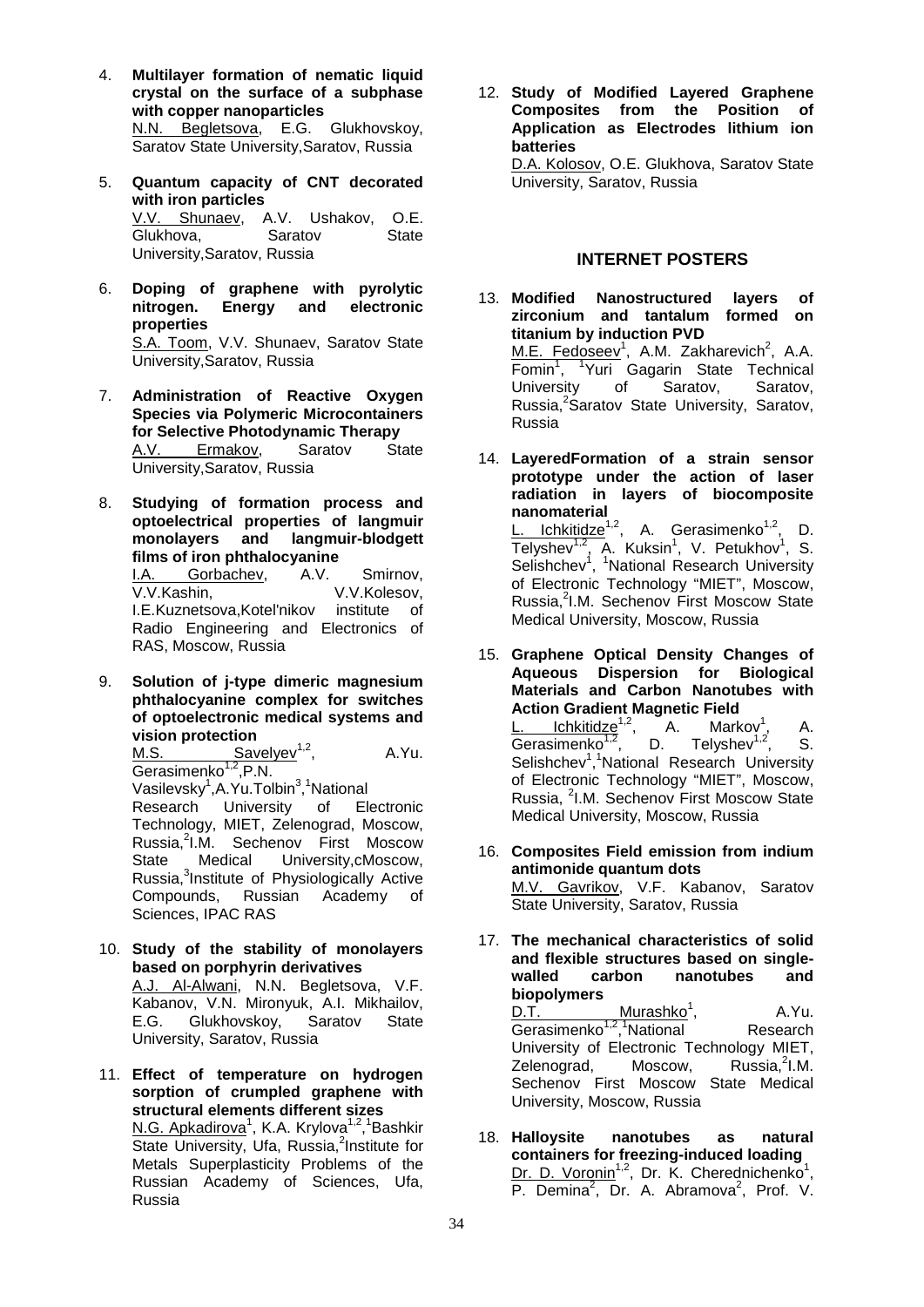- 4. **Multilayer formation of nematic liquid crystal on the surface of a subphase with copper nanoparticles** N.N. Begletsova, E.G. Glukhovskoy, Saratov State University, Saratov, Russia
- 5. **Quantum capacity of CNT decorated with iron particles** V.V. Shunaev, A.V. Ushakov, O.E.<br>Glukhova. Saratov State Glukhova. University,Saratov, Russia
- 6. **Doping of graphene with pyrolytic nitrogen. Energy and electronic properties** S.A. Toom, V.V. Shunaev, Saratov State University,Saratov, Russia
- 7. **Administration of Reactive Oxygen Species via Polymeric Microcontainers for Selective Photodynamic Therapy**<br>A.V. Ermakov, Saratov State A.V. Ermakov, University,Saratov, Russia
- 8. **Studying of formation process and optoelectrical properties of langmuir monolayers and langmuir-blodgett films of iron phthalocyanine** I.A. Gorbachev, A.V. Smirnov,

V.V.Kashin, V.V.Kolesov, I.E.Kuznetsova,Kotel'nikov institute of Radio Engineering and Electronics of RAS, Moscow, Russia

9. **Solution of j-type dimeric magnesium phthalocyanine complex for switches of optoelectronic medical systems and** 

**vision protection**<br>M.S. Sav Savelyev<sup>1,2</sup>, A.Yu. Gerasimenko<sup>1,2</sup>,P.N. Vasilevsky<sup>1</sup>, A. Yu. Tolbin<sup>3</sup>, <sup>1</sup>National Research University of Electronic Technology, MIET, Zelenograd, Moscow, Russia, <sup>2</sup>I.M. Sechenov First Moscow State Medical University,cMoscow, Russia,<sup>3</sup>Institute of Physiologically Active Compounds, Russian Academy of Sciences, IPAC RAS

- 10. **Study of the stability of monolayers based on porphyrin derivatives** A.J. Al-Alwani, N.N. Begletsova, V.F. Kabanov, V.N. Mironyuk, A.I. Mikhailov, E.G. Glukhovskoy, Saratov State University, Saratov, Russia
- 11. **Effect of temperature on hydrogen sorption of crumpled graphene with structural elements different sizes** <u>N.G. Apkadirova</u><sup>1</sup>, K.A. Krylova<sup>1,2</sup>,<sup>1</sup>Bashkir State University, Ufa, Russia,<sup>2</sup>Institute for Metals Superplasticity Problems of the Russian Academy of Sciences, Ufa, Russia

12. **Study of Modified Layered Graphene Composites from the Position of Application as Electrodes lithium ion batteries**

D.A. Kolosov, O.E. Glukhova, Saratov State University, Saratov, Russia

#### **INTERNET POSTERS**

- 13. **Modified Nanostructured layers of zirconium and tantalum formed on titanium by induction PVD** M.E. Fedoseev<sup>1</sup>, A.M. Zakharevich<sup>2</sup>, A.A. Fomin<sup>1</sup>, <sup>1</sup>Yuri Gagarin State Technical University of Saratov, Saratov, Russia,<sup>2</sup>Saratov State University, Saratov, Russia
- 14. **LayeredFormation of a strain sensor prototype under the action of laser radiation in layers of biocomposite nanomaterial** L. Ichkitidze<sup>1,2</sup>, A. Gerasimenko<sup>1,2</sup>, D. Telyshev<sup>1,2</sup>, A. Kuksin<sup>1</sup>, V. Petukhov<sup>1</sup>, S. Selishchev<sup>1</sup>, <sup>1</sup>National Research University of Electronic Technology "MIET", Moscow, Russia,<sup>2</sup>I.M. Sechenov First Moscow State Medical University, Moscow, Russia
- 15. **Graphene Optical Density Changes of Aqueous Dispersion for Biological Materials and Carbon Nanotubes with Action Gradient Magnetic Field** <u>L. Ichkitidze<sup>1,2</sup>,</u> A. Markov<sup>1</sup> Markov', A.<br>Telyshev<sup>1,2</sup>. S. Gerasimenko<sup>1,2</sup>, D. Telyshev<sup>1,2</sup>, S. Selishchev<sup>1</sup>,<sup>1</sup>National Research University of Electronic Technology "MIET", Moscow, Russia, <sup>2</sup>I.M. Sechenov First Moscow State
- 16. **Composites Field emission from indium antimonide quantum dots** M.V. Gavrikov, V.F. Kabanov, Saratov State University, Saratov, Russia

Medical University, Moscow, Russia

- 17. **The mechanical characteristics of solid and flexible structures based on singlewalled carbon nanotubes and biopolymers** Murash $k$ o<sup>1</sup>, , A.Yu. Gerasimenko<sup>1,2</sup>,<sup>1</sup> Research University of Electronic Technology MIET,<br>Zelenograd. Moscow. Russia.<sup>2</sup>l.M. Zelenograd, Russia. ${}^{2}$ I.M. Sechenov First Moscow State Medical University, Moscow, Russia
- 18. **Halloysite nanotubes as natural containers for freezing-induced loading** Dr. D. Voronin<sup>1,2</sup>, Dr. K. Cherednichenko<sup>1</sup>, P. Demina<sup>2</sup>, Dr. A. Abramova<sup>2</sup>, Prof. V.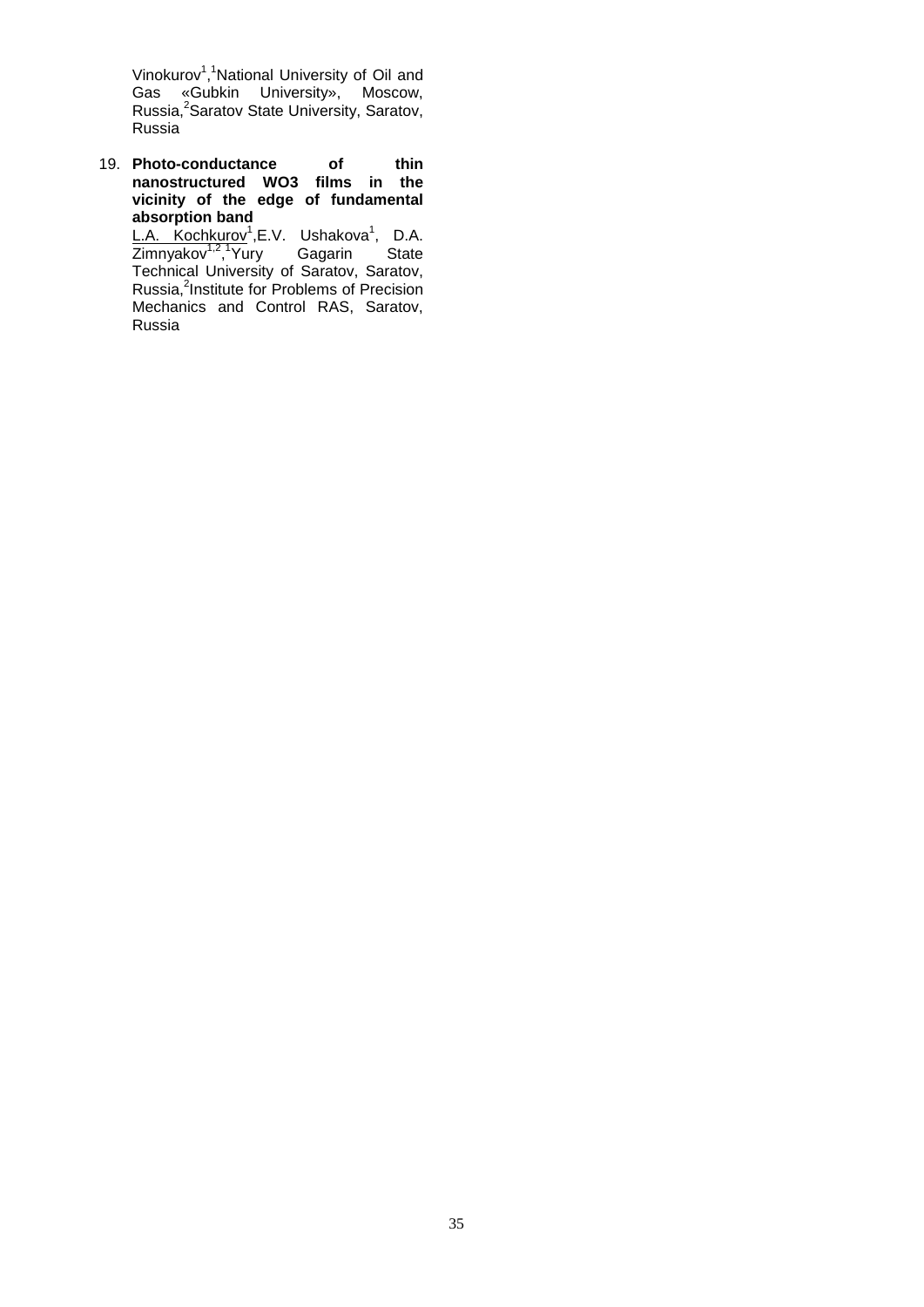Vinokurov<sup>1</sup>,<sup>1</sup>National University of Oil and Gas «Gubkin University», Moscow, Russia,<sup>2</sup>Saratov State University, Saratov, Russia

19. **Photo-conductance of thin nanostructured WO3 films in the vicinity of the edge of fundamental absorption band**

L.A. Kochkurov<sup>1</sup>,E.V. Ushakova<sup>1</sup>, D.A. Zimnyakov<sup>1,2</sup>,<sup>1</sup>Yury Gagarin State Technical University of Saratov, Saratov, Russia,<sup>2</sup>Institute for Problems of Precision Mechanics and Control RAS, Saratov, Russia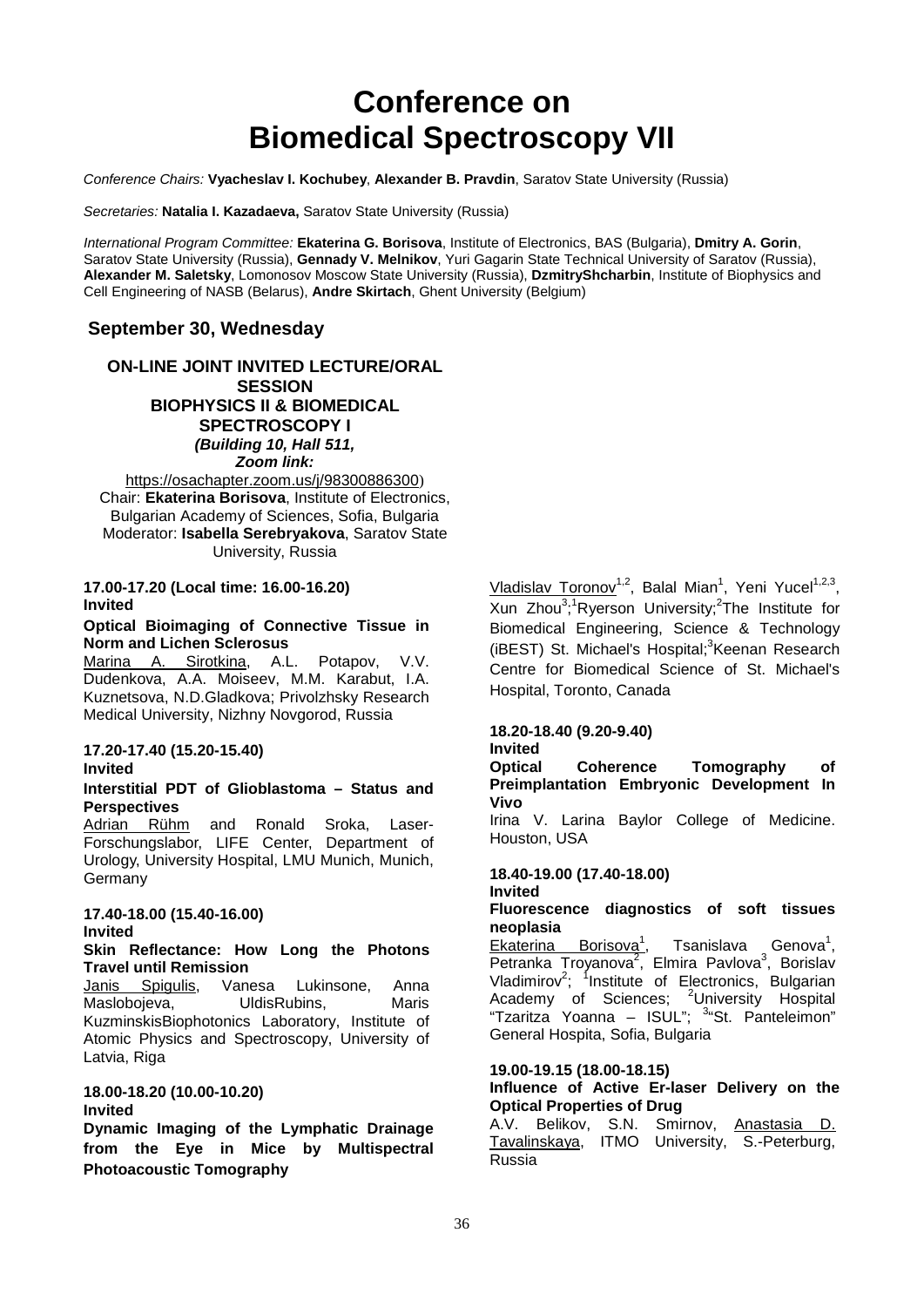### **Conference on Biomedical Spectroscopy VII**

*Conference Chairs:* **Vyacheslav I. Kochubey**, **Alexander B. Pravdin**, Saratov State University (Russia)

*Secretaries:* **Natalia I. Kazadaeva,** Saratov State University (Russia)

*International Program Committee:* **Ekaterina G. Borisova**, Institute of Electronics, BAS (Bulgaria), **Dmitry A. Gorin**, Saratov State University (Russia), **Gennady V. Melnikov**, Yuri Gagarin State Technical University of Saratov (Russia), **Alexander M. Saletsky**, Lomonosov Moscow State University (Russia), **DzmitryShcharbin**, Institute of Biophysics and Cell Engineering of NASB (Belarus), **Andre Skirtach**, Ghent University (Belgium)

#### **September 30, Wednesday**

**ON-LINE JOINT INVITED LECTURE/ORAL SESSION BIOPHYSICS II & BIOMEDICAL SPECTROSCOPY I** *(Building 10, Hall 511, Zoom link:* 

<https://osachapter.zoom.us/j/98300886300>) Chair: **Ekaterina Borisova**, Institute of Electronics, Bulgarian Academy of Sciences, Sofia, Bulgaria Moderator: **Isabella Serebryakova**, Saratov State University, Russia

#### **17.00-17.20 (Local time: 16.00-16.20) Invited**

#### **Optical Bioimaging of Connective Tissue in Norm and Lichen Sclerosus**

Marina A. Sirotkina, A.L. Potapov, V.V. Dudenkova, A.A. Moiseev, M.M. Karabut, I.A. Kuznetsova, N.D.Gladkova; Privolzhsky Research Medical University, Nizhny Novgorod, Russia

#### **17.20-17.40 (15.20-15.40) Invited**

#### **Interstitial PDT of Glioblastoma – Status and Perspectives**

Adrian Rühm and Ronald Sroka, Laser-Forschungslabor, LIFE Center, Department of Urology, University Hospital, LMU Munich, Munich, Germany

#### **17.40-18.00 (15.40-16.00) Invited**

#### **Skin Reflectance: How Long the Photons Travel until Remission**

Janis Spigulis, Vanesa Lukinsone, Anna Maslobojeva, UldisRubins, Maris KuzminskisBiophotonics Laboratory, Institute of Atomic Physics and Spectroscopy, University of Latvia, Riga

#### **18.00-18.20 (10.00-10.20)**

#### **Invited**

**Dynamic Imaging of the Lymphatic Drainage from the Eye in Mice by Multispectral Photoacoustic Tomography**

Vladislav Toronov<sup>1,2</sup>, Balal Mian<sup>1</sup>, Yeni Yucel<sup>1,2,3</sup>, Xun Zhou<sup>3</sup>;<sup>1</sup>Ryerson University;<sup>2</sup>The Institute for Biomedical Engineering, Science & Technology (iBEST) St. Michael's Hospital;<sup>3</sup>Keenan Research Centre for Biomedical Science of St. Michael's Hospital, Toronto, Canada

#### **18.20-18.40 (9.20-9.40)**

#### **Invited**

**Optical Coherence Tomography of Preimplantation Embryonic Development In Vivo**

Irina V. Larina Baylor College of Medicine. Houston, USA

#### **18.40-19.00 (17.40-18.00) Invited**

#### **Fluorescence diagnostics of soft tissues neoplasia**

Ekaterina Borisova<sup>1</sup> Tsanislava Genova $<sup>1</sup>$ .</sup> Petranka Troyanova<sup>2</sup>, Elmira Pavlova<sup>3</sup>, Borislav Vladimirov<sup>2</sup>; <sup>1</sup>Institute of Electronics, Bulgarian Academy of Sciences; <sup>2</sup>University Hospital "Tzaritza Yoanna - ISUL"; <sup>3</sup> "St. Panteleimon" General Hospita, Sofia, Bulgaria

#### **19.00-19.15 (18.00-18.15)**

#### **Influence of Active Er-laser Delivery on the Optical Properties of Drug**

A.V. Belikov, S.N. Smirnov, Anastasia D. Tavalinskaya, ITMO University, S.-Peterburg, Russia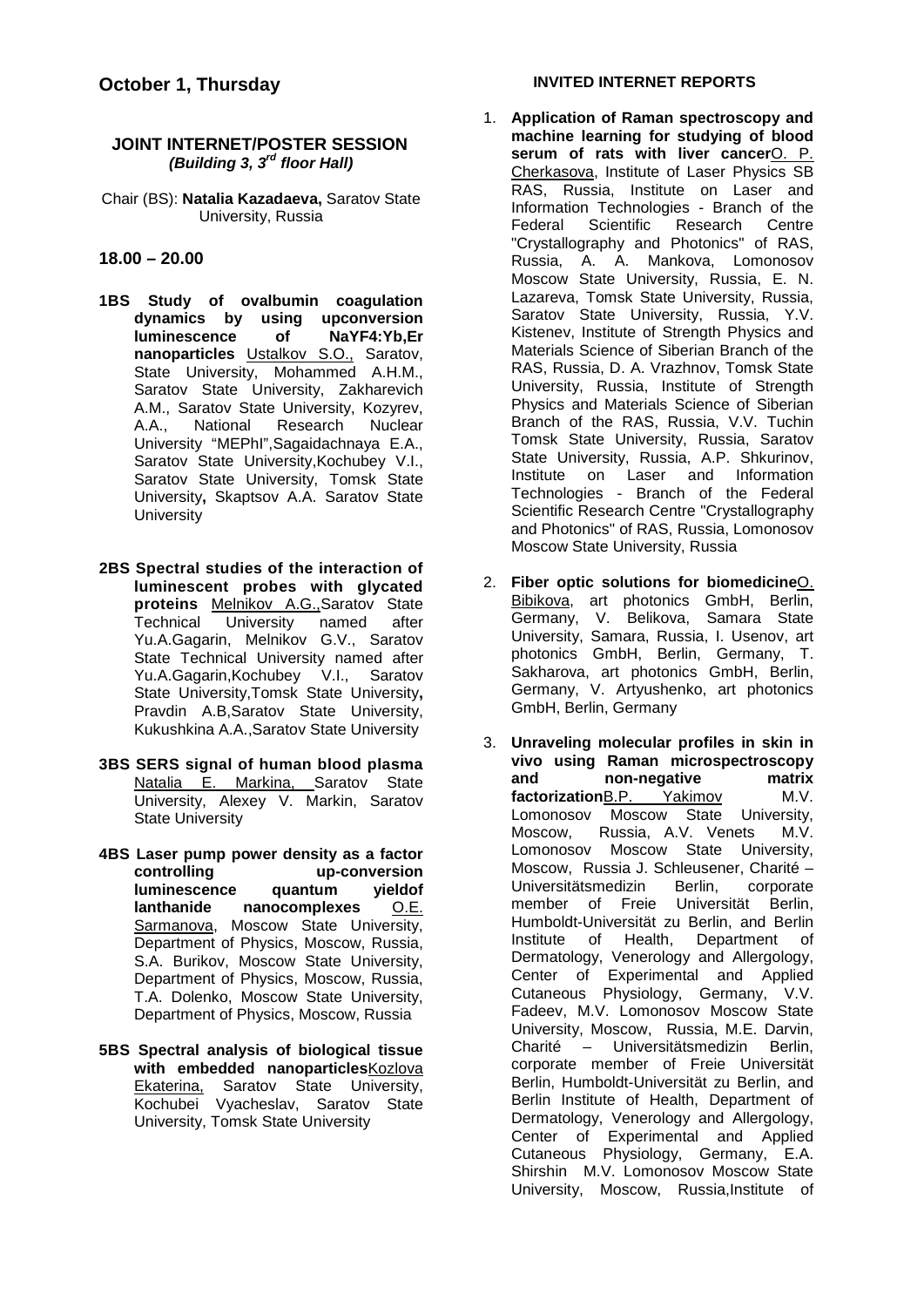#### **JOINT INTERNET/POSTER SESSION**  *(Building 3, 3rd floor Hall)*

Chair (BS): **Natalia Kazadaeva,** Saratov State University, Russia

#### **18.00 – 20.00**

- **1BS Study of ovalbumin coagulation dynamics by using upconversion luminescence** of **nanoparticles** Ustalkov S.O., Saratov, State University, Mohammed A.H.M., Saratov State University, Zakharevich A.M., Saratov State University, Kozyrev, A.A., National Research Nuclear University "MEPhI",Sagaidachnaya E.A., Saratov State University,Kochubey V.I., Saratov State University, Tomsk State University**,** Skaptsov A.A. Saratov State **University**
- **2BS Spectral studies of the interaction of luminescent probes with glycated proteins Melnikov A.G., Saratov State**<br>Technical University named after University named after Yu.A.Gagarin, Melnikov G.V., Saratov State Technical University named after Yu.A.Gagarin,Kochubey V.I., Saratov State University,Tomsk State University**,**  Pravdin A.B,Saratov State University, Kukushkina A.A.,Saratov State University
- **3BS SERS signal of human blood plasma** Natalia E. Markina, Saratov State University, Alexey V. Markin, Saratov State University
- **4BS Laser pump power density as a factor**  up-conversion<br>**quantum** vieldof **luminescence quantum yieldof hanocomplexes** Sarmanova, Moscow State University, Department of Physics, Moscow, Russia, S.A. Burikov, Moscow State University, Department of Physics, Moscow, Russia, T.A. Dolenko, Moscow State University, Department of Physics, Moscow, Russia
- **5BS Spectral analysis of biological tissue with embedded nanoparticles**Kozlova Ekaterina, Saratov State University, Kochubei Vyacheslav, Saratov State University, Tomsk State University

#### **INVITED INTERNET REPORTS**

- 1. **Application of Raman spectroscopy and machine learning for studying of blood serum of rats with liver cancer**O. P. Cherkasova, Institute of Laser Physics SB RAS, Russia, Institute on Laser and Information Technologies - Branch of the Federal Scientific Research Centre "Crystallography and Photonics" of RAS, Russia, A. A. Mankova, Lomonosov Moscow State University, Russia, E. N. Lazareva, Tomsk State University, Russia, Saratov State University, Russia, Y.V. Kistenev, Institute of Strength Physics and Materials Science of Siberian Branch of the RAS, Russia, D. A. Vrazhnov, Tomsk State University, Russia, Institute of Strength Physics and Materials Science of Siberian Branch of the RAS, Russia, V.V. Tuchin Tomsk State University, Russia, Saratov State University, Russia, A.P. Shkurinov, Institute on Laser and Information Technologies - Branch of the Federal Scientific Research Centre "Crystallography and Photonics" of RAS, Russia, Lomonosov Moscow State University, Russia
- 2. **Fiber optic solutions for biomedicine**O. Bibikova, art photonics GmbH, Berlin, Germany, V. Belikova, Samara State University, Samara, Russia, I. Usenov, art photonics GmbH, Berlin, Germany, T. Sakharova, art photonics GmbH, Berlin, Germany, V. Artyushenko, art photonics GmbH, Berlin, Germany
- 3. **Unraveling molecular profiles in skin in vivo using Raman microspectroscopy and non-negative matrix**  factorizationB.P. Yakimov M.V. Lomonosov Moscow State University, Moscow, Russia, A.V. Venets M.V. Lomonosov Moscow State University, Moscow, Russia J. Schleusener, Charité – Universitätsmedizin Berlin, corporate member of Freie Universität Berlin, Humboldt-Universität zu Berlin, and Berlin Institute of Health, Department of Dermatology, Venerology and Allergology, Center of Experimental and Applied Cutaneous Physiology, Germany, V.V. Fadeev, M.V. Lomonosov Moscow State University, Moscow, Russia, M.E. Darvin, Charité – Universitätsmedizin Berlin, corporate member of Freie Universität Berlin, Humboldt-Universität zu Berlin, and Berlin Institute of Health, Department of Dermatology, Venerology and Allergology, Center of Experimental and Applied Cutaneous Physiology, Germany, E.A. Shirshin M.V. Lomonosov Moscow State University, Moscow, Russia,Institute of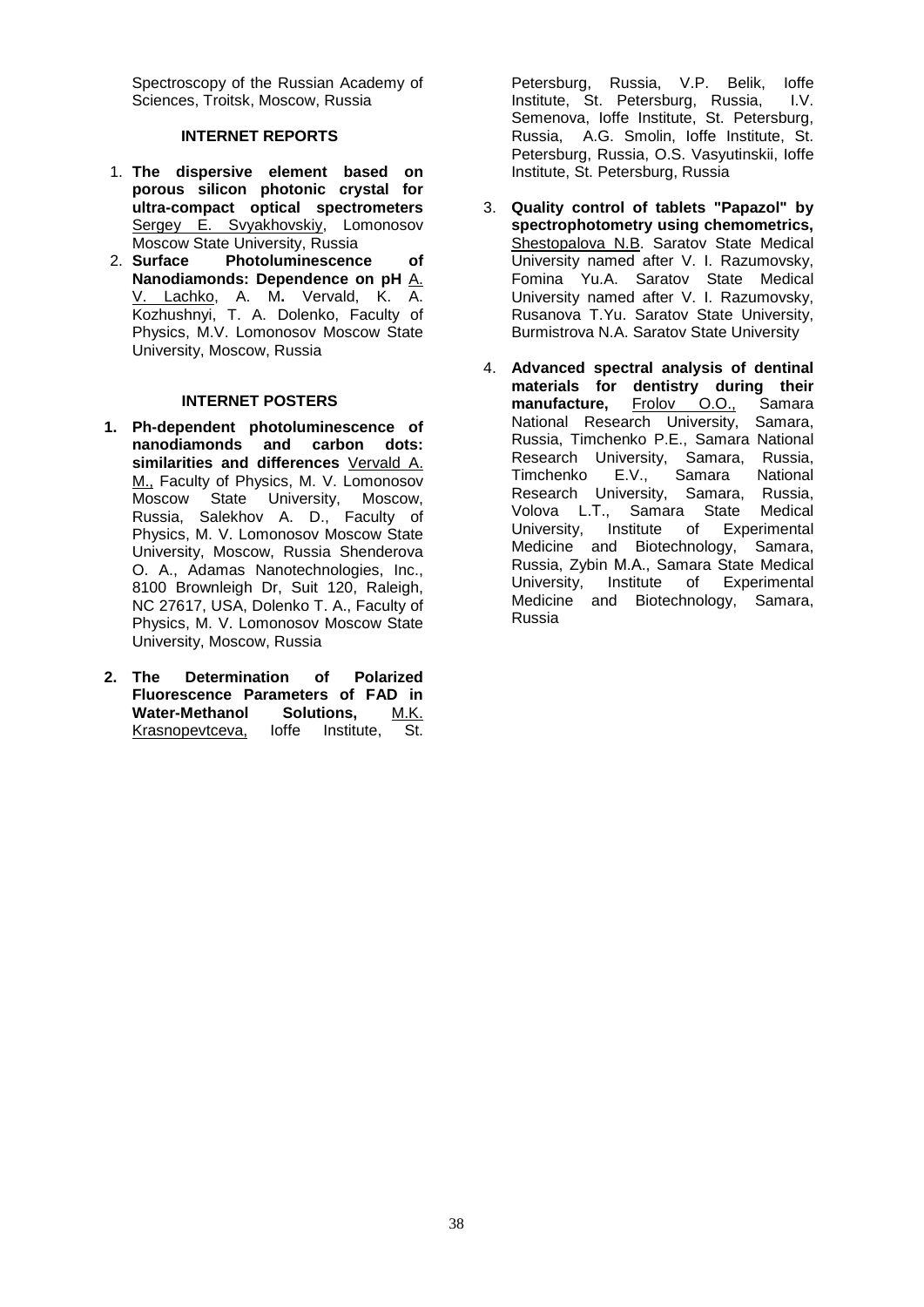Spectroscopy of the Russian Academy of Sciences, Troitsk, Moscow, Russia

#### **INTERNET REPORTS**

- 1. **The dispersive element based on porous silicon photonic crystal for ultra-compact optical spectrometers**  Sergey E. Svyakhovskiy, Lomonosov Moscow State University, Russia<br>2. Surface Photoluminescenc
- Photoluminescence of **Nanodiamonds: Dependence on pH** A. V. Lachko, A. M**.** Vervald, K. A. Kozhushnyi, T. A. Dolenko, Faculty of Physics, M.V. Lomonosov Moscow State University, Moscow, Russia

#### **INTERNET POSTERS**

- **1. Ph-dependent photoluminescence of nanodiamonds and carbon dots: similarities and differences** Vervald A. M., Faculty of Physics, M. V. Lomonosov Moscow State University, Moscow, Russia, Salekhov A. D., Faculty of Physics, M. V. Lomonosov Moscow State University, Moscow, Russia Shenderova O. A., Adamas Nanotechnologies, Inc., 8100 Brownleigh Dr, Suit 120, Raleigh, NC 27617, USA, Dolenko T. A., Faculty of Physics, M. V. Lomonosov Moscow State University, Moscow, Russia
- **2. The Determination of Polarized Fluorescence Parameters of FAD in Water-Methanol Solutions,** M.K. Krasnopevtceva, Ioffe Institute, St.

Petersburg, Russia, V.P. Belik, Ioffe Institute, St. Petersburg, Russia, I.V. Semenova, Ioffe Institute, St. Petersburg, Russia, A.G. Smolin, Ioffe Institute, St. Petersburg, Russia, O.S. Vasyutinskii, Ioffe Institute, St. Petersburg, Russia

- 3. **Quality control of tablets "Papazol" by spectrophotometry using chemometrics,**  Shestopalova N.B. Saratov State Medical University named after V. I. Razumovsky, Fomina Yu.A. Saratov State Medical University named after V. I. Razumovsky, Rusanova T.Yu. Saratov State University, Burmistrova N.A. Saratov State University
- 4. **Advanced spectral analysis of dentinal materials for dentistry during their manufacture,** Frolov O.O., Samara National Research University, Samara, Russia, Timchenko P.E., Samara National Research University, Samara, Russia,<br>Timchenko E.V., Samara National Timchenko Research University, Samara, Russia, Volova L.Т., Samara State Medical University, Institute of Experimental Medicine and Biotechnology, Samara, Russia, Zybin М.А., Samara State Medical University, Institute of Experimental Medicine and Biotechnology, Samara, Russia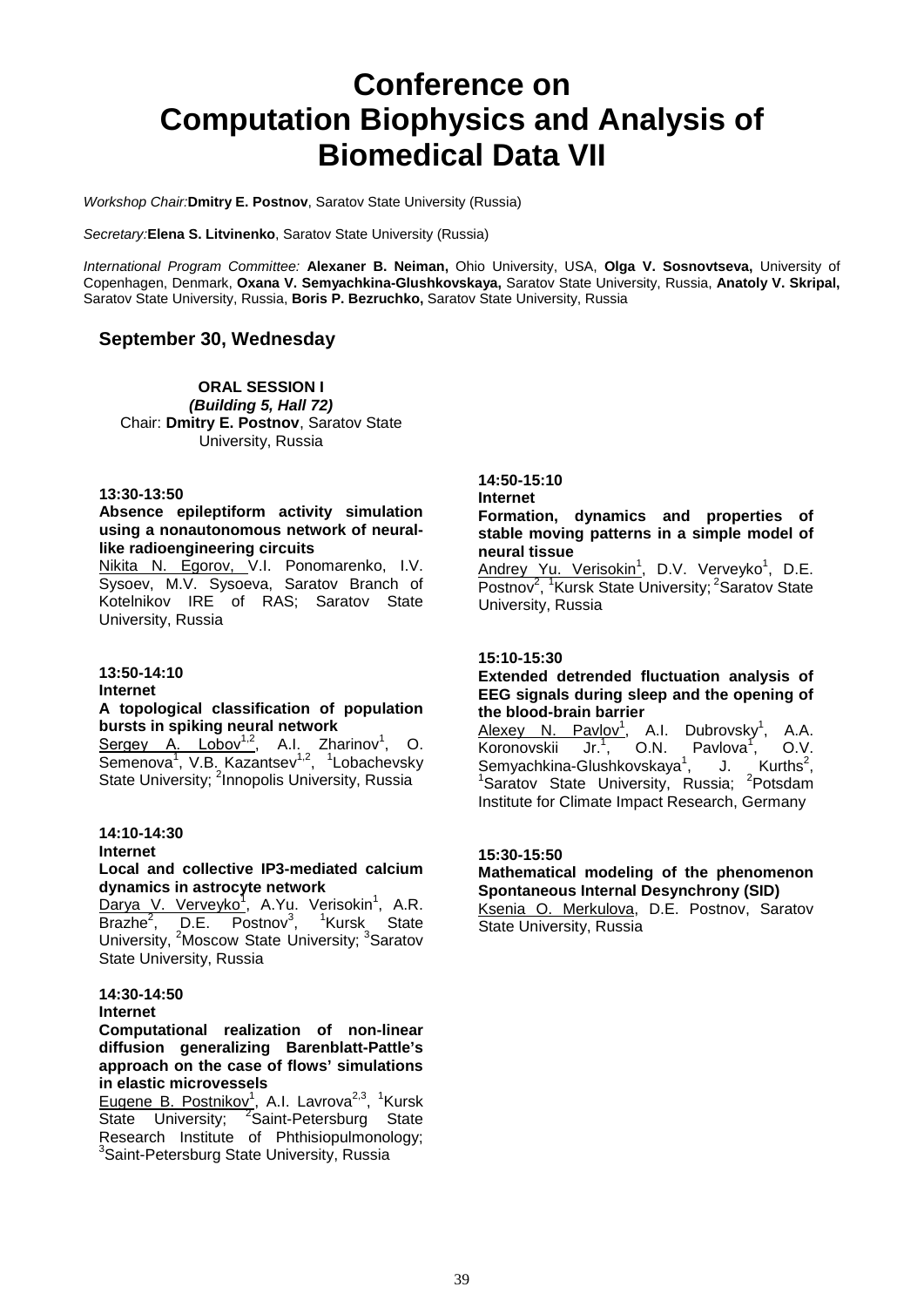### **Conference on Computation Biophysics and Analysis of Biomedical Data VII**

*Workshop Chair:***Dmitry E. Postnov**, Saratov State University (Russia)

*Secretary:***Elena S. Litvinenko**, Saratov State University (Russia)

*International Program Committee:* **Alexaner B. Neiman,** Ohio University, USA, **Olga V. Sosnovtseva,** University of Copenhagen, Denmark, **Oxana V. Semyachkina-Glushkovskaya,** Saratov State University, Russia, **Anatoly V. Skripal,**  Saratov State University, Russia, **Boris P. Bezruchko,** Saratov State University, Russia

#### **September 30, Wednesday**

**ORAL SESSION I** *(Building 5, Hall 72)* Chair: **Dmitry E. Postnov**, Saratov State University, Russia

#### **13:30-13:50**

#### **Absence epileptiform activity simulation using a nonautonomous network of neurallike radioengineering circuits**

Nikita N. Egorov, V.I. Ponomarenko, I.V. Sysoev, M.V. Sysoeva, Saratov Branch of Kotelnikov IRE of RAS; Saratov State University, Russia

#### **13:50-14:10**

#### **Internet**

### **A topological classification of population bursts in spiking neural network**<br>**Sergey A. Lobov<sup>1,2</sup>, A.I. Zha**

 $Sergey$  A. Lobov<sup>1,2</sup>, A.I. Zharinov<sup>1</sup>, O. Semenova<sup>1</sup>, V.B. Kazantsev<sup>1,2</sup>, <sup>1</sup>Lobachevsky State University; <sup>2</sup>Innopolis University, Russia

#### **14:10-14:30**

#### **Internet**

#### **Local and collective IP3-mediated calcium dynamics in astrocyte network**

Darya V. Verveyko<sup>1</sup>, A.Yu. Verisokin<sup>1</sup>, A.R. Brazhe<sup>2</sup>, D.E. Postnov<sup>3</sup>, <sup>1</sup>Kursk State University, <sup>2</sup>Moscow State University; <sup>3</sup>Saratov State University, Russia

#### **14:30-14:50**

#### **Internet**

#### **Computational realization of non-linear diffusion generalizing Barenblatt-Pattle's approach on the case of flows' simulations in elastic microvessels**

Eugene B. Postnikov<sup>1</sup>, A.I. Lavrova<sup>2,3</sup>, <sup>1</sup>Kursk State University; <sup>2</sup>Saint-Petersburg State Research Institute of Phthisiopulmonology; <sup>3</sup>Saint-Petersburg State University, Russia

#### **14:50-15:10**

#### **Internet**

**Formation, dynamics and properties of stable moving patterns in a simple model of neural tissue** 

<u>Andrey Yu. Verisokin<sup>1</sup>,</u> D.V. Verveyko<sup>1</sup>, D.E. Postnov<sup>2</sup>, <sup>1</sup>Kursk State University; <sup>2</sup>Saratov State University, Russia

#### **15:10-15:30**

#### **Extended detrended fluctuation analysis of EEG signals during sleep and the opening of the blood-brain barrier**

Alexey N. Pavlov<sup>1</sup>, A.I. Dubrovsky<sup>1</sup>, A.A. Koronovskii  $\overline{\mathsf{Jr}}^{1}, \overline{\phantom{a}}^{0}$  O.N. Pavlova $^{1}, \overline{\phantom{a}}^{0}$  O.V.<br>-Glushkovskaya $^{1}, \overline{\phantom{a}}^{1}$  J. Kurths $^{2}, \overline{\phantom{a}}^{2}$ , O.V. Semyachkina-Glushkovskaya<sup>1</sup>, J. Kurths<sup>2</sup>,<br><sup>1</sup>Seretev, Stete University, Buggie: <sup>2</sup>Retedent Saratov State University, Russia; <sup>2</sup>Potsdam Institute for Climate Impact Research, Germany

#### **15:30-15:50**

#### **Mathematical modeling of the phenomenon Spontaneous Internal Desynchrony (SID)**

Ksenia O. Merkulova, D.E. Postnov, Saratov State University, Russia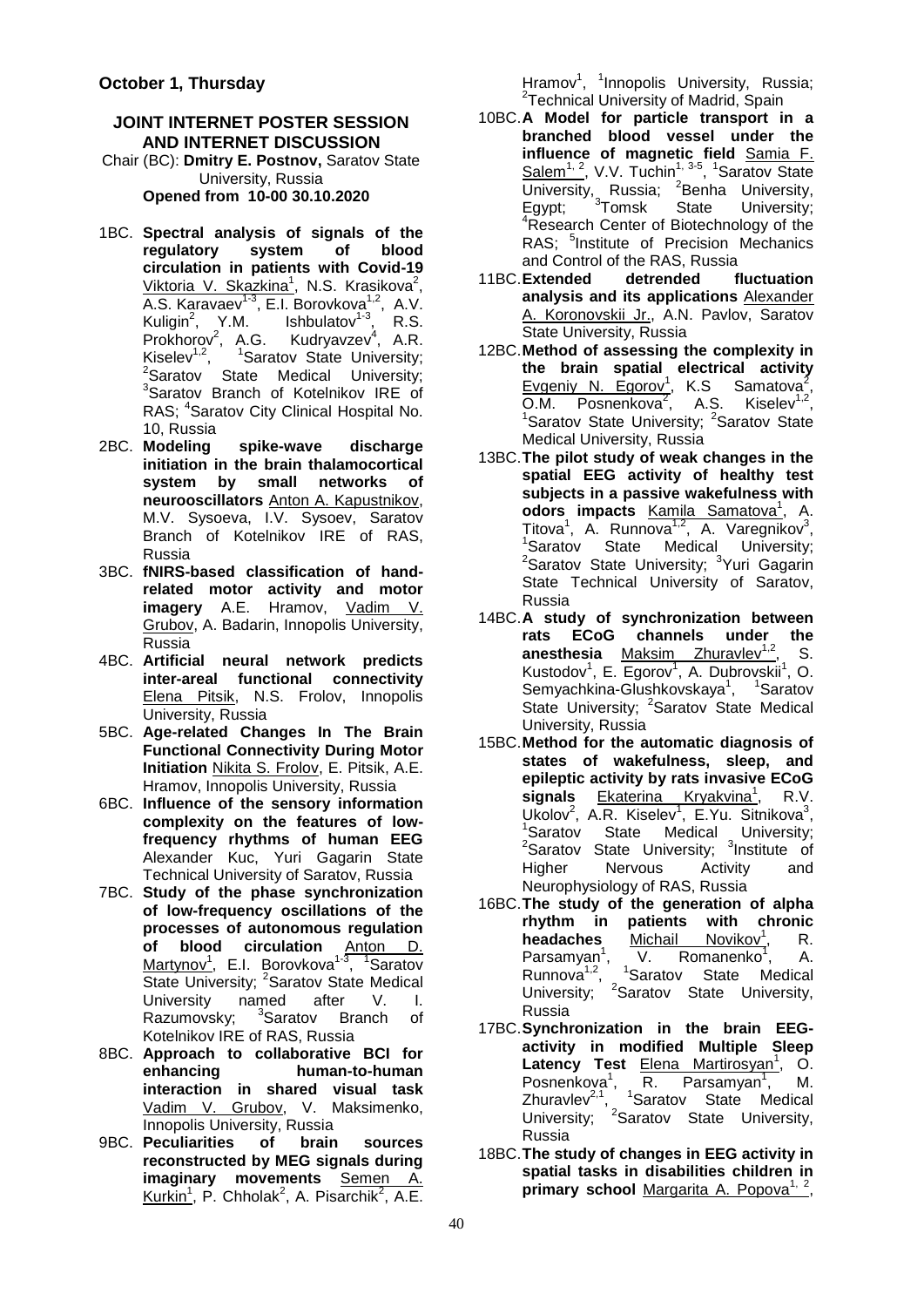#### **JOINT INTERNET POSTER SESSION AND INTERNET DISCUSSION**

Chair (BC): **Dmitry E. Postnov,** Saratov State University, Russia **Opened from 10-00 30.10.2020**

- 1BC. **Spectral analysis of signals of the**  regulatory **circulation in patients with Covid-19**  Viktoria V. Skazkina<sup>1</sup>, N.S. Krasikova<sup>2</sup>, A.S. Karavaev<sup>1-3</sup>, E.I. Borovkova<sup>1,2</sup>, A.V. Kuligin<sup>2</sup>, Y.M. Ishbulatov<sup>1-3</sup>, R.S. Prokhorov<sup>2</sup>, A.G. Kudryavzev<sup>4</sup>, A.R. Kiselev<sup>1,2</sup>, <sup>1</sup>Saratov State University;<br><sup>2</sup>Saratov State Medical University;<br><sup>3</sup>Saratov Branch of Katelnikov IBE of <sup>3</sup>Saratov Branch of Kotelnikov IRE of RAS; <sup>4</sup>Saratov City Clinical Hospital No. 10, Russia
- 2BC. **Modeling spike-wave discharge initiation in the brain thalamocortical system by small networks of neurooscillators** Anton A. Kapustnikov, M.V. Sysoeva, I.V. Sysoev, Saratov Branch of Kotelnikov IRE of RAS, Russia
- 3BC. **fNIRS-based classification of handrelated motor activity and motor imagery** A.E. Hramov, Vadim V. Grubov, A. Badarin, Innopolis University, Russia
- 4BC. **Artificial neural network predicts inter-areal functional connectivity**  Elena Pitsik, N.S. Frolov, Innopolis University, Russia
- 5BC. **Age-related Changes In The Brain Functional Connectivity During Motor Initiation** Nikita S. Frolov, E. Pitsik, A.E. Hramov, Innopolis University, Russia
- 6BC. **Influence of the sensory information complexity on the features of lowfrequency rhythms of human EEG**  Alexander Kuc, Yuri Gagarin State Technical University of Saratov, Russia
- 7BC. **Study of the phase synchronization of low-frequency oscillations of the processes of autonomous regulation of blood circulation** Anton D. Martynov<sup>1</sup>, E.I. Borovkova<sup>1-3</sup>, <sup>1</sup>Saratov State University; <sup>2</sup>Saratov State Medical University named after V. I. Razumovsky; <sup>3</sup>Saratov Branch of Kotelnikov IRE of RAS, Russia
- 8BC. **Approach to collaborative BCI for enhancing human-to-human interaction in shared visual task**  Vadim V. Grubov, V. Maksimenko, Innopolis University, Russia
- 9BC. **Peculiarities of brain sources reconstructed by MEG signals during imaginary movements** Semen A. Kurkin<sup>1</sup>, P. Chholak<sup>2</sup>, A. Pisarchik<sup>2</sup>, A.E.

Hramov<sup>1</sup>, <sup>1</sup>Innopolis University, Russia;<br><sup>2</sup>Technical University of Madrid Spain <sup>2</sup>Technical University of Madrid, Spain

- 10BC.**A Model for particle transport in a branched blood vessel under the influence of magnetic field** Samia F.  $Salem<sup>1, 2</sup>$ , V.V. Tuchin<sup>1, 3-5</sup>, <sup>1</sup>Saratov State University, Russia; <sup>2</sup> Benha University, Egypt; <sup>3</sup>Tomsk State University;<br><sup>4</sup>Bessersh Center of Biotechnology of the <sup>4</sup>Research Center of Biotechnology of the RAS; <sup>5</sup>Institute of Precision Mechanics and Control of the RAS, Russia<br>**Extended** detrended fluctuation
- 11BC.**Extended analysis and its applications** Alexander A. Koronovskii Jr., A.N. Pavlov, Saratov State University, Russia
- 12BC.**Method of assessing the complexity in the brain spatial electrical activity**  Evgeniy N. Egorov<sup>1</sup>, K.S Samatova<sup>2</sup>, O.M. Posnenkova<sup>2</sup> , A.S. Kiselev1,2, 1 Saratov State University; <sup>2</sup>Saratov State Medical University, Russia
- 13BC.**The pilot study of weak changes in the spatial EEG activity of healthy test subjects in a passive wakefulness with**  odors impacts Kamila Samatova<sup>1</sup>, A. Titova<sup>1</sup>, A. Runnova<sup>1,2</sup>, A. Varegnikov<sup>3</sup>, <sup>1</sup>Saratov State Medical University; <sup>2</sup>Saratov State University; <sup>3</sup>Yuri Gagarin State Technical University of Saratov, Russia
- 14BC.**A study of synchronization between rats ECoG channels under the anesthesia** Maksim Zhuravlev<sup>1,2</sup>, S. Kustodov<sup>1</sup>, E. Egorov<sup>1</sup>, A. Dubrovskii<sup>1</sup>, O. Semyachkina-Glushkovskaya<sup>1</sup>, <sup>1</sup>Saratov State University; <sup>2</sup>Saratov State Medical University, Russia
- 15BC.**Method for the automatic diagnosis of states of wakefulness, sleep, and epileptic activity by rats invasive ECoG**  signals Ekaterina Kryakvina<sup>1</sup>, R.V. Ukolov<sup>2</sup>, A.R. Kiselev<sup>1</sup>, E.Yu. Sitnikova<sup>3</sup>, 'Saratov State Medical University;<br><sup>2</sup>Saratov State University; <sup>3</sup>Institute of Higher Nervous Activity and Neurophysiology of RAS, Russia
- 16BC.**The study of the generation of alpha rhythm in patients with chronic**  headaches Michail Novikov<sup>1</sup>, R. Parsamyan<sup>1</sup>, V. Romanenko<sup>1</sup>, A. Runnova<sup>1,2</sup>, <sup>1</sup>Saratov State Medical University; <sup>2</sup>Saratov State University, Russia
- 17BC.**Synchronization in the brain EEGactivity in modified Multiple Sleep**  Latency Test **Elena Martirosyan<sup>1</sup>, O.** Posnenkova<sup>1</sup>, R. Parsamyan<sup>1</sup>, M. Zhuravlev $2,1$ , <sup>1</sup>Saratov State Medical University; <sup>2</sup>Saratov State University, Russia
- 18BC.**The study of changes in EEG activity in spatial tasks in disabilities children in**  primary school Margarita A. Popova<sup>1, 2</sup>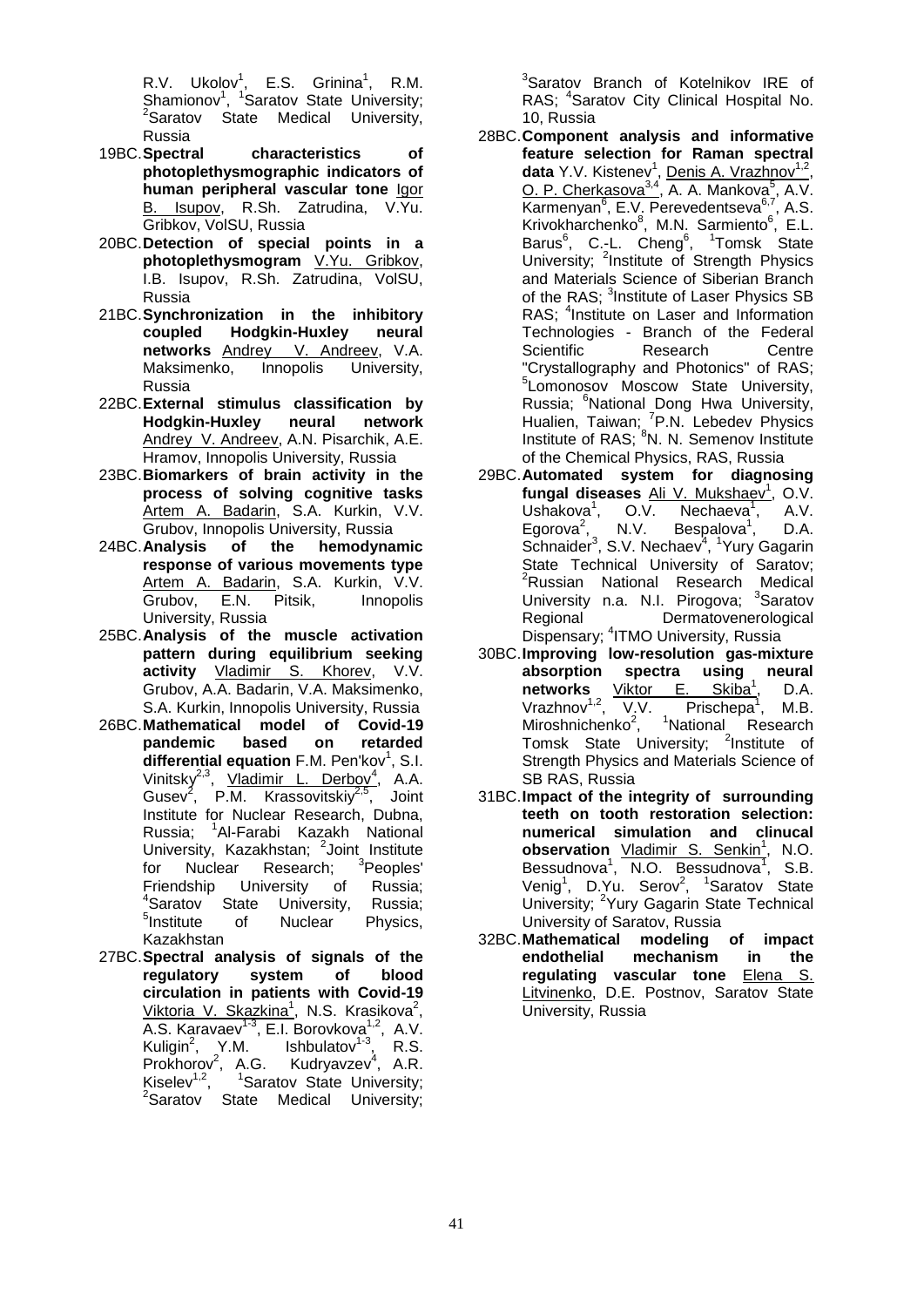R.V. Ukolov<sup>1</sup>, E.S. Grinina<sup>1</sup>, R.M. Shamionov<sup>1</sup>, <sup>1</sup>Saratov State University;<br><sup>2</sup>Seratov State Mediesl University;  $2$ Saratov State Medical University, Russia

- 19BC.**Spectral characteristics of photoplethysmographic indicators of human peripheral vascular tone** Igor B. Isupov, R.Sh. Zatrudina, V.Yu. Gribkov, VolSU, Russia
- 20BC.**Detection of special points in a photoplethysmogram** V.Yu. Gribkov, I.B. Isupov, R.Sh. Zatrudina, VolSU, Russia
- 21BC.**Synchronization in the inhibitory Hodgkin-Huxley networks Andrey V. Andreev, V.A.**<br>Maksimenko, Innopolis University, Maksimenko, Russia
- 22BC.**External stimulus classification by Hodgkin-Huxley neural network**  Andrey V. Andreev, A.N. Pisarchik, A.E. Hramov, Innopolis University, Russia
- 23BC.**Biomarkers of brain activity in the process of solving cognitive tasks**  Artem A. Badarin, S.A. Kurkin, V.V. Grubov, Innopolis University, Russia
- 24BC.**Analysis of the hemodynamic response of various movements type**  Artem A. Badarin, S.A. Kurkin, V.V. Grubov, E.N. Pitsik, Innopolis University, Russia
- 25BC.**Analysis of the muscle activation pattern during equilibrium seeking activity** Vladimir S. Khorev, V.V. Grubov, A.A. Badarin, V.A. Maksimenko, S.A. Kurkin, Innopolis University, Russia
- 26BC.**Mathematical model of Covid-19**  pandemic based on differential equation F.M. Pen'kov<sup>1</sup>, S.I. Vinitsky<sup>2,3</sup>, Vladimir L. Derbov<sup>4</sup>, A.A. Gusev<sup>2</sup>, P.M. Krassovitskiy<sup>2,5</sup>, Joint Institute for Nuclear Research, Dubna, Russia; <sup>1</sup>Al-Farabi Kazakh National University, Kazakhstan; <sup>2</sup>Joint Institute for Nuclear Research; <sup>3</sup>Peoples' Friendship University of Russia; <sup>4</sup>Saratov State University, Russia; <sup>5</sup>Institute of Nuclear Physics, Kazakhstan
- 27BC.**Spectral analysis of signals of the regulatory system of blood circulation in patients with Covid-19**  <u>Viktoria V. Skazkina<sup>1</sup>,</u> N.S. Krasikova<sup>2</sup> , A.S. Karavaev<sup>1-3</sup>, E.I. Borovkova<sup>1,2</sup>, A.V. Kuligin<sup>2</sup>, Y.M. Ishbulatov<sup>1-3</sup>, R.S. Prokhorov<sup>2</sup>, A.G. Kudryavzev<sup>4</sup>, A.R. Kiselev<sup>1,2</sup>, <sup>1</sup>Saratov State University;<br><sup>2</sup>Saratov State Medical University;

<sup>3</sup>Saratov Branch of Kotelnikov IRE of RAS; <sup>4</sup>Saratov City Clinical Hospital No. 10, Russia

- 28BC.**Component analysis and informative feature selection for Raman spectral**  data Y.V. Kistenev<sup>1</sup>, Denis A. Vrazhnov<sup>1,2</sup>, O. P. Cherkasova<sup>3,4</sup>, A. A. Mankova<sup>5</sup>, A.V. Karmenyan<sup>6</sup>, E.V. Perevedentseva<sup>6,7</sup>, A.S. Krivokharchenko<sup>8</sup>, M.N. Sarmiento<sup>6</sup>, E.L. Barus<sup>6</sup>, C.-L. Cheng<sup>6</sup>, <sup>1</sup>Tomsk State University; <sup>2</sup>Institute of Strength Physics and Materials Science of Siberian Branch of the RAS; <sup>3</sup>Institute of Laser Physics SB RAS; <sup>4</sup>Institute on Laser and Information Technologies - Branch of the Federal Scientific Research Centre "Crystallography and Photonics" of RAS; 5 Lomonosov Moscow State University, Russia; <sup>6</sup>National Dong Hwa University, Hualien, Taiwan; <sup>7</sup>P.N. Lebedev Physics Institute of RAS; <sup>8</sup>N. N. Semenov Institute of the Chemical Physics, RAS, Russia
- 29BC.**Automated system for diagnosing**  fungal diseases Ali V. Mukshaev<sup>1</sup>, O.V. Ushakova<sup>1</sup>, O.V. Nechaeva<sup>1</sup>, A.V. Egorova<sup>2</sup>, N.V. Bespalova<sup>1</sup>, D.A. Schnaider<sup>3</sup>, S.V. Nechaev<sup>4</sup>, <sup>1</sup>Yury Gagarin State Technical University of Saratov; <sup>2</sup>Russian National Research Medical University n.a. N.I. Pirogova; <sup>3</sup>Saratov Regional Dermatovenerological Dispensary; <sup>4</sup>ITMO University, Russia
- 30BC.**Improving low-resolution gas-mixture absorption spectra using neural networks** Viktor E. Skiba<sup>1</sup>, D.A.  $V$ razhnov<sup>1,2</sup>, V.V. Prischepa<sup>1</sup>, M.B. Miroshnichenko<sup>2</sup>, <sup>1</sup>National Research Tomsk State University; <sup>2</sup>Institute of Strength Physics and Materials Science of SB RAS, Russia
- 31BC.**Impact of the integrity of surrounding teeth on tooth restoration selection: numerical simulation and clinucal observation Vladimir S. Senkin<sup>1</sup></u>, N.O.** Bessudnova<sup>1</sup>, N.O. Bessudnova<sup>1</sup>, S.B. Venig<sup>1</sup>, D.Yu. Serov<sup>2</sup>, <sup>1</sup>Saratov State University; <sup>2</sup>Yury Gagarin State Technical University of Saratov, Russia
- 32BC.**Mathematical modeling of impact endothelial mechanism in the regulating vascular tone** Elena S. Litvinenko, D.E. Postnov, Saratov State University, Russia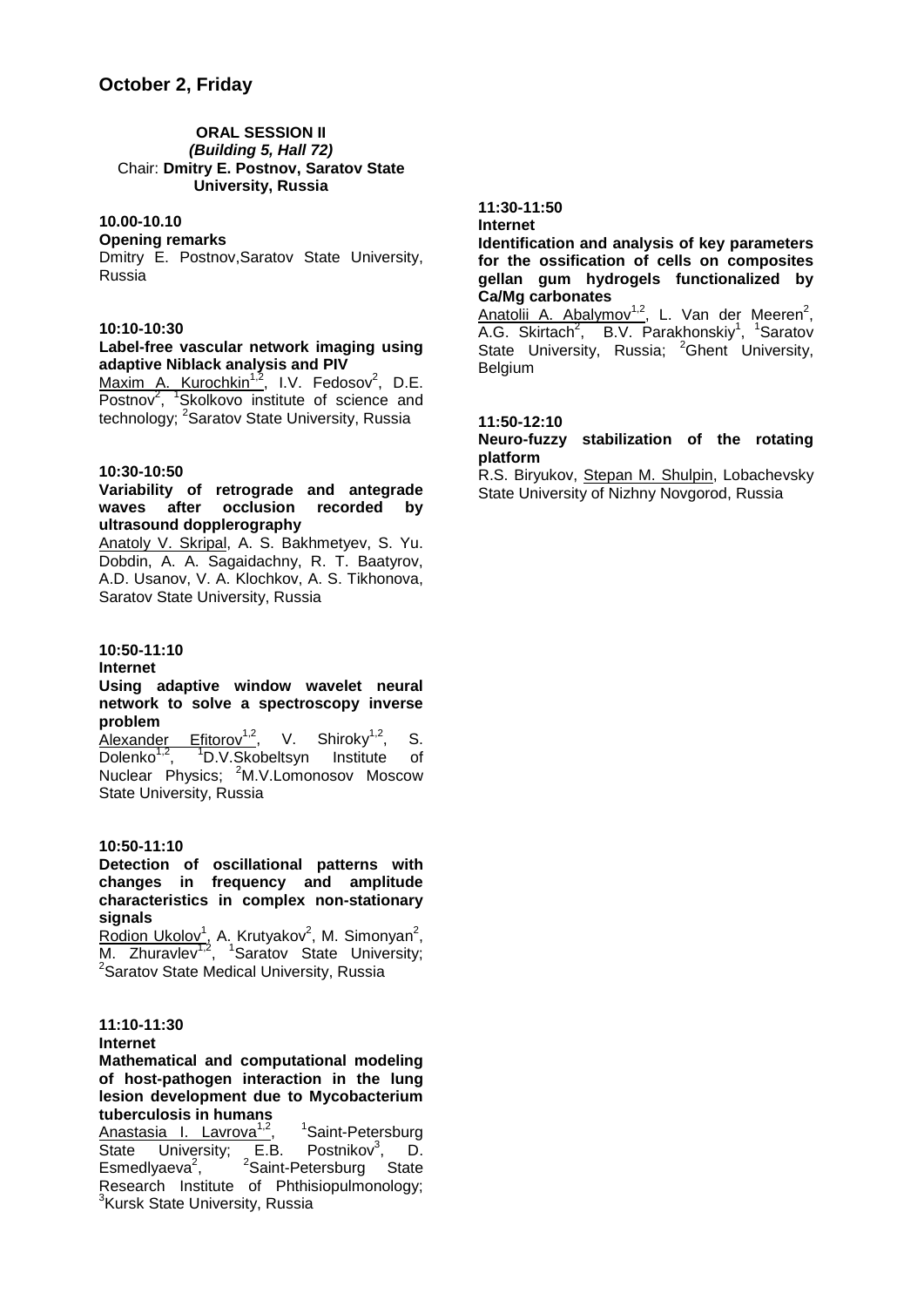#### **ORAL SESSION II** *(Building 5, Hall 72)* Chair: **Dmitry E. Postnov, Saratov State University, Russia**

#### **10.00-10.10**

#### **Opening remarks**

Dmitry E. Postnov,Saratov State University, Russia

#### **10:10-10:30**

#### **Label-free vascular network imaging using adaptive Niblack analysis and PIV**

Maxim A. Kurochkin<sup>1,2</sup>, I.V. Fedosov<sup>2</sup>, D.E. Postnov<sup>2</sup>, <sup>1</sup>Skolkovo institute of science and technology; <sup>2</sup>Saratov State University, Russia

#### **10:30-10:50**

#### **Variability of retrograde and antegrade waves after occlusion recorded by ultrasound dopplerography**

Anatoly V. Skripal, A. S. Bakhmetyev, S. Yu. Dobdin, A. A. Sagaidachny, R. T. Baatyrov, A.D. Usanov, V. A. Klochkov, A. S. Tikhonova, Saratov State University, Russia

#### **10:50-11:10**

#### **Internet**

#### **Using adaptive window wavelet neural network to solve a spectroscopy inverse problem**

 $\overline{\text{Alexander}}$  Efitorov<sup>1,2</sup>, V. Shiroky<sup>1,2</sup>, S. Dolenko<sup>1,2</sup>, <sup>1</sup>D.V.Skobeltsyn Institute of Nuclear Physics; <sup>2</sup>M.V.Lomonosov Moscow State University, Russia

#### **10:50-11:10**

#### **Detection of oscillational patterns with changes in frequency and amplitude characteristics in complex non-stationary signals**

Rodion Ukolov<sup>1</sup>, A. Krutyakov<sup>2</sup>, M. Simonyan<sup>2</sup>, M. Zhuravlev<sup>1,2</sup>, <sup>1</sup>Saratov State University;<br><sup>2</sup>Seratov State Mediesl University Bussie <sup>2</sup> Saratov State Medical University, Russia

#### **11:10-11:30**

#### **Internet**

#### **Mathematical and computational modeling of host-pathogen interaction in the lung lesion development due to Mycobacterium tuberculosis in humans**

Anastasia I. Lavrova<sup>1,2</sup>,<br>State University: E.B. Saint-Petersburg State University; E.B. Postnikov<sup>3</sup>, D. Esmedlyaeva $2$ , , <sup>2</sup>Saint-Petersburg State Research Institute of Phthisiopulmonology; <sup>3</sup>Kursk State University, Russia

#### **11:30-11:50 Internet**

#### **Identification and analysis of key parameters for the ossification of cells on composites gellan gum hydrogels functionalized by Ca/Mg carbonates**

Anatolii A. Abalymov<sup>1,2</sup>, L. Van der Meeren<sup>2</sup>, A.G. Skirtach<sup>2</sup>, B.V. Parakhonskiy<sup>1</sup>, <sup>1</sup>Saratov State University, Russia; <sup>2</sup>Ghent University, Belgium

#### **11:50-12:10**

#### **Neuro-fuzzy stabilization of the rotating platform**

R.S. Biryukov, Stepan M. Shulpin, Lobachevsky State University of Nizhny Novgorod, Russia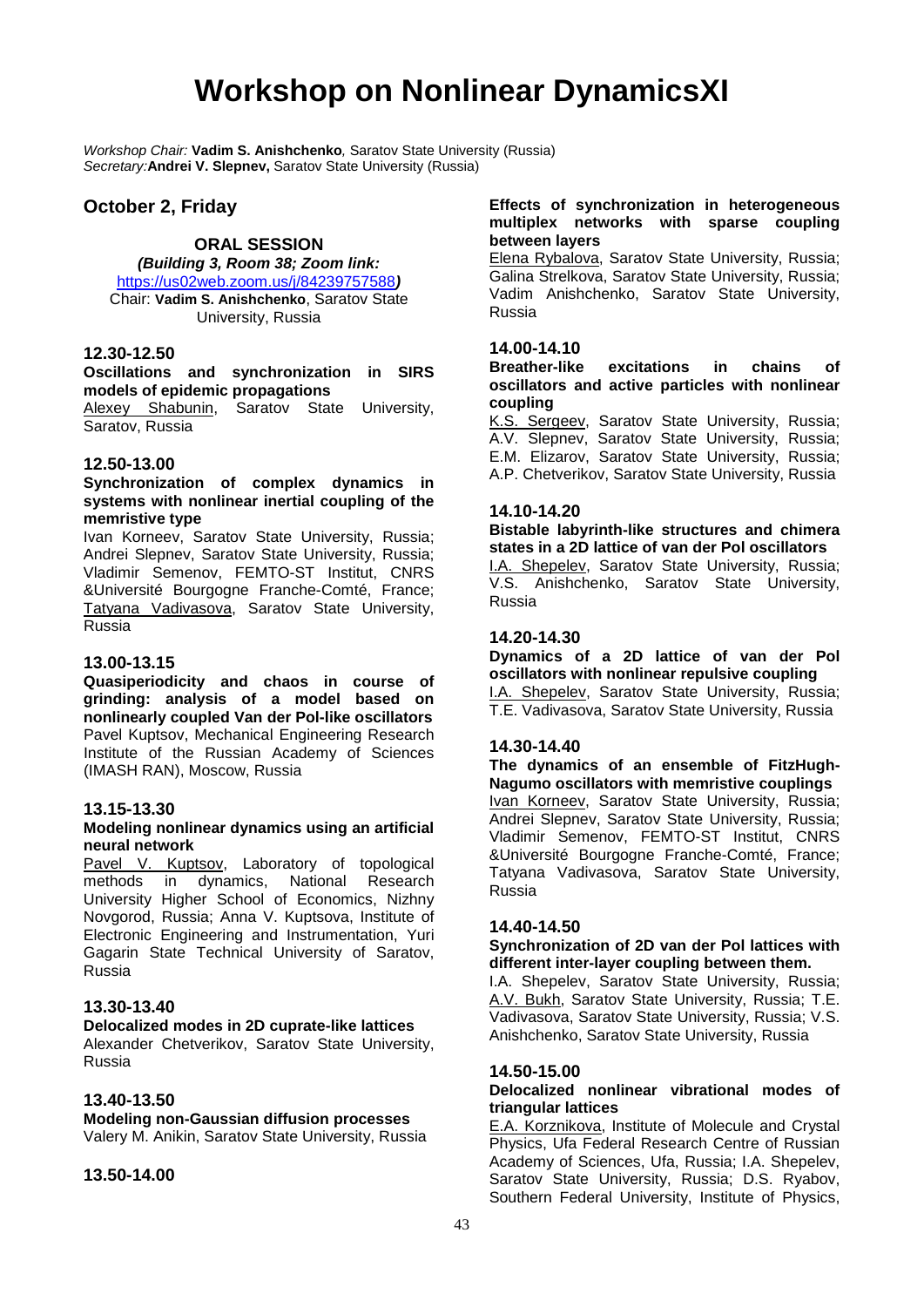### **Workshop on Nonlinear DynamicsXI**

*Workshop Chair:* **Vadim S. Anishchenko***,* Saratov State University (Russia) *Secretary:***Andrei V. Slepnev,** Saratov State University (Russia)

#### **October 2, Friday**

### **ORAL SESSION**

*(Building 3, Room 38; Zoom link:* 

<https://us02web.zoom.us/j/84239757588>*)* Chair: **Vadim S. Anishchenko**, Saratov State University, Russia

#### **12.30-12.50**

**Oscillations and synchronization in SIRS models of epidemic propagations**

Alexey Shabunin, Saratov State University, Saratov, Russia

#### **12.50-13.00**

#### **Synchronization of complex dynamics in systems with nonlinear inertial coupling of the memristive type**

Ivan Korneev, Saratov State University, Russia; Andrei Slepnev, Saratov State University, Russia; Vladimir Semenov, FEMTO-ST Institut, CNRS &Université Bourgogne Franche-Comté, France; Tatyana Vadivasova, Saratov State University, Russia

#### **13.00-13.15**

**Quasiperiodicity and chaos in course of grinding: analysis of a model based on nonlinearly coupled Van der Pol-like oscillators** Pavel Kuptsov, Mechanical Engineering Research Institute of the Russian Academy of Sciences (IMASH RAN), Moscow, Russia

#### **13.15-13.30**

#### **Modeling nonlinear dynamics using an artificial neural network**

Pavel V. Kuptsov, Laboratory of topological methods in dynamics, National Research University Higher School of Economics, Nizhny Novgorod, Russia; Anna V. Kuptsova, Institute of Electronic Engineering and Instrumentation, Yuri Gagarin State Technical University of Saratov, Russia

#### **13.30-13.40**

#### **Delocalized modes in 2D cuprate-like lattices**

Alexander Chetverikov, Saratov State University, Russia

#### **13.40-13.50**

**Modeling non-Gaussian diffusion processes** Valery M. Anikin, Saratov State University, Russia

#### **13.50-14.00**

#### **Effects of synchronization in heterogeneous multiplex networks with sparse coupling between layers**

Elena Rybalova, Saratov State University, Russia; Galina Strelkova, Saratov State University, Russia; Vadim Anishchenko, Saratov State University, Russia

#### **14.00-14.10**

**Breather-like excitations in chains of oscillators and active particles with nonlinear coupling**

K.S. Sergeev, Saratov State University, Russia; A.V. Slepnev, Saratov State University, Russia; E.M. Elizarov, Saratov State University, Russia; A.P. Chetverikov, Saratov State University, Russia

#### **14.10-14.20**

**Bistable labyrinth-like structures and chimera states in a 2D lattice of van der Pol oscillators**

I.A. Shepelev, Saratov State University, Russia; V.S. Anishchenko, Saratov State University, Russia

#### **14.20-14.30**

**Dynamics of a 2D lattice of van der Pol oscillators with nonlinear repulsive coupling** I.A. Shepelev, Saratov State University, Russia; T.E. Vadivasova, Saratov State University, Russia

#### **14.30-14.40**

**The dynamics of an ensemble of FitzHugh-Nagumo oscillators with memristive couplings** Ivan Korneev, Saratov State University, Russia; Andrei Slepnev, Saratov State University, Russia; Vladimir Semenov, FEMTO-ST Institut, CNRS &Université Bourgogne Franche-Comté, France; Tatyana Vadivasova, Saratov State University, Russia

#### **14.40-14.50**

#### **Synchronization of 2D van der Pol lattices with different inter-layer coupling between them.**

I.A. Shepelev, Saratov State University, Russia; A.V. Bukh, Saratov State University, Russia; T.E. Vadivasova, Saratov State University, Russia; V.S. Anishchenko, Saratov State University, Russia

#### **14.50-15.00**

#### **Delocalized nonlinear vibrational modes of triangular lattices**

E.A. Korznikova, Institute of Molecule and Crystal Physics, Ufa Federal Research Centre of Russian Academy of Sciences, Ufa, Russia; I.A. Shepelev, Saratov State University, Russia; D.S. Ryabov, Southern Federal University, Institute of Physics,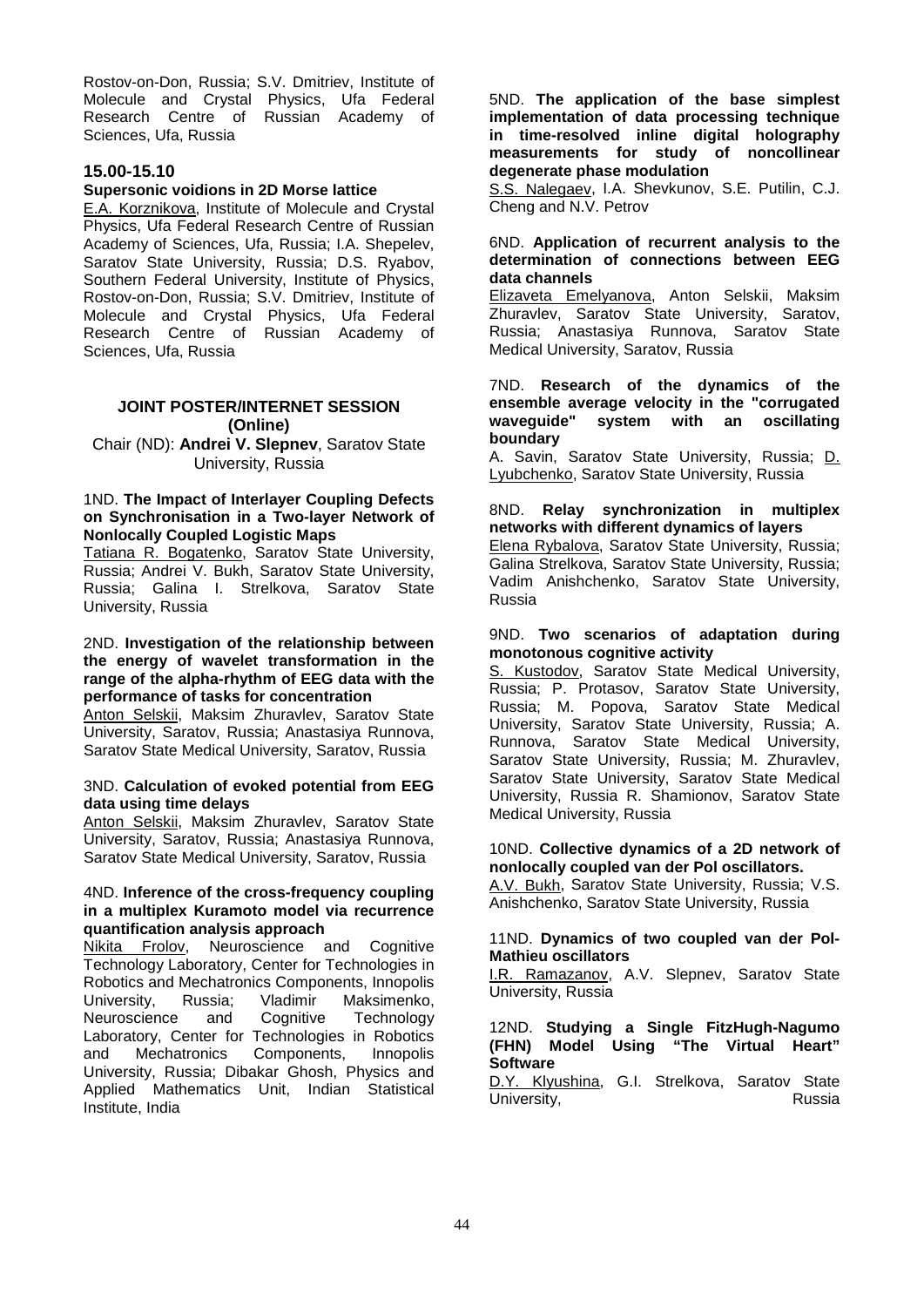Rostov-on-Don, Russia; S.V. Dmitriev, Institute of Molecule and Crystal Physics, Ufa Federal Research Centre of Russian Academy of Sciences, Ufa, Russia

#### **15.00-15.10**

#### **Supersonic voidions in 2D Morse lattice**

E.A. Korznikova, Institute of Molecule and Crystal Physics, Ufa Federal Research Centre of Russian Academy of Sciences, Ufa, Russia; I.A. Shepelev, Saratov State University, Russia; D.S. Ryabov, Southern Federal University, Institute of Physics, Rostov-on-Don, Russia; S.V. Dmitriev, Institute of Molecule and Crystal Physics, Ufa Federal Research Centre of Russian Academy of Sciences, Ufa, Russia

#### **JOINT POSTER/INTERNET SESSION (Online)**

Chair (ND): **Andrei V. Slepnev**, Saratov State University, Russia

#### 1ND. **The Impact of Interlayer Coupling Defects on Synchronisation in a Two-layer Network of Nonlocally Coupled Logistic Maps**

Tatiana R. Bogatenko, Saratov State University, Russia; Andrei V. Bukh, Saratov State University, Russia; Galina I. Strelkova, Saratov State University, Russia

#### 2ND. **Investigation of the relationship between the energy of wavelet transformation in the range of the alpha-rhythm of EEG data with the performance of tasks for concentration**

Anton Selskii, Maksim Zhuravlev, Saratov State University, Saratov, Russia; Anastasiya Runnova, Saratov State Medical University, Saratov, Russia

#### 3ND. **Calculation of evoked potential from EEG data using time delays**

Anton Selskii, Maksim Zhuravlev, Saratov State University, Saratov, Russia; Anastasiya Runnova, Saratov State Medical University, Saratov, Russia

#### 4ND. **Inference of the cross-frequency coupling in a multiplex Kuramoto model via recurrence quantification analysis approach**

Neuroscience and Cognitive Technology Laboratory, Center for Technologies in Robotics and Mechatronics Components, Innopolis University, Russia; Vladimir Maksimenko, Neuroscience and Cognitive Technology Laboratory, Center for Technologies in Robotics and Mechatronics Components, Innopolis University, Russia; Dibakar Ghosh, Physics and Applied Mathematics Unit, Indian Statistical Institute, India

5ND. **The application of the base simplest implementation of data processing technique in time-resolved inline digital holography measurements for study of noncollinear degenerate phase modulation**

S.S. Nalegaev, I.A. Shevkunov, S.E. Putilin, C.J. Cheng and N.V. Petrov

#### 6ND. **Application of recurrent analysis to the determination of connections between EEG data channels**

Elizaveta Emelyanova, Anton Selskii, Maksim Zhuravlev, Saratov State University, Saratov, Russia; Anastasiya Runnova, Saratov State Medical University, Saratov, Russia

#### 7ND. **Research of the dynamics of the ensemble average velocity in the "corrugated waveguide" system with an oscillating boundary**

A. Savin, Saratov State University, Russia; D. Lyubchenko, Saratov State University, Russia

#### 8ND. **Relay synchronization in multiplex networks with different dynamics of layers**

Elena Rybalova, Saratov State University, Russia; Galina Strelkova, Saratov State University, Russia; Vadim Anishchenko, Saratov State University, Russia

#### 9ND. **Two scenarios of adaptation during monotonous cognitive activity**

S. Kustodov, Saratov State Medical University, **Russia; P. Protasov, Saratov State University,** Russia; M. Popova, Saratov State Medical University, Saratov State University, Russia; A. Runnova, Saratov State Medical University, Saratov State University, Russia; M. Zhuravlev, Saratov State University, Saratov State Medical University, Russia R. Shamionov, Saratov State Medical University, Russia

#### 10ND. **Collective dynamics of a 2D network of nonlocally coupled van der Pol oscillators.**

A.V. Bukh, Saratov State University, Russia; V.S. Anishchenko, Saratov State University, Russia

#### 11ND. **Dynamics of two coupled van der Pol-Mathieu oscillators**

**I.R. Ramazanov, A.V. Slepnev, Saratov State** University, Russia

#### 12ND. **Studying a Single FitzHugh-Nagumo (FHN) Model Using "The Virtual Heart" Software**

D.Y. Klyushina, G.I. Strelkova, Saratov State<br>University University.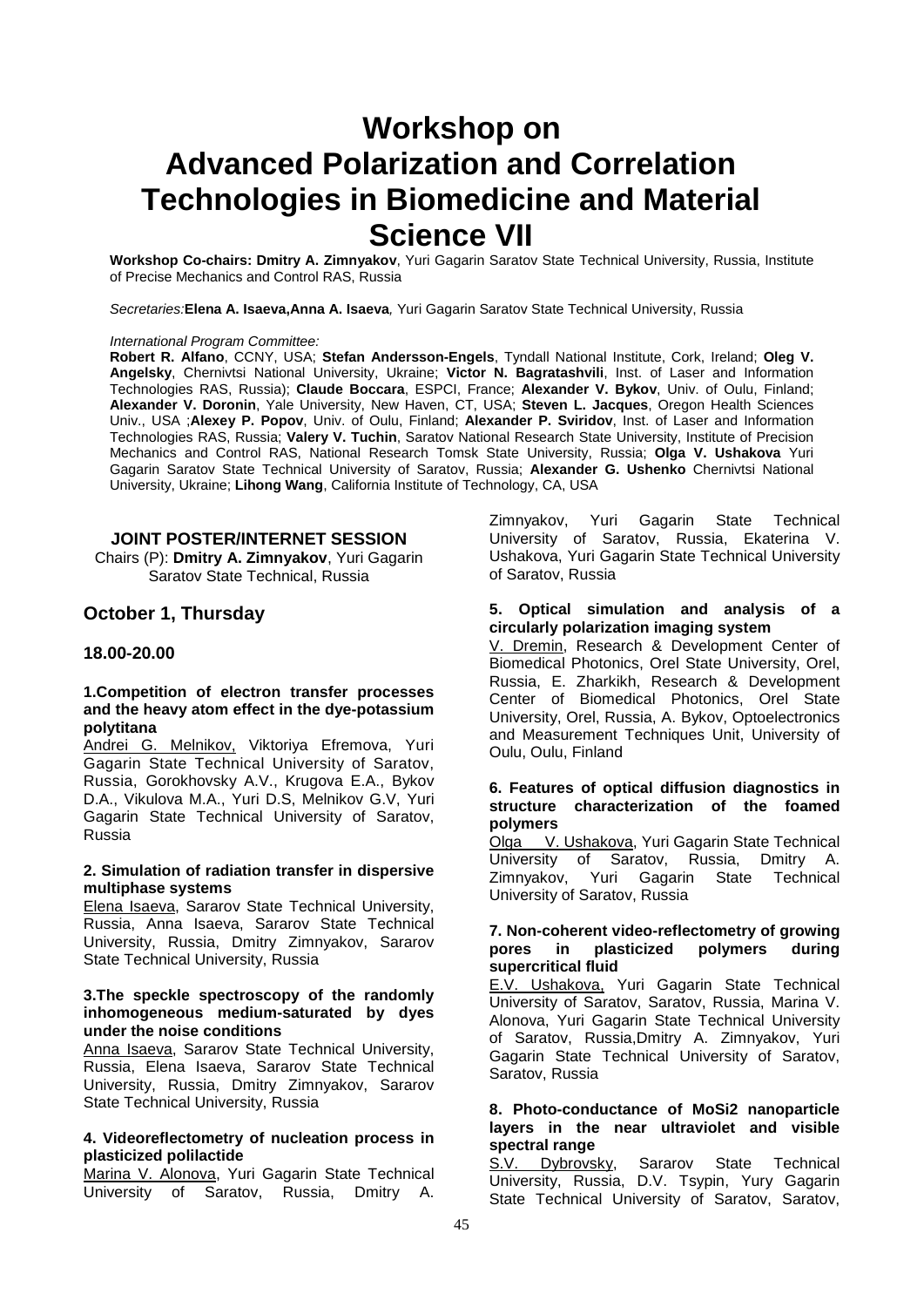### **Workshop on Advanced Polarization and Correlation Technologies in Biomedicine and Material Science VII**

**Workshop Co-chairs: Dmitry A. Zimnyakov**, Yuri Gagarin Saratov State Technical University, Russia, Institute of Precise Mechanics and Control RAS, Russia

*Secretaries:***Elena A. Isaeva,Anna A. Isaeva***,* Yuri Gagarin Saratov State Technical University, Russia

#### *International Program Committee:*

**Robert R. Alfano**, CCNY, USA; **Stefan Andersson-Engels**, Tyndall National Institute, Cork, Ireland; **Oleg V. Angelsky**, Chernivtsi National University, Ukraine; **Victor N. Bagratashvili**, Inst. of Laser and Information Technologies RAS, Russia); **Claude Boccara**, ESPCI, France; **Alexander V. Bykov**, Univ. of Oulu, Finland; **Alexander V. Doronin**, Yale University, New Haven, CT, USA; **Steven L. Jacques**, Oregon Health Sciences Univ., USA ;**Alexey P. Popov**, Univ. of Oulu, Finland; **Alexander P. Sviridov**, Inst. of Laser and Information Technologies RAS, Russia; **Valery V. Tuchin**, Saratov National Research State University, Institute of Precision Mechanics and Control RAS, National Research Tomsk State University, Russia; **Olga V. Ushakova** Yuri Gagarin Saratov State Technical University of Saratov, Russia; **Alexander G. Ushenko** Chernivtsi National University, Ukraine; **Lihong Wang**, California Institute of Technology, CA, USA

#### **JOINT POSTER/INTERNET SESSION**

Chairs (P): **Dmitry A. Zimnyakov**, Yuri Gagarin Saratov State Technical, Russia

#### **October 1, Thursday**

#### **18.00-20.00**

#### **1.Competition of electron transfer processes and the heavy atom effect in the dye-potassium polytitana**

Andrei G. Melnikov, Viktoriya Efremova, Yuri Gagarin State Technical University of Saratov, Russia, Gorokhovsky A.V., Krugova E.A., Bykov D.A., Vikulova M.A., Yuri D.S, Melnikov G.V, Yuri Gagarin State Technical University of Saratov, Russia

#### **2. Simulation of radiation transfer in dispersive multiphase systems**

Elena Isaeva, Sararov State Technical University, Russia, Anna Isaeva, Sararov State Technical University, Russia, Dmitry Zimnyakov, Sararov State Technical University, Russia

#### **3.The speckle spectroscopy of the randomly inhomogeneous medium-saturated by dyes under the noise conditions**

Anna Isaeva, Sararov State Technical University, Russia, Elena Isaeva, Sararov State Technical University, Russia, Dmitry Zimnyakov, Sararov State Technical University, Russia

#### **4. Videoreflectometry of nucleation process in plasticized polilactide**

Marina V. Alonova, Yuri Gagarin State Technical University of Saratov, Russia, Dmitry A.

Zimnyakov, Yuri Gagarin State Technical University of Saratov, Russia, Ekaterina V. Ushakova, Yuri Gagarin State Technical University of Saratov, Russia

#### **5. Optical simulation and analysis of a circularly polarization imaging system**

V. Dremin, Research & Development Center of Biomedical Photonics, Orel State University, Orel, Russia, E. Zharkikh, Research & Development Center of Biomedical Photonics, Orel State University, Orel, Russia, A. Bykov, Optoelectronics and Measurement Techniques Unit, University of Oulu, Oulu, Finland

#### **6. Features of optical diffusion diagnostics in structure characterization of the foamed polymers**

Olga V. Ushakova, Yuri Gagarin State Technical<br>University of Saratov, Russia, Dmitry A. University of Saratov, Russia, Zimnyakov, Yuri Gagarin State Technical University of Saratov, Russia

#### **7. Non-coherent video-reflectometry of growing pores in plasticized polymers during supercritical fluid**

E.V. Ushakova, Yuri Gagarin State Technical University of Saratov, Saratov, Russia, Marina V. Alonova, Yuri Gagarin State Technical University of Saratov, Russia,Dmitry A. Zimnyakov, Yuri Gagarin State Technical University of Saratov, Saratov, Russia

#### **8. Photo-conductance of MoSi2 nanoparticle layers in the near ultraviolet and visible spectral range**<br>S.V. Dybrovsky,

Sararov State Technical University, Russia, D.V. Tsypin, Yury Gagarin State Technical University of Saratov, Saratov,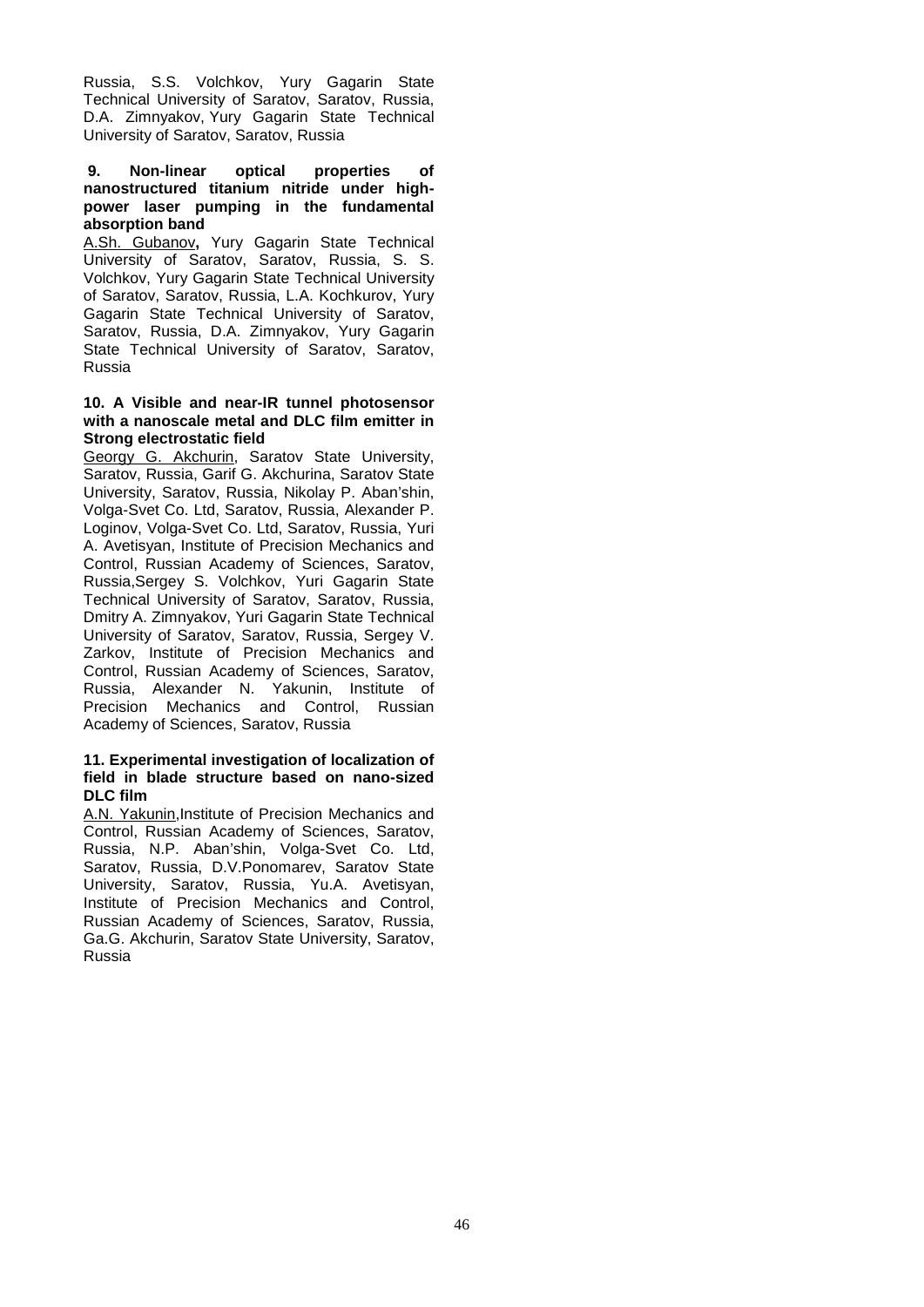Russia, S.S. Volchkov, Yury Gagarin State Technical University of Saratov, Saratov, Russia, D.A. Zimnyakov, Yury Gagarin State Technical University of Saratov, Saratov, Russia

#### **9. Non-linear optical properties of nanostructured titanium nitride under highpower laser pumping in the fundamental absorption band**

A.Sh. Gubanov**,** Yury Gagarin State Technical University of Saratov, Saratov, Russia, S. S. Volchkov, Yury Gagarin State Technical University of Saratov, Saratov, Russia, L.A. Kochkurov, Yury Gagarin State Technical University of Saratov, Saratov, Russia, D.A. Zimnyakov, Yury Gagarin State Technical University of Saratov, Saratov, Russia

#### **10. A Visible and near-IR tunnel photosensor with a nanoscale metal and DLC film emitter in Strong electrostatic field**

Georgy G. Akchurin, Saratov State University, Saratov, Russia, Garif G. Akchurina, Saratov State University, Saratov, Russia, Nikolay P. Aban'shin, Volga-Svet Co. Ltd, Saratov, Russia, Alexander P. Loginov, Volga-Svet Co. Ltd, Saratov, Russia, Yuri A. Avetisyan, Institute of Precision Mechanics and Control, Russian Academy of Sciences, Saratov, Russia,Sergey S. Volchkov, Yuri Gagarin State Technical University of Saratov, Saratov, Russia, Dmitry A. Zimnyakov, Yuri Gagarin State Technical University of Saratov, Saratov, Russia, Sergey V. Zarkov, Institute of Precision Mechanics and Control, Russian Academy of Sciences, Saratov, Russia, Alexander N. Yakunin, Institute of Precision Mechanics and Control, Russian Academy of Sciences, Saratov, Russia

#### **11. Experimental investigation of localization of field in blade structure based on nano-sized DLC film**

A.N. Yakunin,Institute of Precision Mechanics and Control, Russian Academy of Sciences, Saratov, Russia, N.P. Aban'shin, Volga-Svet Co. Ltd, Saratov, Russia, D.V.Ponomarev, Saratov State University, Saratov, Russia, Yu.A. Avetisyan, Institute of Precision Mechanics and Control, Russian Academy of Sciences, Saratov, Russia, Ga.G. Akchurin, Saratov State University, Saratov, Russia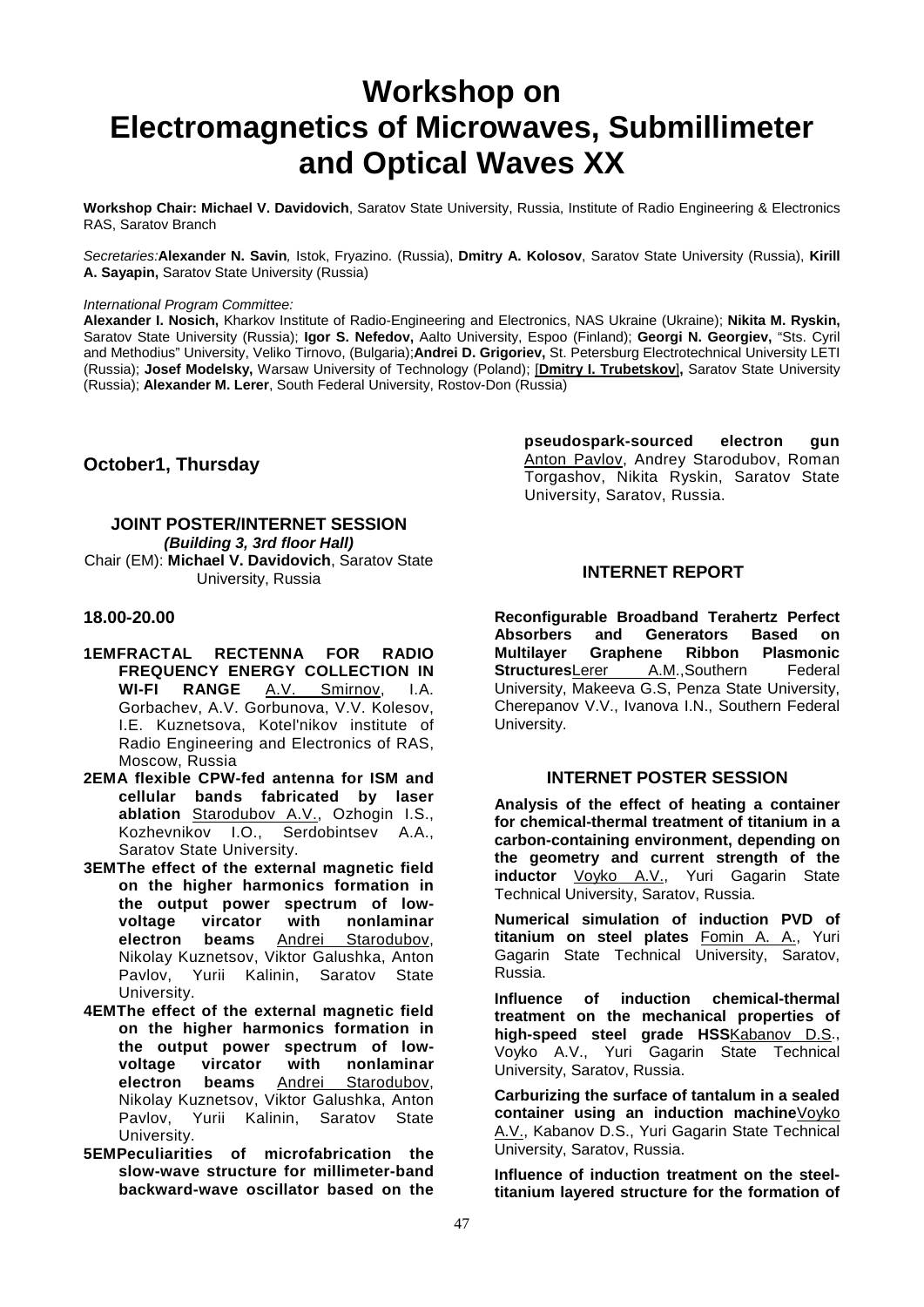### **Workshop on Electromagnetics of Microwaves, Submillimeter and Optical Waves XX**

**Workshop Chair: Michael V. Davidovich**, Saratov State University, Russia, Institute of Radio Engineering & Electronics RAS, Saratov Branch

*Secretaries:***Alexander N. Savin***,* Istok, Fryazino. (Russia), **Dmitry A. Kolosov**, Saratov State University (Russia), **Kirill A. Sayapin,** Saratov State University (Russia)

#### *International Program Committee:*

**Alexander I. Nosich,** Kharkov Institute of Radio-Engineering and Electronics, NAS Ukraine (Ukraine); **Nikita M. Ryskin,**  Saratov State University (Russia); **Igor S. Nefedov,** Aalto University, Espoo (Finland); **Georgi N. Georgiev,** "Sts. Cyril and Methodius" University, Veliko Tirnovo, (Bulgaria);**Andrei D. Grigoriev,** St. Petersburg Electrotechnical University LETI (Russia); **Josef Modelsky,** Warsaw University of Technology (Poland); [**Dmitry I. Trubetskov**]**,** Saratov State University (Russia); **Alexander M. Lerer**, South Federal University, Rostov-Don (Russia)

#### **October1, Thursday**

#### **JOINT POSTER/INTERNET SESSION** *(Building 3, 3rd floor Hall)* Chair (EM): **Michael V. Davidovich**, Saratov State University, Russia

#### **18.00-20.00**

- **1EMFRACTAL RECTENNA FOR RADIO FREQUENCY ENERGY COLLECTION IN**<br>**WI-FI RANGE** A.V. Smirnov. I.A. A.V. Smirnov, Gorbachev, A.V. Gorbunova, V.V. Kolesov, I.E. Kuznetsova, Kotel'nikov institute of Radio Engineering and Electronics of RAS, Moscow, Russia
- **2EMA flexible CPW-fed antenna for ISM and cellular bands fabricated by laser ablation Starodubov A.V., Ozhogin I.S., Kozhevnikov I.O., Serdobintsev A.A.,** Kozhevnikov I.O., Saratov State University.
- **3EMThe effect of the external magnetic field on the higher harmonics formation in the output power spectrum of lowvoltage vircator with nonlaminar electron beams** Andrei Starodubov, Nikolay Kuznetsov, Viktor Galushka, Anton Pavlov, Yurii Kalinin, Saratov State University.
- **4EMThe effect of the external magnetic field on the higher harmonics formation in the output power spectrum of lowvoltage vircator with nonlaminar electron beams** Andrei Starodubov, Nikolay Kuznetsov, Viktor Galushka, Anton Pavlov, Yurii Kalinin, Saratov State University.
- **5EMPeculiarities of microfabrication the slow-wave structure for millimeter-band backward-wave oscillator based on the**

**pseudospark-sourced electron gun**  Anton Pavlov, Andrey Starodubov, Roman Torgashov, Nikita Ryskin, Saratov State University, Saratov, Russia.

#### **INTERNET REPORT**

**Reconfigurable Broadband Terahertz Perfect Absorbers and Generators Based on Graphene Ribbon Plasmonic**<br>rer A.M., Southern Federal **Structures**Lerer University, Makeeva G.S, Penza State University, Cherepanov V.V., Ivanova I.N., Southern Federal University.

#### **INTERNET POSTER SESSION**

**Analysis of the effect of heating a container for chemical-thermal treatment of titanium in a carbon-containing environment, depending on the geometry and current strength of the inductor** Voyko A.V., Yuri Gagarin State Technical University, Saratov, Russia.

**Numerical simulation of induction PVD of titanium on steel plates** Fomin A. A., Yuri Gagarin State Technical University, Saratov, Russia.

**Influence of induction chemical-thermal treatment on the mechanical properties of high-speed steel grade HSS**Kabanov D.S., Voyko A.V., Yuri Gagarin State Technical University, Saratov, Russia.

**Carburizing the surface of tantalum in a sealed container using an induction machine**Voyko A.V., Kabanov D.S., Yuri Gagarin State Technical University, Saratov, Russia.

**Influence of induction treatment on the steeltitanium layered structure for the formation of**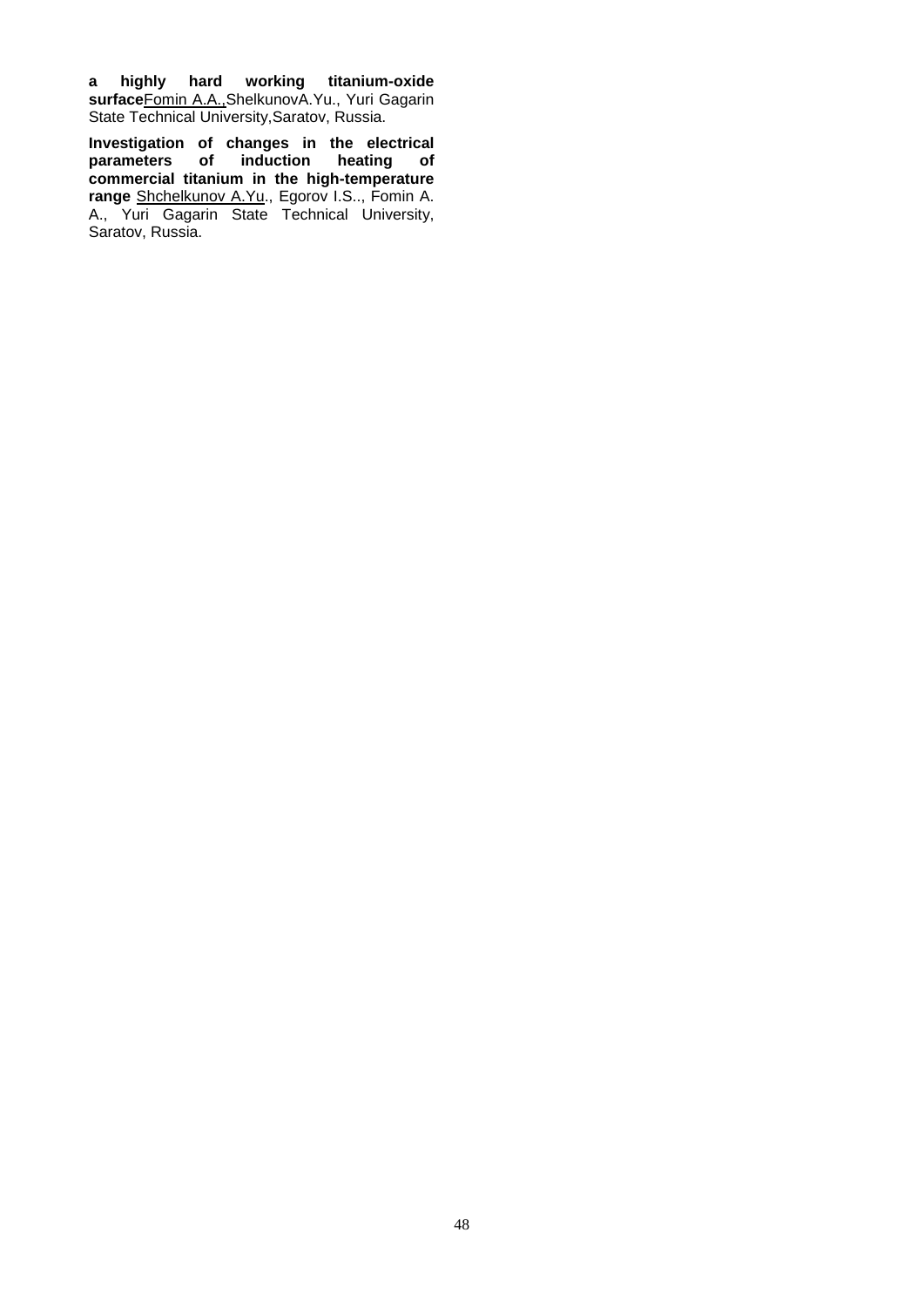**a highly hard working titanium-oxide surface**Fomin A.A.,ShelkunovA.Yu., Yuri Gagarin State Technical University,Saratov, Russia.

**Investigation of changes in the electrical parameters of induction heating of commercial titanium in the high-temperature range** Shchelkunov A.Yu., Egorov I.S.., Fomin A. A., Yuri Gagarin State Technical University, Saratov, Russia.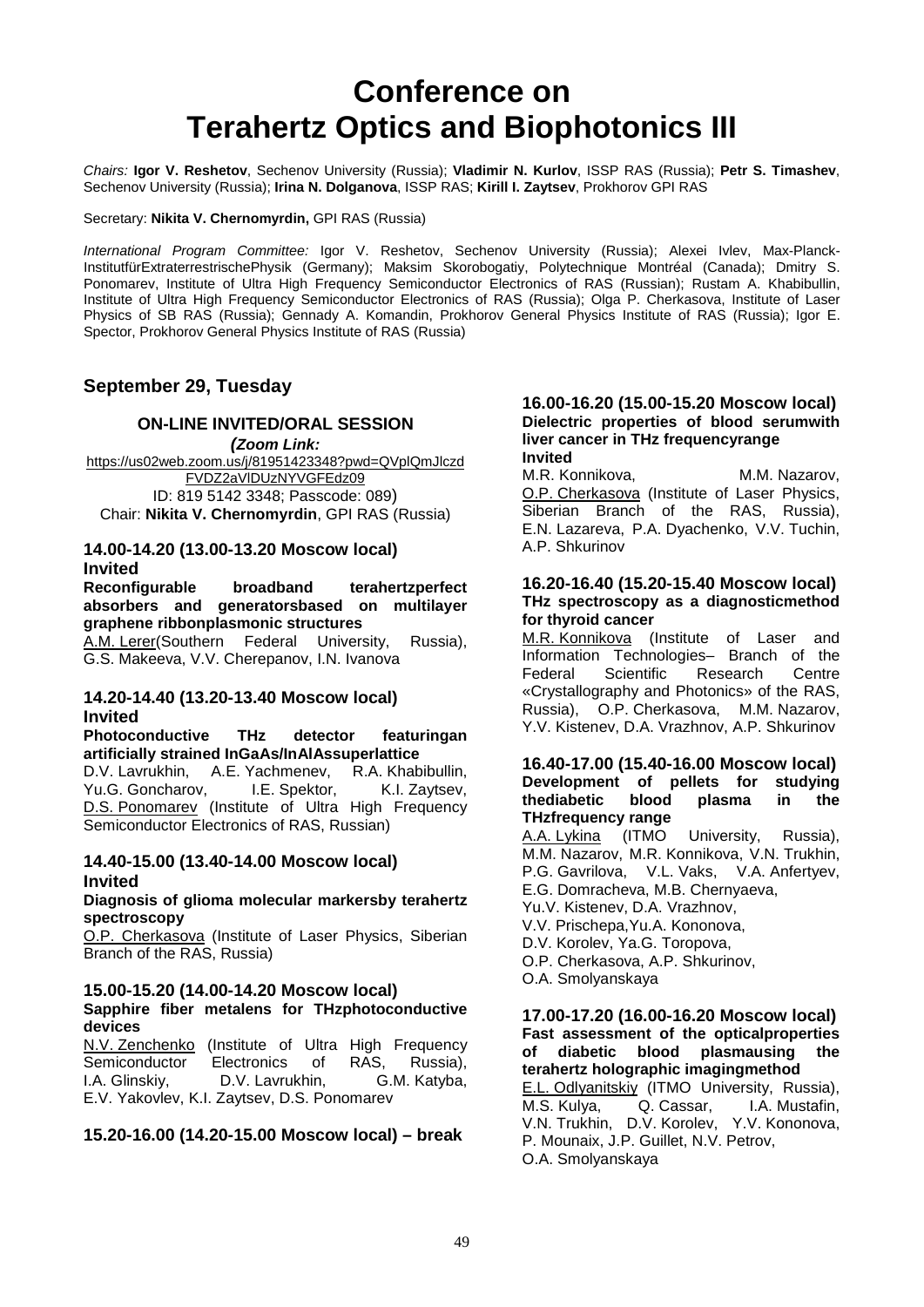### **Conference on Terahertz Optics and Biophotonics III**

*Chairs:* **Igor V. Reshetov**, Sechenov University (Russia); **Vladimir N. Kurlov**, ISSP RAS (Russia); **Petr S. Timashev**, Sechenov University (Russia); **Irina N. Dolganova**, ISSP RAS; **Kirill I. Zaytsev**, Prokhorov GPI RAS

Secretary: **Nikita V. Chernomyrdin,** GPI RAS (Russia)

*International Program Committee:* Igor V. Reshetov, Sechenov University (Russia); Alexei Ivlev, Max-Planck-InstitutfürExtraterrestrischePhysik (Germany); Maksim Skorobogatiy, Polytechnique Montréal (Canada); Dmitry S. Ponomarev, Institute of Ultra High Frequency Semiconductor Electronics of RAS (Russian); Rustam A. Khabibullin, Institute of Ultra High Frequency Semiconductor Electronics of RAS (Russia); Olga P. Cherkasova, Institute of Laser Physics of SB RAS (Russia); Gennady A. Komandin, Prokhorov General Physics Institute of RAS (Russia); Igor E. Spector, Prokhorov General Physics Institute of RAS (Russia)

#### **September 29, Tuesday**

#### **ON-LINE INVITED/ORAL SESSION**

*(Zoom Link:* [https://us02web.zoom.us/j/81951423348?pwd=QVplQmJlczd](https://us02web.zoom.us/j/81951423348?pwd=QVplQmJlczdFVDZ2aVlDUzNYVGFEdz09) [FVDZ2aVlDUzNYVGFEdz09](https://us02web.zoom.us/j/81951423348?pwd=QVplQmJlczdFVDZ2aVlDUzNYVGFEdz09) ID: 819 5142 3348; Passcode: 089) Chair: **Nikita V. Chernomyrdin**, GPI RAS (Russia)

### **14.00-14.20 (13.00-13.20 Moscow local) Invited**

**Reconfigurable broadband terahertzperfect absorbers and generatorsbased on multilayer graphene ribbonplasmonic structures**

A.M. Lerer(Southern Federal University, Russia), G.S. Makeeva, V.V. Cherepanov, I.N. Ivanova

#### **14.20-14.40 (13.20-13.40 Moscow local) Invited**

**Photoconductive THz detector featuringan artificially strained InGaAs/InAlAssuperlattice**

D.V. Lavrukhin, A.E. Yachmenev, R.A. Khabibullin,<br>Yu.G. Goncharov, I.E. Spektor, K.I. Zaytsev, Yu.G. Goncharov, D.S. Ponomarev (Institute of Ultra High Frequency Semiconductor Electronics of RAS, Russian)

#### **14.40-15.00 (13.40-14.00 Moscow local) Invited**

#### **Diagnosis of glioma molecular markersby terahertz spectroscopy**

O.P. Cherkasova (Institute of Laser Physics, Siberian Branch of the RAS, Russia)

#### **15.00-15.20 (14.00-14.20 Moscow local)**

#### **Sapphire fiber metalens for THzphotoconductive devices**

N.V. Zenchenko (Institute of Ultra High Frequency Semiconductor Electronics of RAS, Russia),<br>
L.A. Glinskiv. D.V. Lavrukhin. G.M. Katyba. D.V. Lavrukhin, E.V. Yakovlev, K.I. Zaytsev, D.S. Ponomarev

#### **15.20-16.00 (14.20-15.00 Moscow local) – break**

#### **16.00-16.20 (15.00-15.20 Moscow local) Dielectric properties of blood serumwith liver cancer in THz frequencyrange Invited**

M.R. Konnikova, M.M. Nazarov, O.P. Cherkasova (Institute of Laser Physics, Siberian Branch of the RAS, Russia), E.N. Lazareva, P.A. Dyachenko, V.V. Tuchin, A.P. Shkurinov

#### **16.20-16.40 (15.20-15.40 Moscow local) THz spectroscopy as a diagnosticmethod for thyroid cancer**

M.R. Konnikova (Institute of Laser and Information Technologies- Branch of the<br>Federal Scientific Research Centre Research «Crystallography and Photonics» of the RAS, Russia), O.P. Cherkasova, M.M. Nazarov, Y.V. Kistenev, D.A. Vrazhnov, A.P. Shkurinov

#### **16.40-17.00 (15.40-16.00 Moscow local) Development of pellets for studying thediabetic blood plasma in the THzfrequency range**

A.A. Lykina (ITMO University, Russia), M.M. Nazarov, M.R. Konnikova, V.N. Trukhin, P.G. Gavrilova, V.L. Vaks, V.A. Anfertyev, E.G. Domracheva, M.B. Chernyaeva,

- Yu.V. Kistenev, D.A. Vrazhnov,
- V.V. Prischepa,Yu.A. Kononova,
- D.V. Korolev, Ya.G. Toropova,
- O.P. Cherkasova, A.P. Shkurinov,

#### O.A. Smolyanskaya

#### **17.00-17.20 (16.00-16.20 Moscow local) Fast assessment of the opticalproperties of diabetic blood plasmausing the terahertz holographic imagingmethod**

E.L. Odlyanitskiy (ITMO University, Russia), M.S. Kulya, Q. Cassar, I.A. Mustafin, V.N. Trukhin, D.V. Korolev, Y.V. Kononova, P. Mounaix, J.P. Guillet, N.V. Petrov, O.A. Smolyanskaya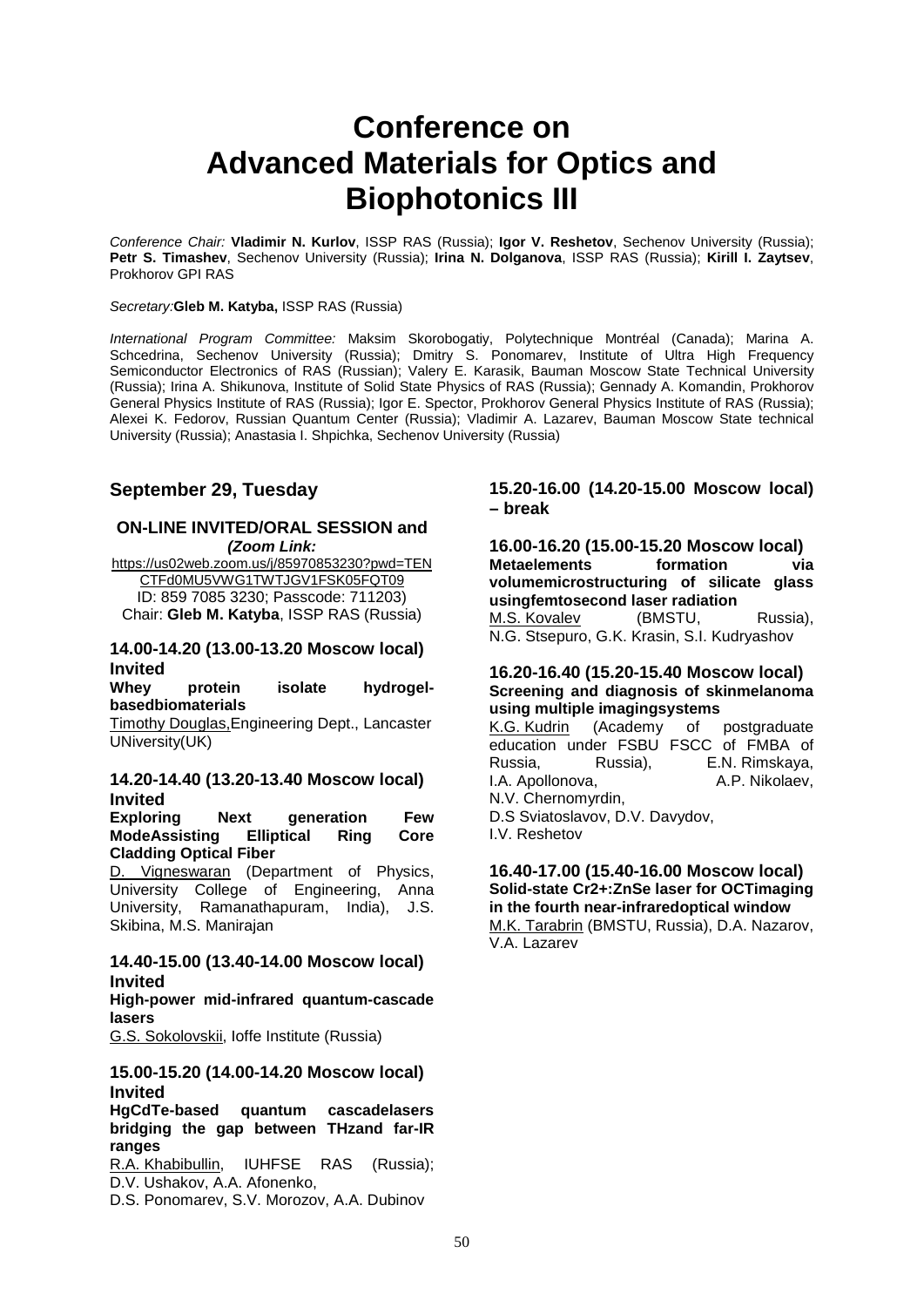### **Conference on Advanced Materials for Optics and Biophotonics III**

*Conference Chair:* **Vladimir N. Kurlov**, ISSP RAS (Russia); **Igor V. Reshetov**, Sechenov University (Russia); **Petr S. Timashev**, Sechenov University (Russia); **Irina N. Dolganova**, ISSP RAS (Russia); **Kirill I. Zaytsev**, Prokhorov GPI RAS

#### *Secretary:***Gleb M. Katyba,** ISSP RAS (Russia)

*International Program Committee:* Maksim Skorobogatiy, Polytechnique Montréal (Canada); Marina A. Schcedrina, Sechenov University (Russia); Dmitry S. Ponomarev, Institute of Ultra High Frequency Semiconductor Electronics of RAS (Russian); Valery E. Karasik, Bauman Moscow State Technical University (Russia); Irina A. Shikunova, Institute of Solid State Physics of RAS (Russia); Gennady A. Komandin, Prokhorov General Physics Institute of RAS (Russia); Igor E. Spector, Prokhorov General Physics Institute of RAS (Russia); Alexei K. Fedorov, Russian Quantum Center (Russia); Vladimir A. Lazarev, Bauman Moscow State technical University (Russia); Anastasia I. Shpichka, Sechenov University (Russia)

#### **September 29, Tuesday**

#### **ON-LINE INVITED/ORAL SESSION and**  *(Zoom Link:*

[https://us02web.zoom.us/j/85970853230?pwd=TEN](https://us02web.zoom.us/j/85970853230?pwd=TENCTFd0MU5VWG1TWTJGV1FSK05FQT09) [CTFd0MU5VWG1TWTJGV1FSK05FQT09](https://us02web.zoom.us/j/85970853230?pwd=TENCTFd0MU5VWG1TWTJGV1FSK05FQT09) ID: 859 7085 3230; Passcode: 711203) Chair: **Gleb M. Katyba**, ISSP RAS (Russia)

#### **14.00-14.20 (13.00-13.20 Moscow local) Invited**

**Whey protein isolate hydrogelbasedbiomaterials**

Timothy Douglas,Engineering Dept., Lancaster UNiversity(UK)

#### **14.20-14.40 (13.20-13.40 Moscow local) Invited**

**Exploring Next generation Few ModeAssisting Elliptical Ring Core Cladding Optical Fiber**

D. Vigneswaran (Department of Physics, University College of Engineering, Anna University, Ramanathapuram, India), J.S. Skibina, M.S. Manirajan

#### **14.40-15.00 (13.40-14.00 Moscow local) Invited**

**High-power mid-infrared quantum-cascade lasers**

G.S. Sokolovskii, Ioffe Institute (Russia)

#### **15.00-15.20 (14.00-14.20 Moscow local) Invited**

#### **HgCdTe-based quantum cascadelasers bridging the gap between THzand far-IR ranges**

R.A. Khabibullin, IUHFSE RAS (Russia); D.V. Ushakov, A.A. Afonenko,

D.S. Ponomarev, S.V. Morozov, A.A. Dubinov

#### **15.20-16.00 (14.20-15.00 Moscow local) – break**

**16.00-16.20 (15.00-15.20 Moscow local) Metaelements formation via volumemicrostructuring of silicate glass usingfemtosecond laser radiation** M.S. Kovalev (BMSTU, Russia), N.G. Stsepuro, G.K. Krasin, S.I. Kudryashov

#### **16.20-16.40 (15.20-15.40 Moscow local) Screening and diagnosis of skinmelanoma using multiple imagingsystems**

K.G. Kudrin (Academy of postgraduate education under FSBU FSCC of FMBA of Russia, Russia), E.N. Rimskaya, I.A. Apollonova. N.V. Chernomyrdin, D.S Sviatoslavov, D.V. Davydov, I.V. Reshetov

#### **16.40-17.00 (15.40-16.00 Moscow local) Solid-state Cr2+:ZnSe laser for OCTimaging in the fourth near-infraredoptical window** M.K. Tarabrin (BMSTU, Russia), D.A. Nazarov, V.A. Lazarev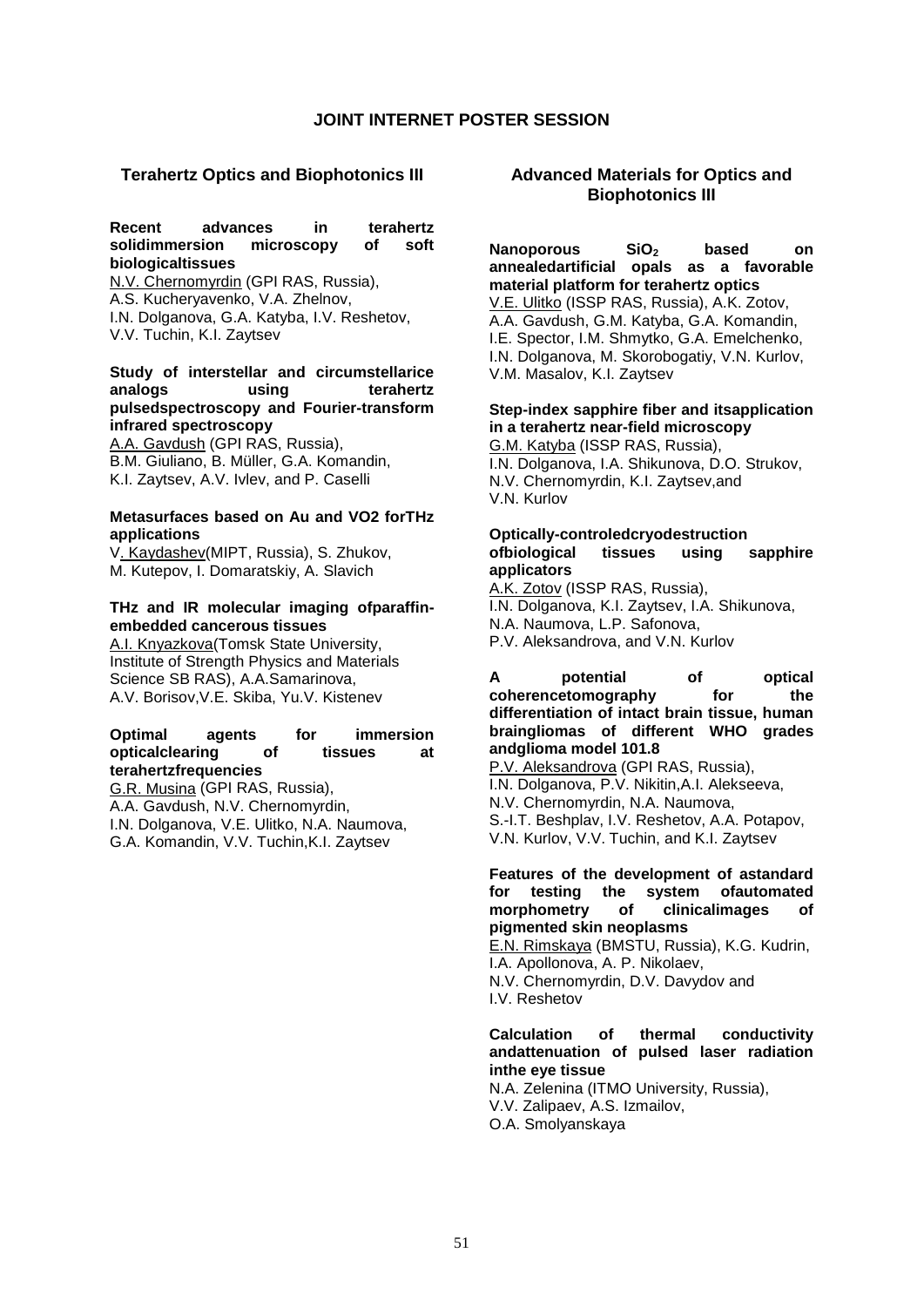#### **JOINT INTERNET POSTER SESSION**

#### **Terahertz Optics and Biophotonics III**

#### **Recent advances in terahertz solidimmersion microscopy of soft biologicaltissues**

N.V. Chernomyrdin (GPI RAS, Russia), A.S. Kucheryavenko, V.A. Zhelnov, I.N. Dolganova, G.A. Katyba, I.V. Reshetov, V.V. Tuchin, K.I. Zaytsev

#### **Study of interstellar and circumstellarice analogs using terahertz pulsedspectroscopy and Fourier-transform infrared spectroscopy**

A.A. Gavdush (GPI RAS, Russia), B.M. Giuliano, B. Müller, G.A. Komandin, K.I. Zaytsev, A.V. Ivlev, and P. Caselli

#### **Metasurfaces based on Au and VO2 forTHz applications**

V. Kaydashev(MIPT, Russia), S. Zhukov, M. Kutepov, I. Domaratskiy, A. Slavich

#### **THz and IR molecular imaging ofparaffinembedded cancerous tissues**

A.I. Knyazkova(Tomsk State University, Institute of Strength Physics and Materials Science SB RAS), A.A.Samarinova, A.V. Borisov,V.E. Skiba, Yu.V. Kistenev

#### **Optimal agents for immersion opticalclearing of tissues at terahertzfrequencies**

G.R. Musina (GPI RAS, Russia), A.A. Gavdush, N.V. Chernomyrdin, I.N. Dolganova, V.E. Ulitko, N.A. Naumova, G.A. Komandin, V.V. Tuchin,K.I. Zaytsev

#### **Advanced Materials for Optics and Biophotonics III**

#### **Nanoporous** SiO<sub>2</sub> based on **annealedartificial opals as a favorable material platform for terahertz optics**

V.E. Ulitko (ISSP RAS, Russia), A.K. Zotov, A.A. Gavdush, G.M. Katyba, G.A. Komandin, I.E. Spector, I.M. Shmytko, G.A. Emelchenko, I.N. Dolganova, M. Skorobogatiy, V.N. Kurlov, V.M. Masalov, K.I. Zaytsev

#### **Step-index sapphire fiber and itsapplication in a terahertz near-field microscopy**

G.M. Katyba (ISSP RAS, Russia), I.N. Dolganova, I.A. Shikunova, D.O. Strukov, N.V. Chernomyrdin, K.I. Zaytsev,and V.N. Kurlov

#### **Optically-controledcryodestruction ofbiological applicators**

A.K. Zotov (ISSP RAS, Russia), I.N. Dolganova, K.I. Zaytsev, I.A. Shikunova, N.A. Naumova, L.P. Safonova, P.V. Aleksandrova, and V.N. Kurlov

#### **A potential of optical**  coherencetomography for the **differentiation of intact brain tissue, human braingliomas of different WHO grades andglioma model 101.8**

P.V. Aleksandrova (GPI RAS, Russia), I.N. Dolganova, P.V. Nikitin,A.I. Alekseeva, N.V. Chernomyrdin, N.A. Naumova, S.-I.T. Beshplav, I.V. Reshetov, A.A. Potapov, V.N. Kurlov, V.V. Tuchin, and K.I. Zaytsev

#### **Features of the development of astandard for testing the system ofautomated**  of clinicalimages of **pigmented skin neoplasms**

E.N. Rimskaya (BMSTU, Russia), K.G. Kudrin, I.A. Apollonova, A. P. Nikolaev, N.V. Chernomyrdin, D.V. Davydov and I.V. Reshetov

#### **Calculation of thermal conductivity andattenuation of pulsed laser radiation inthe eye tissue**

N.A. Zelenina (ITMO University, Russia), V.V. Zalipaev, A.S. Izmailov, O.A. Smolyanskaya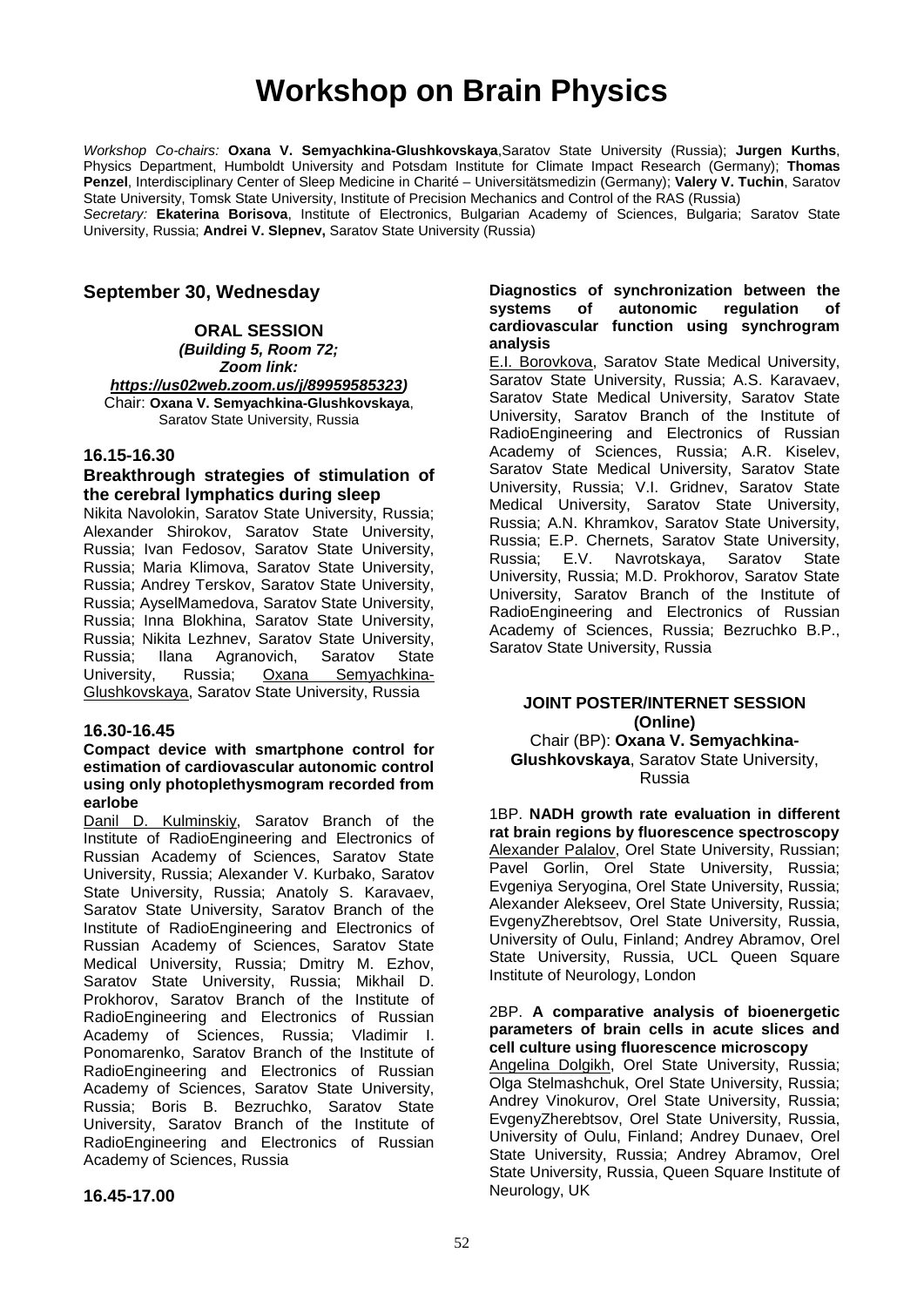### **Workshop on Brain Physics**

*Workshop Co-chairs:* **Oxana V. Semyachkina-Glushkovskaya**,Saratov State University (Russia); **Jurgen Kurths**, Physics Department, Humboldt University and Potsdam Institute for Climate Impact Research (Germany); **Thomas Penzel**, Interdisciplinary Center of Sleep Medicine in Charité – Universitätsmedizin (Germany); **Valery V. Tuchin**, Saratov State University, Tomsk State University, Institute of Precision Mechanics and Control of the RAS (Russia)

*Secretary:* **Ekaterina Borisova**, Institute of Electronics, Bulgarian Academy of Sciences, Bulgaria; Saratov State University, Russia; **Andrei V. Slepnev,** Saratov State University (Russia)

#### **September 30, Wednesday**

**ORAL SESSION**

*(Building 5, Room 72;*

*Zoom link: [https://us02web.zoom.us/j/89959585323\)](https://us02web.zoom.us/j/89959585323)* Chair: **Oxana V. Semyachkina-Glushkovskaya**, Saratov State University, Russia

#### **16.15-16.30**

#### **Breakthrough strategies of stimulation of the cerebral lymphatics during sleep**

Nikita Navolokin, Saratov State University, Russia; Alexander Shirokov, Saratov State University, Russia; Ivan Fedosov, Saratov State University, Russia; Maria Klimova, Saratov State University, Russia; Andrey Terskov, Saratov State University, Russia; AyselMamedova, Saratov State University, Russia; Inna Blokhina, Saratov State University, Russia; Nikita Lezhnev, Saratov State University, Russia; Ilana Agranovich, Saratov State University, Russia; Oxana Semyachkina-Glushkovskaya, Saratov State University, Russia

#### **16.30-16.45**

#### **Compact device with smartphone control for estimation of cardiovascular autonomic control using only photoplethysmogram recorded from earlobe**

Danil D. Kulminskiy, Saratov Branch of the Institute of RadioEngineering and Electronics of Russian Academy of Sciences, Saratov State University, Russia; Alexander V. Kurbako, Saratov State University, Russia; Anatoly S. Karavaev, Saratov State University, Saratov Branch of the Institute of RadioEngineering and Electronics of Russian Academy of Sciences, Saratov State Medical University, Russia; Dmitry M. Ezhov, Saratov State University, Russia; Mikhail D. Prokhorov, Saratov Branch of the Institute of RadioEngineering and Electronics of Russian<br>Academy of Sciences. Russia: Vladimir I Academy of Sciences, Ponomarenko, Saratov Branch of the Institute of RadioEngineering and Electronics of Russian Academy of Sciences, Saratov State University, Russia; Boris B. Bezruchko, Saratov State University, Saratov Branch of the Institute of RadioEngineering and Electronics of Russian Academy of Sciences, Russia

#### **Diagnostics of synchronization between the systems of autonomic regulation of cardiovascular function using synchrogram analysis**

E.I. Borovkova, Saratov State Medical University, Saratov State University, Russia; A.S. Karavaev, Saratov State Medical University, Saratov State University, Saratov Branch of the Institute of RadioEngineering and Electronics of Russian Academy of Sciences, Russia; A.R. Kiselev, Saratov State Medical University, Saratov State University, Russia; V.I. Gridnev, Saratov State Medical University, Saratov State University, Russia; A.N. Khramkov, Saratov State University, Russia; E.P. Chernets, Saratov State University, Russia; E.V. Navrotskaya, Saratov State University, Russia; M.D. Prokhorov, Saratov State University, Saratov Branch of the Institute of RadioEngineering and Electronics of Russian Academy of Sciences, Russia; Bezruchko B.P., Saratov State University, Russia

#### **JOINT POSTER/INTERNET SESSION (Online)** Chair (BP): **Oxana V. Semyachkina-Glushkovskaya**, Saratov State University,

Russia

1BP. **NADH growth rate evaluation in different rat brain regions by fluorescence spectroscopy** Alexander Palalov, Orel State University, Russian; Pavel Gorlin, Orel State University, Russia; Evgeniya Seryogina, Orel State University, Russia; Alexander Alekseev, Orel State University, Russia; EvgenyZherebtsov, Orel State University, Russia, University of Oulu, Finland; Andrey Abramov, Orel State University, Russia, UCL Queen Square Institute of Neurology, London

#### 2BP. **A comparative analysis of bioenergetic parameters of brain cells in acute slices and cell culture using fluorescence microscopy**

Angelina Dolgikh, Orel State University, Russia; Olga Stelmashchuk, Orel State University, Russia; Andrey Vinokurov, Orel State University, Russia; EvgenyZherebtsov, Orel State University, Russia, University of Oulu, Finland; Andrey Dunaev, Orel State University, Russia; Andrey Abramov, Orel State University, Russia, Queen Square Institute of Neurology, UK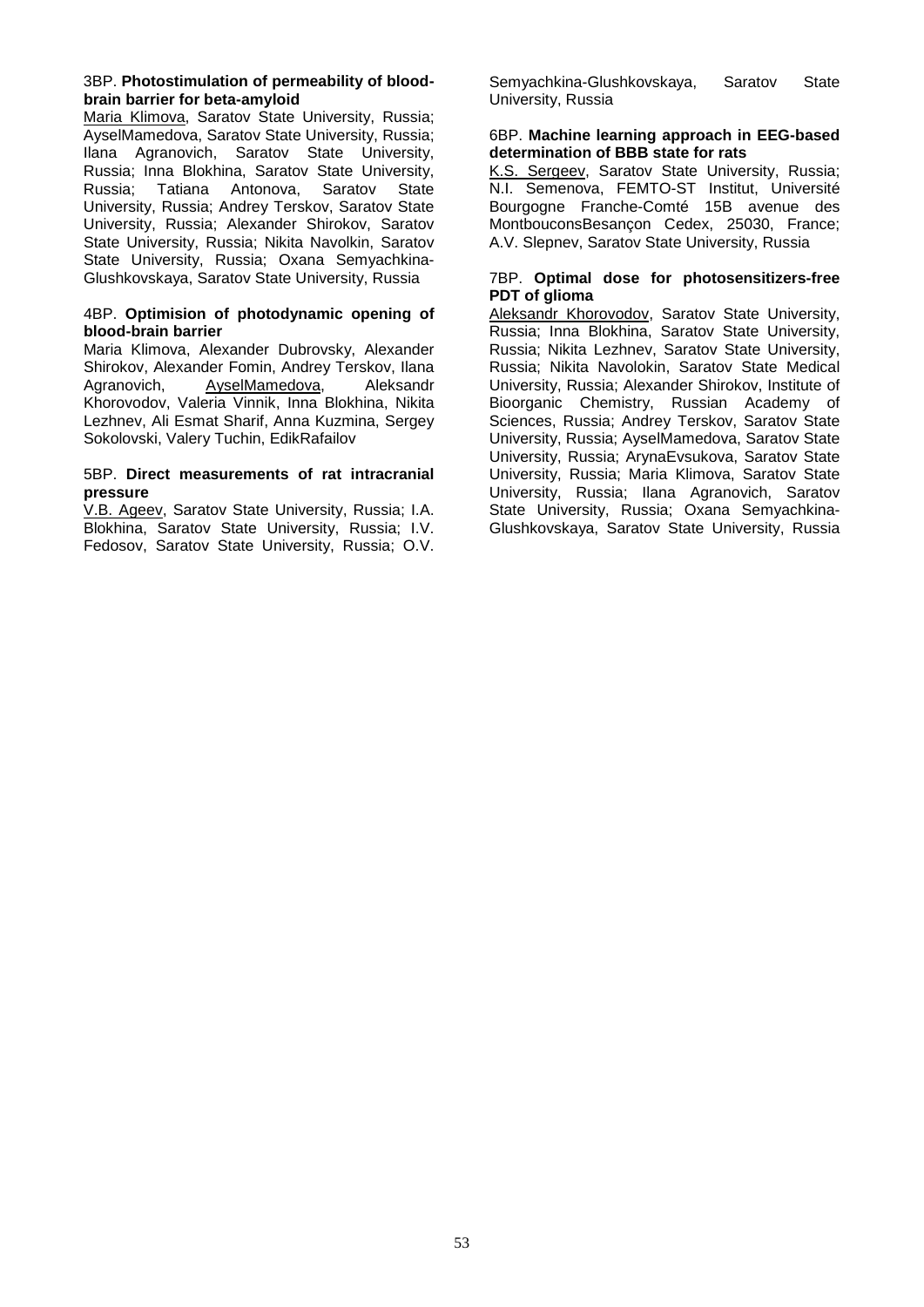#### 3BP. **Photostimulation of permeability of bloodbrain barrier for beta-amyloid**

Maria Klimova, Saratov State University, Russia; AyselMamedova, Saratov State University, Russia; Ilana Agranovich, Saratov State University, Russia; Inna Blokhina, Saratov State University, Russia; Tatiana Antonova, Saratov State University, Russia; Andrey Terskov, Saratov State University, Russia; Alexander Shirokov, Saratov State University, Russia; Nikita Navolkin, Saratov State University, Russia; Oxana Semyachkina-Glushkovskaya, Saratov State University, Russia

#### 4BP. **Optimision of photodynamic opening of blood-brain barrier**

Maria Klimova, Alexander Dubrovsky, Alexander Shirokov, Alexander Fomin, Andrey Terskov, Ilana Agranovich, AyselMamedova, Aleksandr Khorovodov, Valeria Vinnik, Inna Blokhina, Nikita Lezhnev, Ali Esmat Sharif, Anna Kuzmina, Sergey Sokolovski, Valery Tuchin, EdikRafailov

#### 5BP. **Direct measurements of rat intracranial pressure**

V.B. Ageev, Saratov State University, Russia; I.A. Blokhina, Saratov State University, Russia; I.V. Fedosov, Saratov State University, Russia; O.V. Semyachkina-Glushkovskaya, Saratov State University, Russia

#### 6BP. **Machine learning approach in EEG-based determination of BBB state for rats**

K.S. Sergeev, Saratov State University, Russia; N.I. Semenova, FEMTO-ST Institut, Université Bourgogne Franche-Comté 15B avenue des MontbouconsBesançon Cedex, 25030, France; A.V. Slepnev, Saratov State University, Russia

#### 7BP. **Optimal dose for photosensitizers-free PDT of glioma**

Aleksandr Khorovodov, Saratov State University, Russia; Inna Blokhina, Saratov State University, Russia; Nikita Lezhnev, Saratov State University, Russia; Nikita Navolokin, Saratov State Medical University, Russia; Alexander Shirokov, Institute of Bioorganic Chemistry, Russian Academy of Sciences, Russia; Andrey Terskov, Saratov State University, Russia; AyselMamedova, Saratov State University, Russia; ArynaEvsukova, Saratov State University, Russia; Maria Klimova, Saratov State University, Russia; Ilana Agranovich, Saratov State University, Russia; Oxana Semyachkina-Glushkovskaya, Saratov State University, Russia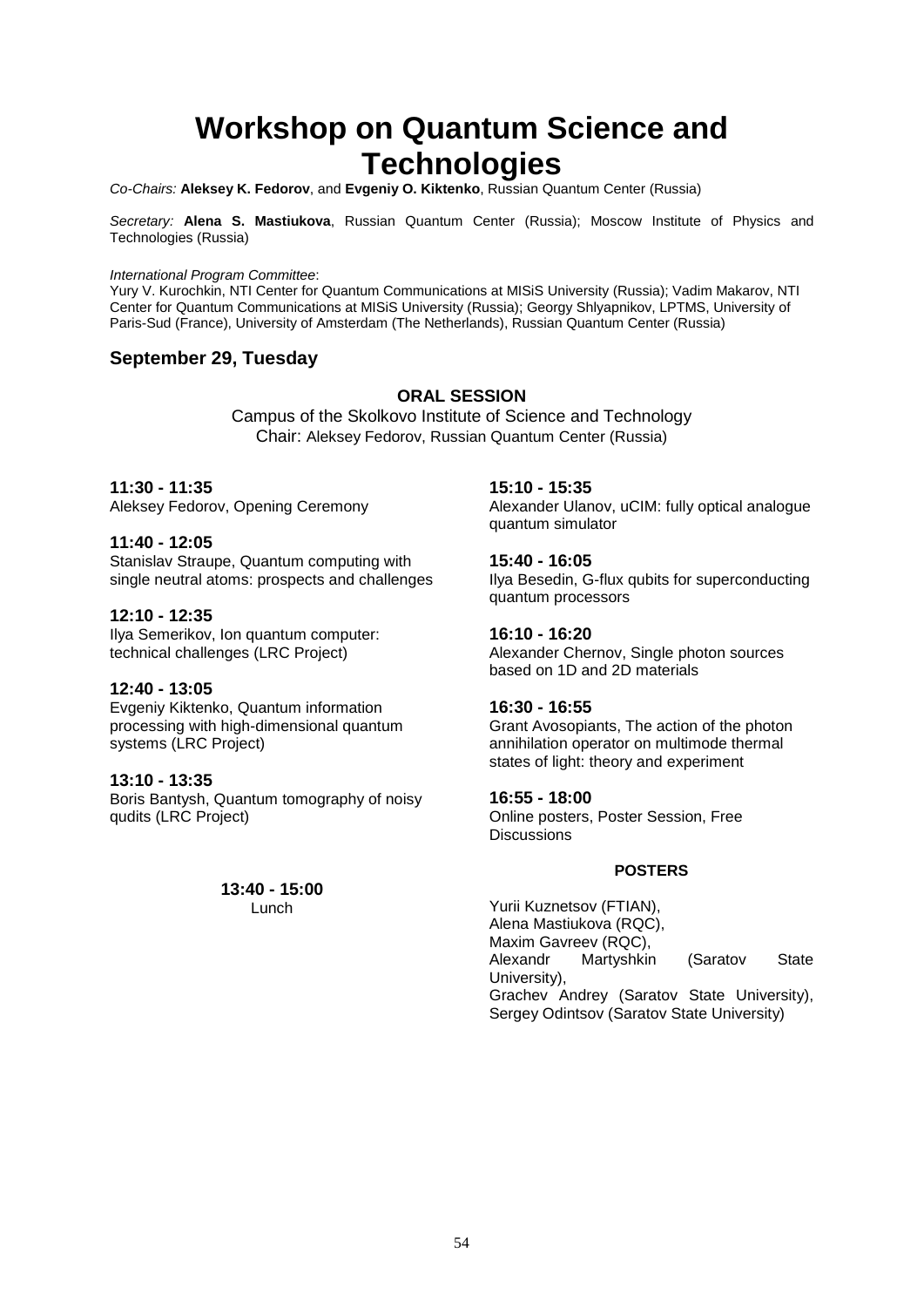### **Workshop on Quantum Science and Technologies**

*Co-Chairs:* **Aleksey K. Fedorov**, and **Evgeniy O. Kiktenko**, Russian Quantum Center (Russia)

*Secretary:* **Alena S. Mastiukova**, Russian Quantum Center (Russia); Moscow Institute of Physics and Technologies (Russia)

#### *International Program Committee*:

Yury V. Kurochkin, NTI Center for Quantum Communications at MISiS University (Russia); Vadim Makarov, NTI Center for Quantum Communications at MISiS University (Russia); Georgy Shlyapnikov, LPTMS, University of Paris-Sud (France), University of Amsterdam (The Netherlands), Russian Quantum Center (Russia)

#### **September 29, Tuesday**

#### **ORAL SESSION**

Campus of the Skolkovo Institute of Science and Technology Chair: Aleksey Fedorov, Russian Quantum Center (Russia)

#### **11:30 - 11:35**

Aleksey Fedorov, Opening Ceremony

#### **11:40 - 12:05**

Stanislav Straupe, Quantum computing with single neutral atoms: prospects and challenges

#### **12:10 - 12:35**

Ilya Semerikov, Ion quantum computer: technical challenges (LRC Project)

#### **12:40 - 13:05**

Evgeniy Kiktenko, Quantum information processing with high-dimensional quantum systems (LRC Project)

#### **13:10 - 13:35**

Boris Bantysh, Quantum tomography of noisy qudits (LRC Project)

> **13:40 - 15:00** Lunch

#### **15:10 - 15:35**

Alexander Ulanov, uCIM: fully optical analogue quantum simulator

#### **15:40 - 16:05**

Ilya Besedin, G-flux qubits for superconducting quantum processors

#### **16:10 - 16:20**

Alexander Chernov, Single photon sources based on 1D and 2D materials

#### **16:30 - 16:55**

Grant Avosopiants, The action of the photon annihilation operator on multimode thermal states of light: theory and experiment

#### **16:55 - 18:00**

Online posters, Poster Session, Free **Discussions** 

#### **POSTERS**

Yurii Kuznetsov (FTIAN), Alena Mastiukova (RQC), Maxim Gavreev (RQC),<br>Alexandr Martyshkir Martyshkin (Saratov State University), Grachev Andrey (Saratov State University), Sergey Odintsov (Saratov State University)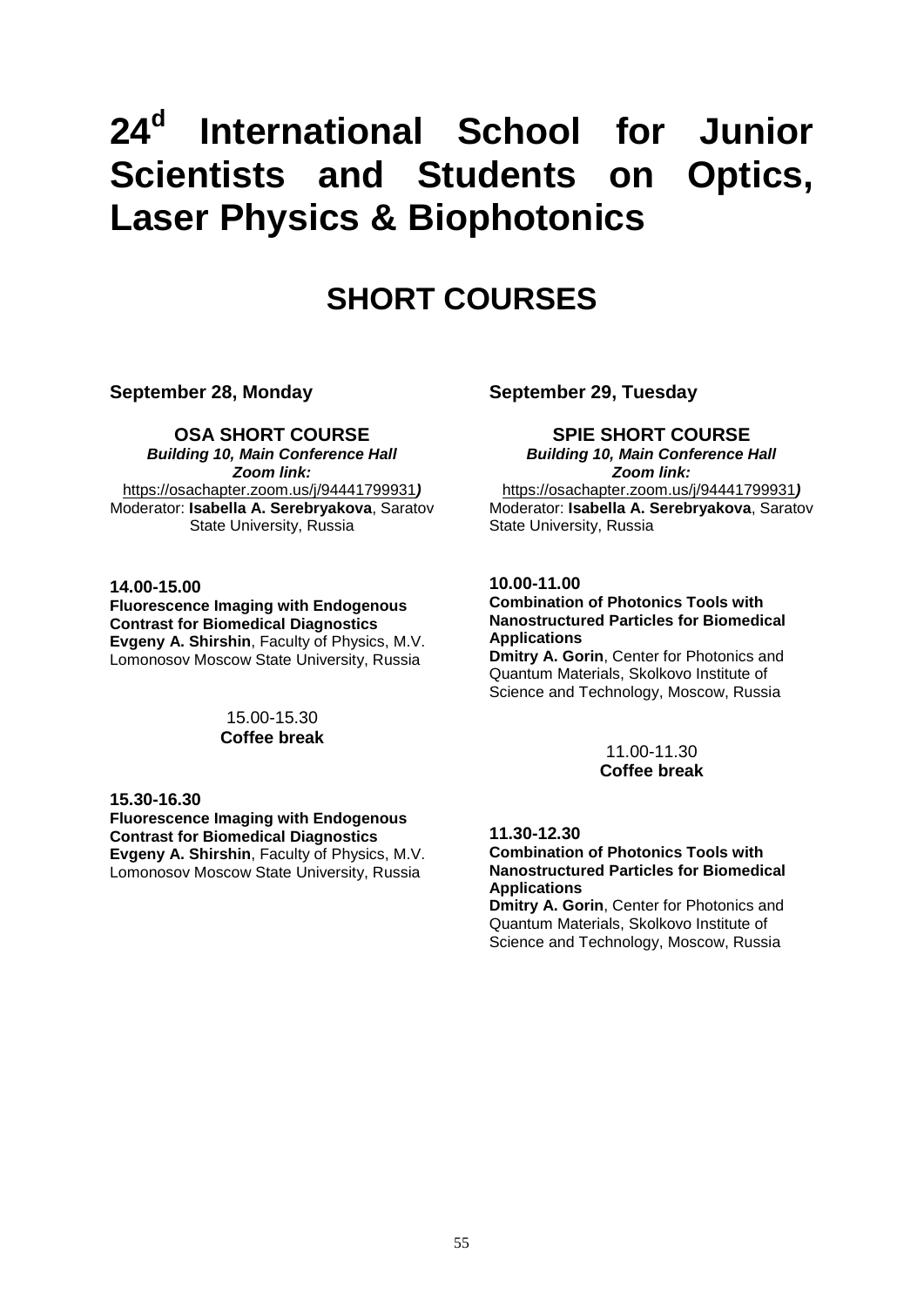# **24d International School for Junior Scientists and Students on Optics, Laser Physics & Biophotonics**

### **SHORT COURSES**

**September 28, Monday**

#### **OSA SHORT COURSE**

*Building 10, Main Conference Hall Zoom link:*  <https://osachapter.zoom.us/j/94441799931>*)* Moderator: **Isabella A. Serebryakova**, Saratov State University, Russia

#### **14.00-15.00**

**Fluorescence Imaging with Endogenous Contrast for Biomedical Diagnostics Evgeny A. Shirshin**, Faculty of Physics, M.V. Lomonosov Moscow State University, Russia

#### 15.00-15.30 **Coffee break**

#### **15.30-16.30**

**Fluorescence Imaging with Endogenous Contrast for Biomedical Diagnostics Evgeny A. Shirshin**, Faculty of Physics, M.V. Lomonosov Moscow State University, Russia

**September 29, Tuesday**

#### **SPIE SHORT COURSE**

*Building 10, Main Conference Hall Zoom link:*  <https://osachapter.zoom.us/j/94441799931>*)* Moderator: **Isabella A. Serebryakova**, Saratov State University, Russia

#### **10.00-11.00**

#### **Combination of Photonics Tools with Nanostructured Particles for Biomedical Applications**

**Dmitry A. Gorin**, Center for Photonics and Quantum Materials, Skolkovo Institute of Science and Technology, Moscow, Russia

> 11.00-11.30 **Coffee break**

#### **11.30-12.30**

**Combination of Photonics Tools with Nanostructured Particles for Biomedical Applications**

**Dmitry A. Gorin**, Center for Photonics and Quantum Materials, Skolkovo Institute of Science and Technology, Moscow, Russia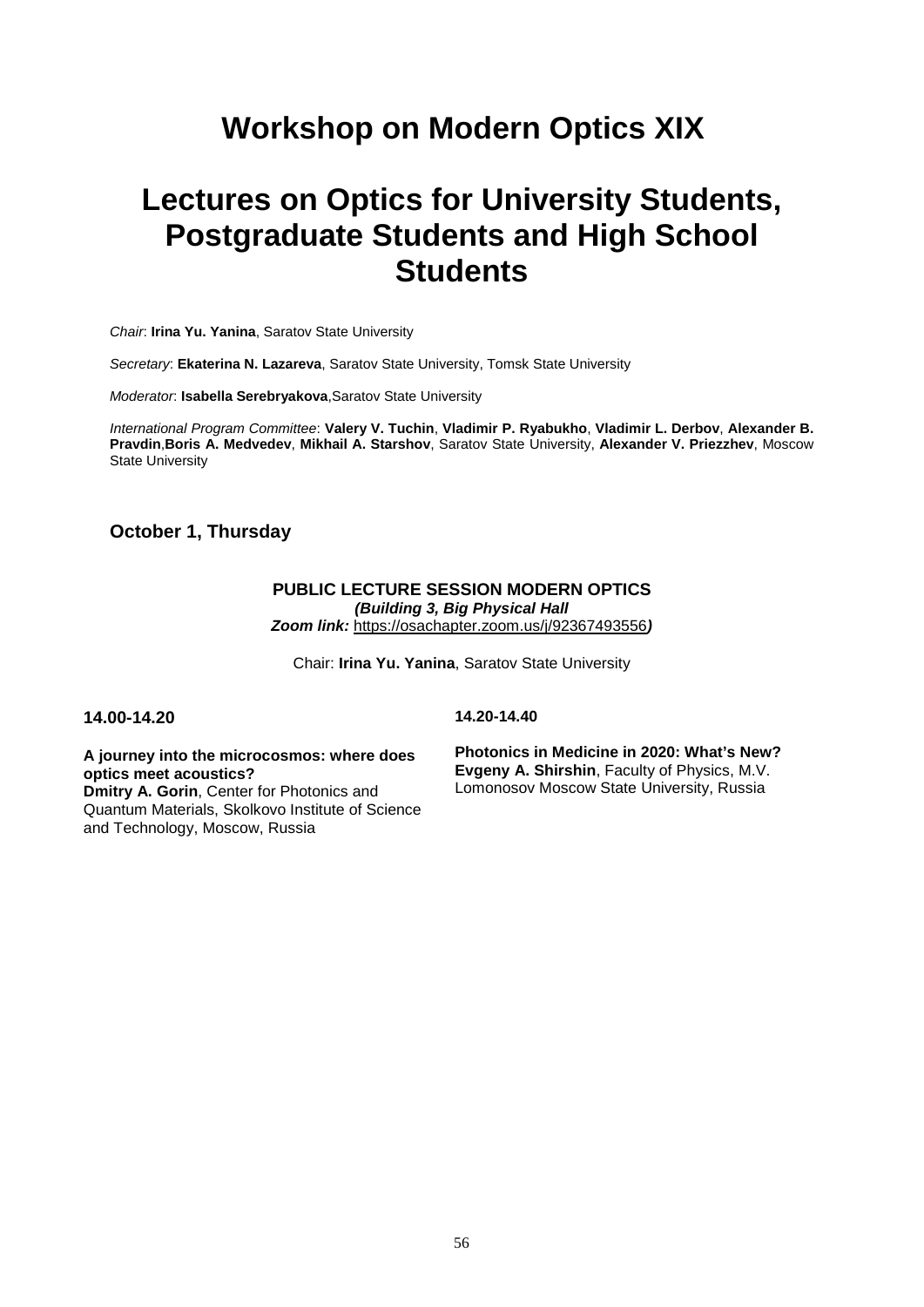### **Workshop on Modern Optics XIX**

### **Lectures on Optics for University Students, Postgraduate Students and High School Students**

*Chair*: **Irina Yu. Yanina**, Saratov State University

*Secretary*: **Ekaterina N. Lazareva**, Saratov State University, Tomsk State University

*Moderator*: **Isabella Serebryakova**,Saratov State University

*International Program Committee*: **Valery V. Tuchin**, **Vladimir P. Ryabukho**, **Vladimir L. Derbov**, **Alexander B. Pravdin**,**Boris A. Medvedev**, **Mikhail A. Starshov**, Saratov State University, **Alexander V. Priezzhev**, Moscow State University

#### **October 1, Thursday**

#### **PUBLIC LECTURE SESSION MODERN OPTICS** *(Building 3, Big Physical Hall Zoom link:* <https://osachapter.zoom.us/j/92367493556>*)*

Chair: **Irina Yu. Yanina**, Saratov State University

#### **14.00-14.20**

**14.20-14.40**

**A journey into the microcosmos: where does optics meet acoustics? Dmitry A. Gorin**, Center for Photonics and Quantum Materials, Skolkovo Institute of Science and Technology, Moscow, Russia

**Photonics in Medicine in 2020: What's New? Evgeny A. Shirshin**, Faculty of Physics, M.V. Lomonosov Moscow State University, Russia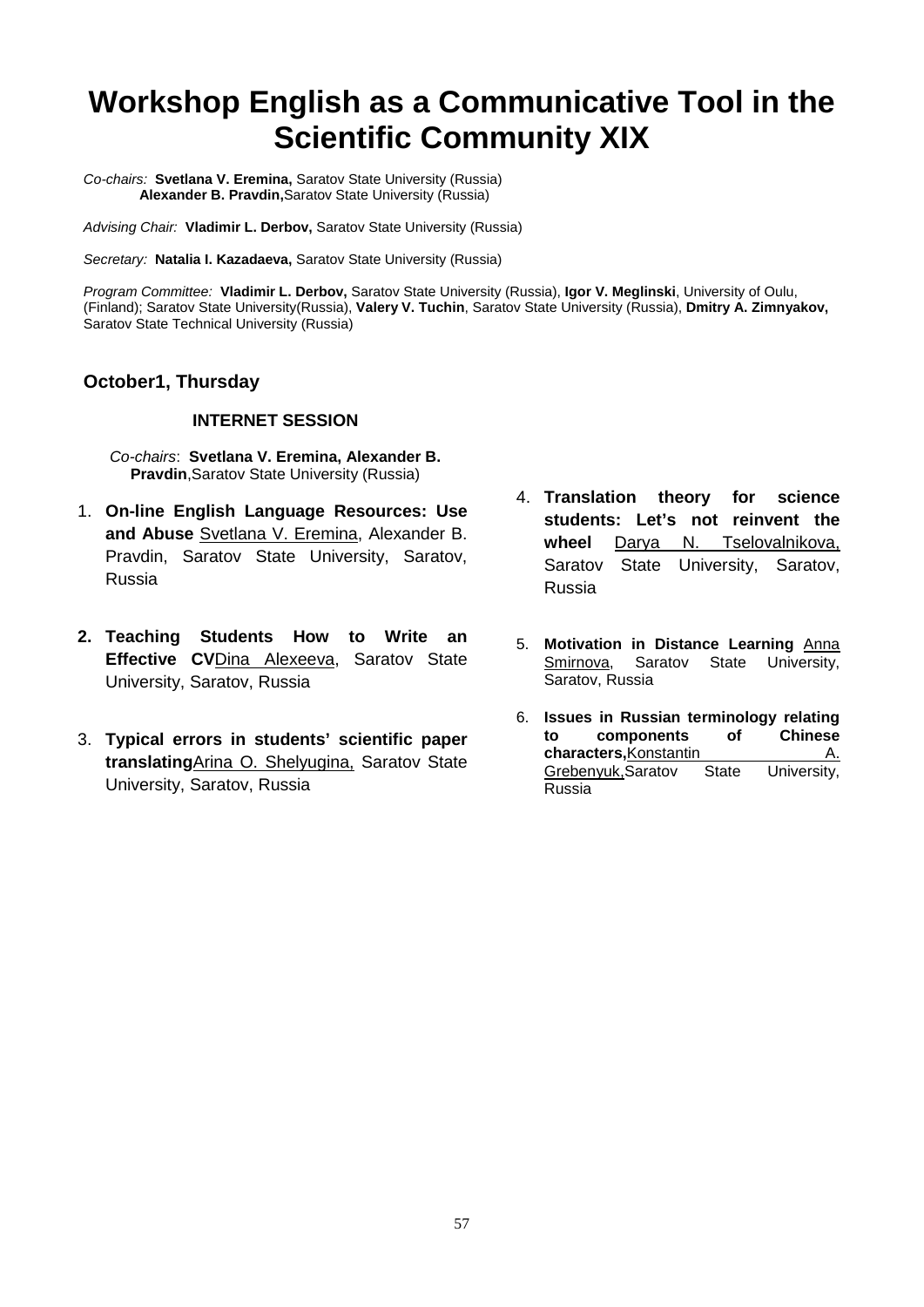### **Workshop English as a Communicative Tool in the Scientific Community XIX**

*Co-chairs:* **Svetlana V. Eremina,** Saratov State University (Russia) **Alexander B. Pravdin,**Saratov State University (Russia)

*Advising Chair:* **Vladimir L. Derbov,** Saratov State University (Russia)

*Secretary:* **Natalia I. Kazadaeva,** Saratov State University (Russia)

*Program Committee:* **Vladimir L. Derbov,** Saratov State University (Russia), **Igor V. Meglinski**, University of Oulu, (Finland); Saratov State University(Russia), **Valery V. Tuchin**, Saratov State University (Russia), **Dmitry A. Zimnyakov,** Saratov State Technical University (Russia)

#### **October1, Thursday**

#### **INTERNET SESSION**

*Co-chairs*: **Svetlana V. Eremina, Alexander B. Pravdin**,Saratov State University (Russia)

- 1. **On-line English Language Resources: Use and Abuse** Svetlana V. Eremina, Alexander B. Pravdin, Saratov State University, Saratov, Russia
- **2. Teaching Students How to Write an Effective CV**Dina Alexeeva, Saratov State University, Saratov, Russia
- 3. **Typical errors in students' scientific paper translating**Arina O. Shelyugina, Saratov State University, Saratov, Russia
- 4. **Translation theory for science students: Let's not reinvent the wheel** Darya N. Tselovalnikova, Saratov State University, Saratov, Russia
- 5. **Motivation in Distance Learning** Anna Smirnova, Saratov State University, Saratov, Russia
- 6. **Issues in Russian terminology relating**  to components **characters, Konstantin 1988**<br>Grebenyuk, Saratov State University, Grebenyuk, Saratov Russia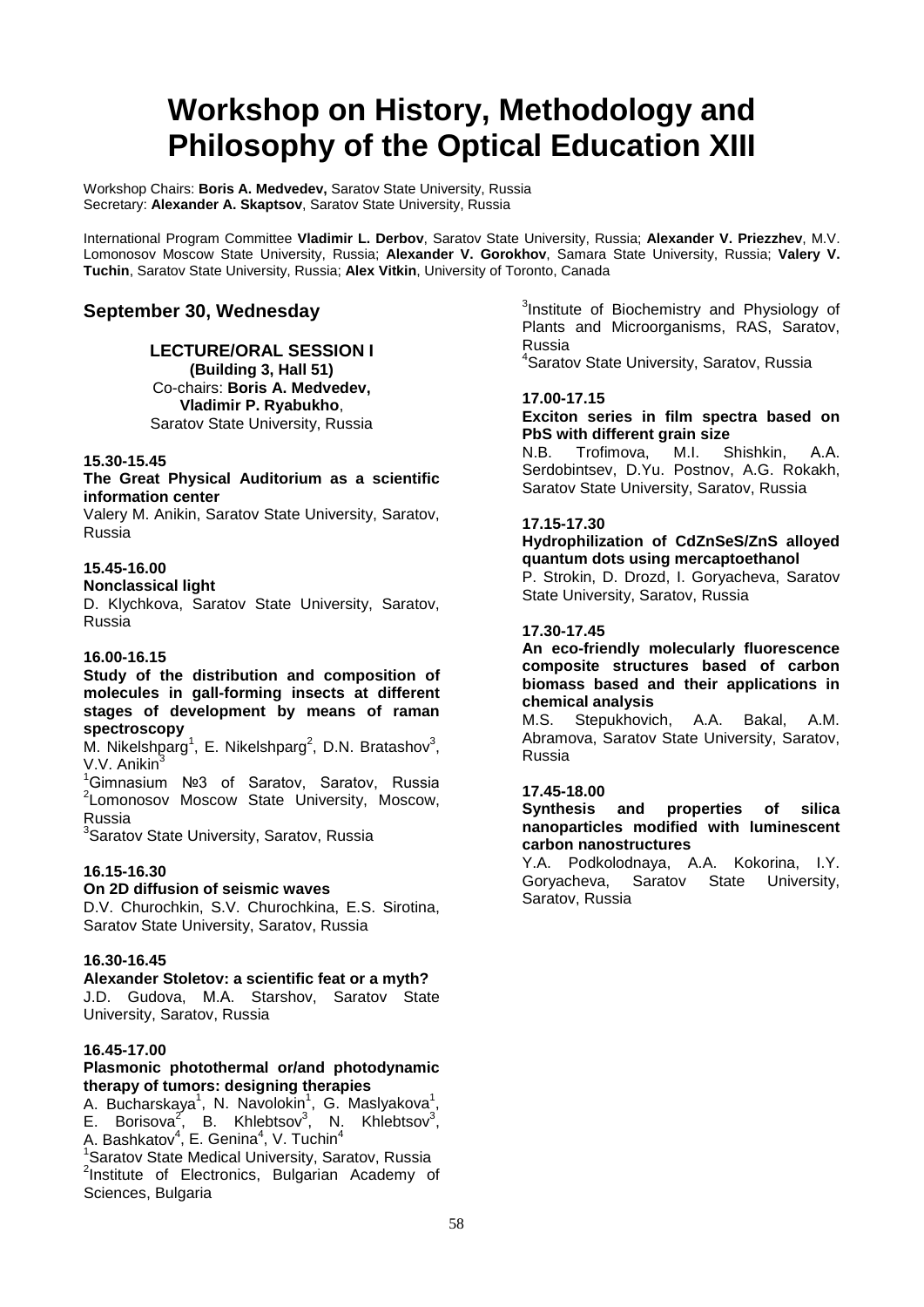### **Workshop on History, Methodology and Philosophy of the Optical Education XIII**

Workshop Chairs: **Boris A. Medvedev,** Saratov State University, Russia Secretary: **Alexander A. Skaptsov**, Saratov State University, Russia

International Program Committee **Vladimir L. Derbov**, Saratov State University, Russia; **Alexander V. Priezzhev**, M.V. Lomonosov Moscow State University, Russia; **Alexander V. Gorokhov**, Samara State University, Russia; **Valery V. Tuchin**, Saratov State University, Russia; **Alex Vitkin**, University of Toronto, Canada

#### **September 30, Wednesday**

#### **LECTURE/ORAL SESSION I (Building 3, Hall 51)**

Co-chairs: **Boris A. Medvedev, Vladimir P. Ryabukho**, Saratov State University, Russia

#### **15.30-15.45**

#### **The Great Physical Auditorium as a scientific information center**

Valery M. Anikin, Saratov State University, Saratov, Russia

#### **15.45-16.00**

#### **Nonclassical light**

D. Klychkova, Saratov State University, Saratov, Russia

#### **16.00-16.15**

#### **Study of the distribution and composition of molecules in gall-forming insects at different stages of development by means of raman spectroscopy**

M. Nikelshparg<sup>1</sup>, E. Nikelshparg<sup>2</sup>, D.N. Bratashov<sup>3</sup>, V.V. Anikin<sup>3</sup>

1 Gimnasium №3 of Saratov, Saratov, Russia <sup>2</sup> Lomonosov Moscow State University, Moscow, Russia

<sup>3</sup>Saratov State University, Saratov, Russia

#### **16.15-16.30**

#### **On 2D diffusion of seismic waves**

D.V. Churochkin, S.V. Churochkina, E.S. Sirotina, Saratov State University, Saratov, Russia

#### **16.30-16.45**

**Alexander Stoletov: a scientific feat or a myth?** J.D. Gudova, М.А. Starshov, Saratov State University, Saratov, Russia

#### **16.45-17.00**

#### **Plasmonic photothermal or/and photodynamic therapy of tumors: designing therapies**

A. Bucharskaya<sup>1</sup>, N. Navolokin<sup>1</sup>, G. Maslyakova<sup>1</sup>, E. Borisova<sup>2</sup>, B. Khlebtsov<sup>3</sup>, N. Khlebtsov<sup>3</sup>, A. Bashkatov<sup>4</sup>, E. Genina<sup>4</sup>, V. Tuchin<sup>4</sup><br><sup>1</sup>Saratov State Medical University, Saratov, Russia

<sup>2</sup>Institute of Electronics, Bulgarian Academy of Sciences, Bulgaria

<sup>3</sup>Institute of Biochemistry and Physiology of Plants and Microorganisms, RAS, Saratov, Russia

4 Saratov State University, Saratov, Russia

#### **17.00-17.15**

**Exciton series in film spectra based on PbS with different grain size** 

N.B. Trofimova, M.I. Shishkin, А.А. Serdobintsev, D.Yu. Postnov, A.G. Rokakh, Saratov State University, Saratov, Russia

#### **17.15-17.30**

#### **Hydrophilization of CdZnSeS/ZnS alloyed quantum dots using mercaptoethanol** P. Strokin, D. Drozd, I. Goryacheva, Saratov

State University, Saratov, Russia

#### **17.30-17.45**

**An eco-friendly molecularly fluorescence composite structures based of carbon biomass based and their applications in chemical analysis**

Stepukhovich, A.A. Bakal, A.M. Abramova, Saratov State University, Saratov, Russia

#### **17.45-18.00**

#### **Synthesis and properties of silica nanoparticles modified with luminescent carbon nanostructures**

Y.A. Podkolodnaya, A.A. Kokorina, I.Y. Goryacheva, Saratov State University, Saratov, Russia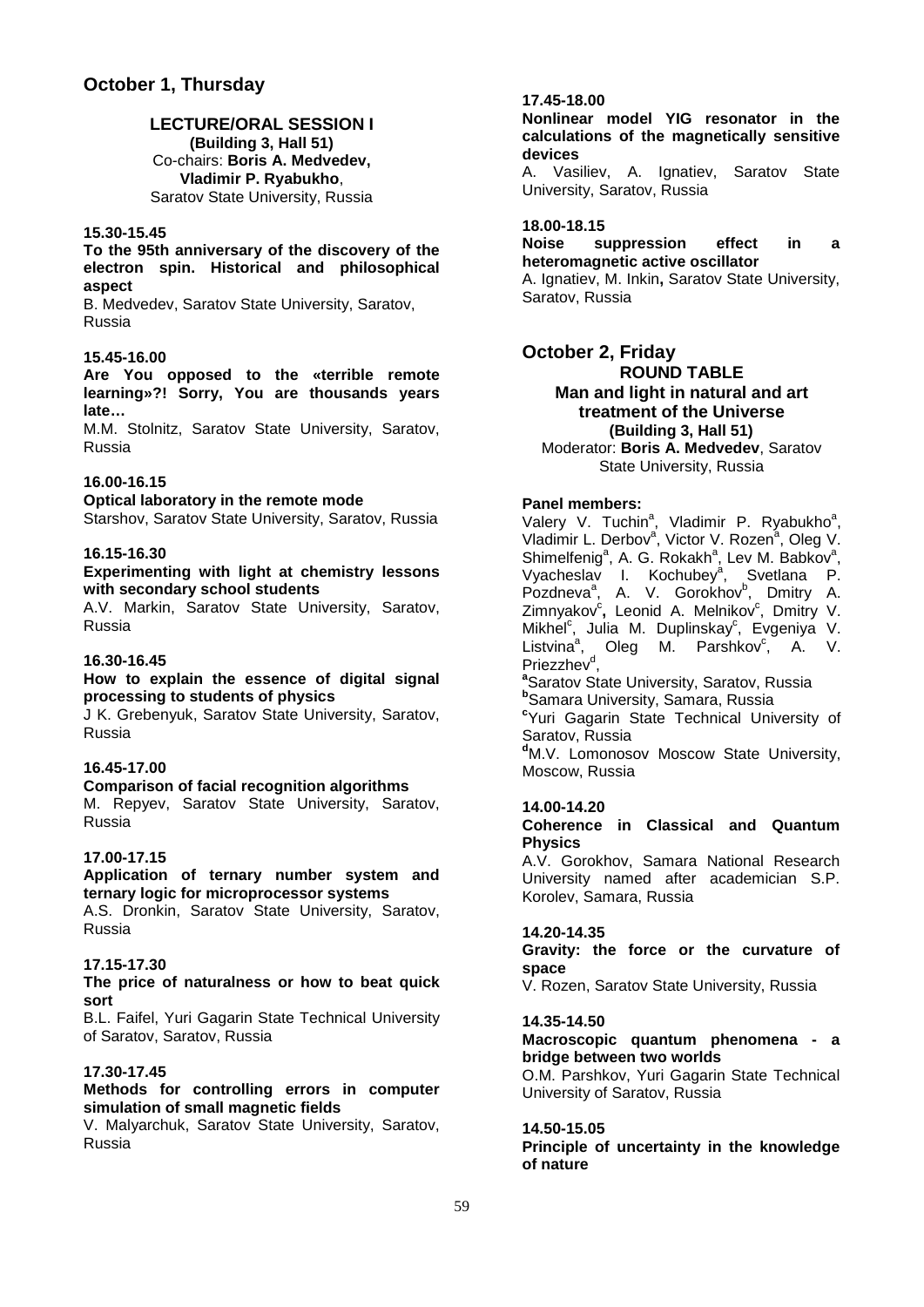### **LECTURE/ORAL SESSION I**

**(Building 3, Hall 51)** Co-chairs: **Boris A. Medvedev, Vladimir P. Ryabukho**, Saratov State University, Russia

#### **15.30-15.45**

#### **To the 95th anniversary of the discovery of the electron spin. Historical and philosophical aspect**

B. Medvedev, Saratov State University, Saratov, Russia

#### **15.45-16.00**

**Are You opposed to the «terrible remote learning»?! Sorry, You are thousands years late…**

M.M. Stolnitz, Saratov State University, Saratov, Russia

#### **16.00-16.15**

**Optical laboratory in the remote mode** Starshov, Saratov State University, Saratov, Russia

#### **16.15-16.30**

#### **Experimenting with light at chemistry lessons with secondary school students**

A.V. Markin, Saratov State University, Saratov, Russia

#### **16.30-16.45**

#### **How to explain the essence of digital signal processing to students of physics**

J K. Grebenyuk, Saratov State University, Saratov, Russia

#### **16.45-17.00**

**Comparison of facial recognition algorithms** M. Repyev, Saratov State University, Saratov, Russia

#### **17.00-17.15**

**Application of ternary number system and ternary logic for microprocessor systems**

A.S. Dronkin, Saratov State University, Saratov, Russia

#### **17.15-17.30**

#### **The price of naturalness or how to beat quick sort**

B.L. Faifel, Yuri Gagarin State Technical University of Saratov, Saratov, Russia

#### **17.30-17.45**

#### **Methods for controlling errors in computer simulation of small magnetic fields**

V. Malyarchuk, Saratov State University, Saratov, Russia

#### **17.45-18.00**

**Nonlinear model YIG resonator in the calculations of the magnetically sensitive devices**

A. Vasiliev, A. Ignatiev, Saratov State University, Saratov, Russia

#### **18.00-18.15**

#### **Noise suppression effect in a heteromagnetic active oscillator**

A. Ignatiev, M. Inkin**,** Saratov State University, Saratov, Russia

#### **October 2, Friday ROUND TABLE Man and light in natural and art treatment of the Universe (Building 3, Hall 51)**

Moderator: **Boris A. Medvedev**, Saratov State University, Russia

#### **Panel members:**

Valery V. Tuchin<sup>a</sup>, Vladimir P. Ryabukho<sup>a</sup>, Vladimir L. Derbov<sup>a</sup>, Victor V. Rozen<sup>a</sup>, Oleg V. Shimelfenig<sup>a</sup>, A. G. Rokakh<sup>a</sup>, Lev M. Babkov<sup>a</sup>, Vyacheslav I. Kochubey<sup>a</sup>, Svetlana P. Pozdneva<sup>a</sup>, A. V. Gorokhov<sup>b</sup>, Dmitry A. Zimnyakov<sup>c</sup>, Leonid A. Melnikov<sup>c</sup>, Dmitry V. Mikhel<sup>c</sup>, Julia M. Duplinskay<sup>c</sup>, Evgeniya V. Listvina<sup>a</sup>, Oleg M. Parshkov<sup>c</sup>, A. V. Priezzhev<sup>d</sup>,<br><sup>a</sup>Saratov Str <sup>a</sup>Saratov State University, Saratov, Russia **b** Samara University, Samara, Russia **c** Yuri Gagarin State Technical University of Saratov, Russia **d** M.V. Lomonosov Moscow State University, Moscow, Russia

#### **14.00-14.20**

#### **Coherence in Classical and Quantum Physics**

A.V. Gorokhov, Samara National Research University named after academician S.P. Korolev, Samara, Russia

#### **14.20-14.35**

#### **Gravity: the force or the curvature of space**

V. Rozen, Saratov State University, Russia

#### **14.35-14.50**

#### **Macroscopic quantum phenomena - a bridge between two worlds**

O.M. Parshkov, Yuri Gagarin State Technical University of Saratov, Russia

#### **14.50-15.05**

**Principle of uncertainty in the knowledge of nature**